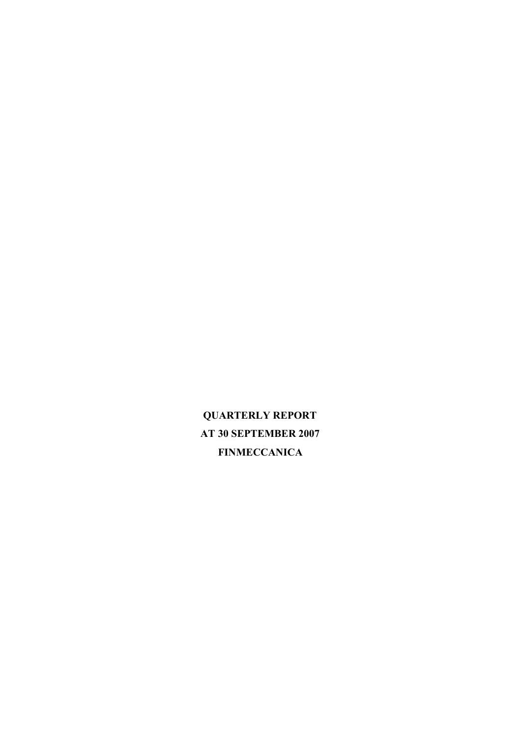**QUARTERLY REPORT AT 30 SEPTEMBER 2007 FINMECCANICA**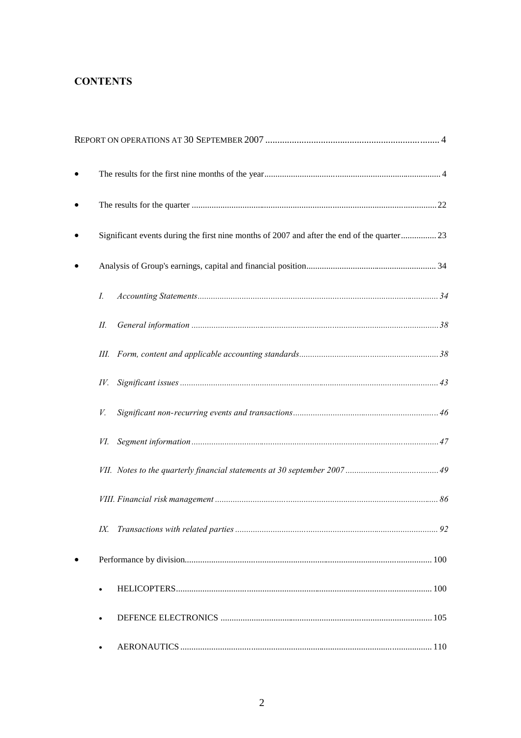# **CONTENTS**

| Significant events during the first nine months of 2007 and after the end of the quarter 23 |  |
|---------------------------------------------------------------------------------------------|--|
|                                                                                             |  |
| $I_{\cdot}$                                                                                 |  |
| П.                                                                                          |  |
|                                                                                             |  |
| IV.                                                                                         |  |
| V.                                                                                          |  |
| VI.                                                                                         |  |
|                                                                                             |  |
|                                                                                             |  |
|                                                                                             |  |
|                                                                                             |  |
|                                                                                             |  |
|                                                                                             |  |
|                                                                                             |  |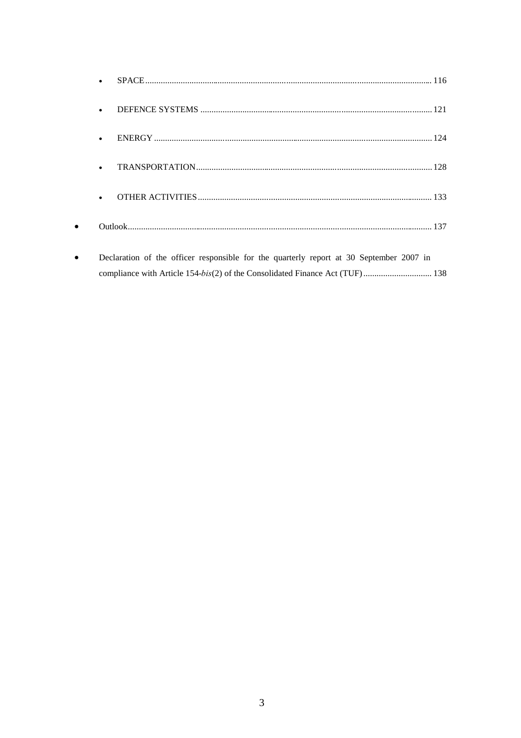| $\bullet$                                                                               |
|-----------------------------------------------------------------------------------------|
|                                                                                         |
| $\bullet$                                                                               |
|                                                                                         |
|                                                                                         |
| Declaration of the officer responsible for the quarterly report at 30 September 2007 in |
|                                                                                         |

 $\bullet$ 

 $\bullet$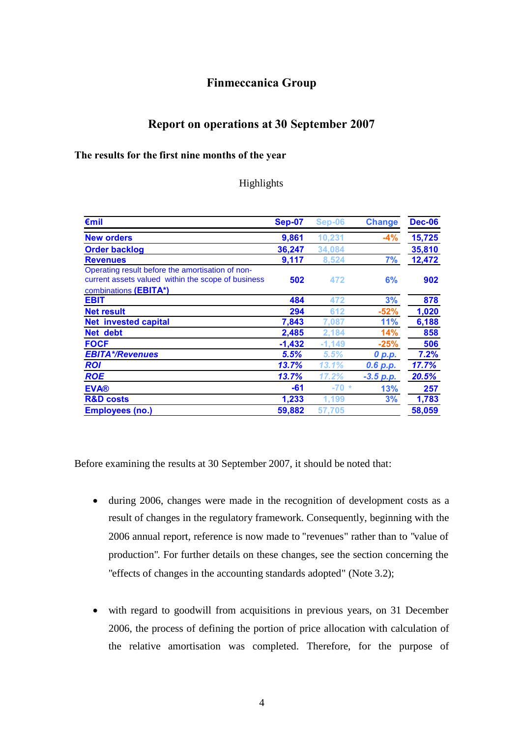## **Finmeccanica Group**

## <span id="page-3-0"></span>**Report on operations at 30 September 2007**

#### <span id="page-3-1"></span>**The results for the first nine months of the year**

#### Highlights

| €mil                                                                                                                            | <b>Sep-07</b> | Sep-06   | <b>Change</b> | <b>Dec-06</b> |
|---------------------------------------------------------------------------------------------------------------------------------|---------------|----------|---------------|---------------|
| <b>New orders</b>                                                                                                               | 9,861         | 10.231   | $-4%$         | 15,725        |
| <b>Order backlog</b>                                                                                                            | 36,247        | 34.084   |               | 35,810        |
| <b>Revenues</b>                                                                                                                 | 9,117         | 8,524    | 7%            | 12,472        |
| Operating result before the amortisation of non-<br>current assets valued within the scope of business<br>combinations (EBITA*) | 502           | 472      | 6%            | 902           |
| <b>EBIT</b>                                                                                                                     | 484           | 472      | 3%            | 878           |
| <b>Net result</b>                                                                                                               | 294           | 612      | $-52%$        | 1,020         |
| <b>Net invested capital</b>                                                                                                     | 7,843         | 7.087    | 11%           | 6,188         |
| Net debt                                                                                                                        | 2,485         | 2.184    | 14%           | 858           |
| <b>FOCF</b>                                                                                                                     | $-1,432$      | $-1,149$ | $-25%$        | 506           |
| <b>EBITA*/Revenues</b>                                                                                                          | 5.5%          | 5.5%     | 0 p.p.        | 7.2%          |
| <b>ROI</b>                                                                                                                      | 13.7%         | 13.1%    | 0.6 p.p.      | 17.7%         |
| <b>ROE</b>                                                                                                                      | 13.7%         | 17.2%    | $-3.5 p.p.$   | 20.5%         |
| <b>EVA®</b>                                                                                                                     | -61           | $-70$ *  | 13%           | 257           |
| <b>R&amp;D costs</b>                                                                                                            | 1,233         | 1,199    | 3%            | 1,783         |
| <b>Employees (no.)</b>                                                                                                          | 59,882        | 57.705   |               | 58,059        |

Before examining the results at 30 September 2007, it should be noted that:

- during 2006, changes were made in the recognition of development costs as a result of changes in the regulatory framework. Consequently, beginning with the 2006 annual report, reference is now made to "revenues" rather than to "value of production". For further details on these changes, see the section concerning the "effects of changes in the accounting standards adopted" (Note 3.2);
- with regard to goodwill from acquisitions in previous years, on 31 December 2006, the process of defining the portion of price allocation with calculation of the relative amortisation was completed. Therefore, for the purpose of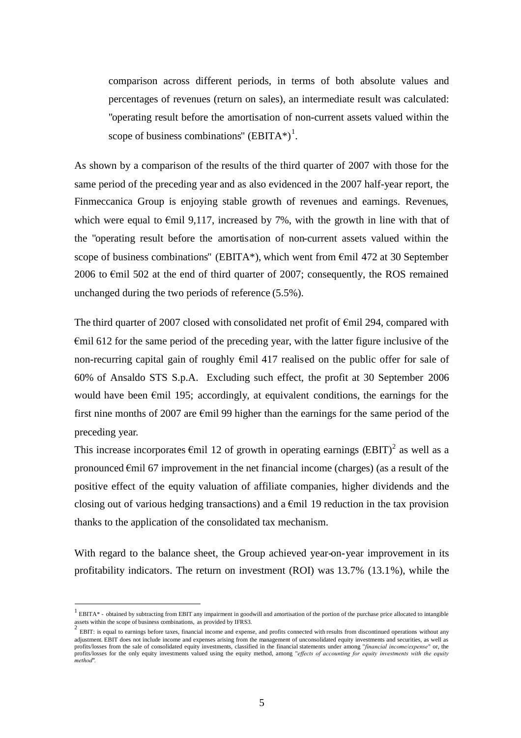comparison across different periods, in terms of both absolute values and percentages of revenues (return on sales), an intermediate result was calculated: "operating result before the amortisation of non-current assets valued within the scope of business combinations"  $(BBITA*)^1$ [.](#page-4-0)

As shown by a comparison of the results of the third quarter of 2007 with those for the same period of the preceding year and as also evidenced in the 2007 half-year report, the Finmeccanica Group is enjoying stable growth of revenues and earnings. Revenues, which were equal to  $\epsilon$ mil 9,117, increased by 7%, with the growth in line with that of the "operating result before the amortisation of non-current assets valued within the scope of business combinations" (EBITA\*), which went from  $\epsilon$ mil 472 at 30 September 2006 to €mil 502 at the end of third quarter of 2007; consequently, the ROS remained unchanged during the two periods of reference (5.5%).

The third quarter of 2007 closed with consolidated net profit of  $\epsilon$ mil 294, compared with €mil 612 for the same period of the preceding year, with the latter figure inclusive of the non-recurring capital gain of roughly €mil 417 realised on the public offer for sale of 60% of Ansaldo STS S.p.A. Excluding such effect, the profit at 30 September 2006 would have been  $\epsilon$ mil 195; accordingly, at equivalent conditions, the earnings for the first nine months of 2007 are  $\epsilon$ mil 99 higher than the earnings for the same period of the preceding year.

This increase incorporates  $\epsilon$ mil 1[2](#page-4-1) of growth in operating earnings  $(BBT)^2$  as well as a pronounced €mil 67 improvement in the net financial income (charges) (as a result of the positive effect of the equity valuation of affiliate companies, higher dividends and the closing out of various hedging transactions) and a  $\epsilon$ mil 19 reduction in the tax provision thanks to the application of the consolidated tax mechanism.

With regard to the balance sheet, the Group achieved year-on-year improvement in its profitability indicators. The return on investment (ROI) was 13.7% (13.1%), while the

<span id="page-4-0"></span> $<sup>1</sup>$  EBITA\* - obtained by subtracting from EBIT any impairment in goodwill and amortisation of the portion of the purchase price allocated to intangible</sup> assets within the scope of business combinations, as provided by IFRS3.

<span id="page-4-1"></span>EBIT: is equal to earnings before taxes, financial income and expense, and profits connected with results from discontinued operations without any adjustment. EBIT does not include income and expenses arising from the management of unconsolidated equity investments and securities, as well as profits/losses from the sale of consolidated equity investments, classified in the financial statements under among "*financial income/expense*" or, the profits/losses for the only equity investments valued using the equity method, among "*effects of accounting for equity investments with the equity method".*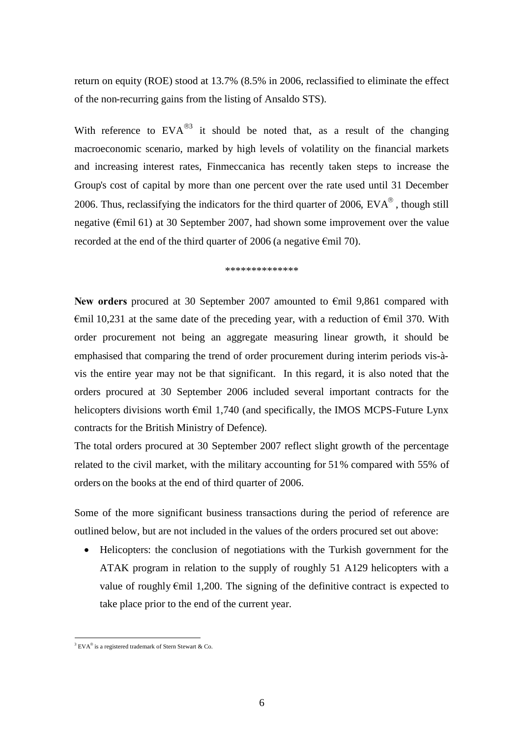return on equity (ROE) stood at 13.7% (8.5% in 2006, reclassified to eliminate the effect of the non-recurring gains from the listing of Ansaldo STS).

With reference to  $EVA^{\circledast}$  it should be noted that, as a result of the changing macroeconomic scenario, marked by high levels of volatility on the financial markets and increasing interest rates, Finmeccanica has recently taken steps to increase the Group's cost of capital by more than one percent over the rate used until 31 December 2006. Thus, reclassifying the indicators for the third quarter of 2006,  $EVA^{\circledast}$ , though still negative (€mil 61) at 30 September 2007, had shown some improvement over the value recorded at the end of the third quarter of 2006 (a negative  $\epsilon$ mil 70).

\*\*\*\*\*\*\*\*\*\*\*\*\*\*

**New orders** procured at 30 September 2007 amounted to €mil 9,861 compared with  $\epsilon$ mil 10,231 at the same date of the preceding year, with a reduction of  $\epsilon$ mil 370. With order procurement not being an aggregate measuring linear growth, it should be emphasised that comparing the trend of order procurement during interim periods vis-àvis the entire year may not be that significant. In this regard, it is also noted that the orders procured at 30 September 2006 included several important contracts for the helicopters divisions worth  $\epsilon$ mil 1,740 (and specifically, the IMOS MCPS-Future Lynx contracts for the British Ministry of Defence).

The total orders procured at 30 September 2007 reflect slight growth of the percentage related to the civil market, with the military accounting for 51% compared with 55% of orders on the books at the end of third quarter of 2006.

Some of the more significant business transactions during the period of reference are outlined below, but are not included in the values of the orders procured set out above:

 Helicopters: the conclusion of negotiations with the Turkish government for the ATAK program in relation to the supply of roughly 51 A129 helicopters with a value of roughly €mil 1,200. The signing of the definitive contract is expected to take place prior to the end of the current year.

<span id="page-5-0"></span><sup>&</sup>lt;sup>3</sup> EVA<sup>®</sup> is a registered trademark of Stern Stewart & Co.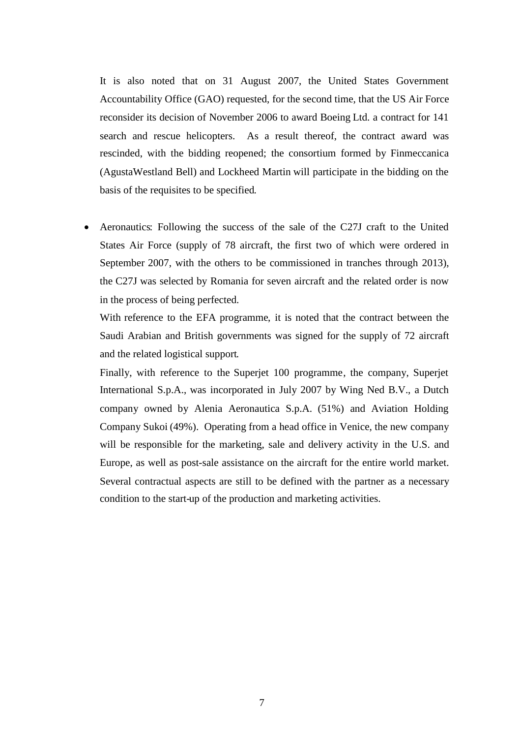It is also noted that on 31 August 2007, the United States Government Accountability Office (GAO) requested, for the second time, that the US Air Force reconsider its decision of November 2006 to award Boeing Ltd. a contract for 141 search and rescue helicopters. As a result thereof, the contract award was rescinded, with the bidding reopened; the consortium formed by Finmeccanica (AgustaWestland Bell) and Lockheed Martin will participate in the bidding on the basis of the requisites to be specified.

 Aeronautics: Following the success of the sale of the C27J craft to the United States Air Force (supply of 78 aircraft, the first two of which were ordered in September 2007, with the others to be commissioned in tranches through 2013), the C27J was selected by Romania for seven aircraft and the related order is now in the process of being perfected.

With reference to the EFA programme, it is noted that the contract between the Saudi Arabian and British governments was signed for the supply of 72 aircraft and the related logistical support.

Finally, with reference to the Superjet 100 programme, the company, Superjet International S.p.A., was incorporated in July 2007 by Wing Ned B.V., a Dutch company owned by Alenia Aeronautica S.p.A. (51%) and Aviation Holding Company Sukoi (49%). Operating from a head office in Venice, the new company will be responsible for the marketing, sale and delivery activity in the U.S. and Europe, as well as post-sale assistance on the aircraft for the entire world market. Several contractual aspects are still to be defined with the partner as a necessary condition to the start-up of the production and marketing activities.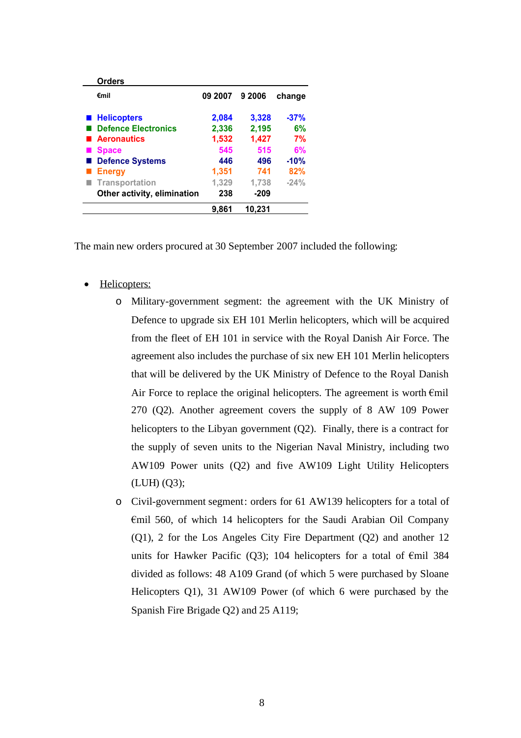| <b>Orders</b>               |         |        |        |
|-----------------------------|---------|--------|--------|
| €mil                        | 09 2007 | 9 2006 | change |
| ■ Helicopters               | 2,084   | 3,328  | $-37%$ |
| <b>Defence Electronics</b>  | 2,336   | 2,195  | 6%     |
| <b>Aeronautics</b>          | 1,532   | 1,427  | 7%     |
| <b>Space</b>                | 545     | 515    | 6%     |
| <b>Defence Systems</b>      | 446     | 496    | $-10%$ |
| <b>Energy</b>               | 1,351   | 741    | 82%    |
| Transportation              | 1,329   | 1,738  | $-24%$ |
| Other activity, elimination | 238     | $-209$ |        |
|                             | 9.861   | 10.231 |        |

The main new orders procured at 30 September 2007 included the following:

- Helicopters:
	- o Military-government segment: the agreement with the UK Ministry of Defence to upgrade six EH 101 Merlin helicopters, which will be acquired from the fleet of EH 101 in service with the Royal Danish Air Force. The agreement also includes the purchase of six new EH 101 Merlin helicopters that will be delivered by the UK Ministry of Defence to the Royal Danish Air Force to replace the original helicopters. The agreement is worth  $\epsilon$ mil 270 (Q2). Another agreement covers the supply of 8 AW 109 Power helicopters to the Libyan government (Q2). Finally, there is a contract for the supply of seven units to the Nigerian Naval Ministry, including two AW109 Power units (Q2) and five AW109 Light Utility Helicopters (LUH) (Q3);
	- o Civil-government segment: orders for 61 AW139 helicopters for a total of €mil 560, of which 14 helicopters for the Saudi Arabian Oil Company (Q1), 2 for the Los Angeles City Fire Department (Q2) and another 12 units for Hawker Pacific (Q3); 104 helicopters for a total of  $\epsilon$ mil 384 divided as follows: 48 A109 Grand (of which 5 were purchased by Sloane Helicopters Q1), 31 AW109 Power (of which 6 were purchased by the Spanish Fire Brigade Q2) and 25 A119;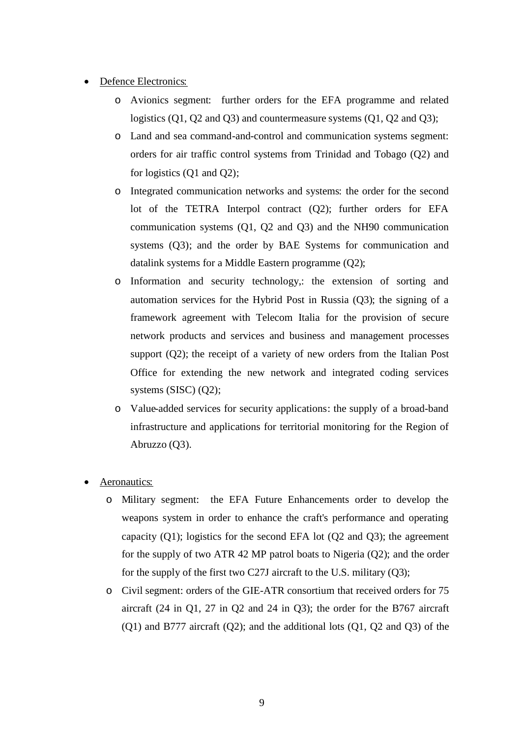- Defence Electronics:
	- o Avionics segment: further orders for the EFA programme and related logistics (Q1, Q2 and Q3) and countermeasure systems (Q1, Q2 and Q3);
	- o Land and sea command-and-control and communication systems segment: orders for air traffic control systems from Trinidad and Tobago (Q2) and for logistics (Q1 and Q2);
	- o Integrated communication networks and systems: the order for the second lot of the TETRA Interpol contract (Q2); further orders for EFA communication systems (Q1, Q2 and Q3) and the NH90 communication systems (Q3); and the order by BAE Systems for communication and datalink systems for a Middle Eastern programme (Q2);
	- o Information and security technology,: the extension of sorting and automation services for the Hybrid Post in Russia (Q3); the signing of a framework agreement with Telecom Italia for the provision of secure network products and services and business and management processes support (Q2); the receipt of a variety of new orders from the Italian Post Office for extending the new network and integrated coding services systems (SISC) (Q2);
	- o Value-added services for security applications: the supply of a broad-band infrastructure and applications for territorial monitoring for the Region of Abruzzo (Q3).
- Aeronautics:
	- o Military segment: the EFA Future Enhancements order to develop the weapons system in order to enhance the craft's performance and operating capacity  $(Q1)$ ; logistics for the second EFA lot  $(Q2 \text{ and } Q3)$ ; the agreement for the supply of two ATR 42 MP patrol boats to Nigeria (Q2); and the order for the supply of the first two C27J aircraft to the U.S. military (Q3);
	- o Civil segment: orders of the GIE-ATR consortium that received orders for 75 aircraft (24 in Q1, 27 in Q2 and 24 in Q3); the order for the B767 aircraft  $(Q1)$  and B777 aircraft  $(Q2)$ ; and the additional lots  $(Q1, Q2)$  and  $(Q3)$  of the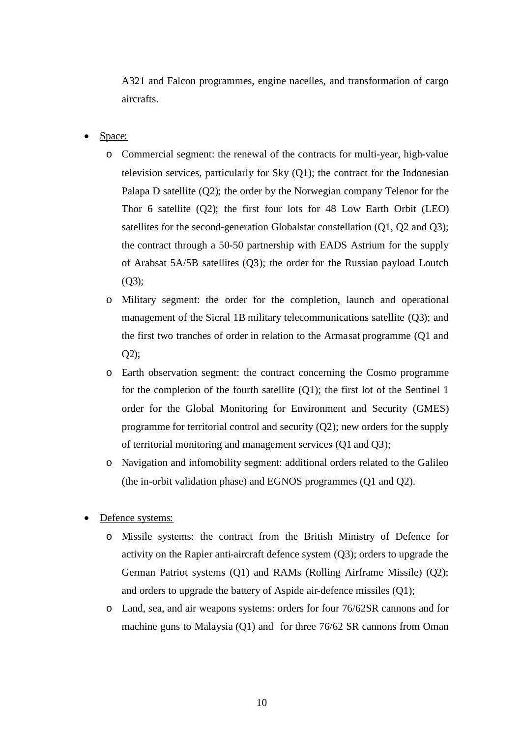A321 and Falcon programmes, engine nacelles, and transformation of cargo aircrafts.

- Space:
	- o Commercial segment: the renewal of the contracts for multi-year, high-value television services, particularly for Sky (Q1); the contract for the Indonesian Palapa D satellite (Q2); the order by the Norwegian company Telenor for the Thor 6 satellite (Q2); the first four lots for 48 Low Earth Orbit (LEO) satellites for the second-generation Globalstar constellation (Q1, Q2 and Q3); the contract through a 50-50 partnership with EADS Astrium for the supply of Arabsat 5A/5B satellites (Q3); the order for the Russian payload Loutch  $(O3);$
	- o Military segment: the order for the completion, launch and operational management of the Sicral 1B military telecommunications satellite (Q3); and the first two tranches of order in relation to the Armasat programme (Q1 and  $Q2$ ;
	- o Earth observation segment: the contract concerning the Cosmo programme for the completion of the fourth satellite  $(Q1)$ ; the first lot of the Sentinel 1 order for the Global Monitoring for Environment and Security (GMES) programme for territorial control and security (Q2); new orders for the supply of territorial monitoring and management services (Q1 and Q3);
	- o Navigation and infomobility segment: additional orders related to the Galileo (the in-orbit validation phase) and EGNOS programmes (Q1 and Q2).
- Defence systems:
	- o Missile systems: the contract from the British Ministry of Defence for activity on the Rapier anti-aircraft defence system (Q3); orders to upgrade the German Patriot systems (Q1) and RAMs (Rolling Airframe Missile) (Q2); and orders to upgrade the battery of Aspide air-defence missiles (Q1);
	- o Land, sea, and air weapons systems: orders for four 76/62SR cannons and for machine guns to Malaysia (Q1) and for three 76/62 SR cannons from Oman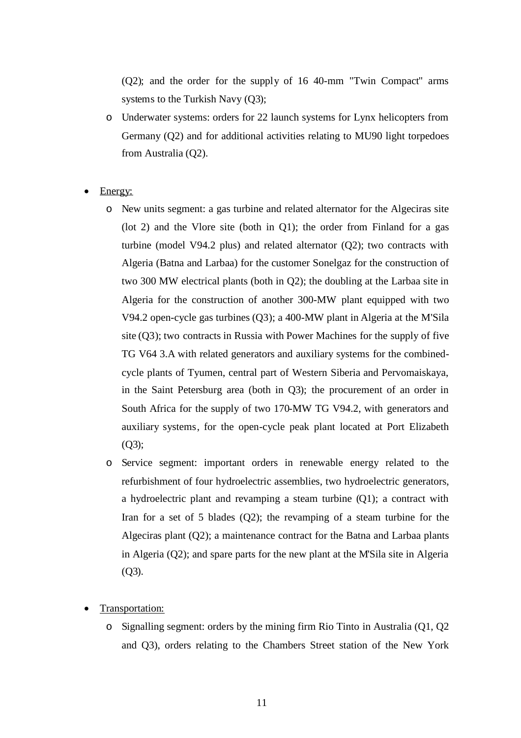(Q2); and the order for the supply of 16 40-mm "Twin Compact" arms systems to the Turkish Navy (Q3);

- o Underwater systems: orders for 22 launch systems for Lynx helicopters from Germany (Q2) and for additional activities relating to MU90 light torpedoes from Australia (Q2).
- Energy:
	- o New units segment: a gas turbine and related alternator for the Algeciras site (lot 2) and the Vlore site (both in Q1); the order from Finland for a gas turbine (model V94.2 plus) and related alternator (Q2); two contracts with Algeria (Batna and Larbaa) for the customer Sonelgaz for the construction of two 300 MW electrical plants (both in Q2); the doubling at the Larbaa site in Algeria for the construction of another 300-MW plant equipped with two V94.2 open-cycle gas turbines (Q3); a 400-MW plant in Algeria at the M'Sila site (Q3); two contracts in Russia with Power Machines for the supply of five TG V64 3.A with related generators and auxiliary systems for the combinedcycle plants of Tyumen, central part of Western Siberia and Pervomaiskaya, in the Saint Petersburg area (both in Q3); the procurement of an order in South Africa for the supply of two 170-MW TG V94.2, with generators and auxiliary systems, for the open-cycle peak plant located at Port Elizabeth (Q3);
	- o Service segment: important orders in renewable energy related to the refurbishment of four hydroelectric assemblies, two hydroelectric generators, a hydroelectric plant and revamping a steam turbine (Q1); a contract with Iran for a set of 5 blades (Q2); the revamping of a steam turbine for the Algeciras plant (Q2); a maintenance contract for the Batna and Larbaa plants in Algeria (Q2); and spare parts for the new plant at the M'Sila site in Algeria (Q3).
- Transportation:
	- o Signalling segment: orders by the mining firm Rio Tinto in Australia (Q1, Q2 and Q3), orders relating to the Chambers Street station of the New York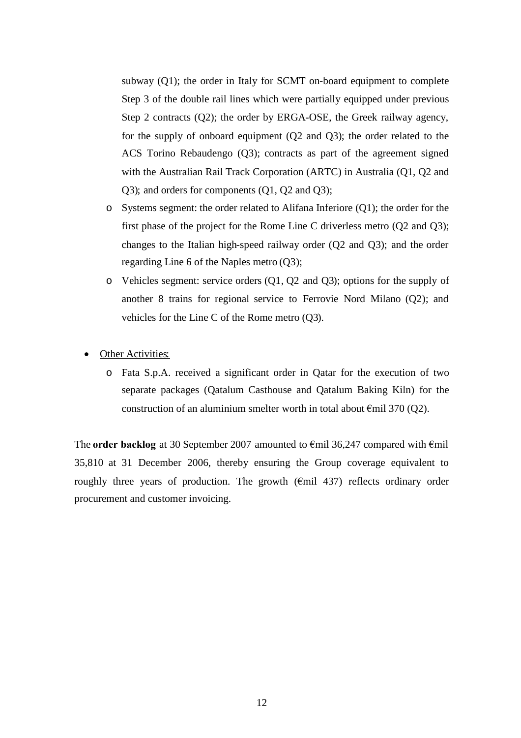subway (Q1); the order in Italy for SCMT on-board equipment to complete Step 3 of the double rail lines which were partially equipped under previous Step 2 contracts (Q2); the order by ERGA-OSE, the Greek railway agency, for the supply of onboard equipment (Q2 and Q3); the order related to the ACS Torino Rebaudengo (Q3); contracts as part of the agreement signed with the Australian Rail Track Corporation (ARTC) in Australia (Q1, Q2 and Q3); and orders for components (Q1, Q2 and Q3);

- o Systems segment: the order related to Alifana Inferiore (Q1); the order for the first phase of the project for the Rome Line C driverless metro (Q2 and Q3); changes to the Italian high-speed railway order (Q2 and Q3); and the order regarding Line 6 of the Naples metro (Q3);
- o Vehicles segment: service orders (Q1, Q2 and Q3); options for the supply of another 8 trains for regional service to Ferrovie Nord Milano (Q2); and vehicles for the Line C of the Rome metro (Q3).
- **Other Activities:** 
	- o Fata S.p.A. received a significant order in Qatar for the execution of two separate packages (Qatalum Casthouse and Qatalum Baking Kiln) for the construction of an aluminium smelter worth in total about  $\epsilon$ mil 370 (Q2).

The **order backlog** at 30 September 2007 amounted to €mil 36,247 compared with €mil 35,810 at 31 December 2006, thereby ensuring the Group coverage equivalent to roughly three years of production. The growth  $(\text{Emil } 437)$  reflects ordinary order procurement and customer invoicing.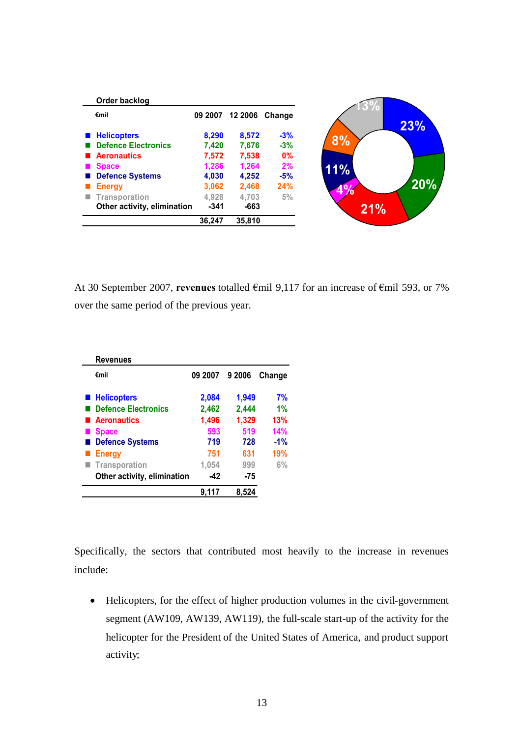| Order backlog               |         |        |                |
|-----------------------------|---------|--------|----------------|
| €mil                        | 09 2007 |        | 12 2006 Change |
| <b>Helicopters</b>          | 8,290   | 8,572  | $-3%$          |
| <b>Defence Electronics</b>  | 7,420   | 7,676  | $-3%$          |
| <b>Aeronautics</b>          | 7,572   | 7,538  | 0%             |
| <b>Space</b>                | 1,286   | 1,264  | 2%             |
| <b>Defence Systems</b>      | 4,030   | 4,252  | $-5%$          |
| <b>Energy</b>               | 3,062   | 2,468  | 24%            |
| <b>Transporation</b>        | 4,928   | 4.703  | 5%             |
| Other activity, elimination | $-341$  | -663   |                |
|                             | 36,247  | 35,810 |                |

At 30 September 2007, **revenues** totalled €mil 9,117 for an increase of €mil 593, or 7% over the same period of the previous year.

| <b>Revenues</b>             |                |       |        |
|-----------------------------|----------------|-------|--------|
| €mil                        | 09 2007 9 2006 |       | Change |
| <b>■ Helicopters</b>        | 2,084          | 1,949 | 7%     |
| <b>Defence Electronics</b>  | 2,462          | 2,444 | 1%     |
| <b>Aeronautics</b>          | 1,496          | 1,329 | 13%    |
| <b>Space</b>                | 593            | 519   | 14%    |
| <b>Defence Systems</b>      | 719            | 728   | $-1%$  |
| <b>Energy</b>               | 751            | 631   | 19%    |
| Transporation               | 1,054          | 999   | 6%     |
| Other activity, elimination | -42            | $-75$ |        |
|                             | 9.117          | 8.52  |        |

Specifically, the sectors that contributed most heavily to the increase in revenues include:

 Helicopters, for the effect of higher production volumes in the civil-government segment (AW109, AW139, AW119), the full-scale start-up of the activity for the helicopter for the President of the United States of America, and product support activity;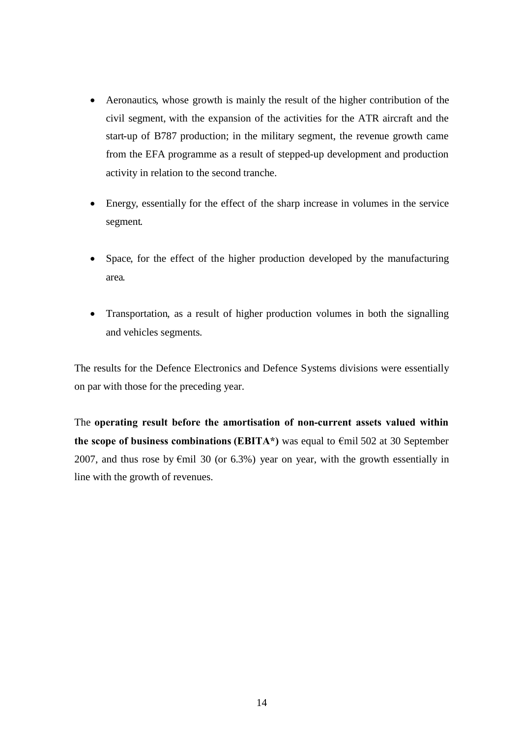- Aeronautics, whose growth is mainly the result of the higher contribution of the civil segment, with the expansion of the activities for the ATR aircraft and the start-up of B787 production; in the military segment, the revenue growth came from the EFA programme as a result of stepped-up development and production activity in relation to the second tranche.
- Energy, essentially for the effect of the sharp increase in volumes in the service segment.
- Space, for the effect of the higher production developed by the manufacturing area.
- Transportation, as a result of higher production volumes in both the signalling and vehicles segments.

The results for the Defence Electronics and Defence Systems divisions were essentially on par with those for the preceding year.

The **operating result before the amortisation of non-current assets valued within the scope of business combinations (EBITA\*)** was equal to  $\epsilon$ mil 502 at 30 September 2007, and thus rose by  $\epsilon$ mil 30 (or 6.3%) year on year, with the growth essentially in line with the growth of revenues.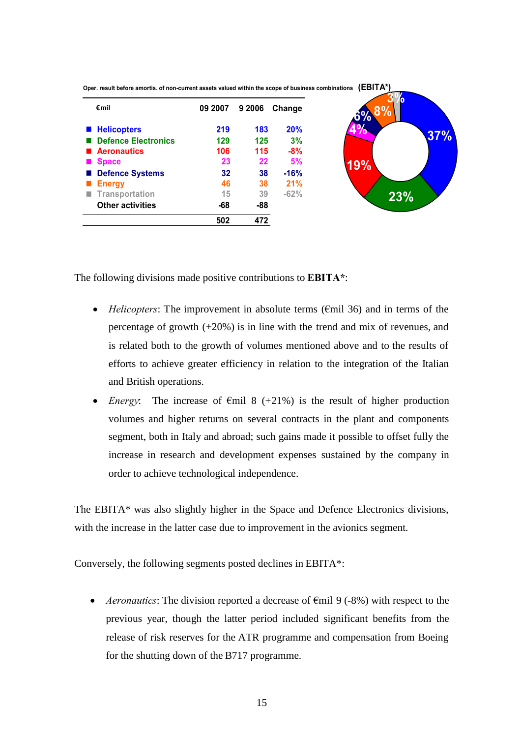

**Oper. result before amortis. of non-current assets valued within the scope of business combinations (EBITA\*)**

The following divisions made positive contributions to **EBITA\***:

- *Helicopters*: The improvement in absolute terms (€mil 36) and in terms of the percentage of growth (+20%) is in line with the trend and mix of revenues, and is related both to the growth of volumes mentioned above and to the results of efforts to achieve greater efficiency in relation to the integration of the Italian and British operations.
- *Energy*: The increase of  $\epsilon$ mil 8 (+21%) is the result of higher production volumes and higher returns on several contracts in the plant and components segment, both in Italy and abroad; such gains made it possible to offset fully the increase in research and development expenses sustained by the company in order to achieve technological independence.

The EBITA\* was also slightly higher in the Space and Defence Electronics divisions, with the increase in the latter case due to improvement in the avionics segment.

Conversely, the following segments posted declines in EBITA\*:

 *Aeronautics*: The division reported a decrease of €mil 9 (-8%) with respect to the previous year, though the latter period included significant benefits from the release of risk reserves for the ATR programme and compensation from Boeing for the shutting down of the B717 programme.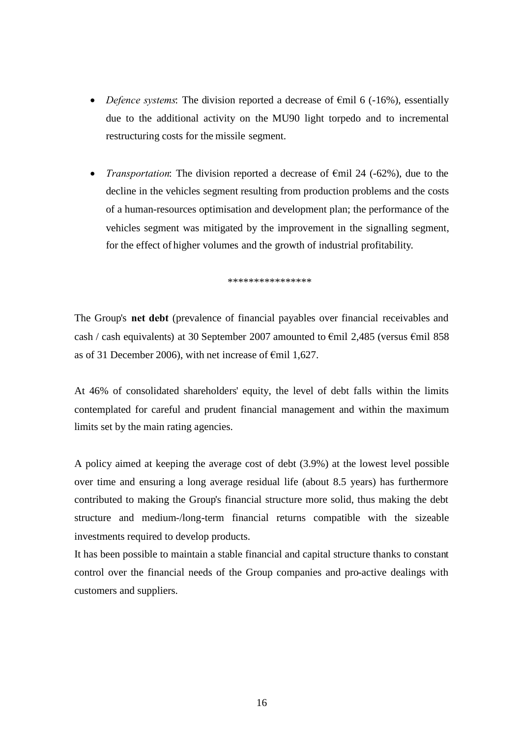- *Defence systems*: The division reported a decrease of €mil 6 (-16%), essentially due to the additional activity on the MU90 light torpedo and to incremental restructuring costs for the missile segment.
- *Transportation*: The division reported a decrease of €mil 24 (-62%), due to the decline in the vehicles segment resulting from production problems and the costs of a human-resources optimisation and development plan; the performance of the vehicles segment was mitigated by the improvement in the signalling segment, for the effect of higher volumes and the growth of industrial profitability.

\*\*\*\*\*\*\*\*\*\*\*\*\*\*\*\*

The Group's **net debt** (prevalence of financial payables over financial receivables and cash / cash equivalents) at 30 September 2007 amounted to  $\epsilon$ mil 2,485 (versus  $\epsilon$ mil 858 as of 31 December 2006), with net increase of  $\epsilon$ mil 1,627.

At 46% of consolidated shareholders' equity, the level of debt falls within the limits contemplated for careful and prudent financial management and within the maximum limits set by the main rating agencies.

A policy aimed at keeping the average cost of debt (3.9%) at the lowest level possible over time and ensuring a long average residual life (about 8.5 years) has furthermore contributed to making the Group's financial structure more solid, thus making the debt structure and medium-/long-term financial returns compatible with the sizeable investments required to develop products.

It has been possible to maintain a stable financial and capital structure thanks to constant control over the financial needs of the Group companies and pro-active dealings with customers and suppliers.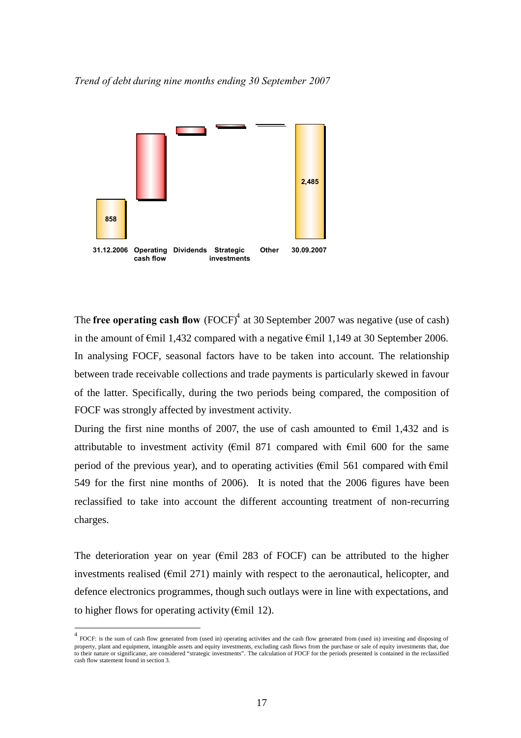



The **free operating cash flow** (FOCF)<sup> $4$ </sup> at 30 September 2007 was negative (use of cash) in the amount of €mil 1,432 compared with a negative €mil 1,149 at 30 September 2006. In analysing FOCF, seasonal factors have to be taken into account. The relationship between trade receivable collections and trade payments is particularly skewed in favour of the latter. Specifically, during the two periods being compared, the composition of FOCF was strongly affected by investment activity.

During the first nine months of 2007, the use of cash amounted to  $\epsilon$ mil 1,432 and is attributable to investment activity ( $\epsilon$ mil 871 compared with  $\epsilon$ mil 600 for the same period of the previous year), and to operating activities ( $\epsilon$ mil 561 compared with  $\epsilon$ mil 549 for the first nine months of 2006). It is noted that the 2006 figures have been reclassified to take into account the different accounting treatment of non-recurring charges.

The deterioration year on year ( $\epsilon$ mil 283 of FOCF) can be attributed to the higher investments realised ( $\epsilon$ mil 271) mainly with respect to the aeronautical, helicopter, and defence electronics programmes, though such outlays were in line with expectations, and to higher flows for operating activity ( $\epsilon$ mil 12).

<span id="page-16-0"></span><sup>&</sup>lt;sup>4</sup> FOCF: is the sum of cash flow generated from (used in) operating activities and the cash flow generated from (used in) investing and disposing of property, plant and equipment, intangible assets and equity investments, excluding cash flows from the purchase or sale of equity investments that, due to their nature or significance, are considered "strategic investments". The calculation of FOCF for the periods presented is contained in the reclassified cash flow statement found in section 3.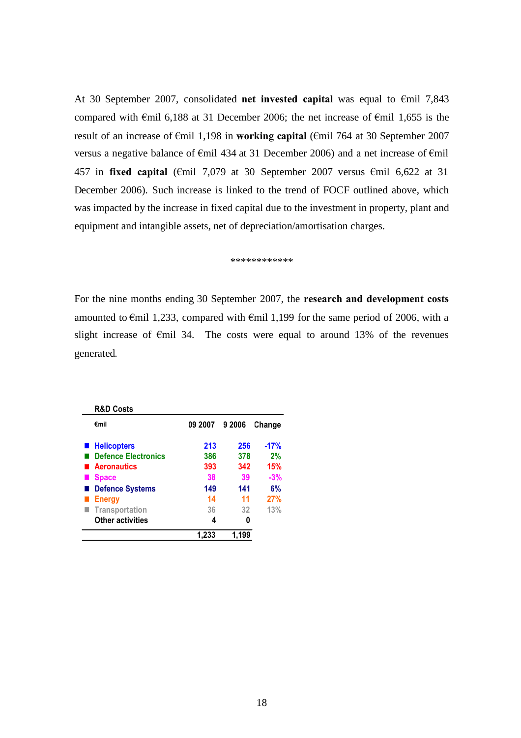At 30 September 2007, consolidated **net invested capital** was equal to €mil 7,843 compared with  $\epsilon$ mil 6,188 at 31 December 2006; the net increase of  $\epsilon$ mil 1,655 is the result of an increase of €mil 1,198 in **working capital** (€mil 764 at 30 September 2007 versus a negative balance of €mil 434 at 31 December 2006) and a net increase of €mil 457 in **fixed capital** (€mil 7,079 at 30 September 2007 versus €mil 6,622 at 31 December 2006). Such increase is linked to the trend of FOCF outlined above, which was impacted by the increase in fixed capital due to the investment in property, plant and equipment and intangible assets, net of depreciation/amortisation charges.

\*\*\*\*\*\*\*\*\*\*\*\*

For the nine months ending 30 September 2007, the **research and development costs** amounted to  $\epsilon$ mil 1,233, compared with  $\epsilon$ mil 1,199 for the same period of 2006, with a slight increase of €mil 34. The costs were equal to around 13% of the revenues generated.

| <b>R&amp;D Costs</b>       |         |        |        |
|----------------------------|---------|--------|--------|
| €mil                       | 09 2007 | 9 2006 | Change |
| ■ Helicopters              | 213     | 256    | $-17%$ |
| <b>Defence Electronics</b> | 386     | 378    | 2%     |
| Aeronautics                | 393     | 342    | 15%    |
| <b>Space</b>               | 38      | 39     | $-3%$  |
| <b>Defence Systems</b>     | 149     | 141    | 6%     |
| <b>Energy</b>              | 14      | 11     | 27%    |
| Transportation             | 36      | 32     | 13%    |
| <b>Other activities</b>    | 4       | O      |        |
|                            | 1.233   | 1.199  |        |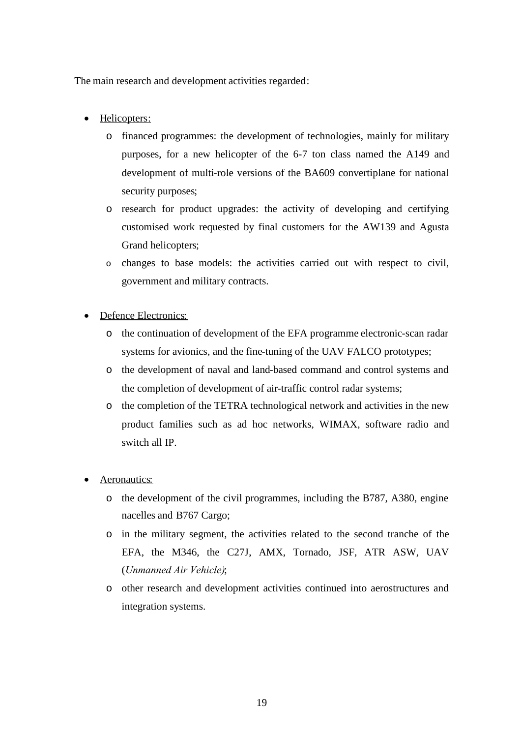The main research and development activities regarded:

- Helicopters:
	- o financed programmes: the development of technologies, mainly for military purposes, for a new helicopter of the 6-7 ton class named the A149 and development of multi-role versions of the BA609 convertiplane for national security purposes;
	- o research for product upgrades: the activity of developing and certifying customised work requested by final customers for the AW139 and Agusta Grand helicopters;
	- o changes to base models: the activities carried out with respect to civil, government and military contracts.
- Defence Electronics:
	- o the continuation of development of the EFA programme electronic-scan radar systems for avionics, and the fine-tuning of the UAV FALCO prototypes;
	- o the development of naval and land-based command and control systems and the completion of development of air-traffic control radar systems;
	- o the completion of the TETRA technological network and activities in the new product families such as ad hoc networks, WIMAX, software radio and switch all IP.
- Aeronautics:
	- o the development of the civil programmes, including the B787, A380, engine nacelles and B767 Cargo;
	- o in the military segment, the activities related to the second tranche of the EFA, the M346, the C27J, AMX, Tornado, JSF, ATR ASW, UAV (*Unmanned Air Vehicle)*;
	- o other research and development activities continued into aerostructures and integration systems.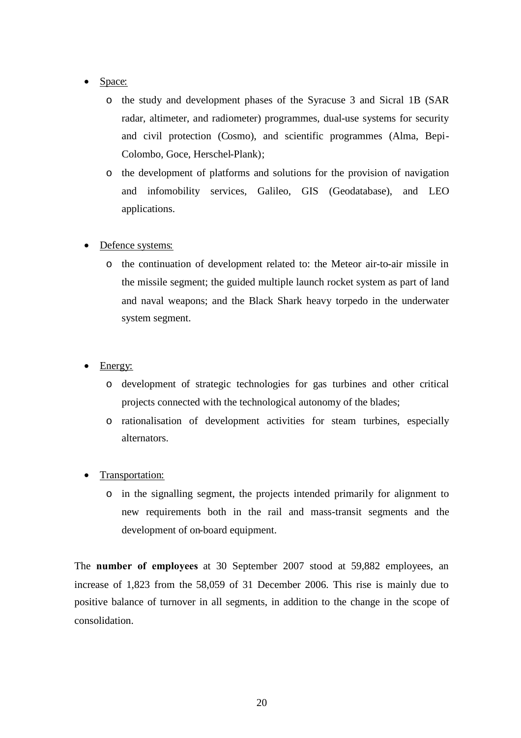### Space:

- o the study and development phases of the Syracuse 3 and Sicral 1B (SAR radar, altimeter, and radiometer) programmes, dual-use systems for security and civil protection (Cosmo), and scientific programmes (Alma, Bepi-Colombo, Goce, Herschel-Plank);
- o the development of platforms and solutions for the provision of navigation and infomobility services, Galileo, GIS (Geodatabase), and LEO applications.

### Defence systems:

- o the continuation of development related to: the Meteor air-to-air missile in the missile segment; the guided multiple launch rocket system as part of land and naval weapons; and the Black Shark heavy torpedo in the underwater system segment.
- Energy:
	- o development of strategic technologies for gas turbines and other critical projects connected with the technological autonomy of the blades;
	- o rationalisation of development activities for steam turbines, especially alternators.
- Transportation:
	- o in the signalling segment, the projects intended primarily for alignment to new requirements both in the rail and mass-transit segments and the development of on-board equipment.

The **number of employees** at 30 September 2007 stood at 59,882 employees, an increase of 1,823 from the 58,059 of 31 December 2006. This rise is mainly due to positive balance of turnover in all segments, in addition to the change in the scope of consolidation.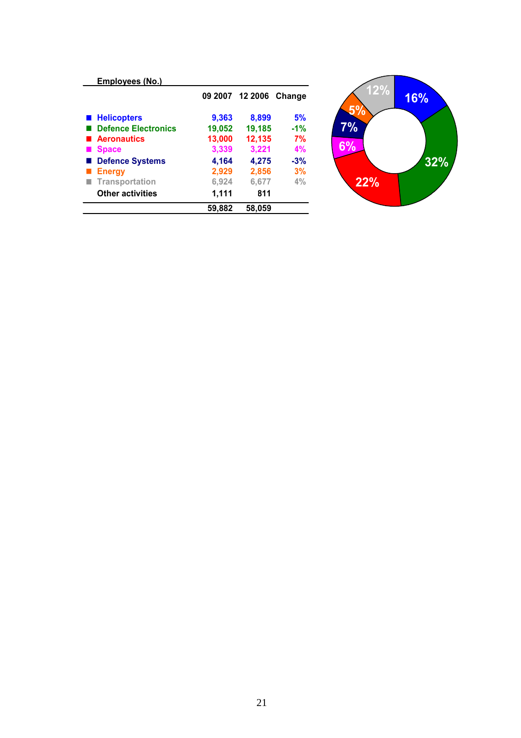| Employees (No.)            |        |                        |       |
|----------------------------|--------|------------------------|-------|
|                            |        | 09 2007 12 2006 Change |       |
| ■ Helicopters              | 9,363  | 8,899                  | 5%    |
| <b>Defence Electronics</b> | 19,052 | 19,185                 | $-1%$ |
| <b>Aeronautics</b>         | 13,000 | 12,135                 | 7%    |
| <b>Space</b>               | 3,339  | 3,221                  | 4%    |
| <b>Defence Systems</b>     | 4,164  | 4,275                  | $-3%$ |
| <b>Energy</b>              | 2,929  | 2,856                  | 3%    |
| Transportation             | 6,924  | 6,677                  | 4%    |
| <b>Other activities</b>    | 1,111  | 811                    |       |
|                            | 59.882 | 58,059                 |       |

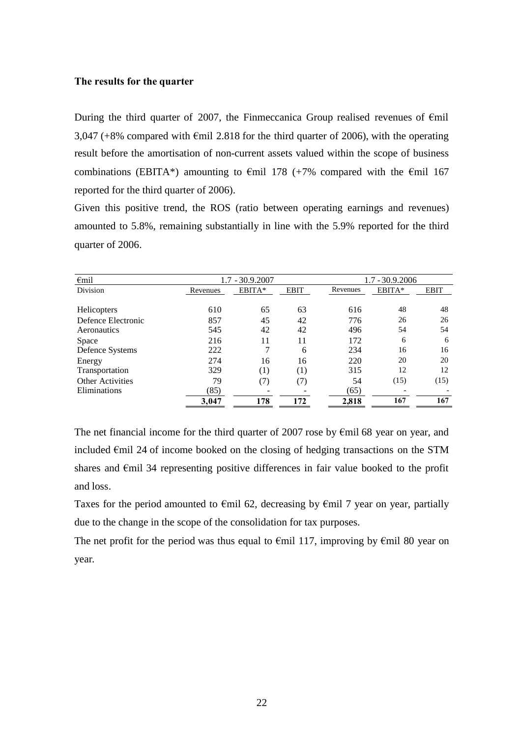#### <span id="page-21-0"></span>**The results for the quarter**

During the third quarter of 2007, the Finmeccanica Group realised revenues of  $\epsilon$ mil 3,047 (+8% compared with  $\epsilon$ mil 2.818 for the third quarter of 2006), with the operating result before the amortisation of non-current assets valued within the scope of business combinations (EBITA\*) amounting to  $\epsilon$ mil 178 (+7% compared with the  $\epsilon$ mil 167 reported for the third quarter of 2006).

Given this positive trend, the ROS (ratio between operating earnings and revenues) amounted to 5.8%, remaining substantially in line with the 5.9% reported for the third quarter of 2006.

| $\epsilon$ mil          | $1.7 - 30.9.2007$ |        |                  |          | 1.7 - 30.9.2006 |             |
|-------------------------|-------------------|--------|------------------|----------|-----------------|-------------|
| <b>Division</b>         | Revenues          | EBITA* | <b>EBIT</b>      | Revenues | EBITA*          | <b>EBIT</b> |
|                         |                   |        |                  |          |                 |             |
| Helicopters             | 610               | 65     | 63               | 616      | 48              | 48          |
| Defence Electronic      | 857               | 45     | 42               | 776      | 26              | 26          |
| Aeronautics             | 545               | 42     | 42               | 496      | 54              | 54          |
| <b>Space</b>            | 216               | 11     | 11               | 172      | 6               | 6           |
| Defence Systems         | 222               |        | 6                | 234      | 16              | 16          |
| Energy                  | 274               | 16     | 16               | 220      | 20              | 20          |
| Transportation          | 329               | (1)    | $\left(1\right)$ | 315      | 12              | 12          |
| <b>Other Activities</b> | 79                | (7)    | (7)              | 54       | (15)            | (15)        |
| Eliminations            | (85)              |        |                  | (65)     |                 |             |
|                         | 3,047             | 178    | 172              | 2,818    | 167             | 167         |

The net financial income for the third quarter of 2007 rose by  $\epsilon$ mil 68 year on year, and included €mil 24 of income booked on the closing of hedging transactions on the STM shares and  $\epsilon$ mil 34 representing positive differences in fair value booked to the profit and loss.

Taxes for the period amounted to  $\epsilon$ mil 62, decreasing by  $\epsilon$ mil 7 year on year, partially due to the change in the scope of the consolidation for tax purposes.

The net profit for the period was thus equal to  $\epsilon$ mil 117, improving by  $\epsilon$ mil 80 year on year.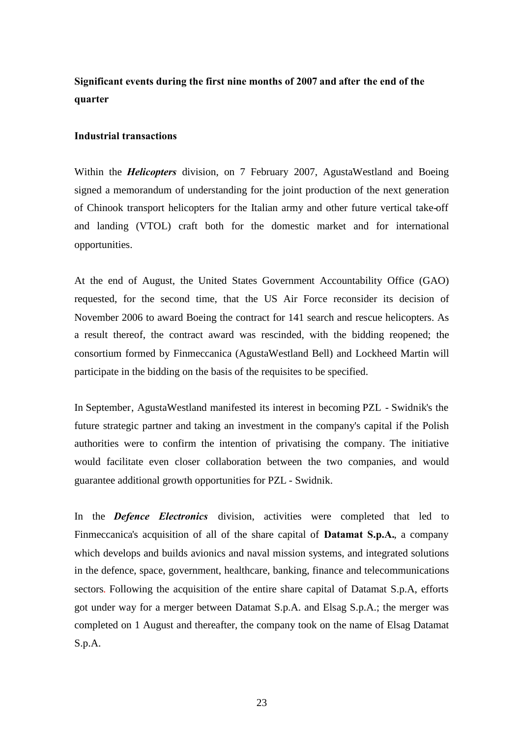# <span id="page-22-0"></span>**Significant events during the first nine months of 2007 and after the end of the quarter**

#### **Industrial transactions**

Within the *Helicopters* division, on 7 February 2007, AgustaWestland and Boeing signed a memorandum of understanding for the joint production of the next generation of Chinook transport helicopters for the Italian army and other future vertical take-off and landing (VTOL) craft both for the domestic market and for international opportunities.

At the end of August, the United States Government Accountability Office (GAO) requested, for the second time, that the US Air Force reconsider its decision of November 2006 to award Boeing the contract for 141 search and rescue helicopters. As a result thereof, the contract award was rescinded, with the bidding reopened; the consortium formed by Finmeccanica (AgustaWestland Bell) and Lockheed Martin will participate in the bidding on the basis of the requisites to be specified.

In September, AgustaWestland manifested its interest in becoming PZL - Swidnik's the future strategic partner and taking an investment in the company's capital if the Polish authorities were to confirm the intention of privatising the company. The initiative would facilitate even closer collaboration between the two companies, and would guarantee additional growth opportunities for PZL - Swidnik.

In the *Defence Electronics* division, activities were completed that led to Finmeccanica's acquisition of all of the share capital of **Datamat S.p.A.**, a company which develops and builds avionics and naval mission systems, and integrated solutions in the defence, space, government, healthcare, banking, finance and telecommunications sectors. Following the acquisition of the entire share capital of Datamat S.p.A, efforts got under way for a merger between Datamat S.p.A. and Elsag S.p.A.; the merger was completed on 1 August and thereafter, the company took on the name of Elsag Datamat S.p.A.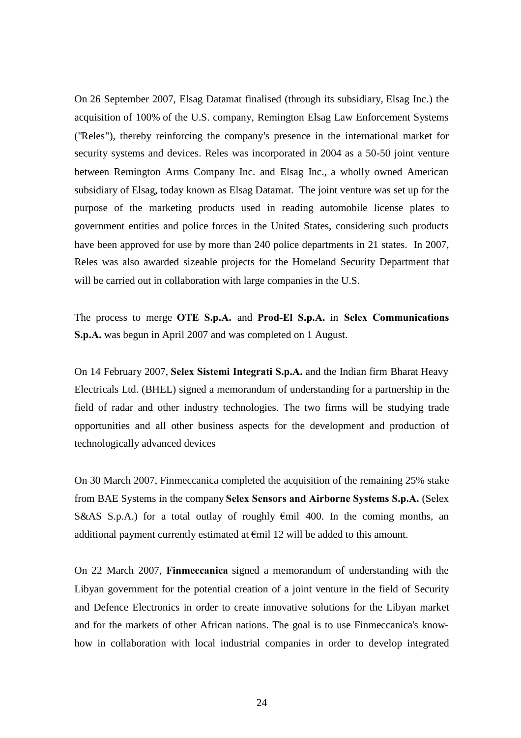On 26 September 2007, Elsag Datamat finalised (through its subsidiary, Elsag Inc.) the acquisition of 100% of the U.S. company, Remington Elsag Law Enforcement Systems ("Reles"), thereby reinforcing the company's presence in the international market for security systems and devices. Reles was incorporated in 2004 as a 50-50 joint venture between Remington Arms Company Inc. and Elsag Inc., a wholly owned American subsidiary of Elsag, today known as Elsag Datamat. The joint venture was set up for the purpose of the marketing products used in reading automobile license plates to government entities and police forces in the United States, considering such products have been approved for use by more than 240 police departments in 21 states. In 2007, Reles was also awarded sizeable projects for the Homeland Security Department that will be carried out in collaboration with large companies in the U.S.

The process to merge **OTE S.p.A.** and **Prod-El S.p.A.** in **Selex Communications S.p.A.** was begun in April 2007 and was completed on 1 August.

On 14 February 2007, **Selex Sistemi Integrati S.p.A.** and the Indian firm Bharat Heavy Electricals Ltd. (BHEL) signed a memorandum of understanding for a partnership in the field of radar and other industry technologies. The two firms will be studying trade opportunities and all other business aspects for the development and production of technologically advanced devices

On 30 March 2007, Finmeccanica completed the acquisition of the remaining 25% stake from BAE Systems in the company **Selex Sensors and Airborne Systems S.p.A.** (Selex S&AS S.p.A.) for a total outlay of roughly  $\epsilon$ mil 400. In the coming months, an additional payment currently estimated at  $\epsilon$ mil 12 will be added to this amount.

On 22 March 2007, **Finmeccanica** signed a memorandum of understanding with the Libyan government for the potential creation of a joint venture in the field of Security and Defence Electronics in order to create innovative solutions for the Libyan market and for the markets of other African nations. The goal is to use Finmeccanica's knowhow in collaboration with local industrial companies in order to develop integrated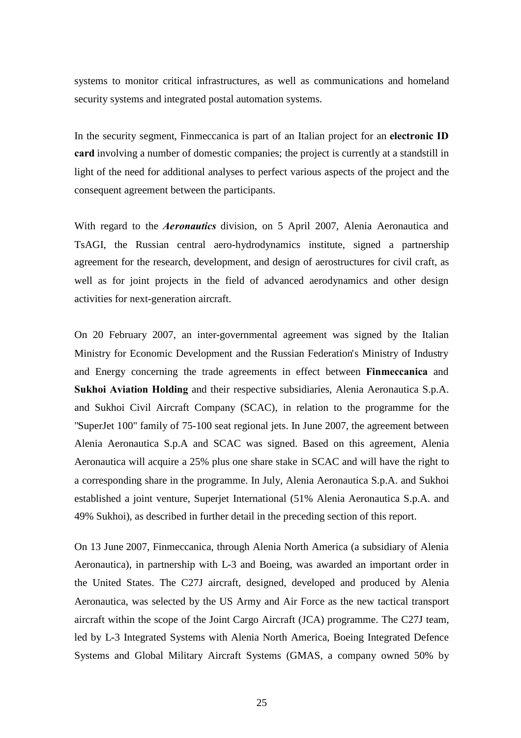systems to monitor critical infrastructures, as well as communications and homeland security systems and integrated postal automation systems.

In the security segment, Finmeccanica is part of an Italian project for an **electronic ID card** involving a number of domestic companies; the project is currently at a standstill in light of the need for additional analyses to perfect various aspects of the project and the consequent agreement between the participants.

With regard to the *Aeronautics* division, on 5 April 2007, Alenia Aeronautica and TsAGI, the Russian central aero-hydrodynamics institute, signed a partnership agreement for the research, development, and design of aerostructures for civil craft, as well as for joint projects in the field of advanced aerodynamics and other design activities for next-generation aircraft.

On 20 February 2007, an inter-governmental agreement was signed by the Italian Ministry for Economic Development and the Russian Federation's Ministry of Industry and Energy concerning the trade agreements in effect between **Finmeccanica** and **Sukhoi Aviation Holding** and their respective subsidiaries, Alenia Aeronautica S.p.A. and Sukhoi Civil Aircraft Company (SCAC), in relation to the programme for the "SuperJet 100" family of 75-100 seat regional jets. In June 2007, the agreement between Alenia Aeronautica S.p.A and SCAC was signed. Based on this agreement, Alenia Aeronautica will acquire a 25% plus one share stake in SCAC and will have the right to a corresponding share in the programme. In July, Alenia Aeronautica S.p.A. and Sukhoi established a joint venture, Superjet International (51% Alenia Aeronautica S.p.A. and 49% Sukhoi), as described in further detail in the preceding section of this report.

On 13 June 2007, Finmeccanica, through Alenia North America (a subsidiary of Alenia Aeronautica), in partnership with L-3 and Boeing, was awarded an important order in the United States. The C27J aircraft, designed, developed and produced by Alenia Aeronautica, was selected by the US Army and Air Force as the new tactical transport aircraft within the scope of the Joint Cargo Aircraft (JCA) programme. The C27J team, led by L-3 Integrated Systems with Alenia North America, Boeing Integrated Defence Systems and Global Military Aircraft Systems (GMAS, a company owned 50% by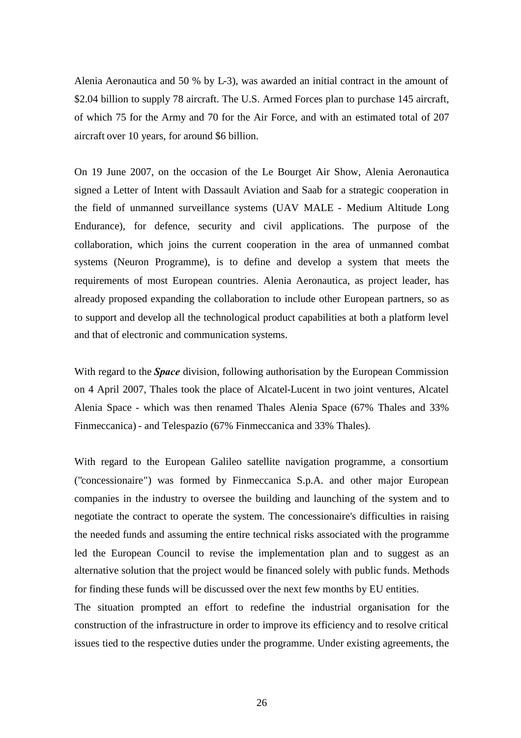Alenia Aeronautica and 50 % by L-3), was awarded an initial contract in the amount of \$2.04 billion to supply 78 aircraft. The U.S. Armed Forces plan to purchase 145 aircraft, of which 75 for the Army and 70 for the Air Force, and with an estimated total of 207 aircraft over 10 years, for around \$6 billion.

On 19 June 2007, on the occasion of the Le Bourget Air Show, Alenia Aeronautica signed a Letter of Intent with Dassault Aviation and Saab for a strategic cooperation in the field of unmanned surveillance systems (UAV MALE - Medium Altitude Long Endurance), for defence, security and civil applications. The purpose of the collaboration, which joins the current cooperation in the area of unmanned combat systems (Neuron Programme), is to define and develop a system that meets the requirements of most European countries. Alenia Aeronautica, as project leader, has already proposed expanding the collaboration to include other European partners, so as to support and develop all the technological product capabilities at both a platform level and that of electronic and communication systems.

With regard to the *Space* division, following authorisation by the European Commission on 4 April 2007, Thales took the place of Alcatel-Lucent in two joint ventures, Alcatel Alenia Space - which was then renamed Thales Alenia Space (67% Thales and 33% Finmeccanica) - and Telespazio (67% Finmeccanica and 33% Thales).

With regard to the European Galileo satellite navigation programme, a consortium ("concessionaire") was formed by Finmeccanica S.p.A. and other major European companies in the industry to oversee the building and launching of the system and to negotiate the contract to operate the system. The concessionaire's difficulties in raising the needed funds and assuming the entire technical risks associated with the programme led the European Council to revise the implementation plan and to suggest as an alternative solution that the project would be financed solely with public funds. Methods for finding these funds will be discussed over the next few months by EU entities.

The situation prompted an effort to redefine the industrial organisation for the construction of the infrastructure in order to improve its efficiency and to resolve critical issues tied to the respective duties under the programme. Under existing agreements, the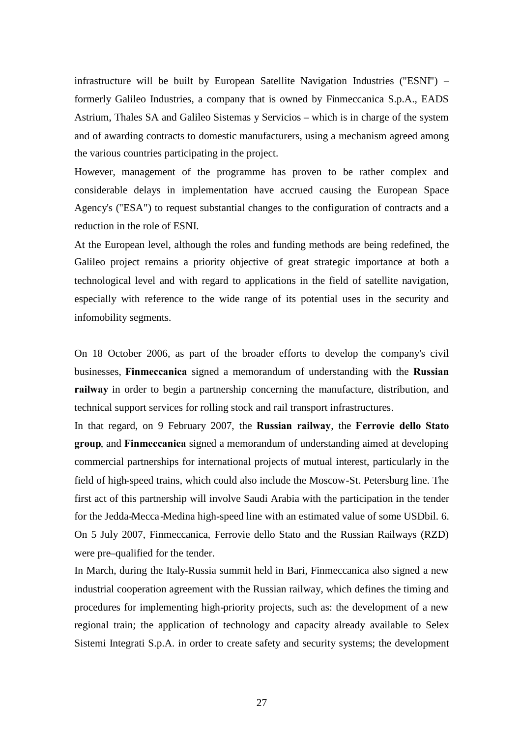infrastructure will be built by European Satellite Navigation Industries ("ESNI") – formerly Galileo Industries, a company that is owned by Finmeccanica S.p.A., EADS Astrium, Thales SA and Galileo Sistemas y Servicios – which is in charge of the system and of awarding contracts to domestic manufacturers, using a mechanism agreed among the various countries participating in the project.

However, management of the programme has proven to be rather complex and considerable delays in implementation have accrued causing the European Space Agency's ("ESA") to request substantial changes to the configuration of contracts and a reduction in the role of ESNI.

At the European level, although the roles and funding methods are being redefined, the Galileo project remains a priority objective of great strategic importance at both a technological level and with regard to applications in the field of satellite navigation, especially with reference to the wide range of its potential uses in the security and infomobility segments.

On 18 October 2006, as part of the broader efforts to develop the company's civil businesses, **Finmeccanica** signed a memorandum of understanding with the **Russian railway** in order to begin a partnership concerning the manufacture, distribution, and technical support services for rolling stock and rail transport infrastructures.

In that regard, on 9 February 2007, the **Russian railway**, the **Ferrovie dello Stato group**, and **Finmeccanica** signed a memorandum of understanding aimed at developing commercial partnerships for international projects of mutual interest, particularly in the field of high-speed trains, which could also include the Moscow-St. Petersburg line. The first act of this partnership will involve Saudi Arabia with the participation in the tender for the Jedda-Mecca-Medina high-speed line with an estimated value of some USDbil. 6. On 5 July 2007, Finmeccanica, Ferrovie dello Stato and the Russian Railways (RZD) were pre–qualified for the tender.

In March, during the Italy-Russia summit held in Bari, Finmeccanica also signed a new industrial cooperation agreement with the Russian railway, which defines the timing and procedures for implementing high-priority projects, such as: the development of a new regional train; the application of technology and capacity already available to Selex Sistemi Integrati S.p.A. in order to create safety and security systems; the development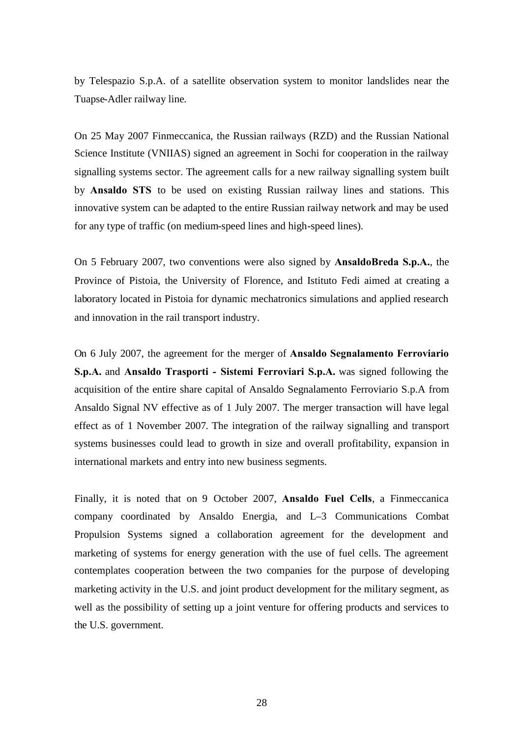by Telespazio S.p.A. of a satellite observation system to monitor landslides near the Tuapse-Adler railway line.

On 25 May 2007 Finmeccanica, the Russian railways (RZD) and the Russian National Science Institute (VNIIAS) signed an agreement in Sochi for cooperation in the railway signalling systems sector. The agreement calls for a new railway signalling system built by **Ansaldo STS** to be used on existing Russian railway lines and stations. This innovative system can be adapted to the entire Russian railway network and may be used for any type of traffic (on medium-speed lines and high-speed lines).

On 5 February 2007, two conventions were also signed by **AnsaldoBreda S.p.A.**, the Province of Pistoia, the University of Florence, and Istituto Fedi aimed at creating a laboratory located in Pistoia for dynamic mechatronics simulations and applied research and innovation in the rail transport industry.

On 6 July 2007, the agreement for the merger of **Ansaldo Segnalamento Ferroviario S.p.A.** and **Ansaldo Trasporti - Sistemi Ferroviari S.p.A.** was signed following the acquisition of the entire share capital of Ansaldo Segnalamento Ferroviario S.p.A from Ansaldo Signal NV effective as of 1 July 2007. The merger transaction will have legal effect as of 1 November 2007. The integration of the railway signalling and transport systems businesses could lead to growth in size and overall profitability, expansion in international markets and entry into new business segments.

Finally, it is noted that on 9 October 2007, **Ansaldo Fuel Cells**, a Finmeccanica company coordinated by Ansaldo Energia, and L–3 Communications Combat Propulsion Systems signed a collaboration agreement for the development and marketing of systems for energy generation with the use of fuel cells. The agreement contemplates cooperation between the two companies for the purpose of developing marketing activity in the U.S. and joint product development for the military segment, as well as the possibility of setting up a joint venture for offering products and services to the U.S. government.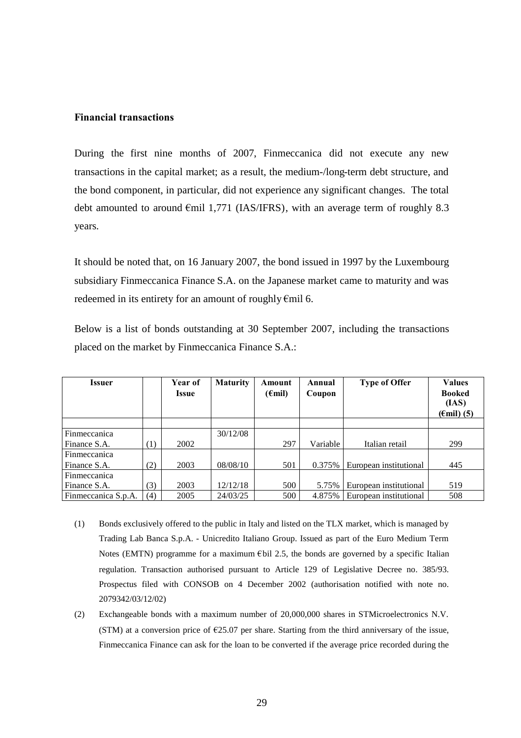#### **Financial transactions**

During the first nine months of 2007, Finmeccanica did not execute any new transactions in the capital market; as a result, the medium-/long-term debt structure, and the bond component, in particular, did not experience any significant changes. The total debt amounted to around  $\epsilon$ mil 1,771 (IAS/IFRS), with an average term of roughly 8.3 years.

It should be noted that, on 16 January 2007, the bond issued in 1997 by the Luxembourg subsidiary Finmeccanica Finance S.A. on the Japanese market came to maturity and was redeemed in its entirety for an amount of roughly €mil 6.

Below is a list of bonds outstanding at 30 September 2007, including the transactions placed on the market by Finmeccanica Finance S.A.:

| Issuer              |     | Year of<br>Issue | <b>Maturity</b> | Amount<br>$(\epsilon \text{mil})$ | Annual<br>Coupon | <b>Type of Offer</b>   | <b>Values</b><br><b>Booked</b><br>(IAS)<br>$(\text{Emil})$ (5) |
|---------------------|-----|------------------|-----------------|-----------------------------------|------------------|------------------------|----------------------------------------------------------------|
|                     |     |                  |                 |                                   |                  |                        |                                                                |
| Finmeccanica        |     |                  | 30/12/08        |                                   |                  |                        |                                                                |
| Finance S.A.        | (1) | 2002             |                 | 297                               | Variable         | Italian retail         | 299                                                            |
| Finmeccanica        |     |                  |                 |                                   |                  |                        |                                                                |
| Finance S.A.        | (2) | 2003             | 08/08/10        | 501                               | 0.375%           | European institutional | 445                                                            |
| Finmeccanica        |     |                  |                 |                                   |                  |                        |                                                                |
| Finance S.A.        | (3) | 2003             | 12/12/18        | 500                               | 5.75%            | European institutional | 519                                                            |
| Finmeccanica S.p.A. | (4) | 2005             | 24/03/25        | 500                               | 4.875%           | European institutional | 508                                                            |

- (1) Bonds exclusively offered to the public in Italy and listed on the TLX market, which is managed by Trading Lab Banca S.p.A. - Unicredito Italiano Group. Issued as part of the Euro Medium Term Notes (EMTN) programme for a maximum  $\epsilon$ bil 2.5, the bonds are governed by a specific Italian regulation. Transaction authorised pursuant to Article 129 of Legislative Decree no. 385/93. Prospectus filed with CONSOB on 4 December 2002 (authorisation notified with note no. 2079342/03/12/02)
- (2) Exchangeable bonds with a maximum number of 20,000,000 shares in STMicroelectronics N.V. (STM) at a conversion price of  $E$ 25.07 per share. Starting from the third anniversary of the issue, Finmeccanica Finance can ask for the loan to be converted if the average price recorded during the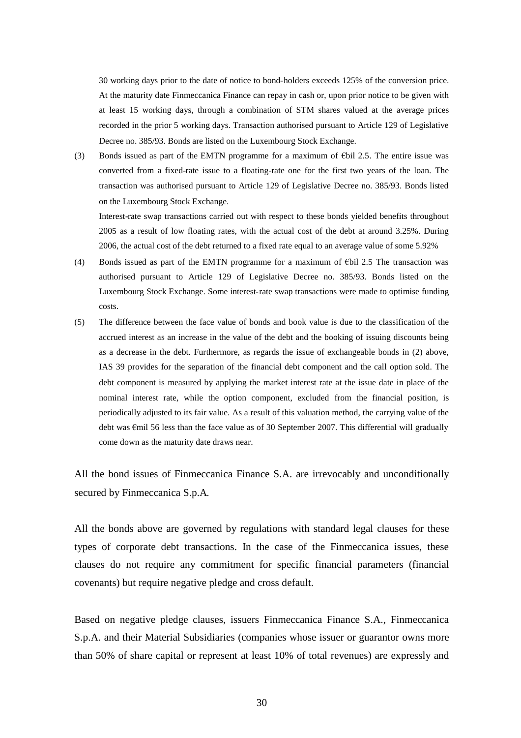30 working days prior to the date of notice to bond-holders exceeds 125% of the conversion price. At the maturity date Finmeccanica Finance can repay in cash or, upon prior notice to be given with at least 15 working days, through a combination of STM shares valued at the average prices recorded in the prior 5 working days. Transaction authorised pursuant to Article 129 of Legislative Decree no. 385/93. Bonds are listed on the Luxembourg Stock Exchange.

(3) Bonds issued as part of the EMTN programme for a maximum of €bil 2.5. The entire issue was converted from a fixed-rate issue to a floating-rate one for the first two years of the loan. The transaction was authorised pursuant to Article 129 of Legislative Decree no. 385/93. Bonds listed on the Luxembourg Stock Exchange.

Interest-rate swap transactions carried out with respect to these bonds yielded benefits throughout 2005 as a result of low floating rates, with the actual cost of the debt at around 3.25%. During 2006, the actual cost of the debt returned to a fixed rate equal to an average value of some 5.92%

- (4) Bonds issued as part of the EMTN programme for a maximum of  $\epsilon$ bil 2.5 The transaction was authorised pursuant to Article 129 of Legislative Decree no. 385/93. Bonds listed on the Luxembourg Stock Exchange. Some interest-rate swap transactions were made to optimise funding costs.
- (5) The difference between the face value of bonds and book value is due to the classification of the accrued interest as an increase in the value of the debt and the booking of issuing discounts being as a decrease in the debt. Furthermore, as regards the issue of exchangeable bonds in (2) above, IAS 39 provides for the separation of the financial debt component and the call option sold. The debt component is measured by applying the market interest rate at the issue date in place of the nominal interest rate, while the option component, excluded from the financial position, is periodically adjusted to its fair value. As a result of this valuation method, the carrying value of the debt was €mil 56 less than the face value as of 30 September 2007. This differential will gradually come down as the maturity date draws near.

All the bond issues of Finmeccanica Finance S.A. are irrevocably and unconditionally secured by Finmeccanica S.p.A.

All the bonds above are governed by regulations with standard legal clauses for these types of corporate debt transactions. In the case of the Finmeccanica issues, these clauses do not require any commitment for specific financial parameters (financial covenants) but require negative pledge and cross default.

Based on negative pledge clauses, issuers Finmeccanica Finance S.A., Finmeccanica S.p.A. and their Material Subsidiaries (companies whose issuer or guarantor owns more than 50% of share capital or represent at least 10% of total revenues) are expressly and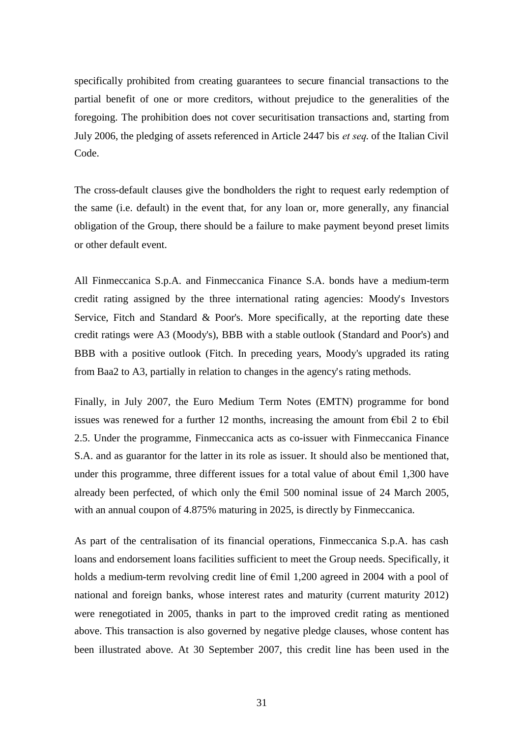specifically prohibited from creating guarantees to secure financial transactions to the partial benefit of one or more creditors, without prejudice to the generalities of the foregoing. The prohibition does not cover securitisation transactions and, starting from July 2006, the pledging of assets referenced in Article 2447 bis *et seq*. of the Italian Civil Code.

The cross-default clauses give the bondholders the right to request early redemption of the same (i.e. default) in the event that, for any loan or, more generally, any financial obligation of the Group, there should be a failure to make payment beyond preset limits or other default event.

All Finmeccanica S.p.A. and Finmeccanica Finance S.A. bonds have a medium-term credit rating assigned by the three international rating agencies: Moody's Investors Service, Fitch and Standard & Poor's. More specifically, at the reporting date these credit ratings were A3 (Moody's), BBB with a stable outlook (Standard and Poor's) and BBB with a positive outlook (Fitch. In preceding years, Moody's upgraded its rating from Baa2 to A3, partially in relation to changes in the agency's rating methods.

Finally, in July 2007, the Euro Medium Term Notes (EMTN) programme for bond issues was renewed for a further 12 months, increasing the amount from €bil 2 to €bil 2.5. Under the programme, Finmeccanica acts as co-issuer with Finmeccanica Finance S.A. and as guarantor for the latter in its role as issuer. It should also be mentioned that, under this programme, three different issues for a total value of about  $\epsilon$ mil 1,300 have already been perfected, of which only the  $\epsilon$ mil 500 nominal issue of 24 March 2005, with an annual coupon of 4.875% maturing in 2025, is directly by Finmeccanica.

As part of the centralisation of its financial operations, Finmeccanica S.p.A. has cash loans and endorsement loans facilities sufficient to meet the Group needs. Specifically, it holds a medium-term revolving credit line of €mil 1,200 agreed in 2004 with a pool of national and foreign banks, whose interest rates and maturity (current maturity 2012) were renegotiated in 2005, thanks in part to the improved credit rating as mentioned above. This transaction is also governed by negative pledge clauses, whose content has been illustrated above. At 30 September 2007, this credit line has been used in the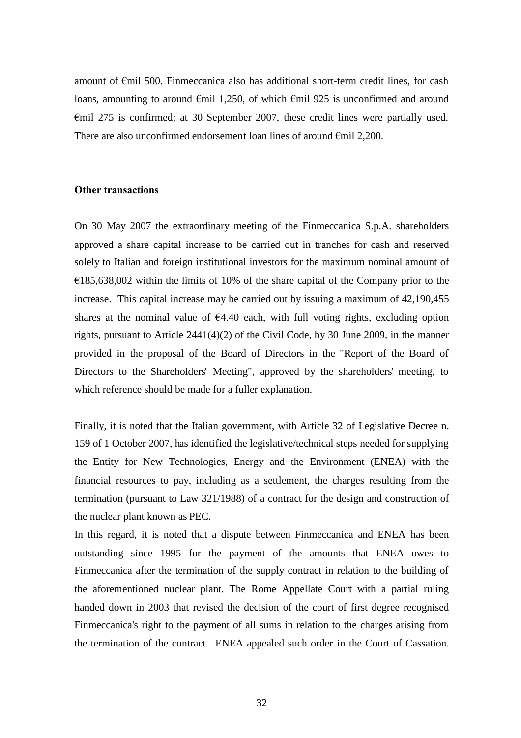amount of  $\epsilon$ mil 500. Finmeccanica also has additional short-term credit lines, for cash loans, amounting to around  $\epsilon$ mil 1,250, of which  $\epsilon$ mil 925 is unconfirmed and around €mil 275 is confirmed; at 30 September 2007, these credit lines were partially used. There are also unconfirmed endorsement loan lines of around  $\epsilon$ mil 2,200.

#### **Other transactions**

On 30 May 2007 the extraordinary meeting of the Finmeccanica S.p.A. shareholders approved a share capital increase to be carried out in tranches for cash and reserved solely to Italian and foreign institutional investors for the maximum nominal amount of  $\epsilon$ 185,638,002 within the limits of 10% of the share capital of the Company prior to the increase. This capital increase may be carried out by issuing a maximum of 42,190,455 shares at the nominal value of  $64.40$  each, with full voting rights, excluding option rights, pursuant to Article 2441(4)(2) of the Civil Code, by 30 June 2009, in the manner provided in the proposal of the Board of Directors in the "Report of the Board of Directors to the Shareholders' Meeting", approved by the shareholders' meeting, to which reference should be made for a fuller explanation.

Finally, it is noted that the Italian government, with Article 32 of Legislative Decree n. 159 of 1 October 2007, has identified the legislative/technical steps needed for supplying the Entity for New Technologies, Energy and the Environment (ENEA) with the financial resources to pay, including as a settlement, the charges resulting from the termination (pursuant to Law 321/1988) of a contract for the design and construction of the nuclear plant known as PEC.

In this regard, it is noted that a dispute between Finmeccanica and ENEA has been outstanding since 1995 for the payment of the amounts that ENEA owes to Finmeccanica after the termination of the supply contract in relation to the building of the aforementioned nuclear plant. The Rome Appellate Court with a partial ruling handed down in 2003 that revised the decision of the court of first degree recognised Finmeccanica's right to the payment of all sums in relation to the charges arising from the termination of the contract. ENEA appealed such order in the Court of Cassation.

32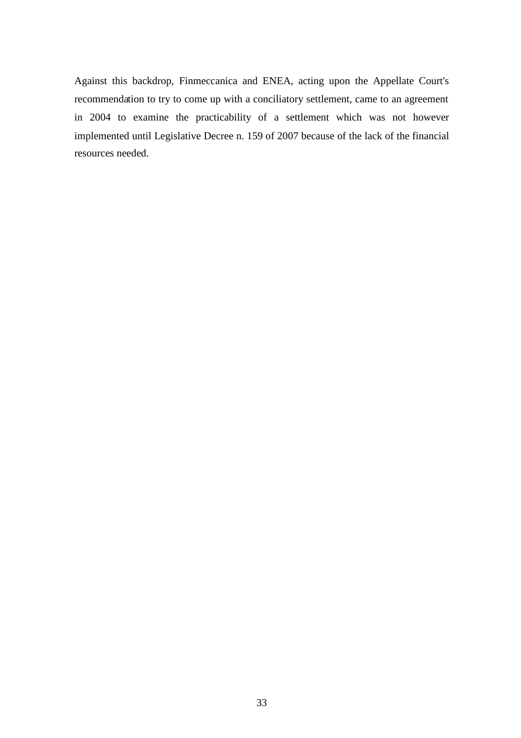Against this backdrop, Finmeccanica and ENEA, acting upon the Appellate Court's recommendation to try to come up with a conciliatory settlement, came to an agreement in 2004 to examine the practicability of a settlement which was not however implemented until Legislative Decree n. 159 of 2007 because of the lack of the financial resources needed.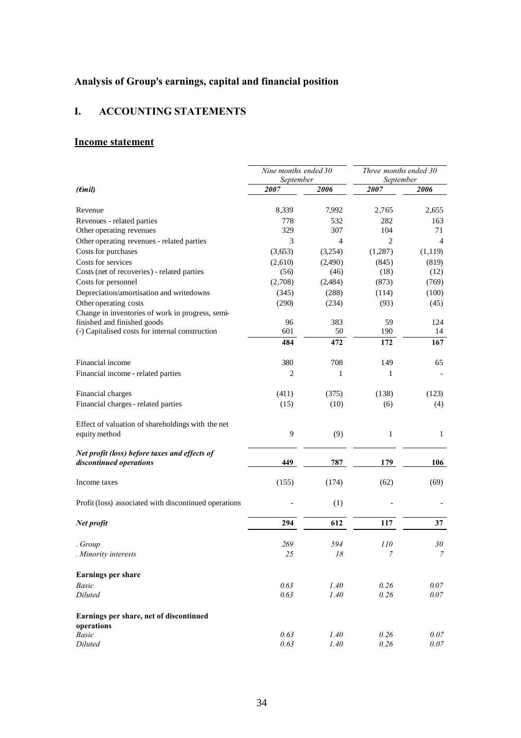# <span id="page-33-0"></span>**Analysis of Group's earnings, capital and financial position**

# <span id="page-33-1"></span>**I. ACCOUNTING STATEMENTS**

## **Income statement**

|                                                                          | Nine months ended 30<br>September |                | Three months ended 30<br>September |              |
|--------------------------------------------------------------------------|-----------------------------------|----------------|------------------------------------|--------------|
| $(\epsilon$ mil)                                                         | 2007                              | 2006           | 2007                               | 2006         |
| Revenue                                                                  | 8,339                             | 7,992          | 2,765                              | 2,655        |
| Revenues - related parties                                               | 778                               | 532            | 282                                | 163          |
| Other operating revenues                                                 | 329                               | 307            | 104                                | 71           |
| Other operating revenues - related parties                               | 3                                 | $\overline{4}$ | 2                                  | 4            |
| Costs for purchases                                                      | (3,653)                           | (3,254)        | (1, 287)                           | (1,119)      |
| Costs for services                                                       | (2,610)                           | (2,490)        | (845)                              | (819)        |
| Costs (net of recoveries) - related parties                              | (56)                              | (46)           | (18)                               | (12)         |
| Costs for personnel                                                      | (2,708)                           | (2,484)        | (873)                              | (769)        |
| Depreciation/amortisation and writedowns                                 | (345)                             | (288)          | (114)                              | (100)        |
| Other operating costs                                                    | (290)                             | (234)          | (93)                               | (45)         |
| Change in inventories of work in progress, semi-                         |                                   |                |                                    |              |
| finished and finished goods                                              | 96                                | 383            | 59                                 | 124          |
| (-) Capitalised costs for internal construction                          | 601                               | 50             | 190                                | 14           |
|                                                                          | 484                               | 472            | 172                                | 167          |
| Financial income                                                         | 380                               | 708            | 149                                | 65           |
| Financial income - related parties                                       | 2                                 | 1              | 1                                  |              |
| Financial charges                                                        | (411)                             | (375)          | (138)                              | (123)        |
| Financial charges - related parties                                      | (15)                              | (10)           | (6)                                | (4)          |
| Effect of valuation of shareholdings with the net                        |                                   |                |                                    |              |
| equity method                                                            | 9                                 | (9)            | $\mathbf{1}$                       | 1            |
| Net profit (loss) before taxes and effects of<br>discontinued operations | 449                               | 787            | 179                                | 106          |
| Income taxes                                                             | (155)                             | (174)          | (62)                               | (69)         |
| Profit (loss) associated with discontinued operations                    |                                   | (1)            |                                    |              |
| Net profit                                                               | 294                               | 612            | 117                                | 37           |
| . Group                                                                  | 269                               | 594            | 110                                | 30           |
| Minority interests                                                       | 25                                | 18             | 7                                  | 7            |
| <b>Earnings per share</b>                                                |                                   |                |                                    |              |
| <b>Basic</b>                                                             | 0.63                              | 1.40           | 0.26                               | 0.07         |
| Diluted                                                                  | 0.63                              | 1.40           | 0.26                               | 0.07         |
| Earnings per share, net of discontinued                                  |                                   |                |                                    |              |
| operations                                                               |                                   |                |                                    |              |
| <b>Basic</b><br>Diluted                                                  | 0.63<br>0.63                      | 1.40<br>1.40   | 0.26<br>0.26                       | 0.07<br>0.07 |
|                                                                          |                                   |                |                                    |              |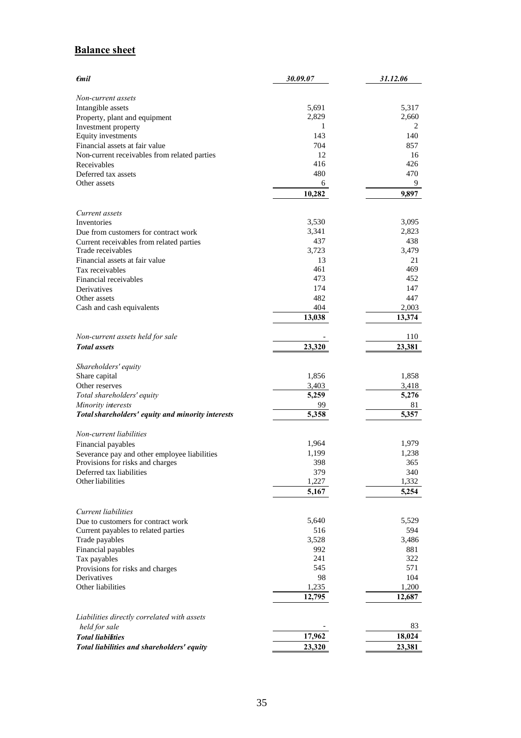# **Balance sheet**

| $\epsilon$ mil                                                                   | 30.09.07       | 31.12.06       |
|----------------------------------------------------------------------------------|----------------|----------------|
| Non-current assets                                                               |                |                |
| Intangible assets                                                                | 5,691          | 5,317          |
| Property, plant and equipment                                                    | 2,829          | 2,660          |
| Investment property                                                              | 1              | 2              |
| Equity investments                                                               | 143            | 140            |
| Financial assets at fair value                                                   | 704            | 857            |
| Non-current receivables from related parties                                     | 12             | 16             |
| Receivables                                                                      | 416            | 426            |
| Deferred tax assets                                                              | 480            | 470            |
| Other assets                                                                     | 6              | 9.             |
|                                                                                  | 10,282         | 9,897          |
| Current assets                                                                   |                |                |
| Inventories                                                                      | 3,530          | 3,095          |
| Due from customers for contract work                                             | 3,341          | 2,823          |
| Current receivables from related parties                                         | 437            | 438            |
| Trade receivables                                                                | 3,723          | 3,479          |
| Financial assets at fair value                                                   | 13             | 21             |
| Tax receivables                                                                  | 461<br>473     | 469            |
| Financial receivables<br>Derivatives                                             | 174            | 452<br>147     |
| Other assets                                                                     | 482            | 447            |
| Cash and cash equivalents                                                        | 404            | 2,003          |
|                                                                                  | 13,038         | 13,374         |
|                                                                                  |                |                |
| Non-current assets held for sale                                                 |                | 110            |
| <b>Total</b> assets                                                              | 23,320         | 23,381         |
|                                                                                  |                |                |
| Shareholders' equity<br>Share capital                                            | 1,856          | 1,858          |
| Other reserves                                                                   | 3,403          | 3,418          |
| Total shareholders' equity                                                       | 5,259          | 5,276          |
| Minority interests                                                               | 99             | 81             |
| Total shareholders' equity and minority interests                                | 5,358          | 5,357          |
|                                                                                  |                |                |
| Non-current liabilities                                                          |                |                |
| Financial payables                                                               | 1,964<br>1,199 | 1,979<br>1,238 |
| Severance pay and other employee liabilities<br>Provisions for risks and charges | 398            | 365            |
| Deferred tax liabilities                                                         | 379            | 340            |
| Other liabilities                                                                | 1,227          | 1,332          |
|                                                                                  | 5,167          | 5,254          |
|                                                                                  |                |                |
| Current liabilities                                                              |                |                |
| Due to customers for contract work                                               | 5,640          | 5,529          |
| Current payables to related parties                                              | 516            | 594            |
| Trade payables                                                                   | 3,528          | 3,486          |
| Financial payables<br>Tax payables                                               | 992<br>241     | 881<br>322     |
| Provisions for risks and charges                                                 | 545            | 571            |
| Derivatives                                                                      | 98             | 104            |
| Other liabilities                                                                | 1,235          | 1,200          |
|                                                                                  | 12,795         | 12,687         |
|                                                                                  |                |                |
| Liabilities directly correlated with assets                                      |                |                |
| held for sale                                                                    |                | 83             |
| <b>Total liabilities</b>                                                         | 17,962         | 18,024         |
| Total liabilities and shareholders' equity                                       | 23,320         | 23,381         |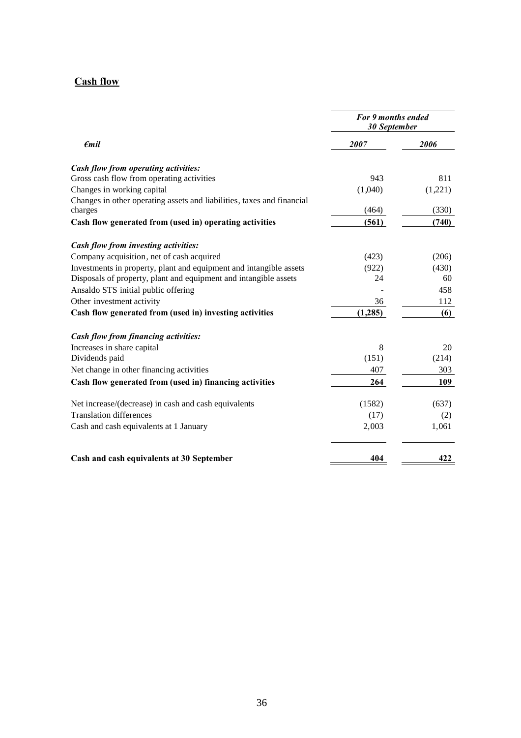## **Cash flow**

| $\epsilon$ mil                                                         | For 9 months ended<br><b>30 September</b> |         |
|------------------------------------------------------------------------|-------------------------------------------|---------|
|                                                                        | 2007                                      | 2006    |
| Cash flow from operating activities:                                   |                                           |         |
| Gross cash flow from operating activities                              | 943                                       | 811     |
| Changes in working capital                                             | (1,040)                                   | (1,221) |
| Changes in other operating assets and liabilities, taxes and financial |                                           |         |
| charges                                                                | (464)                                     | (330)   |
| Cash flow generated from (used in) operating activities                | (561)                                     | (740)   |
| Cash flow from investing activities:                                   |                                           |         |
| Company acquisition, net of cash acquired                              | (423)                                     | (206)   |
| Investments in property, plant and equipment and intangible assets     | (922)                                     | (430)   |
| Disposals of property, plant and equipment and intangible assets       | 24                                        | 60      |
| Ansaldo STS initial public offering                                    |                                           | 458     |
| Other investment activity                                              | 36                                        | 112     |
| Cash flow generated from (used in) investing activities                | (1,285)                                   | (6)     |
| Cash flow from financing activities:                                   |                                           |         |
| Increases in share capital                                             | 8                                         | 20      |
| Dividends paid                                                         | (151)                                     | (214)   |
| Net change in other financing activities                               | 407                                       | 303     |
| Cash flow generated from (used in) financing activities                | 264                                       | 109     |
| Net increase/(decrease) in cash and cash equivalents                   | (1582)                                    | (637)   |
| <b>Translation differences</b>                                         | (17)                                      | (2)     |
| Cash and cash equivalents at 1 January                                 | 2,003                                     | 1,061   |
| Cash and cash equivalents at 30 September                              | 404                                       | 422     |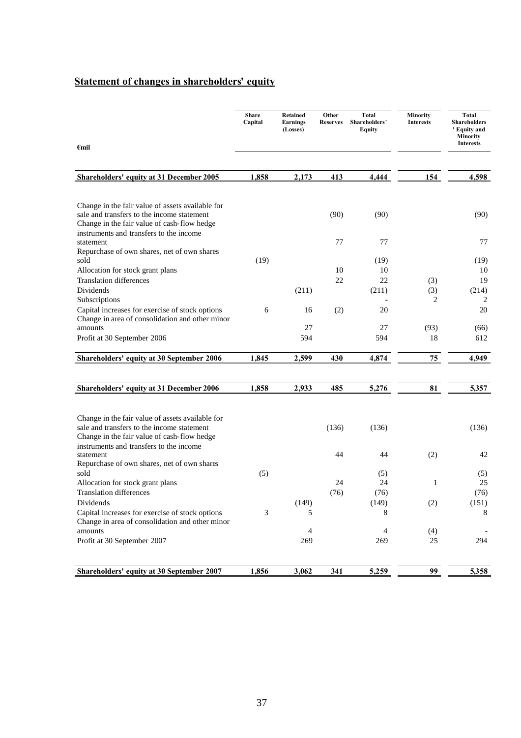# **Statement of changes in shareholders' equity**

|                                                                                                                                                                                          | <b>Share</b><br>Capital | <b>Retained</b><br><b>Earnings</b><br>(Losses) | Other<br><b>Reserves</b> | <b>Total</b><br>Shareholders'<br><b>Equity</b> | Minority<br><b>Interests</b> | <b>Total</b><br><b>Shareholders</b><br>' Equity and<br><b>Minority</b> |
|------------------------------------------------------------------------------------------------------------------------------------------------------------------------------------------|-------------------------|------------------------------------------------|--------------------------|------------------------------------------------|------------------------------|------------------------------------------------------------------------|
| $\epsilon$ mil                                                                                                                                                                           |                         |                                                |                          |                                                |                              | <b>Interests</b>                                                       |
| <b>Shareholders' equity at 31 December 2005</b>                                                                                                                                          | 1,858                   | 2,173                                          | 413                      | 4,444                                          | 154                          | 4,598                                                                  |
|                                                                                                                                                                                          |                         |                                                |                          |                                                |                              |                                                                        |
| Change in the fair value of assets available for<br>sale and transfers to the income statement<br>Change in the fair value of cash-flow hedge<br>instruments and transfers to the income |                         |                                                | (90)                     | (90)                                           |                              | (90)                                                                   |
| statement                                                                                                                                                                                |                         |                                                | 77                       | 77                                             |                              | 77                                                                     |
| Repurchase of own shares, net of own shares<br>sold                                                                                                                                      | (19)                    |                                                |                          | (19)                                           |                              | (19)                                                                   |
| Allocation for stock grant plans                                                                                                                                                         |                         |                                                | 10                       | 10                                             |                              | 10                                                                     |
| <b>Translation differences</b><br>Dividends                                                                                                                                              |                         | (211)                                          | 22                       | 22<br>(211)                                    | (3)<br>(3)                   | 19<br>(214)                                                            |
| Subscriptions                                                                                                                                                                            |                         |                                                |                          |                                                | 2                            | 2                                                                      |
| Capital increases for exercise of stock options<br>Change in area of consolidation and other minor                                                                                       | 6                       | 16                                             | (2)                      | 20                                             |                              | 20                                                                     |
| amounts                                                                                                                                                                                  |                         | 27                                             |                          | 27                                             | (93)                         | (66)                                                                   |
| Profit at 30 September 2006                                                                                                                                                              |                         | 594                                            |                          | 594                                            | 18                           | 612                                                                    |
| <b>Shareholders' equity at 30 September 2006</b>                                                                                                                                         | 1,845                   | 2,599                                          | 430                      | 4,874                                          | 75                           | 4.949                                                                  |
| <b>Shareholders' equity at 31 December 2006</b>                                                                                                                                          | 1,858                   | 2,933                                          | 485                      | 5,276                                          | 81                           | 5,357                                                                  |
|                                                                                                                                                                                          |                         |                                                |                          |                                                |                              |                                                                        |
| Change in the fair value of assets available for                                                                                                                                         |                         |                                                |                          |                                                |                              |                                                                        |
| sale and transfers to the income statement<br>Change in the fair value of cash-flow hedge                                                                                                |                         |                                                | (136)                    | (136)                                          |                              | (136)                                                                  |
| instruments and transfers to the income<br>statement                                                                                                                                     |                         |                                                | 44                       | 44                                             |                              | 42                                                                     |
| Repurchase of own shares, net of own shares                                                                                                                                              |                         |                                                |                          |                                                | (2)                          |                                                                        |
| sold                                                                                                                                                                                     | (5)                     |                                                |                          | (5)                                            |                              | (5)                                                                    |
| Allocation for stock grant plans                                                                                                                                                         |                         |                                                | 24                       | 24                                             | 1                            | 25                                                                     |
| <b>Translation differences</b>                                                                                                                                                           |                         |                                                | (76)                     | (76)                                           |                              | (76)                                                                   |
| Dividends                                                                                                                                                                                |                         | (149)                                          |                          | (149)                                          | (2)                          | (151)                                                                  |
| Capital increases for exercise of stock options<br>Change in area of consolidation and other minor                                                                                       | 3                       | 5                                              |                          | 8                                              |                              | 8                                                                      |
| amounts                                                                                                                                                                                  |                         | 4                                              |                          | 4                                              | (4)                          |                                                                        |
| Profit at 30 September 2007                                                                                                                                                              |                         | 269                                            |                          | 269                                            | 25                           | 294                                                                    |
|                                                                                                                                                                                          |                         |                                                |                          |                                                |                              |                                                                        |
| <b>Shareholders' equity at 30 September 2007</b>                                                                                                                                         | 1,856                   | 3,062                                          | <u>341</u>               | 5,259                                          | 99                           | 5,358                                                                  |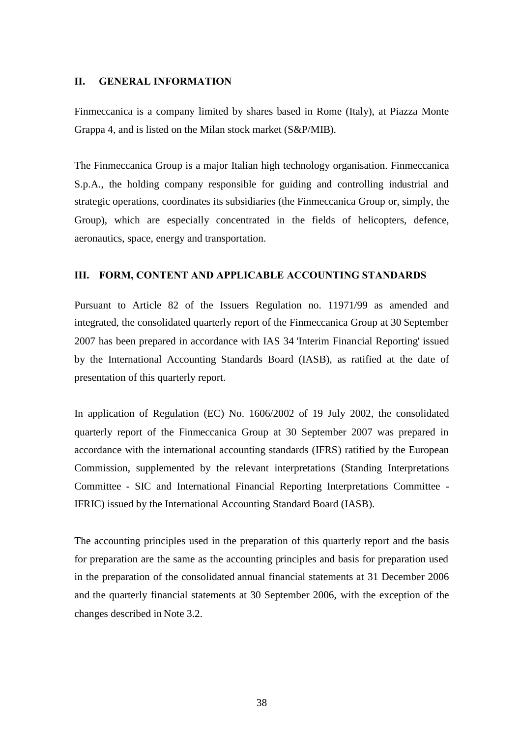### **II. GENERAL INFORMATION**

Finmeccanica is a company limited by shares based in Rome (Italy), at Piazza Monte Grappa 4, and is listed on the Milan stock market (S&P/MIB).

The Finmeccanica Group is a major Italian high technology organisation. Finmeccanica S.p.A., the holding company responsible for guiding and controlling industrial and strategic operations, coordinates its subsidiaries (the Finmeccanica Group or, simply, the Group), which are especially concentrated in the fields of helicopters, defence, aeronautics, space, energy and transportation.

## **III. FORM, CONTENT AND APPLICABLE ACCOUNTING STANDARDS**

Pursuant to Article 82 of the Issuers Regulation no. 11971/99 as amended and integrated, the consolidated quarterly report of the Finmeccanica Group at 30 September 2007 has been prepared in accordance with IAS 34 'Interim Financial Reporting' issued by the International Accounting Standards Board (IASB), as ratified at the date of presentation of this quarterly report.

In application of Regulation (EC) No. 1606/2002 of 19 July 2002, the consolidated quarterly report of the Finmeccanica Group at 30 September 2007 was prepared in accordance with the international accounting standards (IFRS) ratified by the European Commission, supplemented by the relevant interpretations (Standing Interpretations Committee - SIC and International Financial Reporting Interpretations Committee - IFRIC) issued by the International Accounting Standard Board (IASB).

The accounting principles used in the preparation of this quarterly report and the basis for preparation are the same as the accounting principles and basis for preparation used in the preparation of the consolidated annual financial statements at 31 December 2006 and the quarterly financial statements at 30 September 2006, with the exception of the changes described in Note 3.2.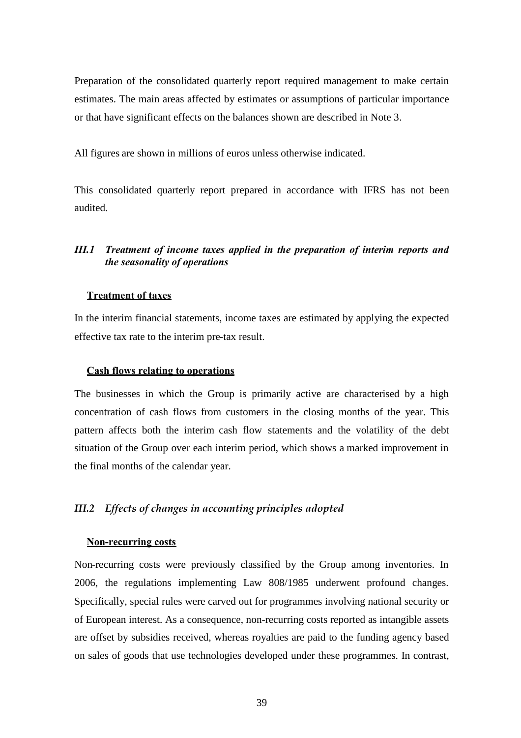Preparation of the consolidated quarterly report required management to make certain estimates. The main areas affected by estimates or assumptions of particular importance or that have significant effects on the balances shown are described in Note 3.

All figures are shown in millions of euros unless otherwise indicated.

This consolidated quarterly report prepared in accordance with IFRS has not been audited.

## *III.1 Treatment of income taxes applied in the preparation of interim reports and the seasonality of operations*

#### **Treatment of taxes**

In the interim financial statements, income taxes are estimated by applying the expected effective tax rate to the interim pre-tax result.

#### **Cash flows relating to operations**

The businesses in which the Group is primarily active are characterised by a high concentration of cash flows from customers in the closing months of the year. This pattern affects both the interim cash flow statements and the volatility of the debt situation of the Group over each interim period, which shows a marked improvement in the final months of the calendar year.

## *III.2 Effects of changes in accounting principles adopted*

#### **Non-recurring costs**

Non-recurring costs were previously classified by the Group among inventories. In 2006, the regulations implementing Law 808/1985 underwent profound changes. Specifically, special rules were carved out for programmes involving national security or of European interest. As a consequence, non-recurring costs reported as intangible assets are offset by subsidies received, whereas royalties are paid to the funding agency based on sales of goods that use technologies developed under these programmes. In contrast,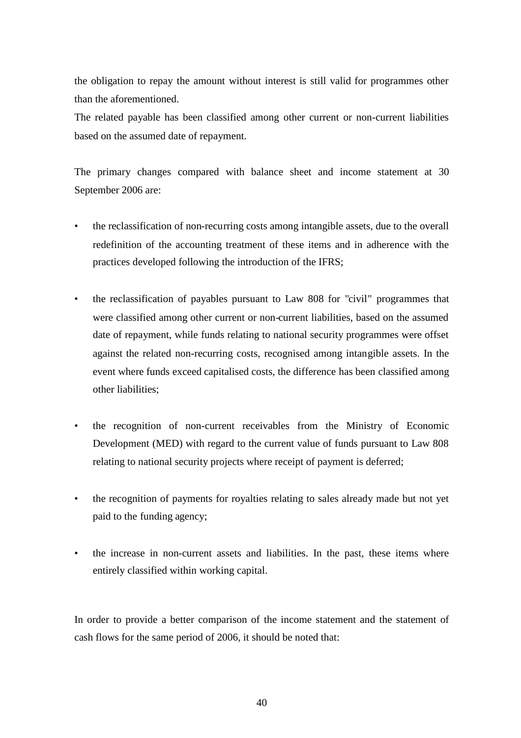the obligation to repay the amount without interest is still valid for programmes other than the aforementioned.

The related payable has been classified among other current or non-current liabilities based on the assumed date of repayment.

The primary changes compared with balance sheet and income statement at 30 September 2006 are:

- the reclassification of non-recurring costs among intangible assets, due to the overall redefinition of the accounting treatment of these items and in adherence with the practices developed following the introduction of the IFRS;
- the reclassification of payables pursuant to Law 808 for "civil" programmes that were classified among other current or non-current liabilities, based on the assumed date of repayment, while funds relating to national security programmes were offset against the related non-recurring costs, recognised among intangible assets. In the event where funds exceed capitalised costs, the difference has been classified among other liabilities;
- the recognition of non-current receivables from the Ministry of Economic Development (MED) with regard to the current value of funds pursuant to Law 808 relating to national security projects where receipt of payment is deferred;
- the recognition of payments for royalties relating to sales already made but not yet paid to the funding agency;
- the increase in non-current assets and liabilities. In the past, these items where entirely classified within working capital.

In order to provide a better comparison of the income statement and the statement of cash flows for the same period of 2006, it should be noted that: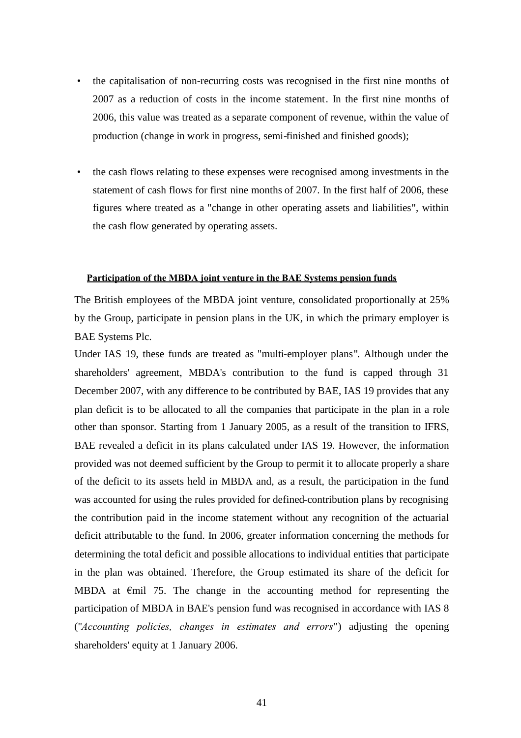- the capitalisation of non-recurring costs was recognised in the first nine months of 2007 as a reduction of costs in the income statement. In the first nine months of 2006, this value was treated as a separate component of revenue, within the value of production (change in work in progress, semi-finished and finished goods);
- the cash flows relating to these expenses were recognised among investments in the statement of cash flows for first nine months of 2007. In the first half of 2006, these figures where treated as a "change in other operating assets and liabilities", within the cash flow generated by operating assets.

#### **Participation of the MBDA joint venture in the BAE Systems pension funds**

The British employees of the MBDA joint venture, consolidated proportionally at 25% by the Group, participate in pension plans in the UK, in which the primary employer is BAE Systems Plc.

Under IAS 19, these funds are treated as "multi-employer plans". Although under the shareholders' agreement, MBDA's contribution to the fund is capped through 31 December 2007, with any difference to be contributed by BAE, IAS 19 provides that any plan deficit is to be allocated to all the companies that participate in the plan in a role other than sponsor. Starting from 1 January 2005, as a result of the transition to IFRS, BAE revealed a deficit in its plans calculated under IAS 19. However, the information provided was not deemed sufficient by the Group to permit it to allocate properly a share of the deficit to its assets held in MBDA and, as a result, the participation in the fund was accounted for using the rules provided for defined-contribution plans by recognising the contribution paid in the income statement without any recognition of the actuarial deficit attributable to the fund. In 2006, greater information concerning the methods for determining the total deficit and possible allocations to individual entities that participate in the plan was obtained. Therefore, the Group estimated its share of the deficit for MBDA at €mil 75. The change in the accounting method for representing the participation of MBDA in BAE's pension fund was recognised in accordance with IAS 8 ("*Accounting policies, changes in estimates and errors*") adjusting the opening shareholders' equity at 1 January 2006.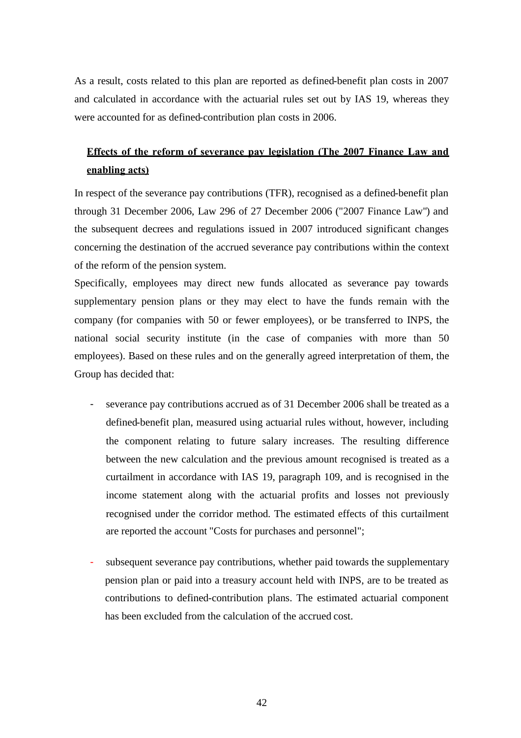As a result, costs related to this plan are reported as defined-benefit plan costs in 2007 and calculated in accordance with the actuarial rules set out by IAS 19, whereas they were accounted for as defined-contribution plan costs in 2006.

# **Effects of the reform of severance pay legislation (The 2007 Finance Law and enabling acts)**

In respect of the severance pay contributions (TFR), recognised as a defined-benefit plan through 31 December 2006, Law 296 of 27 December 2006 ("2007 Finance Law") and the subsequent decrees and regulations issued in 2007 introduced significant changes concerning the destination of the accrued severance pay contributions within the context of the reform of the pension system.

Specifically, employees may direct new funds allocated as severance pay towards supplementary pension plans or they may elect to have the funds remain with the company (for companies with 50 or fewer employees), or be transferred to INPS, the national social security institute (in the case of companies with more than 50 employees). Based on these rules and on the generally agreed interpretation of them, the Group has decided that:

- severance pay contributions accrued as of 31 December 2006 shall be treated as a defined-benefit plan, measured using actuarial rules without, however, including the component relating to future salary increases. The resulting difference between the new calculation and the previous amount recognised is treated as a curtailment in accordance with IAS 19, paragraph 109, and is recognised in the income statement along with the actuarial profits and losses not previously recognised under the corridor method. The estimated effects of this curtailment are reported the account "Costs for purchases and personnel";
- subsequent severance pay contributions, whether paid towards the supplementary pension plan or paid into a treasury account held with INPS, are to be treated as contributions to defined-contribution plans. The estimated actuarial component has been excluded from the calculation of the accrued cost.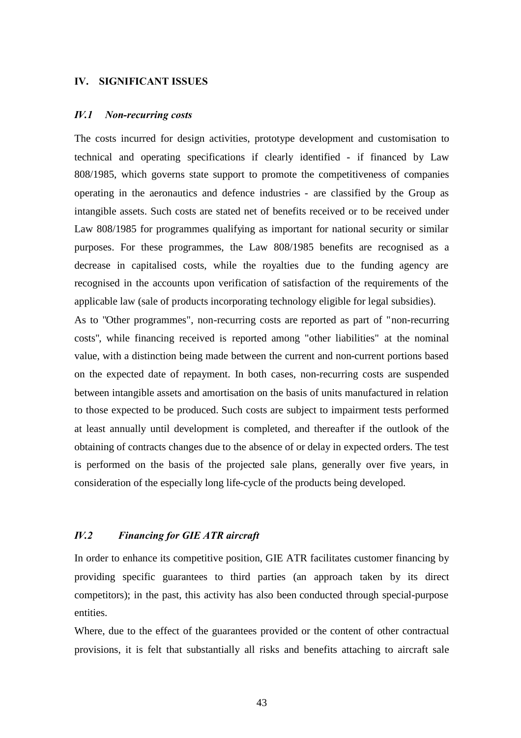#### **IV. SIGNIFICANT ISSUES**

#### *IV.1 Non-recurring costs*

The costs incurred for design activities, prototype development and customisation to technical and operating specifications if clearly identified - if financed by Law 808/1985, which governs state support to promote the competitiveness of companies operating in the aeronautics and defence industries - are classified by the Group as intangible assets. Such costs are stated net of benefits received or to be received under Law 808/1985 for programmes qualifying as important for national security or similar purposes. For these programmes, the Law 808/1985 benefits are recognised as a decrease in capitalised costs, while the royalties due to the funding agency are recognised in the accounts upon verification of satisfaction of the requirements of the applicable law (sale of products incorporating technology eligible for legal subsidies).

As to "Other programmes", non-recurring costs are reported as part of "non-recurring costs", while financing received is reported among "other liabilities" at the nominal value, with a distinction being made between the current and non-current portions based on the expected date of repayment. In both cases, non-recurring costs are suspended between intangible assets and amortisation on the basis of units manufactured in relation to those expected to be produced. Such costs are subject to impairment tests performed at least annually until development is completed, and thereafter if the outlook of the obtaining of contracts changes due to the absence of or delay in expected orders. The test is performed on the basis of the projected sale plans, generally over five years, in consideration of the especially long life-cycle of the products being developed.

## *IV.2 Financing for GIE ATR aircraft*

In order to enhance its competitive position, GIE ATR facilitates customer financing by providing specific guarantees to third parties (an approach taken by its direct competitors); in the past, this activity has also been conducted through special-purpose entities.

Where, due to the effect of the guarantees provided or the content of other contractual provisions, it is felt that substantially all risks and benefits attaching to aircraft sale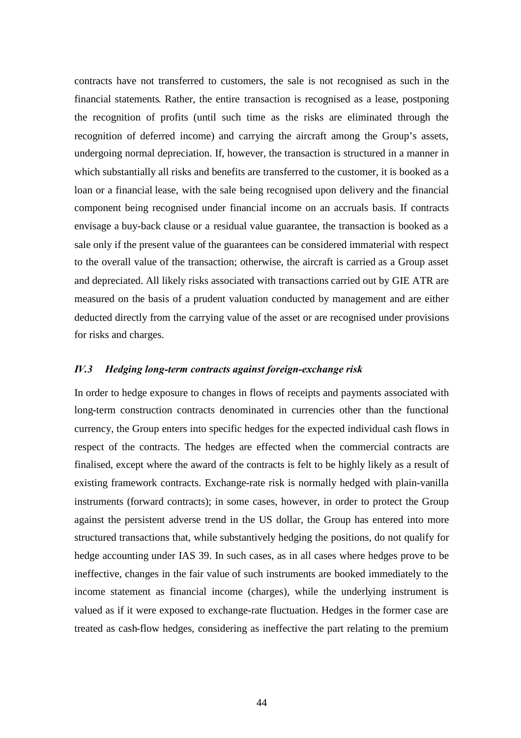contracts have not transferred to customers, the sale is not recognised as such in the financial statements. Rather, the entire transaction is recognised as a lease, postponing the recognition of profits (until such time as the risks are eliminated through the recognition of deferred income) and carrying the aircraft among the Group's assets, undergoing normal depreciation. If, however, the transaction is structured in a manner in which substantially all risks and benefits are transferred to the customer, it is booked as a loan or a financial lease, with the sale being recognised upon delivery and the financial component being recognised under financial income on an accruals basis. If contracts envisage a buy-back clause or a residual value guarantee, the transaction is booked as a sale only if the present value of the guarantees can be considered immaterial with respect to the overall value of the transaction; otherwise, the aircraft is carried as a Group asset and depreciated. All likely risks associated with transactions carried out by GIE ATR are measured on the basis of a prudent valuation conducted by management and are either deducted directly from the carrying value of the asset or are recognised under provisions for risks and charges.

#### *IV.3 Hedging long-term contracts against foreign-exchange risk*

In order to hedge exposure to changes in flows of receipts and payments associated with long-term construction contracts denominated in currencies other than the functional currency, the Group enters into specific hedges for the expected individual cash flows in respect of the contracts. The hedges are effected when the commercial contracts are finalised, except where the award of the contracts is felt to be highly likely as a result of existing framework contracts. Exchange-rate risk is normally hedged with plain-vanilla instruments (forward contracts); in some cases, however, in order to protect the Group against the persistent adverse trend in the US dollar, the Group has entered into more structured transactions that, while substantively hedging the positions, do not qualify for hedge accounting under IAS 39. In such cases, as in all cases where hedges prove to be ineffective, changes in the fair value of such instruments are booked immediately to the income statement as financial income (charges), while the underlying instrument is valued as if it were exposed to exchange-rate fluctuation. Hedges in the former case are treated as cash-flow hedges, considering as ineffective the part relating to the premium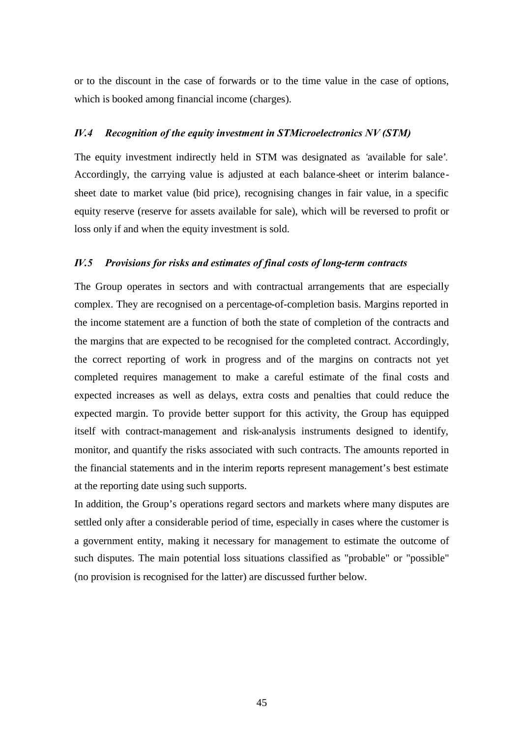or to the discount in the case of forwards or to the time value in the case of options, which is booked among financial income (charges).

### *IV.4 Recognition of the equity investment in STMicroelectronics NV (STM)*

The equity investment indirectly held in STM was designated as *'*available for sale'*.* Accordingly, the carrying value is adjusted at each balance-sheet or interim balancesheet date to market value (bid price), recognising changes in fair value, in a specific equity reserve (reserve for assets available for sale), which will be reversed to profit or loss only if and when the equity investment is sold.

#### *IV.5 Provisions for risks and estimates of final costs of long-term contracts*

The Group operates in sectors and with contractual arrangements that are especially complex. They are recognised on a percentage-of-completion basis. Margins reported in the income statement are a function of both the state of completion of the contracts and the margins that are expected to be recognised for the completed contract. Accordingly, the correct reporting of work in progress and of the margins on contracts not yet completed requires management to make a careful estimate of the final costs and expected increases as well as delays, extra costs and penalties that could reduce the expected margin. To provide better support for this activity, the Group has equipped itself with contract-management and risk-analysis instruments designed to identify, monitor, and quantify the risks associated with such contracts. The amounts reported in the financial statements and in the interim reports represent management's best estimate at the reporting date using such supports.

In addition, the Group's operations regard sectors and markets where many disputes are settled only after a considerable period of time, especially in cases where the customer is a government entity, making it necessary for management to estimate the outcome of such disputes. The main potential loss situations classified as "probable" or "possible" (no provision is recognised for the latter) are discussed further below.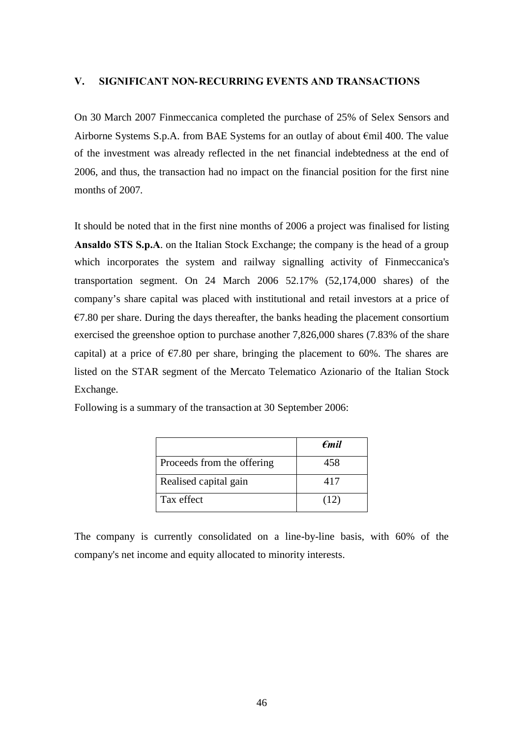### **V. SIGNIFICANT NON-RECURRING EVENTS AND TRANSACTIONS**

On 30 March 2007 Finmeccanica completed the purchase of 25% of Selex Sensors and Airborne Systems S.p.A. from BAE Systems for an outlay of about €mil 400. The value of the investment was already reflected in the net financial indebtedness at the end of 2006, and thus, the transaction had no impact on the financial position for the first nine months of 2007.

It should be noted that in the first nine months of 2006 a project was finalised for listing **Ansaldo STS S.p.A**. on the Italian Stock Exchange; the company is the head of a group which incorporates the system and railway signalling activity of Finmeccanica's transportation segment. On 24 March 2006 52.17% (52,174,000 shares) of the company's share capital was placed with institutional and retail investors at a price of  $\epsilon$ 7.80 per share. During the days thereafter, the banks heading the placement consortium exercised the greenshoe option to purchase another 7,826,000 shares (7.83% of the share capital) at a price of  $\epsilon$ 7.80 per share, bringing the placement to 60%. The shares are listed on the STAR segment of the Mercato Telematico Azionario of the Italian Stock Exchange.

|                            | $\epsilon$ mil |
|----------------------------|----------------|
| Proceeds from the offering | 458            |
| Realised capital gain      | 417            |
| Tax effect                 | (12            |

Following is a summary of the transaction at 30 September 2006:

The company is currently consolidated on a line-by-line basis, with 60% of the company's net income and equity allocated to minority interests.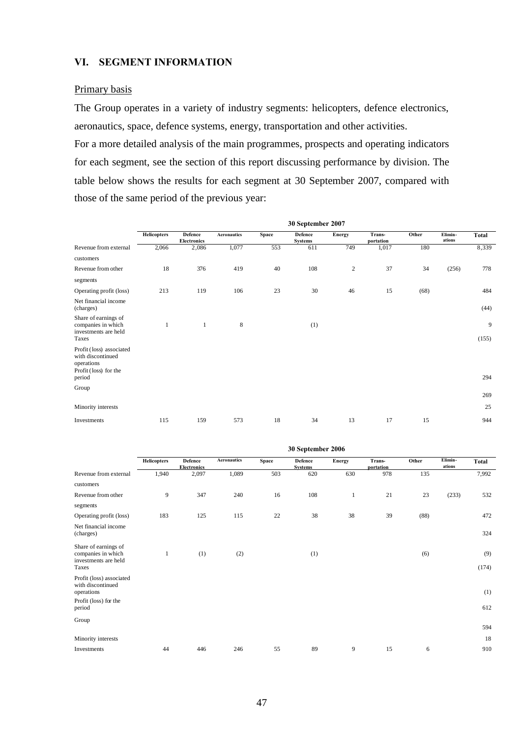### **VI. SEGMENT INFORMATION**

#### Primary basis

The Group operates in a variety of industry segments: helicopters, defence electronics, aeronautics, space, defence systems, energy, transportation and other activities.

For a more detailed analysis of the main programmes, prospects and operating indicators for each segment, see the section of this report discussing performance by division. The table below shows the results for each segment at 30 September 2007, compared with those of the same period of the previous year:

|                                                                                                | 30 September 2007  |                                      |                    |       |                                  |            |                     |       |                   |            |
|------------------------------------------------------------------------------------------------|--------------------|--------------------------------------|--------------------|-------|----------------------------------|------------|---------------------|-------|-------------------|------------|
|                                                                                                | <b>Helicopters</b> | <b>Defence</b><br><b>Electronics</b> | <b>Aeronautics</b> | Space | <b>Defence</b><br><b>Systems</b> | Energy     | Trans-<br>portation | Other | Elimin-<br>ations | Total      |
| Revenue from external                                                                          | 2,066              | 2,086                                | 1,077              | 553   | 611                              | 749        | 1,017               | 180   |                   | 8,339      |
| customers                                                                                      |                    |                                      |                    |       |                                  |            |                     |       |                   |            |
| Revenue from other                                                                             | 18                 | 376                                  | 419                | 40    | 108                              | $\sqrt{2}$ | 37                  | 34    | (256)             | 778        |
| segments                                                                                       |                    |                                      |                    |       |                                  |            |                     |       |                   |            |
| Operating profit (loss)                                                                        | 213                | 119                                  | 106                | 23    | 30                               | 46         | 15                  | (68)  |                   | 484        |
| Net financial income<br>(charges)                                                              |                    |                                      |                    |       |                                  |            |                     |       |                   | (44)       |
| Share of earnings of<br>companies in which<br>investments are held<br>Taxes                    | 1                  | $\mathbf{1}$                         | 8                  |       | (1)                              |            |                     |       |                   | 9<br>(155) |
| Profit (loss) associated<br>with discontinued<br>operations<br>Profit (loss) for the<br>period |                    |                                      |                    |       |                                  |            |                     |       |                   | 294        |
| Group                                                                                          |                    |                                      |                    |       |                                  |            |                     |       |                   |            |
|                                                                                                |                    |                                      |                    |       |                                  |            |                     |       |                   | 269        |
| Minority interests                                                                             |                    |                                      |                    |       |                                  |            |                     |       |                   | 25         |
| Investments                                                                                    | 115                | 159                                  | 573                | 18    | 34                               | 13         | 17                  | 15    |                   | 944        |

|                                                                                      | 30 September 2006  |                                      |                    |       |                                  |               |                     |       |                   |              |
|--------------------------------------------------------------------------------------|--------------------|--------------------------------------|--------------------|-------|----------------------------------|---------------|---------------------|-------|-------------------|--------------|
|                                                                                      | <b>Helicopters</b> | <b>Defence</b><br><b>Electronics</b> | <b>Aeronautics</b> | Space | <b>Defence</b><br><b>Systems</b> | <b>Energy</b> | Trans-<br>portation | Other | Elimin-<br>ations | Total        |
| Revenue from external                                                                | 1,940              | 2,097                                | 1,089              | 503   | 620                              | 630           | 978                 | 135   |                   | 7,992        |
| customers                                                                            |                    |                                      |                    |       |                                  |               |                     |       |                   |              |
| Revenue from other                                                                   | 9                  | 347                                  | 240                | 16    | 108                              | 1             | 21                  | 23    | (233)             | 532          |
| segments                                                                             |                    |                                      |                    |       |                                  |               |                     |       |                   |              |
| Operating profit (loss)                                                              | 183                | 125                                  | 115                | 22    | 38                               | 38            | 39                  | (88)  |                   | 472          |
| Net financial income<br>(charges)                                                    |                    |                                      |                    |       |                                  |               |                     |       |                   | 324          |
| Share of earnings of<br>companies in which<br>investments are held<br>Taxes          | 1                  | (1)                                  | (2)                |       | (1)                              |               |                     | (6)   |                   | (9)<br>(174) |
| Profit (loss) associated<br>with discontinued<br>operations<br>Profit (loss) for the |                    |                                      |                    |       |                                  |               |                     |       |                   | (1)          |
| period                                                                               |                    |                                      |                    |       |                                  |               |                     |       |                   | 612          |
| Group                                                                                |                    |                                      |                    |       |                                  |               |                     |       |                   | 594          |
| Minority interests                                                                   |                    |                                      |                    |       |                                  |               |                     |       |                   | 18           |
| Investments                                                                          | 44                 | 446                                  | 246                | 55    | 89                               | 9             | 15                  | 6     |                   | 910          |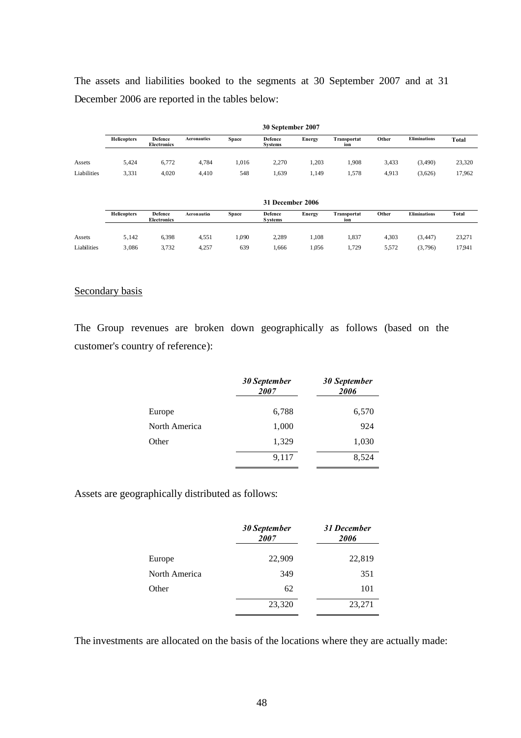The assets and liabilities booked to the segments at 30 September 2007 and at 31 December 2006 are reported in the tables below:

|             | 30 September 2007  |                                      |                    |              |                    |               |                    |       |                     |              |
|-------------|--------------------|--------------------------------------|--------------------|--------------|--------------------|---------------|--------------------|-------|---------------------|--------------|
|             | <b>Helicopters</b> | <b>Defence</b><br><b>Electronics</b> | <b>Aeronautics</b> | <b>Space</b> | Defence<br>Systems | <b>Energy</b> | Transportat<br>ion | Other | <b>Eliminations</b> | <b>Total</b> |
|             |                    |                                      |                    |              |                    |               |                    |       |                     |              |
| Assets      | 5.424              | 6,772                                | 4,784              | .016         | 2,270              | 1,203         | .908               | 3,433 | (3,490)             | 23,320       |
| Liabilities | 3,331              | 4,020                                | 4,410              | 548          | .,639              | 1,149         | .578               | 4,913 | (3,626)             | 17,962       |

|             | 31 December 2006   |                               |                    |              |                           |        |                    |       |                     |              |
|-------------|--------------------|-------------------------------|--------------------|--------------|---------------------------|--------|--------------------|-------|---------------------|--------------|
|             | <b>Helicopters</b> | Defence<br><b>Electronics</b> | <b>Aeronautics</b> | <b>Space</b> | Defence<br><b>Systems</b> | Energy | Transportat<br>ion | Other | <b>Eliminations</b> | <b>Total</b> |
|             |                    |                               |                    |              |                           |        |                    |       |                     |              |
| Assets      | 5.142              | 6,398                         | 4.551              | .090         | 2.289                     | .108   | 1.837              | 4.303 | (3, 447)            | 23,271       |
| Liabilities | 3,086              | 3.732                         | 4.257              | 639          | 1.666                     | 1,056  | 1,729              | 5.572 | (3,796)             | 17941        |

#### Secondary basis

The Group revenues are broken down geographically as follows (based on the customer's country of reference):

|               | 30 September<br>2007 | 30 September<br>2006 |
|---------------|----------------------|----------------------|
| Europe        | 6,788                | 6,570                |
| North America | 1,000                | 924                  |
| Other         | 1,329                | 1,030                |
|               | 9,117                | 8,524                |

Assets are geographically distributed as follows:

|               | 30 September<br>2007 | 31 December<br>2006 |
|---------------|----------------------|---------------------|
| Europe        | 22,909               | 22,819              |
| North America | 349                  | 351                 |
| Other         | 62                   | 101                 |
|               | 23,320               | 23,271              |

The investments are allocated on the basis of the locations where they are actually made: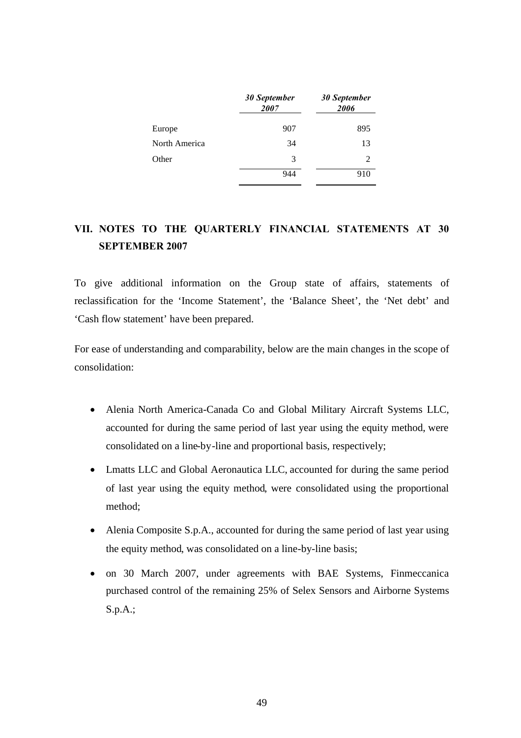|               | 30 September<br>2007 | <b>30 September</b><br>2006 |
|---------------|----------------------|-----------------------------|
| Europe        | 907                  | 895                         |
| North America | 34                   | 13                          |
| Other         | 3                    | 2                           |
|               | 944                  | 910                         |

# **VII. NOTES TO THE QUARTERLY FINANCIAL STATEMENTS AT 30 SEPTEMBER 2007**

To give additional information on the Group state of affairs, statements of reclassification for the 'Income Statement', the 'Balance Sheet', the 'Net debt' and 'Cash flow statement' have been prepared.

For ease of understanding and comparability, below are the main changes in the scope of consolidation:

- Alenia North America-Canada Co and Global Military Aircraft Systems LLC, accounted for during the same period of last year using the equity method, were consolidated on a line-by-line and proportional basis, respectively;
- Lmatts LLC and Global Aeronautica LLC, accounted for during the same period of last year using the equity method, were consolidated using the proportional method;
- Alenia Composite S.p.A., accounted for during the same period of last year using the equity method, was consolidated on a line-by-line basis;
- on 30 March 2007, under agreements with BAE Systems, Finmeccanica purchased control of the remaining 25% of Selex Sensors and Airborne Systems S.p.A.;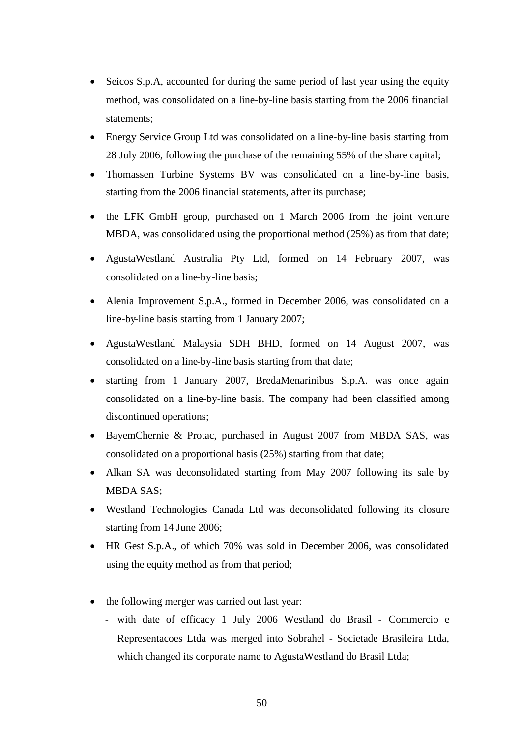- Seicos S.p.A, accounted for during the same period of last year using the equity method, was consolidated on a line-by-line basis starting from the 2006 financial statements;
- Energy Service Group Ltd was consolidated on a line-by-line basis starting from 28 July 2006, following the purchase of the remaining 55% of the share capital;
- Thomassen Turbine Systems BV was consolidated on a line-by-line basis, starting from the 2006 financial statements, after its purchase;
- the LFK GmbH group, purchased on 1 March 2006 from the joint venture MBDA, was consolidated using the proportional method (25%) as from that date;
- AgustaWestland Australia Pty Ltd, formed on 14 February 2007, was consolidated on a line-by-line basis;
- Alenia Improvement S.p.A., formed in December 2006, was consolidated on a line-by-line basis starting from 1 January 2007;
- AgustaWestland Malaysia SDH BHD, formed on 14 August 2007, was consolidated on a line-by-line basis starting from that date;
- starting from 1 January 2007, BredaMenarinibus S.p.A. was once again consolidated on a line-by-line basis. The company had been classified among discontinued operations;
- BayemChernie & Protac, purchased in August 2007 from MBDA SAS, was consolidated on a proportional basis (25%) starting from that date;
- Alkan SA was deconsolidated starting from May 2007 following its sale by MBDA SAS;
- Westland Technologies Canada Ltd was deconsolidated following its closure starting from 14 June 2006;
- HR Gest S.p.A., of which 70% was sold in December 2006, was consolidated using the equity method as from that period;
- the following merger was carried out last year:
	- with date of efficacy 1 July 2006 Westland do Brasil Commercio e Representacoes Ltda was merged into Sobrahel - Societade Brasileira Ltda, which changed its corporate name to AgustaWestland do Brasil Ltda;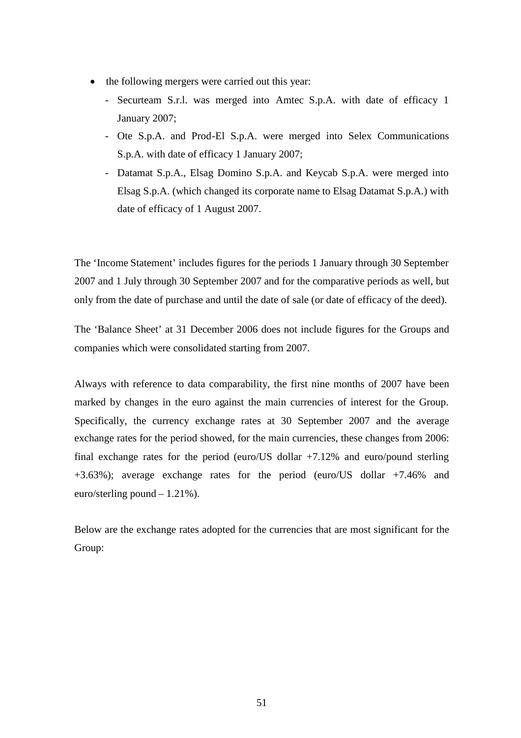- the following mergers were carried out this year:
	- Securteam S.r.l. was merged into Amtec S.p.A. with date of efficacy 1 January 2007;
	- Ote S.p.A. and Prod-El S.p.A. were merged into Selex Communications S.p.A. with date of efficacy 1 January 2007;
	- Datamat S.p.A., Elsag Domino S.p.A. and Keycab S.p.A. were merged into Elsag S.p.A. (which changed its corporate name to Elsag Datamat S.p.A.) with date of efficacy of 1 August 2007.

The 'Income Statement' includes figures for the periods 1 January through 30 September 2007 and 1 July through 30 September 2007 and for the comparative periods as well, but only from the date of purchase and until the date of sale (or date of efficacy of the deed).

The 'Balance Sheet' at 31 December 2006 does not include figures for the Groups and companies which were consolidated starting from 2007.

Always with reference to data comparability, the first nine months of 2007 have been marked by changes in the euro against the main currencies of interest for the Group. Specifically, the currency exchange rates at 30 September 2007 and the average exchange rates for the period showed, for the main currencies, these changes from 2006: final exchange rates for the period (euro/US dollar +7.12% and euro/pound sterling +3.63%); average exchange rates for the period (euro/US dollar +7.46% and euro/sterling pound – 1.21%).

Below are the exchange rates adopted for the currencies that are most significant for the Group: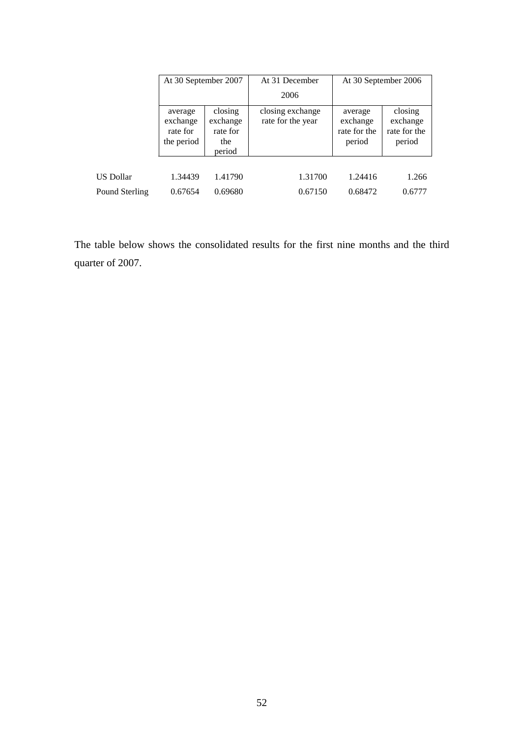|                  | At 30 September 2007                          |                                                  | At 31 December                        | At 30 September 2006                          |                                               |  |
|------------------|-----------------------------------------------|--------------------------------------------------|---------------------------------------|-----------------------------------------------|-----------------------------------------------|--|
|                  |                                               |                                                  | 2006                                  |                                               |                                               |  |
|                  | average<br>exchange<br>rate for<br>the period | closing<br>exchange<br>rate for<br>the<br>period | closing exchange<br>rate for the year | average<br>exchange<br>rate for the<br>period | closing<br>exchange<br>rate for the<br>period |  |
|                  |                                               |                                                  |                                       |                                               |                                               |  |
| <b>US Dollar</b> | 1.34439                                       | 1.41790                                          | 1.31700                               | 1.24416                                       | 1.266                                         |  |
| Pound Sterling   | 0.67654                                       | 0.69680                                          | 0.67150                               | 0.68472                                       | 0.6777                                        |  |

The table below shows the consolidated results for the first nine months and the third quarter of 2007.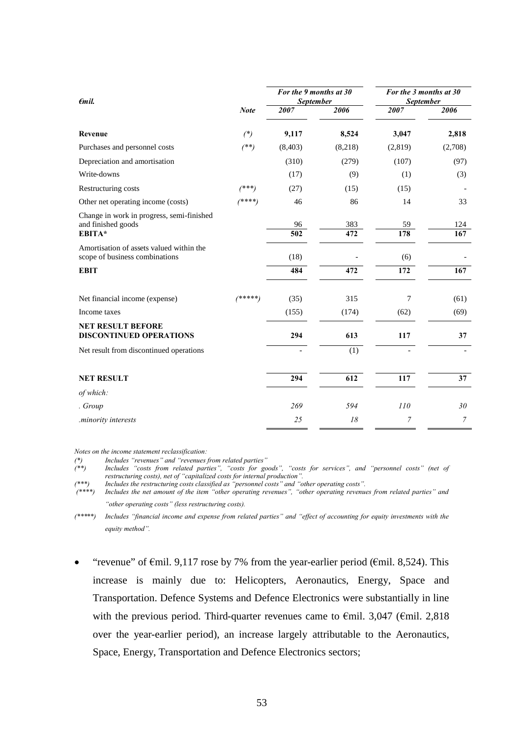| $\epsilon$ mil.                                                            |             | For the 9 months at 30<br><b>September</b> |                         | For the 3 months at 30<br><b>September</b> |            |  |
|----------------------------------------------------------------------------|-------------|--------------------------------------------|-------------------------|--------------------------------------------|------------|--|
|                                                                            | <b>Note</b> | 2007                                       | 2006                    | 2007                                       | 2006       |  |
| Revenue                                                                    | $(*)$       | 9,117                                      | 8,524                   | 3,047                                      | 2,818      |  |
| Purchases and personnel costs                                              | $($ **)     | (8, 403)                                   | (8,218)                 | (2,819)                                    | (2,708)    |  |
| Depreciation and amortisation                                              |             | (310)                                      | (279)                   | (107)                                      | (97)       |  |
| Write-downs                                                                |             | (17)                                       | (9)                     | (1)                                        | (3)        |  |
| Restructuring costs                                                        | $(***)$     | (27)                                       | (15)                    | (15)                                       |            |  |
| Other net operating income (costs)                                         | $(****)$    | 46                                         | 86                      | 14                                         | 33         |  |
| Change in work in progress, semi-finished<br>and finished goods<br>EBITA*  |             | 96<br>$\overline{502}$                     | 383<br>$\overline{472}$ | 59<br>178                                  | 124<br>167 |  |
| Amortisation of assets valued within the<br>scope of business combinations |             | (18)                                       |                         | (6)                                        |            |  |
| <b>EBIT</b>                                                                |             | 484                                        | 472                     | 172                                        | 167        |  |
| Net financial income (expense)                                             | $(****)$    | (35)                                       | 315                     | 7                                          | (61)       |  |
| Income taxes                                                               |             | (155)                                      | (174)                   | (62)                                       | (69)       |  |
| <b>NET RESULT BEFORE</b><br><b>DISCONTINUED OPERATIONS</b>                 |             | 294                                        | 613                     | 117                                        | 37         |  |
| Net result from discontinued operations                                    |             |                                            | (1)                     |                                            |            |  |
| <b>NET RESULT</b>                                                          |             | 294                                        | 612                     | 117                                        | 37         |  |
| of which:                                                                  |             |                                            |                         |                                            |            |  |
| . Group                                                                    |             | 269                                        | 594                     | <i>110</i>                                 | 30         |  |
| .minority interests                                                        |             | 25                                         | 18                      | 7                                          | 7          |  |

*Notes on the income statement reclassification:*

*(\*) Includes "revenues" and "revenues from related parties" (\*\*) Includes "costs from related parties", "costs for goods", "costs for services", and "personnel costs" (net of restructuring costs), net of "capitalized costs for internal production".*

*(\*\*\*) Includes the restructuring costs classified as "personnel costs" and "other operating costs".*

*(\*\*\*\*) Includes the net amount of the item "other operating revenues", "other operating revenues from related parties" and "other operating costs" (less restructuring costs).*

*(\*\*\*\*\*) Includes "financial income and expense from related parties" and "effect of accounting for equity investments with the equity method".*

"revenue" of  $\epsilon$ mil. 9,117 rose by 7% from the year-earlier period ( $\epsilon$ mil. 8,524). This increase is mainly due to: Helicopters, Aeronautics, Energy, Space and Transportation. Defence Systems and Defence Electronics were substantially in line with the previous period. Third-quarter revenues came to  $\epsilon$ mil. 3,047 ( $\epsilon$ mil. 2,818 over the year-earlier period), an increase largely attributable to the Aeronautics, Space, Energy, Transportation and Defence Electronics sectors;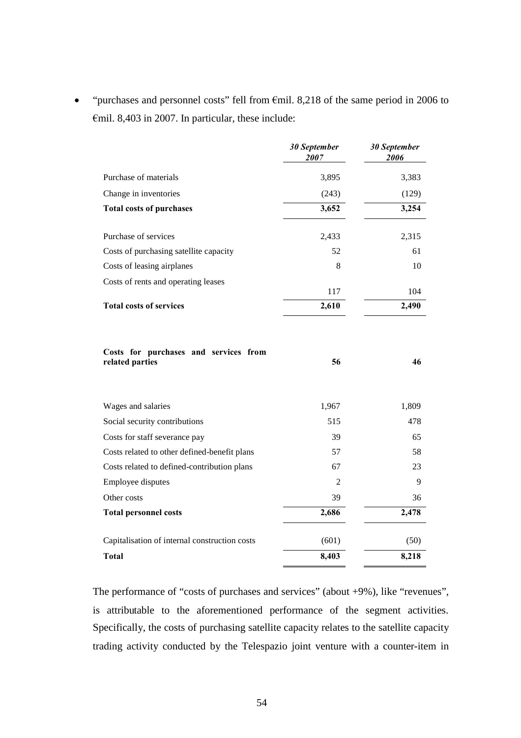• "purchases and personnel costs" fell from  $\epsilon$ mil. 8,218 of the same period in 2006 to €mil. 8,403 in 2007. In particular, these include:

|                                                          | <b>30 September</b><br>2007 | 30 September<br>2006 |
|----------------------------------------------------------|-----------------------------|----------------------|
| Purchase of materials                                    | 3,895                       | 3,383                |
| Change in inventories                                    | (243)                       | (129)                |
| <b>Total costs of purchases</b>                          | 3,652                       | 3,254                |
| Purchase of services                                     | 2,433                       | 2,315                |
| Costs of purchasing satellite capacity                   | 52                          | 61                   |
| Costs of leasing airplanes                               | 8                           | 10                   |
| Costs of rents and operating leases                      | 117                         | 104                  |
| <b>Total costs of services</b>                           | 2,610                       | 2,490                |
| Costs for purchases and services from<br>related parties | 56                          | 46                   |
| Wages and salaries                                       | 1,967                       | 1,809                |
| Social security contributions                            | 515                         | 478                  |
| Costs for staff severance pay                            | 39                          | 65                   |
| Costs related to other defined-benefit plans             | 57                          | 58                   |
| Costs related to defined-contribution plans              | 67                          | 23                   |
| Employee disputes                                        | $\overline{c}$              | 9                    |
| Other costs                                              | 39                          | 36                   |
| <b>Total personnel costs</b>                             | 2,686                       | 2,478                |
| Capitalisation of internal construction costs            | (601)                       | (50)                 |
| <b>Total</b>                                             | 8,403                       | 8,218                |

The performance of "costs of purchases and services" (about +9%), like "revenues", is attributable to the aforementioned performance of the segment activities. Specifically, the costs of purchasing satellite capacity relates to the satellite capacity trading activity conducted by the Telespazio joint venture with a counter-item in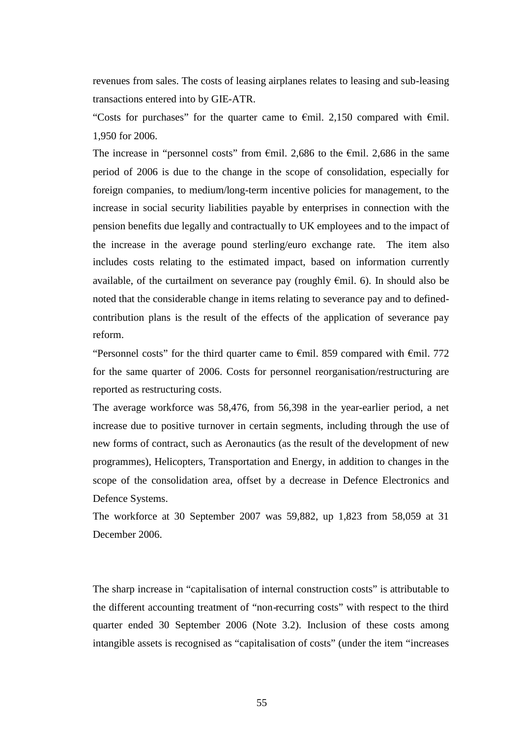revenues from sales. The costs of leasing airplanes relates to leasing and sub-leasing transactions entered into by GIE-ATR.

"Costs for purchases" for the quarter came to  $\epsilon$ mil. 2,150 compared with  $\epsilon$ mil. 1,950 for 2006.

The increase in "personnel costs" from  $\epsilon$ mil. 2,686 to the  $\epsilon$ mil. 2,686 in the same period of 2006 is due to the change in the scope of consolidation, especially for foreign companies, to medium/long-term incentive policies for management, to the increase in social security liabilities payable by enterprises in connection with the pension benefits due legally and contractually to UK employees and to the impact of the increase in the average pound sterling/euro exchange rate. The item also includes costs relating to the estimated impact, based on information currently available, of the curtailment on severance pay (roughly  $\epsilon$ mil. 6). In should also be noted that the considerable change in items relating to severance pay and to definedcontribution plans is the result of the effects of the application of severance pay reform.

"Personnel costs" for the third quarter came to  $\epsilon$ mil. 859 compared with  $\epsilon$ mil. 772 for the same quarter of 2006. Costs for personnel reorganisation/restructuring are reported as restructuring costs.

The average workforce was 58,476, from 56,398 in the year-earlier period, a net increase due to positive turnover in certain segments, including through the use of new forms of contract, such as Aeronautics (as the result of the development of new programmes), Helicopters, Transportation and Energy, in addition to changes in the scope of the consolidation area, offset by a decrease in Defence Electronics and Defence Systems.

The workforce at 30 September 2007 was 59,882, up 1,823 from 58,059 at 31 December 2006.

The sharp increase in "capitalisation of internal construction costs" is attributable to the different accounting treatment of "non-recurring costs" with respect to the third quarter ended 30 September 2006 (Note 3.2). Inclusion of these costs among intangible assets is recognised as "capitalisation of costs" (under the item "increases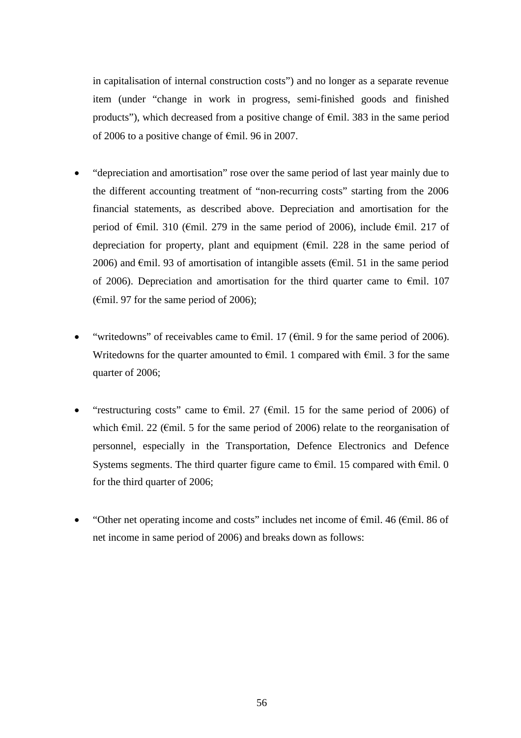in capitalisation of internal construction costs") and no longer as a separate revenue item (under "change in work in progress, semi-finished goods and finished products"), which decreased from a positive change of €mil. 383 in the same period of 2006 to a positive change of €mil. 96 in 2007.

- "depreciation and amortisation" rose over the same period of last year mainly due to the different accounting treatment of "non-recurring costs" starting from the 2006 financial statements, as described above. Depreciation and amortisation for the period of  $\epsilon$ mil. 310 ( $\epsilon$ mil. 279 in the same period of 2006), include  $\epsilon$ mil. 217 of depreciation for property, plant and equipment ( $\epsilon$ mil. 228 in the same period of 2006) and  $\epsilon$ mil. 93 of amortisation of intangible assets ( $\epsilon$ mil. 51 in the same period of 2006). Depreciation and amortisation for the third quarter came to €mil. 107  $(\text{Emil. 97}$  for the same period of 2006);
- "writedowns" of receivables came to  $\epsilon$ mil. 17 ( $\epsilon$ mil. 9 for the same period of 2006). Writedowns for the quarter amounted to  $\epsilon$ mil. 1 compared with  $\epsilon$ mil. 3 for the same quarter of 2006;
- "restructuring costs" came to  $\epsilon$ mil. 27 ( $\epsilon$ mil. 15 for the same period of 2006) of which  $\epsilon$ mil. 22 ( $\epsilon$ mil. 5 for the same period of 2006) relate to the reorganisation of personnel, especially in the Transportation, Defence Electronics and Defence Systems segments. The third quarter figure came to  $\epsilon$ mil. 15 compared with  $\epsilon$ mil. 0 for the third quarter of 2006;
- "Other net operating income and costs" includes net income of  $\epsilon$ mil. 46 ( $\epsilon$ mil. 86 of net income in same period of 2006) and breaks down as follows: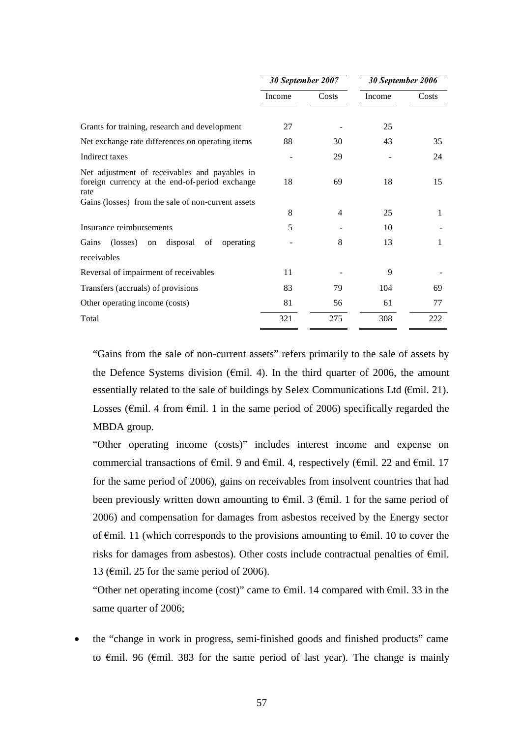|                                                                                                                                                               | 30 September 2007 |       | 30 September 2006 |       |
|---------------------------------------------------------------------------------------------------------------------------------------------------------------|-------------------|-------|-------------------|-------|
|                                                                                                                                                               | Income            | Costs | Income            | Costs |
|                                                                                                                                                               |                   |       |                   |       |
| Grants for training, research and development                                                                                                                 | 27                |       | 25                |       |
| Net exchange rate differences on operating items                                                                                                              | 88                | 30    | 43                | 35    |
| Indirect taxes                                                                                                                                                |                   | 29    |                   | 24    |
| Net adjustment of receivables and payables in<br>foreign currency at the end-of-period exchange<br>rate<br>Gains (losses) from the sale of non-current assets | 18                | 69    | 18                | 15    |
|                                                                                                                                                               | 8                 | 4     | 25                | 1     |
| Insurance reimbursements                                                                                                                                      | 5                 |       | 10                |       |
| Gains<br>(losses)<br>disposal<br>of<br>operating<br>on                                                                                                        |                   | 8     | 13                |       |
| receivables                                                                                                                                                   |                   |       |                   |       |
| Reversal of impairment of receivables                                                                                                                         | 11                |       | 9                 |       |
| Transfers (accruals) of provisions                                                                                                                            | 83                | 79    | 104               | 69    |
| Other operating income (costs)                                                                                                                                | 81                | 56    | 61                | 77    |
| Total                                                                                                                                                         | 321               | 275   | 308               | 222   |

"Gains from the sale of non-current assets" refers primarily to the sale of assets by the Defence Systems division ( $\epsilon$ mil. 4). In the third quarter of 2006, the amount essentially related to the sale of buildings by Selex Communications Ltd ( $\epsilon$ mil. 21). Losses ( $\epsilon$ mil. 4 from  $\epsilon$ mil. 1 in the same period of 2006) specifically regarded the MBDA group.

"Other operating income (costs)" includes interest income and expense on commercial transactions of  $\epsilon$ mil. 9 and  $\epsilon$ mil. 4, respectively ( $\epsilon$ mil. 22 and  $\epsilon$ mil. 17 for the same period of 2006), gains on receivables from insolvent countries that had been previously written down amounting to  $\epsilon$ mil. 3 ( $\epsilon$ mil. 1 for the same period of 2006) and compensation for damages from asbestos received by the Energy sector of €mil. 11 (which corresponds to the provisions amounting to €mil. 10 to cover the risks for damages from asbestos). Other costs include contractual penalties of €mil. 13 ( $\epsilon$ mil. 25 for the same period of 2006).

"Other net operating income (cost)" came to  $\epsilon$ mil. 14 compared with  $\epsilon$ mil. 33 in the same quarter of 2006;

 the "change in work in progress, semi-finished goods and finished products" came to €mil. 96 (€mil. 383 for the same period of last year). The change is mainly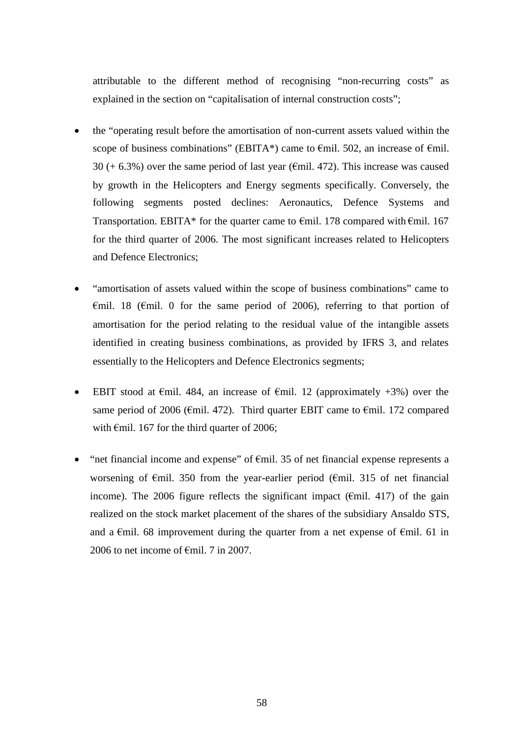attributable to the different method of recognising "non-recurring costs" as explained in the section on "capitalisation of internal construction costs";

- the "operating result before the amortisation of non-current assets valued within the scope of business combinations" (EBITA\*) came to  $\epsilon$ mil. 502, an increase of  $\epsilon$ mil. 30 (+ 6.3%) over the same period of last year ( $\epsilon$ mil. 472). This increase was caused by growth in the Helicopters and Energy segments specifically. Conversely, the following segments posted declines: Aeronautics, Defence Systems and Transportation. EBITA\* for the quarter came to  $\epsilon$ mil. 178 compared with  $\epsilon$ mil. 167 for the third quarter of 2006. The most significant increases related to Helicopters and Defence Electronics;
- "amortisation of assets valued within the scope of business combinations" came to  $\epsilon$ mil. 18 ( $\epsilon$ mil. 0 for the same period of 2006), referring to that portion of amortisation for the period relating to the residual value of the intangible assets identified in creating business combinations, as provided by IFRS 3, and relates essentially to the Helicopters and Defence Electronics segments;
- EBIT stood at  $\epsilon$ mil. 484, an increase of  $\epsilon$ mil. 12 (approximately +3%) over the same period of 2006 ( $\epsilon$ mil. 472). Third quarter EBIT came to  $\epsilon$ mil. 172 compared with  $\epsilon$ mil. 167 for the third quarter of 2006;
- "net financial income and expense" of  $\epsilon$ mil. 35 of net financial expense represents a worsening of €mil. 350 from the year-earlier period (€mil. 315 of net financial income). The 2006 figure reflects the significant impact ( $\epsilon$ mil. 417) of the gain realized on the stock market placement of the shares of the subsidiary Ansaldo STS, and a €mil. 68 improvement during the quarter from a net expense of €mil. 61 in 2006 to net income of  $\epsilon$ mil. 7 in 2007.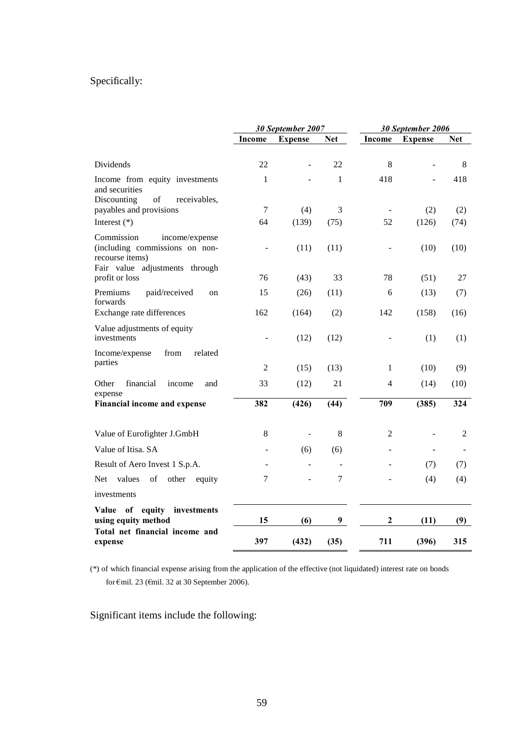# Specifically:

|                                                                                                                                                                                       | 30 September 2007 |                | 30 September 2006 |                |                          |            |
|---------------------------------------------------------------------------------------------------------------------------------------------------------------------------------------|-------------------|----------------|-------------------|----------------|--------------------------|------------|
|                                                                                                                                                                                       | Income            | <b>Expense</b> | <b>Net</b>        | <b>Income</b>  | <b>Expense</b>           | <b>Net</b> |
| Dividends                                                                                                                                                                             | 22                |                | 22                | 8              |                          | 8          |
| Income from equity investments<br>and securities<br>Discounting<br>$% \left( \left( \mathcal{A},\mathcal{A}\right) \right) =\left( \mathcal{A},\mathcal{A}\right)$ of<br>receivables, | $\mathbf{1}$      |                | 1                 | 418            |                          | 418        |
| payables and provisions                                                                                                                                                               | 7                 | (4)            | 3                 |                | (2)                      | (2)        |
| Interest $(*)$                                                                                                                                                                        | 64                | (139)          | (75)              | 52             | (126)                    | (74)       |
| Commission<br>income/expense<br>(including commissions on non-<br>recourse items)<br>Fair value adjustments through                                                                   |                   | (11)           | (11)              |                | (10)                     | (10)       |
| profit or loss                                                                                                                                                                        | 76                | (43)           | 33                | 78             | (51)                     | 27         |
| Premiums<br>paid/received<br>on<br>forwards                                                                                                                                           | 15                | (26)           | (11)              | 6              | (13)                     | (7)        |
| Exchange rate differences                                                                                                                                                             | 162               | (164)          | (2)               | 142            | (158)                    | (16)       |
| Value adjustments of equity<br>investments                                                                                                                                            |                   | (12)           | (12)              |                | (1)                      | (1)        |
| from<br>related<br>Income/expense<br>parties                                                                                                                                          | $\overline{2}$    | (15)           | (13)              | $\mathbf{1}$   | (10)                     | (9)        |
| Other<br>financial<br>income<br>and<br>expense                                                                                                                                        | 33                | (12)           | 21                | 4              | (14)                     | (10)       |
| Financial income and expense                                                                                                                                                          | 382               | (426)          | (44)              | 709            | (385)                    | 324        |
| Value of Eurofighter J.GmbH                                                                                                                                                           | 8                 | $\overline{a}$ | 8                 | $\mathfrak{2}$ | L.                       | 2          |
| Value of Itisa. SA                                                                                                                                                                    |                   | (6)            | (6)               |                | $\overline{\phantom{0}}$ |            |
| Result of Aero Invest 1 S.p.A.                                                                                                                                                        |                   |                |                   |                | (7)                      | (7)        |
| values<br>Net.<br>of<br>other<br>equity                                                                                                                                               | 7                 |                | 7                 |                | (4)                      | (4)        |
| investments                                                                                                                                                                           |                   |                |                   |                |                          |            |
| Value of equity investments<br>using equity method                                                                                                                                    | 15                | (6)            | $\boldsymbol{9}$  | $\overline{2}$ | (11)                     | (9)        |
| Total net financial income and<br>expense                                                                                                                                             | 397               | (432)          | (35)              | 711            | (396)                    | 315        |

(\*) of which financial expense arising from the application of the effective (not liquidated) interest rate on bonds for €mil. 23 (€mil. 32 at 30 September 2006).

Significant items include the following: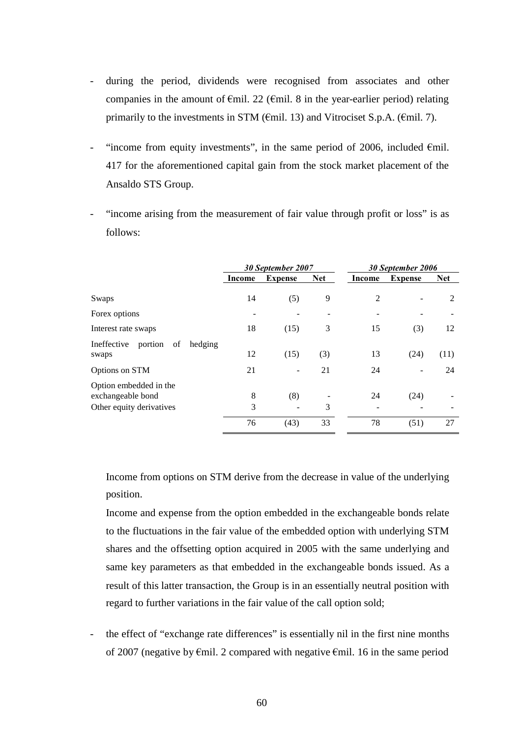- during the period, dividends were recognised from associates and other companies in the amount of  $\epsilon$ mil. 22 ( $\epsilon$ mil. 8 in the year-earlier period) relating primarily to the investments in STM ( $\epsilon$ mil. 13) and Vitrociset S.p.A. ( $\epsilon$ mil. 7).
- "income from equity investments", in the same period of 2006, included  $\epsilon$ mil. 417 for the aforementioned capital gain from the stock market placement of the Ansaldo STS Group.
- "income arising from the measurement of fair value through profit or loss" is as follows:

|                                                                         | 30 September 2007 |                | 30 September 2006 |        |                |            |
|-------------------------------------------------------------------------|-------------------|----------------|-------------------|--------|----------------|------------|
|                                                                         | Income            | <b>Expense</b> | <b>Net</b>        | Income | <b>Expense</b> | <b>Net</b> |
| Swaps                                                                   | 14                | (5)            | 9                 | 2      |                | 2          |
| Forex options                                                           |                   |                |                   |        |                |            |
| Interest rate swaps                                                     | 18                | (15)           | 3                 | 15     | (3)            | 12         |
| portion<br>of<br>Ineffective<br>hedging<br>swaps                        | 12                | (15)           | (3)               | 13     | (24)           | (11)       |
| Options on STM                                                          | 21                |                | 21                | 24     |                | 24         |
| Option embedded in the<br>exchangeable bond<br>Other equity derivatives | 8<br>3            | (8)            | 3                 | 24     | (24)           |            |
|                                                                         | 76                | (43)           | 33                | 78     | (51)           | 27         |

Income from options on STM derive from the decrease in value of the underlying position.

Income and expense from the option embedded in the exchangeable bonds relate to the fluctuations in the fair value of the embedded option with underlying STM shares and the offsetting option acquired in 2005 with the same underlying and same key parameters as that embedded in the exchangeable bonds issued. As a result of this latter transaction, the Group is in an essentially neutral position with regard to further variations in the fair value of the call option sold;

the effect of "exchange rate differences" is essentially nil in the first nine months of 2007 (negative by  $\epsilon$ mil. 2 compared with negative  $\epsilon$ mil. 16 in the same period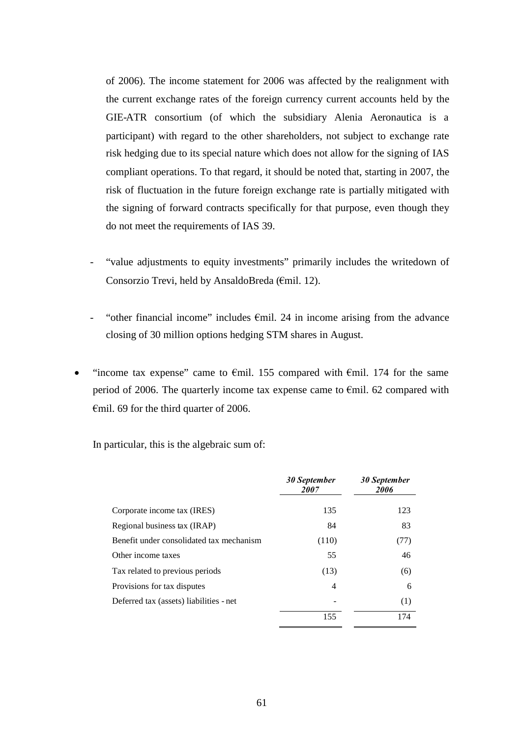of 2006). The income statement for 2006 was affected by the realignment with the current exchange rates of the foreign currency current accounts held by the GIE-ATR consortium (of which the subsidiary Alenia Aeronautica is a participant) with regard to the other shareholders, not subject to exchange rate risk hedging due to its special nature which does not allow for the signing of IAS compliant operations. To that regard, it should be noted that, starting in 2007, the risk of fluctuation in the future foreign exchange rate is partially mitigated with the signing of forward contracts specifically for that purpose, even though they do not meet the requirements of IAS 39.

- "value adjustments to equity investments" primarily includes the writedown of Consorzio Trevi, held by AnsaldoBreda (€mil. 12).
- "other financial income" includes  $\epsilon$ mil. 24 in income arising from the advance closing of 30 million options hedging STM shares in August.
- "income tax expense" came to  $\epsilon$ mil. 155 compared with  $\epsilon$ mil. 174 for the same period of 2006. The quarterly income tax expense came to €mil. 62 compared with €mil. 69 for the third quarter of 2006.

In particular, this is the algebraic sum of:

|                                          | 30 September<br>2007 | <b>30 September</b><br>2006 |
|------------------------------------------|----------------------|-----------------------------|
| Corporate income tax (IRES)              | 135                  | 123                         |
| Regional business tax (IRAP)             | 84                   | 83                          |
| Benefit under consolidated tax mechanism | (110)                | (77)                        |
| Other income taxes                       | 55                   | 46                          |
| Tax related to previous periods          | (13)                 | (6)                         |
| Provisions for tax disputes              | 4                    | 6                           |
| Deferred tax (assets) liabilities - net  |                      | (1)                         |
|                                          | 155                  | 174                         |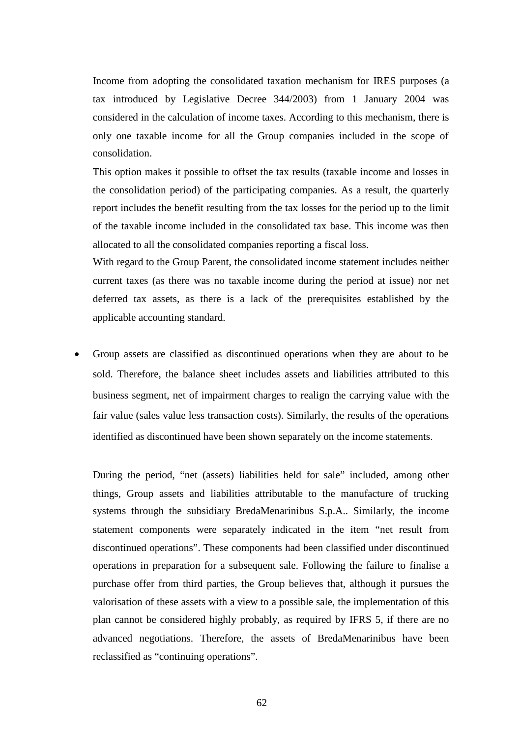Income from adopting the consolidated taxation mechanism for IRES purposes (a tax introduced by Legislative Decree 344/2003) from 1 January 2004 was considered in the calculation of income taxes. According to this mechanism, there is only one taxable income for all the Group companies included in the scope of consolidation.

This option makes it possible to offset the tax results (taxable income and losses in the consolidation period) of the participating companies. As a result, the quarterly report includes the benefit resulting from the tax losses for the period up to the limit of the taxable income included in the consolidated tax base. This income was then allocated to all the consolidated companies reporting a fiscal loss.

With regard to the Group Parent, the consolidated income statement includes neither current taxes (as there was no taxable income during the period at issue) nor net deferred tax assets, as there is a lack of the prerequisites established by the applicable accounting standard.

 Group assets are classified as discontinued operations when they are about to be sold. Therefore, the balance sheet includes assets and liabilities attributed to this business segment, net of impairment charges to realign the carrying value with the fair value (sales value less transaction costs). Similarly, the results of the operations identified as discontinued have been shown separately on the income statements.

During the period, "net (assets) liabilities held for sale" included, among other things, Group assets and liabilities attributable to the manufacture of trucking systems through the subsidiary BredaMenarinibus S.p.A.. Similarly, the income statement components were separately indicated in the item "net result from discontinued operations". These components had been classified under discontinued operations in preparation for a subsequent sale. Following the failure to finalise a purchase offer from third parties, the Group believes that, although it pursues the valorisation of these assets with a view to a possible sale, the implementation of this plan cannot be considered highly probably, as required by IFRS 5, if there are no advanced negotiations. Therefore, the assets of BredaMenarinibus have been reclassified as "continuing operations".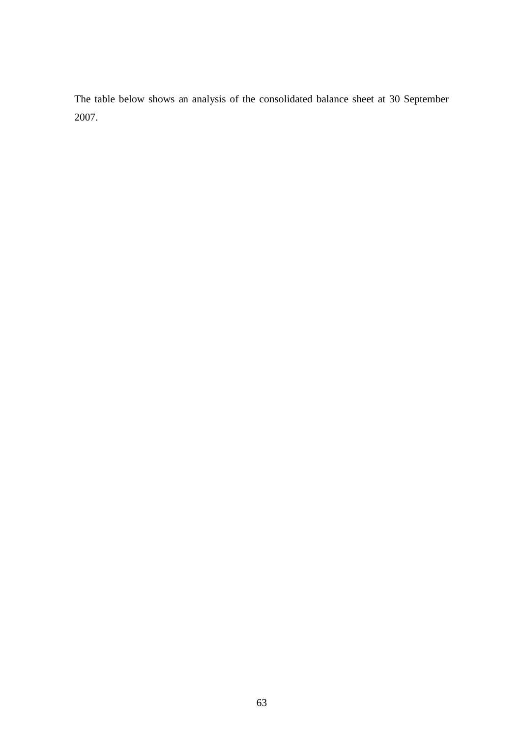The table below shows an analysis of the consolidated balance sheet at 30 September 2007.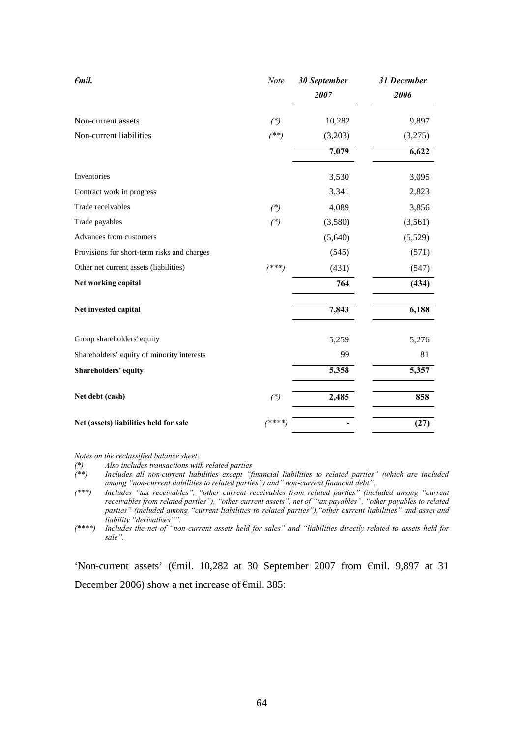| $\epsilon$ mil.                             | Note    | 30 September<br>2007 | 31 December<br>2006 |
|---------------------------------------------|---------|----------------------|---------------------|
| Non-current assets                          | $(*)$   | 10,282               | 9,897               |
| Non-current liabilities                     | $(**)$  | (3,203)              | (3,275)             |
|                                             |         | 7,079                | 6,622               |
| Inventories                                 |         | 3,530                | 3,095               |
| Contract work in progress                   |         | 3,341                | 2,823               |
| Trade receivables                           | $(*)$   | 4,089                | 3,856               |
| Trade payables                              | $(*)$   | (3,580)              | (3,561)             |
| Advances from customers                     |         | (5,640)              | (5,529)             |
| Provisions for short-term risks and charges |         | (545)                | (571)               |
| Other net current assets (liabilities)      | $(***)$ | (431)                | (547)               |
| Net working capital                         |         | 764                  | (434)               |
| Net invested capital                        |         | 7,843                | 6,188               |
| Group shareholders' equity                  |         | 5,259                | 5,276               |
| Shareholders' equity of minority interests  |         | 99                   | 81                  |
| Shareholders' equity                        |         | 5,358                | 5,357               |
| Net debt (cash)                             | $(*)$   | 2,485                | 858                 |
| Net (assets) liabilities held for sale      | /****   |                      | (27)                |

*Notes on the reclassified balance sheet:*

*(\*) Also includes transactions with related parties*

*(\*\*) Includes all non-current liabilities except "financial liabilities to related parties" (which are included among "non-current liabilities to related parties") and" non-current financial debt".*

*(\*\*\*) Includes "tax receivables", "other current receivables from related parties" (included among "current receivables from related parties"), "other current assets", net of "tax payables", "other payables to related parties" (included among "current liabilities to related parties"),"other current liabilities" and asset and liability "derivatives"".*

*(\*\*\*\*) Includes the net of "non-current assets held for sales" and "liabilities directly related to assets held for sale".*

'Non-current assets' (€mil. 10,282 at 30 September 2007 from €mil. 9,897 at 31 December 2006) show a net increase of €mil. 385: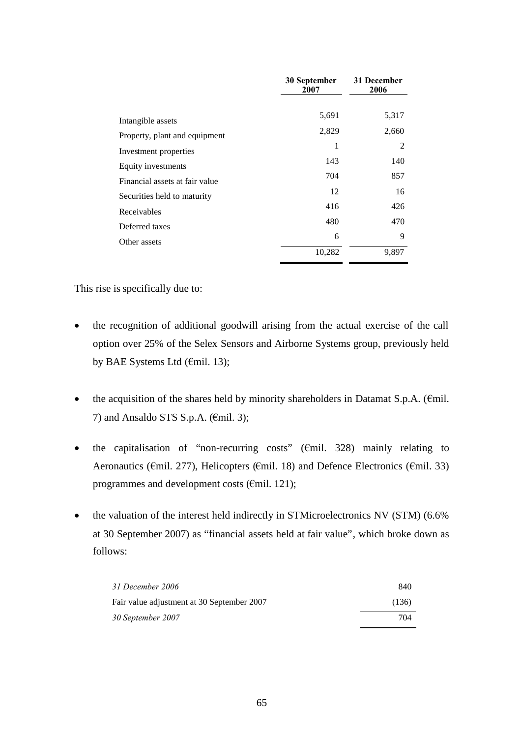|                                | 30 September<br>2007 | 31 December<br>2006 |  |
|--------------------------------|----------------------|---------------------|--|
| Intangible assets              | 5,691                | 5,317               |  |
| Property, plant and equipment  | 2,829                | 2,660               |  |
| Investment properties          | 1                    | 2                   |  |
| Equity investments             | 143                  | 140                 |  |
| Financial assets at fair value | 704                  | 857                 |  |
| Securities held to maturity    | 12                   | 16                  |  |
| Receivables                    | 416                  | 426                 |  |
| Deferred taxes                 | 480                  | 470                 |  |
| Other assets                   | 6                    | 9                   |  |
|                                | 10,282               | 9,897               |  |

This rise is specifically due to:

- the recognition of additional goodwill arising from the actual exercise of the call option over 25% of the Selex Sensors and Airborne Systems group, previously held by BAE Systems Ltd (€mil. 13);
- the acquisition of the shares held by minority shareholders in Datamat S.p.A. ( $\epsilon$ mil.) 7) and Ansaldo STS S.p.A. ( $\epsilon$ mil. 3);
- the capitalisation of "non-recurring costs" ( $\epsilon$ mil. 328) mainly relating to Aeronautics ( $\epsilon$ mil. 277), Helicopters ( $\epsilon$ mil. 18) and Defence Electronics ( $\epsilon$ mil. 33) programmes and development costs (€mil. 121);
- the valuation of the interest held indirectly in STMicroelectronics NV (STM) (6.6% at 30 September 2007) as "financial assets held at fair value", which broke down as follows:

| 31 December 2006                           | 840   |
|--------------------------------------------|-------|
| Fair value adjustment at 30 September 2007 | (136) |
| 30 September 2007                          | 704   |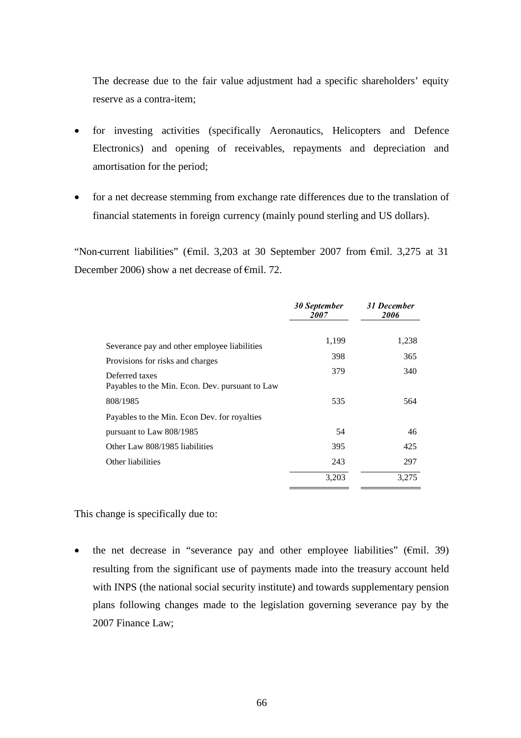The decrease due to the fair value adjustment had a specific shareholders' equity reserve as a contra-item;

- for investing activities (specifically Aeronautics, Helicopters and Defence Electronics) and opening of receivables, repayments and depreciation and amortisation for the period;
- for a net decrease stemming from exchange rate differences due to the translation of financial statements in foreign currency (mainly pound sterling and US dollars).

"Non-current liabilities" ( $\epsilon$ mil. 3,203 at 30 September 2007 from  $\epsilon$ mil. 3,275 at 31 December 2006) show a net decrease of €mil. 72.

|                                                                                  | 30 September<br><i>2007</i> | 31 December<br>2006 |
|----------------------------------------------------------------------------------|-----------------------------|---------------------|
|                                                                                  | 1,199                       | 1,238               |
| Severance pay and other employee liabilities<br>Provisions for risks and charges | 398                         | 365                 |
| Deferred taxes<br>Payables to the Min. Econ. Dev. pursuant to Law                | 379                         | 340                 |
| 808/1985                                                                         | 535                         | 564                 |
| Payables to the Min. Econ Dev. for royalties                                     |                             |                     |
| pursuant to Law 808/1985                                                         | 54                          | 46                  |
| Other Law 808/1985 liabilities                                                   | 395                         | 425                 |
| Other liabilities                                                                | 243                         | 297                 |
|                                                                                  | 3,203                       | 3.275               |

This change is specifically due to:

• the net decrease in "severance pay and other employee liabilities" ( $\epsilon$ mil. 39) resulting from the significant use of payments made into the treasury account held with INPS (the national social security institute) and towards supplementary pension plans following changes made to the legislation governing severance pay by the 2007 Finance Law;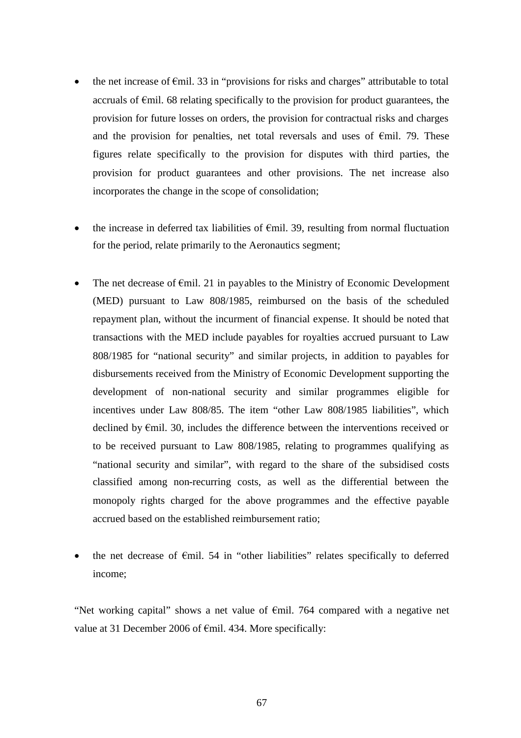- the net increase of  $\epsilon$ mil. 33 in "provisions for risks and charges" attributable to total accruals of  $\epsilon$ mil. 68 relating specifically to the provision for product guarantees, the provision for future losses on orders, the provision for contractual risks and charges and the provision for penalties, net total reversals and uses of  $\epsilon$ mil. 79. These figures relate specifically to the provision for disputes with third parties, the provision for product guarantees and other provisions. The net increase also incorporates the change in the scope of consolidation;
- the increase in deferred tax liabilities of  $\epsilon$ mil. 39, resulting from normal fluctuation for the period, relate primarily to the Aeronautics segment;
- The net decrease of  $\epsilon$ mil. 21 in payables to the Ministry of Economic Development (MED) pursuant to Law 808/1985, reimbursed on the basis of the scheduled repayment plan, without the incurment of financial expense. It should be noted that transactions with the MED include payables for royalties accrued pursuant to Law 808/1985 for "national security" and similar projects, in addition to payables for disbursements received from the Ministry of Economic Development supporting the development of non-national security and similar programmes eligible for incentives under Law 808/85. The item "other Law 808/1985 liabilities", which declined by €mil. 30, includes the difference between the interventions received or to be received pursuant to Law 808/1985, relating to programmes qualifying as "national security and similar", with regard to the share of the subsidised costs classified among non-recurring costs, as well as the differential between the monopoly rights charged for the above programmes and the effective payable accrued based on the established reimbursement ratio;
- the net decrease of €mil. 54 in "other liabilities" relates specifically to deferred income;

"Net working capital" shows a net value of €mil. 764 compared with a negative net value at 31 December 2006 of €mil. 434. More specifically: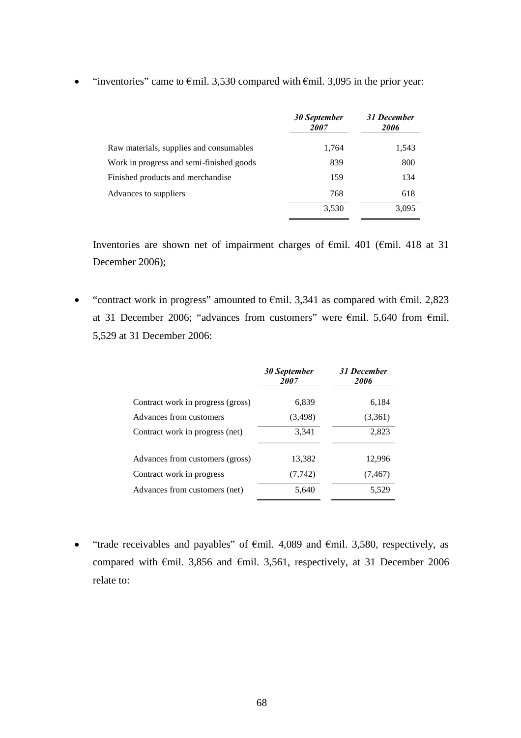|                                          | 30 September<br><i>2007</i> | 31 December<br>2006 |
|------------------------------------------|-----------------------------|---------------------|
| Raw materials, supplies and consumables  | 1,764                       | 1,543               |
| Work in progress and semi-finished goods | 839                         | 800                 |
| Finished products and merchandise        | 159                         | 134                 |
| Advances to suppliers                    | 768                         | 618                 |
|                                          | 3,530                       | 3.095               |

• "inventories" came to  $\epsilon$ mil. 3,530 compared with  $\epsilon$ mil. 3,095 in the prior year:

Inventories are shown net of impairment charges of €mil. 401 (€mil. 418 at 31 December 2006);

• "contract work in progress" amounted to  $\epsilon$ mil. 3,341 as compared with  $\epsilon$ mil. 2,823 at 31 December 2006; "advances from customers" were €mil. 5,640 from €mil. 5,529 at 31 December 2006:

|                                   | 30 September<br>2007 | 31 December<br>2006 |
|-----------------------------------|----------------------|---------------------|
| Contract work in progress (gross) | 6,839                | 6,184               |
| Advances from customers           | (3,498)              | (3,361)             |
| Contract work in progress (net)   | 3,341                | 2,823               |
| Advances from customers (gross)   | 13,382               | 12,996              |
| Contract work in progress         | (7, 742)             | (7, 467)            |
| Advances from customers (net)     | 5,640                | 5,529               |

• "trade receivables and payables" of  $\epsilon$ mil. 4,089 and  $\epsilon$ mil. 3,580, respectively, as compared with  $\epsilon$ mil. 3,856 and  $\epsilon$ mil. 3,561, respectively, at 31 December 2006 relate to: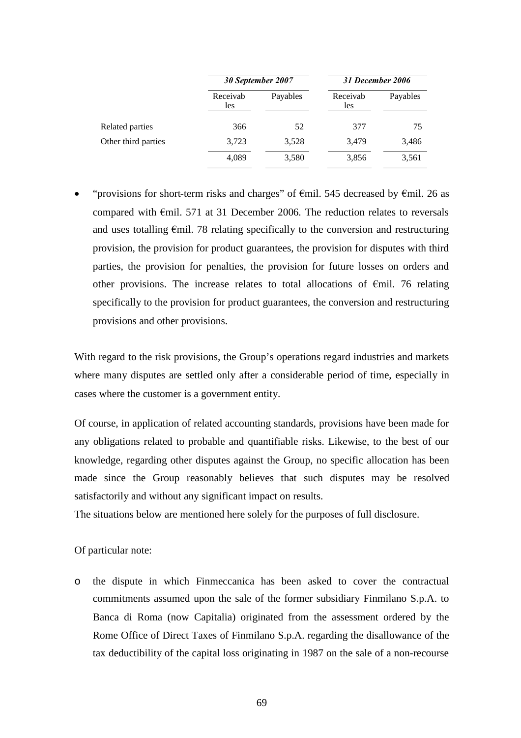|                     |                 | 30 September 2007 |                 | 31 December 2006 |
|---------------------|-----------------|-------------------|-----------------|------------------|
|                     | Receivab<br>les | Payables          | Receivab<br>les | Payables         |
| Related parties     | 366             | 52                | 377             | 75               |
| Other third parties | 3,723           | 3,528             | 3,479           | 3,486            |
|                     | 4,089           | 3,580             | 3,856           | 3,561            |

"provisions for short-term risks and charges" of  $\epsilon$ mil. 545 decreased by  $\epsilon$ mil. 26 as compared with  $\epsilon$ mil. 571 at 31 December 2006. The reduction relates to reversals and uses totalling  $\epsilon$ mil. 78 relating specifically to the conversion and restructuring provision, the provision for product guarantees, the provision for disputes with third parties, the provision for penalties, the provision for future losses on orders and other provisions. The increase relates to total allocations of €mil. 76 relating specifically to the provision for product guarantees, the conversion and restructuring provisions and other provisions.

With regard to the risk provisions, the Group's operations regard industries and markets where many disputes are settled only after a considerable period of time, especially in cases where the customer is a government entity.

Of course, in application of related accounting standards, provisions have been made for any obligations related to probable and quantifiable risks. Likewise, to the best of our knowledge, regarding other disputes against the Group, no specific allocation has been made since the Group reasonably believes that such disputes may be resolved satisfactorily and without any significant impact on results.

The situations below are mentioned here solely for the purposes of full disclosure.

Of particular note:

o the dispute in which Finmeccanica has been asked to cover the contractual commitments assumed upon the sale of the former subsidiary Finmilano S.p.A. to Banca di Roma (now Capitalia) originated from the assessment ordered by the Rome Office of Direct Taxes of Finmilano S.p.A. regarding the disallowance of the tax deductibility of the capital loss originating in 1987 on the sale of a non-recourse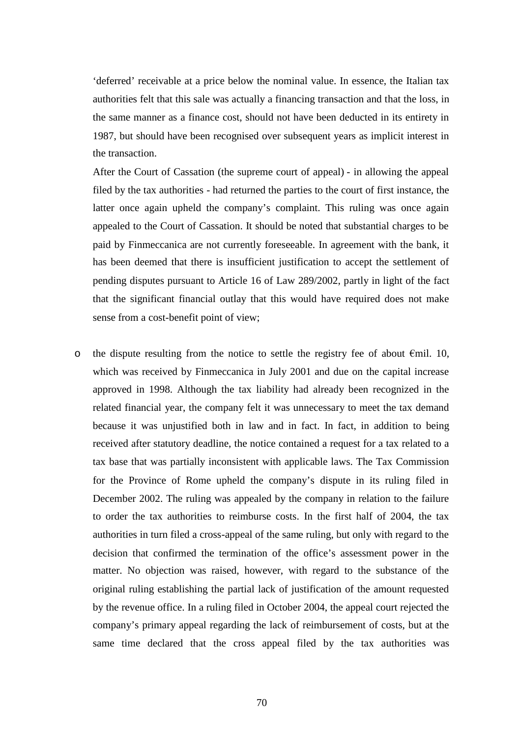'deferred' receivable at a price below the nominal value. In essence, the Italian tax authorities felt that this sale was actually a financing transaction and that the loss, in the same manner as a finance cost, should not have been deducted in its entirety in 1987, but should have been recognised over subsequent years as implicit interest in the transaction.

After the Court of Cassation (the supreme court of appeal) - in allowing the appeal filed by the tax authorities - had returned the parties to the court of first instance, the latter once again upheld the company's complaint. This ruling was once again appealed to the Court of Cassation. It should be noted that substantial charges to be paid by Finmeccanica are not currently foreseeable. In agreement with the bank, it has been deemed that there is insufficient justification to accept the settlement of pending disputes pursuant to Article 16 of Law 289/2002, partly in light of the fact that the significant financial outlay that this would have required does not make sense from a cost-benefit point of view;

o the dispute resulting from the notice to settle the registry fee of about  $\epsilon$ mil. 10, which was received by Finmeccanica in July 2001 and due on the capital increase approved in 1998. Although the tax liability had already been recognized in the related financial year, the company felt it was unnecessary to meet the tax demand because it was unjustified both in law and in fact. In fact, in addition to being received after statutory deadline, the notice contained a request for a tax related to a tax base that was partially inconsistent with applicable laws. The Tax Commission for the Province of Rome upheld the company's dispute in its ruling filed in December 2002. The ruling was appealed by the company in relation to the failure to order the tax authorities to reimburse costs. In the first half of 2004, the tax authorities in turn filed a cross-appeal of the same ruling, but only with regard to the decision that confirmed the termination of the office's assessment power in the matter. No objection was raised, however, with regard to the substance of the original ruling establishing the partial lack of justification of the amount requested by the revenue office. In a ruling filed in October 2004, the appeal court rejected the company's primary appeal regarding the lack of reimbursement of costs, but at the same time declared that the cross appeal filed by the tax authorities was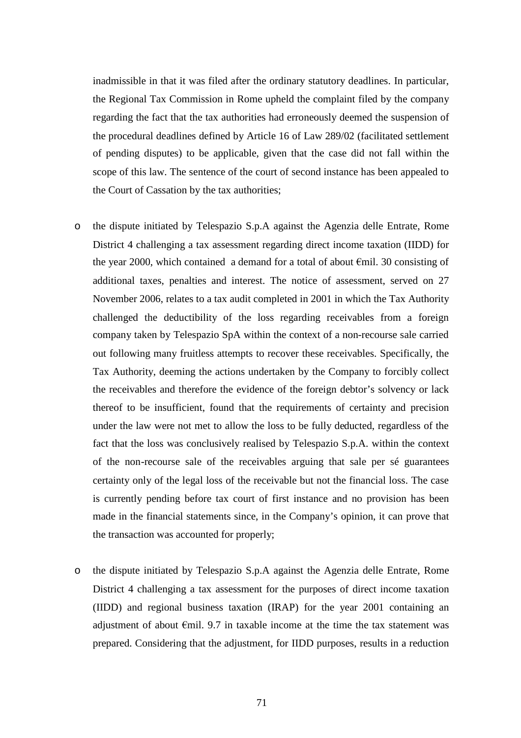inadmissible in that it was filed after the ordinary statutory deadlines. In particular, the Regional Tax Commission in Rome upheld the complaint filed by the company regarding the fact that the tax authorities had erroneously deemed the suspension of the procedural deadlines defined by Article 16 of Law 289/02 (facilitated settlement of pending disputes) to be applicable, given that the case did not fall within the scope of this law. The sentence of the court of second instance has been appealed to the Court of Cassation by the tax authorities;

- o the dispute initiated by Telespazio S.p.A against the Agenzia delle Entrate, Rome District 4 challenging a tax assessment regarding direct income taxation (IIDD) for the year 2000, which contained a demand for a total of about  $\epsilon$ mil. 30 consisting of additional taxes, penalties and interest. The notice of assessment, served on 27 November 2006, relates to a tax audit completed in 2001 in which the Tax Authority challenged the deductibility of the loss regarding receivables from a foreign company taken by Telespazio SpA within the context of a non-recourse sale carried out following many fruitless attempts to recover these receivables. Specifically, the Tax Authority, deeming the actions undertaken by the Company to forcibly collect the receivables and therefore the evidence of the foreign debtor's solvency or lack thereof to be insufficient, found that the requirements of certainty and precision under the law were not met to allow the loss to be fully deducted, regardless of the fact that the loss was conclusively realised by Telespazio S.p.A. within the context of the non-recourse sale of the receivables arguing that sale per sé guarantees certainty only of the legal loss of the receivable but not the financial loss. The case is currently pending before tax court of first instance and no provision has been made in the financial statements since, in the Company's opinion, it can prove that the transaction was accounted for properly;
- o the dispute initiated by Telespazio S.p.A against the Agenzia delle Entrate, Rome District 4 challenging a tax assessment for the purposes of direct income taxation (IIDD) and regional business taxation (IRAP) for the year 2001 containing an adjustment of about  $\epsilon$ mil. 9.7 in taxable income at the time the tax statement was prepared. Considering that the adjustment, for IIDD purposes, results in a reduction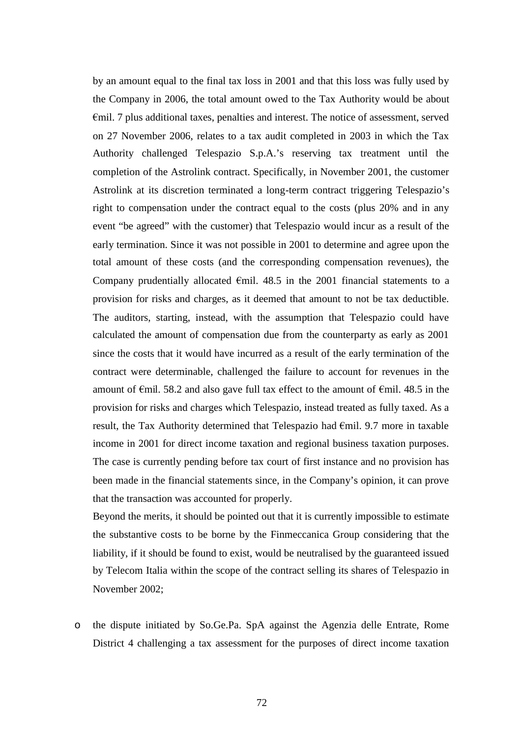by an amount equal to the final tax loss in 2001 and that this loss was fully used by the Company in 2006, the total amount owed to the Tax Authority would be about €mil. 7 plus additional taxes, penalties and interest. The notice of assessment, served on 27 November 2006, relates to a tax audit completed in 2003 in which the Tax Authority challenged Telespazio S.p.A.'s reserving tax treatment until the completion of the Astrolink contract. Specifically, in November 2001, the customer Astrolink at its discretion terminated a long-term contract triggering Telespazio's right to compensation under the contract equal to the costs (plus 20% and in any event "be agreed" with the customer) that Telespazio would incur as a result of the early termination. Since it was not possible in 2001 to determine and agree upon the total amount of these costs (and the corresponding compensation revenues), the Company prudentially allocated  $\epsilon$ mil. 48.5 in the 2001 financial statements to a provision for risks and charges, as it deemed that amount to not be tax deductible. The auditors, starting, instead, with the assumption that Telespazio could have calculated the amount of compensation due from the counterparty as early as 2001 since the costs that it would have incurred as a result of the early termination of the contract were determinable, challenged the failure to account for revenues in the amount of  $\epsilon$ mil. 58.2 and also gave full tax effect to the amount of  $\epsilon$ mil. 48.5 in the provision for risks and charges which Telespazio, instead treated as fully taxed. As a result, the Tax Authority determined that Telespazio had  $\epsilon$ mil. 9.7 more in taxable income in 2001 for direct income taxation and regional business taxation purposes. The case is currently pending before tax court of first instance and no provision has been made in the financial statements since, in the Company's opinion, it can prove that the transaction was accounted for properly.

Beyond the merits, it should be pointed out that it is currently impossible to estimate the substantive costs to be borne by the Finmeccanica Group considering that the liability, if it should be found to exist, would be neutralised by the guaranteed issued by Telecom Italia within the scope of the contract selling its shares of Telespazio in November 2002;

o the dispute initiated by So.Ge.Pa. SpA against the Agenzia delle Entrate, Rome District 4 challenging a tax assessment for the purposes of direct income taxation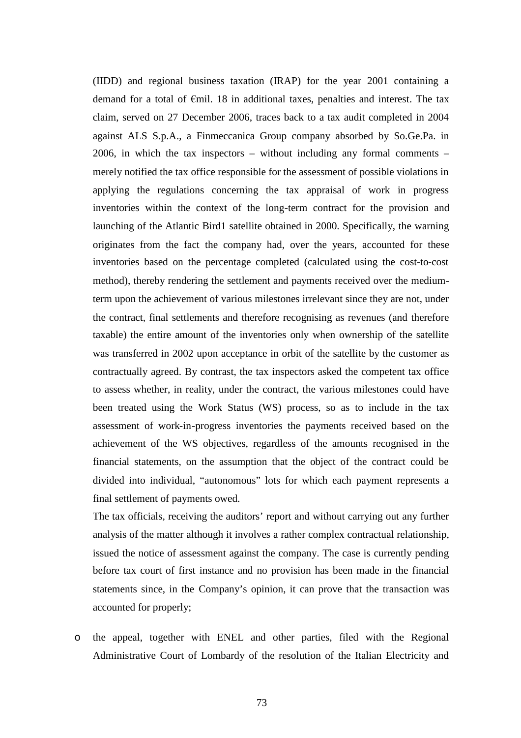(IIDD) and regional business taxation (IRAP) for the year 2001 containing a demand for a total of €mil. 18 in additional taxes, penalties and interest. The tax claim, served on 27 December 2006, traces back to a tax audit completed in 2004 against ALS S.p.A., a Finmeccanica Group company absorbed by So.Ge.Pa. in 2006, in which the tax inspectors – without including any formal comments – merely notified the tax office responsible for the assessment of possible violations in applying the regulations concerning the tax appraisal of work in progress inventories within the context of the long-term contract for the provision and launching of the Atlantic Bird1 satellite obtained in 2000. Specifically, the warning originates from the fact the company had, over the years, accounted for these inventories based on the percentage completed (calculated using the cost-to-cost method), thereby rendering the settlement and payments received over the mediumterm upon the achievement of various milestones irrelevant since they are not, under the contract, final settlements and therefore recognising as revenues (and therefore taxable) the entire amount of the inventories only when ownership of the satellite was transferred in 2002 upon acceptance in orbit of the satellite by the customer as contractually agreed. By contrast, the tax inspectors asked the competent tax office to assess whether, in reality, under the contract, the various milestones could have been treated using the Work Status (WS) process, so as to include in the tax assessment of work-in-progress inventories the payments received based on the achievement of the WS objectives, regardless of the amounts recognised in the financial statements, on the assumption that the object of the contract could be divided into individual, "autonomous" lots for which each payment represents a final settlement of payments owed.

The tax officials, receiving the auditors' report and without carrying out any further analysis of the matter although it involves a rather complex contractual relationship, issued the notice of assessment against the company. The case is currently pending before tax court of first instance and no provision has been made in the financial statements since, in the Company's opinion, it can prove that the transaction was accounted for properly;

o the appeal, together with ENEL and other parties, filed with the Regional Administrative Court of Lombardy of the resolution of the Italian Electricity and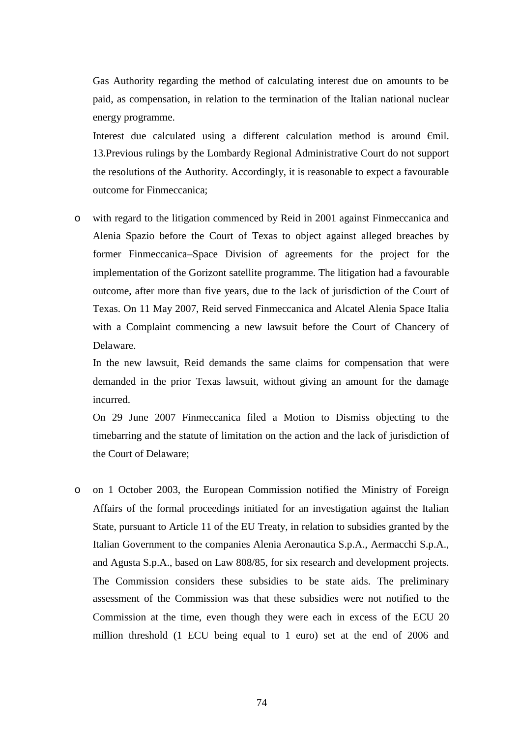Gas Authority regarding the method of calculating interest due on amounts to be paid, as compensation, in relation to the termination of the Italian national nuclear energy programme.

Interest due calculated using a different calculation method is around €mil. 13.Previous rulings by the Lombardy Regional Administrative Court do not support the resolutions of the Authority. Accordingly, it is reasonable to expect a favourable outcome for Finmeccanica;

o with regard to the litigation commenced by Reid in 2001 against Finmeccanica and Alenia Spazio before the Court of Texas to object against alleged breaches by former Finmeccanica–Space Division of agreements for the project for the implementation of the Gorizont satellite programme. The litigation had a favourable outcome, after more than five years, due to the lack of jurisdiction of the Court of Texas. On 11 May 2007, Reid served Finmeccanica and Alcatel Alenia Space Italia with a Complaint commencing a new lawsuit before the Court of Chancery of Delaware.

In the new lawsuit, Reid demands the same claims for compensation that were demanded in the prior Texas lawsuit, without giving an amount for the damage incurred.

On 29 June 2007 Finmeccanica filed a Motion to Dismiss objecting to the timebarring and the statute of limitation on the action and the lack of jurisdiction of the Court of Delaware;

o on 1 October 2003, the European Commission notified the Ministry of Foreign Affairs of the formal proceedings initiated for an investigation against the Italian State, pursuant to Article 11 of the EU Treaty, in relation to subsidies granted by the Italian Government to the companies Alenia Aeronautica S.p.A., Aermacchi S.p.A., and Agusta S.p.A., based on Law 808/85, for six research and development projects. The Commission considers these subsidies to be state aids. The preliminary assessment of the Commission was that these subsidies were not notified to the Commission at the time, even though they were each in excess of the ECU 20 million threshold (1 ECU being equal to 1 euro) set at the end of 2006 and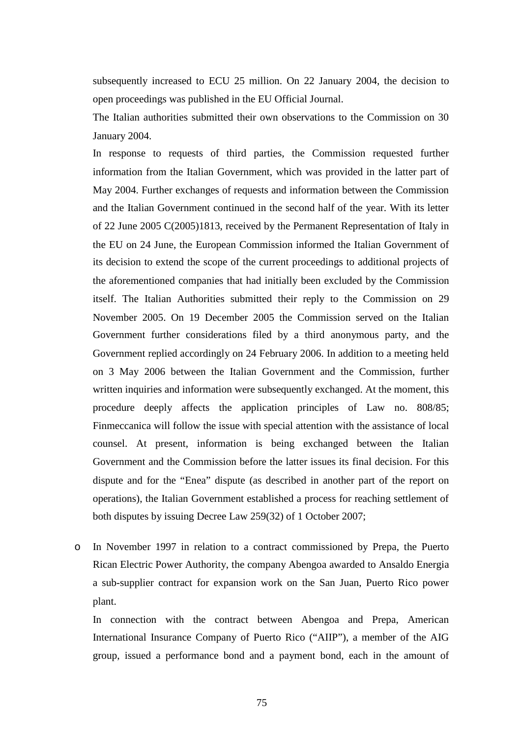subsequently increased to ECU 25 million. On 22 January 2004, the decision to open proceedings was published in the EU Official Journal.

The Italian authorities submitted their own observations to the Commission on 30 January 2004.

In response to requests of third parties, the Commission requested further information from the Italian Government, which was provided in the latter part of May 2004. Further exchanges of requests and information between the Commission and the Italian Government continued in the second half of the year. With its letter of 22 June 2005 C(2005)1813, received by the Permanent Representation of Italy in the EU on 24 June, the European Commission informed the Italian Government of its decision to extend the scope of the current proceedings to additional projects of the aforementioned companies that had initially been excluded by the Commission itself. The Italian Authorities submitted their reply to the Commission on 29 November 2005. On 19 December 2005 the Commission served on the Italian Government further considerations filed by a third anonymous party, and the Government replied accordingly on 24 February 2006. In addition to a meeting held on 3 May 2006 between the Italian Government and the Commission, further written inquiries and information were subsequently exchanged. At the moment, this procedure deeply affects the application principles of Law no. 808/85; Finmeccanica will follow the issue with special attention with the assistance of local counsel. At present, information is being exchanged between the Italian Government and the Commission before the latter issues its final decision. For this dispute and for the "Enea" dispute (as described in another part of the report on operations), the Italian Government established a process for reaching settlement of both disputes by issuing Decree Law 259(32) of 1 October 2007;

o In November 1997 in relation to a contract commissioned by Prepa, the Puerto Rican Electric Power Authority, the company Abengoa awarded to Ansaldo Energia a sub-supplier contract for expansion work on the San Juan, Puerto Rico power plant.

In connection with the contract between Abengoa and Prepa, American International Insurance Company of Puerto Rico ("AIIP"), a member of the AIG group, issued a performance bond and a payment bond, each in the amount of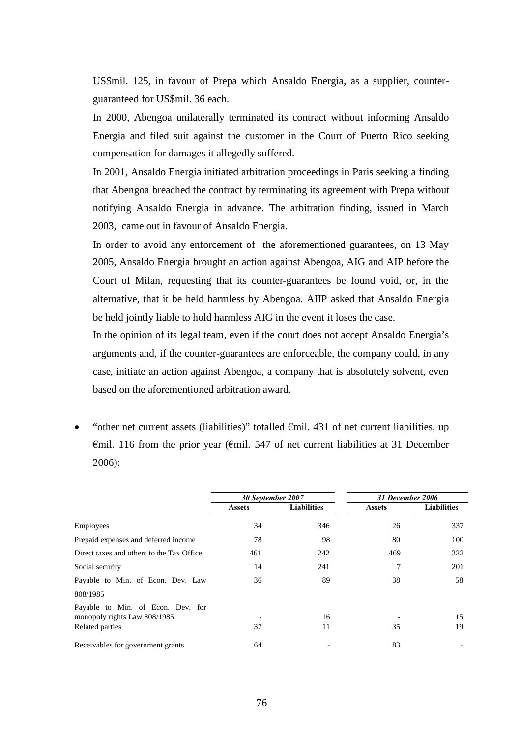US\$mil. 125, in favour of Prepa which Ansaldo Energia, as a supplier, counterguaranteed for US\$mil. 36 each.

In 2000, Abengoa unilaterally terminated its contract without informing Ansaldo Energia and filed suit against the customer in the Court of Puerto Rico seeking compensation for damages it allegedly suffered.

In 2001, Ansaldo Energia initiated arbitration proceedings in Paris seeking a finding that Abengoa breached the contract by terminating its agreement with Prepa without notifying Ansaldo Energia in advance. The arbitration finding, issued in March 2003, came out in favour of Ansaldo Energia.

In order to avoid any enforcement of the aforementioned guarantees, on 13 May 2005, Ansaldo Energia brought an action against Abengoa, AIG and AIP before the Court of Milan, requesting that its counter-guarantees be found void, or, in the alternative, that it be held harmless by Abengoa. AIIP asked that Ansaldo Energia be held jointly liable to hold harmless AIG in the event it loses the case.

In the opinion of its legal team, even if the court does not accept Ansaldo Energia's arguments and, if the counter-guarantees are enforceable, the company could, in any case, initiate an action against Abengoa, a company that is absolutely solvent, even based on the aforementioned arbitration award.

"other net current assets (liabilities)" totalled  $\epsilon$ mil. 431 of net current liabilities, up €mil. 116 from the prior year (€mil. 547 of net current liabilities at 31 December 2006):

|                                                                   | 30 September 2007 |                    | 31 December 2006 |                    |  |
|-------------------------------------------------------------------|-------------------|--------------------|------------------|--------------------|--|
|                                                                   | <b>Assets</b>     | <b>Liabilities</b> | <b>Assets</b>    | <b>Liabilities</b> |  |
| Employees                                                         | 34                | 346                | 26               | 337                |  |
| Prepaid expenses and deferred income                              | 78                | 98                 | 80               | 100                |  |
| Direct taxes and others to the Tax Office                         | 461               | 242                | 469              | 322                |  |
| Social security                                                   | 14                | 241                |                  | 201                |  |
| Payable to Min. of Econ. Dev. Law                                 | 36                | 89                 | 38               | 58                 |  |
| 808/1985                                                          |                   |                    |                  |                    |  |
| Payable to Min. of Econ. Dev. for<br>monopoly rights Law 808/1985 |                   | 16                 |                  | 15                 |  |
| Related parties                                                   | 37                | 11                 | 35               | 19                 |  |
| Receivables for government grants                                 | 64                |                    | 83               |                    |  |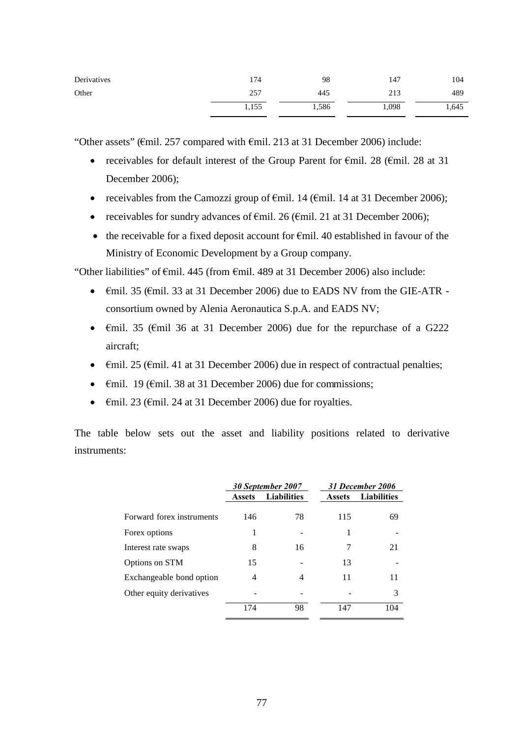| Derivatives | 174   | 98    | 147   | 104   |
|-------------|-------|-------|-------|-------|
| Other       | 257   | 445   | 213   | 489   |
|             | 1,155 | 1,586 | 1,098 | 1,645 |

"Other assets" (€mil. 257 compared with €mil. 213 at 31 December 2006) include:

- receivables for default interest of the Group Parent for  $\epsilon$ mil. 28 ( $\epsilon$ mil. 28 at 31) December 2006);
- receivables from the Camozzi group of  $\epsilon$ mil. 14 ( $\epsilon$ mil. 14 at 31 December 2006);
- receivables for sundry advances of  $\epsilon$ mil. 26 ( $\epsilon$ mil. 21 at 31 December 2006);
- the receivable for a fixed deposit account for  $\epsilon$ mil. 40 established in favour of the Ministry of Economic Development by a Group company.

"Other liabilities" of  $\epsilon$ mil. 445 (from  $\epsilon$ mil. 489 at 31 December 2006) also include:

- Emil. 35 (Emil. 33 at 31 December 2006) due to EADS NV from the GIE-ATR consortium owned by Alenia Aeronautica S.p.A. and EADS NV;
- $\epsilon$ mil. 35 ( $\epsilon$ mil 36 at 31 December 2006) due for the repurchase of a G222 aircraft;
- $\epsilon$ mil. 25 ( $\epsilon$ mil. 41 at 31 December 2006) due in respect of contractual penalties;
- $\epsilon$ mil. 19 ( $\epsilon$ mil. 38 at 31 December 2006) due for commissions;
- $\epsilon$ mil. 23 ( $\epsilon$ mil. 24 at 31 December 2006) due for royalties.

The table below sets out the asset and liability positions related to derivative instruments:

|                           |                                     | 30 September 2007 |               | 31 December 2006   |
|---------------------------|-------------------------------------|-------------------|---------------|--------------------|
|                           | <b>Liabilities</b><br><b>Assets</b> |                   | <b>Assets</b> | <b>Liabilities</b> |
| Forward forex instruments | 146                                 | 78                | 115           | 69                 |
| Forex options             | 1                                   |                   | 1             |                    |
| Interest rate swaps       | 8                                   | 16                | 7             | 21                 |
| Options on STM            | 15                                  |                   | 13            |                    |
| Exchangeable bond option  | 4                                   | 4                 | 11            | 11                 |
| Other equity derivatives  |                                     |                   |               | 3                  |
|                           | 174                                 | 98                | 147           | 104                |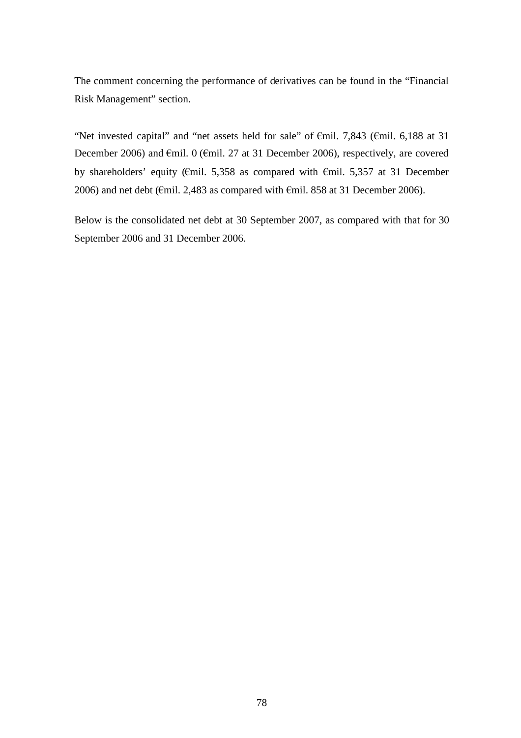The comment concerning the performance of derivatives can be found in the "Financial Risk Management" section.

"Net invested capital" and "net assets held for sale" of €mil. 7,843 (€mil. 6,188 at 31 December 2006) and €mil. 0 (€mil. 27 at 31 December 2006), respectively, are covered by shareholders' equity (€mil. 5,358 as compared with €mil. 5,357 at 31 December 2006) and net debt ( $\epsilon$ mil. 2,483 as compared with  $\epsilon$ mil. 858 at 31 December 2006).

Below is the consolidated net debt at 30 September 2007, as compared with that for 30 September 2006 and 31 December 2006.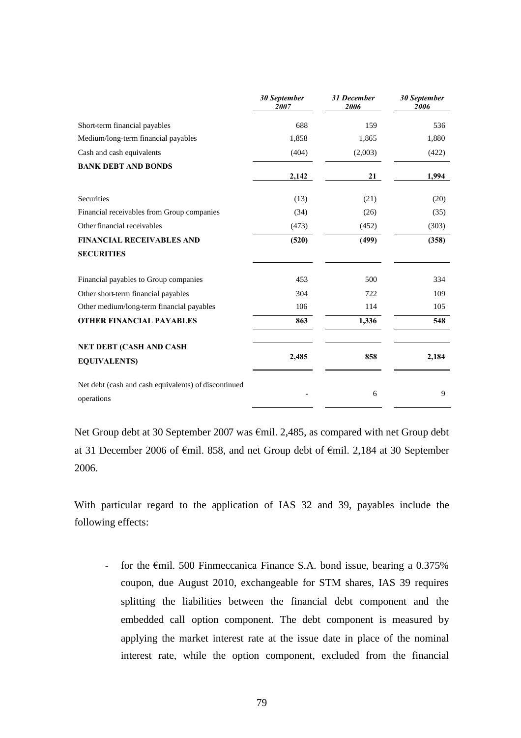| 30 September<br>2007 | 31 December<br>2006 | 30 September<br>2006 |
|----------------------|---------------------|----------------------|
| 688                  | 159                 | 536                  |
| 1,858                | 1,865               | 1,880                |
| (404)                | (2,003)             | (422)                |
| 2,142                | 21                  | 1,994                |
| (13)                 | (21)                | (20)                 |
| (34)                 | (26)                | (35)                 |
| (473)                | (452)               | (303)                |
| (520)                | (499)               | (358)                |
|                      |                     |                      |
| 453                  | 500                 | 334                  |
| 304                  | 722                 | 109                  |
| 106                  | 114                 | 105                  |
| 863                  | 1,336               | 548                  |
|                      |                     |                      |
|                      |                     |                      |

Net Group debt at 30 September 2007 was €mil. 2,485, as compared with net Group debt at 31 December 2006 of €mil. 858, and net Group debt of €mil. 2,184 at 30 September 2006.

With particular regard to the application of IAS 32 and 39, payables include the following effects:

- for the  $\epsilon$ mil. 500 Finmeccanica Finance S.A. bond issue, bearing a 0.375% coupon, due August 2010, exchangeable for STM shares, IAS 39 requires splitting the liabilities between the financial debt component and the embedded call option component. The debt component is measured by applying the market interest rate at the issue date in place of the nominal interest rate, while the option component, excluded from the financial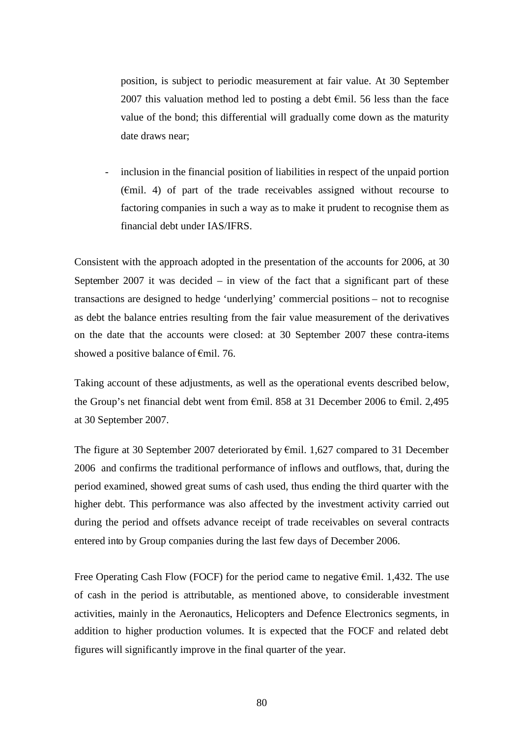position, is subject to periodic measurement at fair value. At 30 September 2007 this valuation method led to posting a debt  $\epsilon$ mil. 56 less than the face value of the bond; this differential will gradually come down as the maturity date draws near;

inclusion in the financial position of liabilities in respect of the unpaid portion (€mil. 4) of part of the trade receivables assigned without recourse to factoring companies in such a way as to make it prudent to recognise them as financial debt under IAS/IFRS.

Consistent with the approach adopted in the presentation of the accounts for 2006, at 30 September 2007 it was decided  $-$  in view of the fact that a significant part of these transactions are designed to hedge 'underlying' commercial positions – not to recognise as debt the balance entries resulting from the fair value measurement of the derivatives on the date that the accounts were closed: at 30 September 2007 these contra-items showed a positive balance of €mil. 76.

Taking account of these adjustments, as well as the operational events described below, the Group's net financial debt went from €mil. 858 at 31 December 2006 to €mil. 2,495 at 30 September 2007.

The figure at 30 September 2007 deteriorated by  $\epsilon$ mil. 1,627 compared to 31 December 2006 and confirms the traditional performance of inflows and outflows, that, during the period examined, showed great sums of cash used, thus ending the third quarter with the higher debt. This performance was also affected by the investment activity carried out during the period and offsets advance receipt of trade receivables on several contracts entered into by Group companies during the last few days of December 2006.

Free Operating Cash Flow (FOCF) for the period came to negative  $\epsilon$ mil. 1,432. The use of cash in the period is attributable, as mentioned above, to considerable investment activities, mainly in the Aeronautics, Helicopters and Defence Electronics segments, in addition to higher production volumes. It is expected that the FOCF and related debt figures will significantly improve in the final quarter of the year.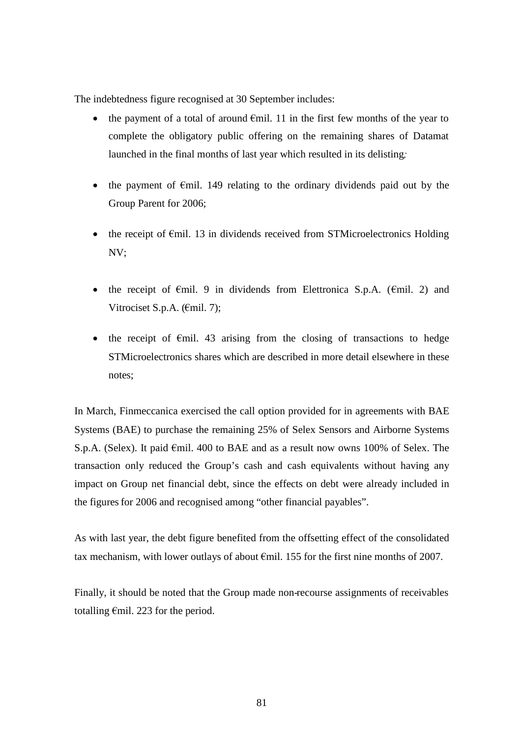The indebtedness figure recognised at 30 September includes:

- the payment of a total of around  $\epsilon$ mil. 11 in the first few months of the year to complete the obligatory public offering on the remaining shares of Datamat launched in the final months of last year which resulted in its delisting*;*
- the payment of  $\epsilon$ mil. 149 relating to the ordinary dividends paid out by the Group Parent for 2006;
- the receipt of  $\epsilon$ mil. 13 in dividends received from STMicroelectronics Holding NV;
- the receipt of  $\epsilon$ mil. 9 in dividends from Elettronica S.p.A. ( $\epsilon$ mil. 2) and Vitrociset S.p.A. (€mil. 7);
- the receipt of  $\epsilon$ mil. 43 arising from the closing of transactions to hedge STMicroelectronics shares which are described in more detail elsewhere in these notes;

In March, Finmeccanica exercised the call option provided for in agreements with BAE Systems (BAE) to purchase the remaining 25% of Selex Sensors and Airborne Systems S.p.A. (Selex). It paid €mil. 400 to BAE and as a result now owns 100% of Selex. The transaction only reduced the Group's cash and cash equivalents without having any impact on Group net financial debt, since the effects on debt were already included in the figures for 2006 and recognised among "other financial payables".

As with last year, the debt figure benefited from the offsetting effect of the consolidated tax mechanism, with lower outlays of about €mil. 155 for the first nine months of 2007.

Finally, it should be noted that the Group made non-recourse assignments of receivables totalling  $\epsilon$ mil. 223 for the period.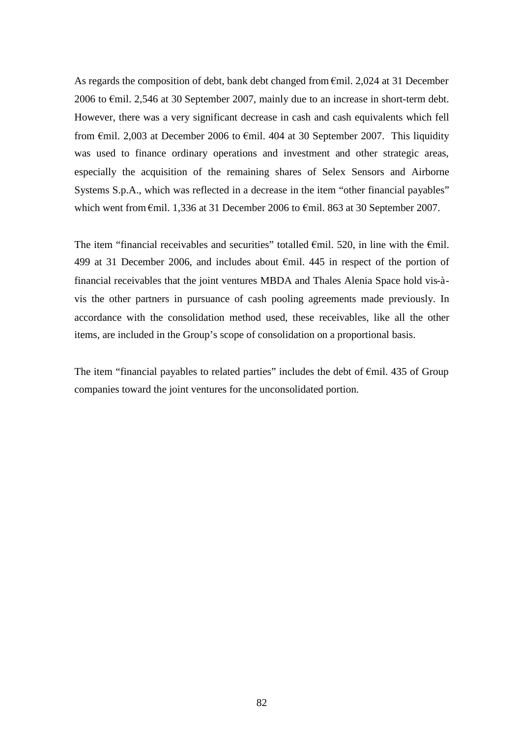As regards the composition of debt, bank debt changed from €mil. 2,024 at 31 December 2006 to €mil. 2,546 at 30 September 2007, mainly due to an increase in short-term debt. However, there was a very significant decrease in cash and cash equivalents which fell from  $\epsilon$ mil. 2,003 at December 2006 to  $\epsilon$ mil. 404 at 30 September 2007. This liquidity was used to finance ordinary operations and investment and other strategic areas, especially the acquisition of the remaining shares of Selex Sensors and Airborne Systems S.p.A., which was reflected in a decrease in the item "other financial payables" which went from €mil. 1,336 at 31 December 2006 to €mil. 863 at 30 September 2007.

The item "financial receivables and securities" totalled  $\epsilon$ mil. 520, in line with the  $\epsilon$ mil. 499 at 31 December 2006, and includes about  $\epsilon$ mil. 445 in respect of the portion of financial receivables that the joint ventures MBDA and Thales Alenia Space hold vis-àvis the other partners in pursuance of cash pooling agreements made previously. In accordance with the consolidation method used, these receivables, like all the other items, are included in the Group's scope of consolidation on a proportional basis.

The item "financial payables to related parties" includes the debt of  $\epsilon$ mil. 435 of Group companies toward the joint ventures for the unconsolidated portion.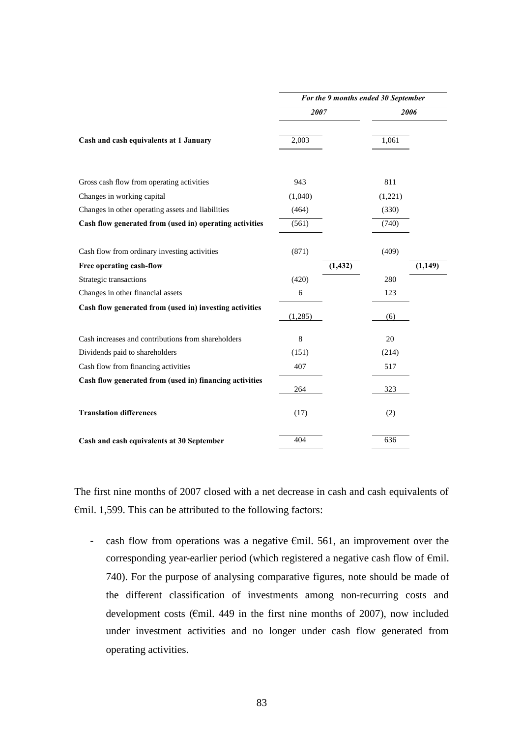|                                                         | For the 9 months ended 30 September |          |         |         |  |
|---------------------------------------------------------|-------------------------------------|----------|---------|---------|--|
|                                                         | 2007                                |          | 2006    |         |  |
| Cash and cash equivalents at 1 January                  | 2,003                               |          | 1,061   |         |  |
| Gross cash flow from operating activities               | 943                                 |          | 811     |         |  |
| Changes in working capital                              | (1,040)                             |          | (1,221) |         |  |
| Changes in other operating assets and liabilities       | (464)                               |          | (330)   |         |  |
| Cash flow generated from (used in) operating activities | (561)                               |          | (740)   |         |  |
| Cash flow from ordinary investing activities            | (871)                               |          | (409)   |         |  |
| Free operating cash-flow                                |                                     | (1, 432) |         | (1,149) |  |
| Strategic transactions                                  | (420)                               |          | 280     |         |  |
| Changes in other financial assets                       | $\epsilon$                          |          | 123     |         |  |
| Cash flow generated from (used in) investing activities | (1,285)                             |          | (6)     |         |  |
| Cash increases and contributions from shareholders      | 8                                   |          | 20      |         |  |
| Dividends paid to shareholders                          | (151)                               |          | (214)   |         |  |
| Cash flow from financing activities                     | 407                                 |          | 517     |         |  |
| Cash flow generated from (used in) financing activities | 264                                 |          | 323     |         |  |
| <b>Translation differences</b>                          | (17)                                |          | (2)     |         |  |
| Cash and cash equivalents at 30 September               | 404                                 |          | 636     |         |  |

The first nine months of 2007 closed with a net decrease in cash and cash equivalents of €mil. 1,599. This can be attributed to the following factors:

- cash flow from operations was a negative  $\epsilon$ mil. 561, an improvement over the corresponding year-earlier period (which registered a negative cash flow of €mil. 740). For the purpose of analysing comparative figures, note should be made of the different classification of investments among non-recurring costs and development costs ( $\epsilon$ mil. 449 in the first nine months of 2007), now included under investment activities and no longer under cash flow generated from operating activities.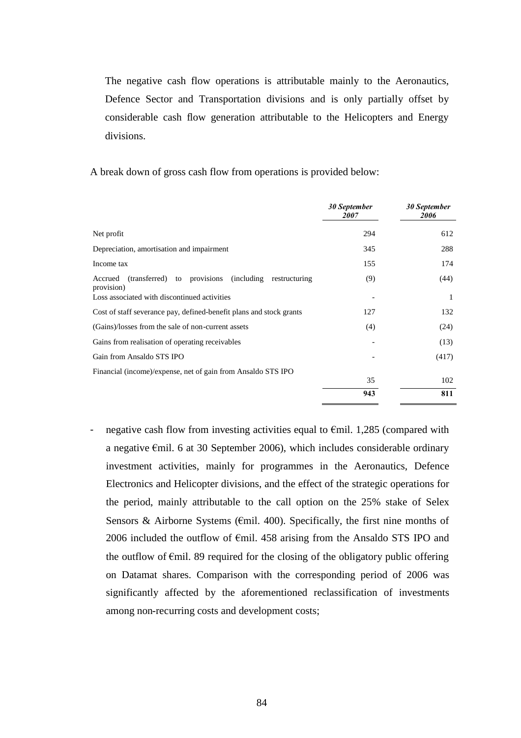The negative cash flow operations is attributable mainly to the Aeronautics, Defence Sector and Transportation divisions and is only partially offset by considerable cash flow generation attributable to the Helicopters and Energy divisions.

A break down of gross cash flow from operations is provided below:

|                                                                               | 30 September<br>2007 | 30 September<br>2006 |
|-------------------------------------------------------------------------------|----------------------|----------------------|
| Net profit                                                                    | 294                  | 612                  |
| Depreciation, amortisation and impairment                                     | 345                  | 288                  |
| Income tax                                                                    | 155                  | 174                  |
| (transferred) to provisions (including restructuring<br>Accrued<br>provision) | (9)                  | (44)                 |
| Loss associated with discontinued activities                                  |                      | 1                    |
| Cost of staff severance pay, defined-benefit plans and stock grants           | 127                  | 132                  |
| (Gains)/losses from the sale of non-current assets                            | (4)                  | (24)                 |
| Gains from realisation of operating receivables                               |                      | (13)                 |
| Gain from Ansaldo STS IPO                                                     |                      | (417)                |
| Financial (income)/expense, net of gain from Ansaldo STS IPO                  |                      |                      |
|                                                                               | 35                   | 102                  |
|                                                                               | 943                  | 811                  |

- negative cash flow from investing activities equal to  $\epsilon$ mil. 1,285 (compared with a negative €mil. 6 at 30 September 2006), which includes considerable ordinary investment activities, mainly for programmes in the Aeronautics, Defence Electronics and Helicopter divisions, and the effect of the strategic operations for the period, mainly attributable to the call option on the 25% stake of Selex Sensors & Airborne Systems ( $\epsilon$ mil. 400). Specifically, the first nine months of 2006 included the outflow of  $\epsilon$ mil. 458 arising from the Ansaldo STS IPO and the outflow of  $\epsilon$ mil. 89 required for the closing of the obligatory public offering on Datamat shares. Comparison with the corresponding period of 2006 was significantly affected by the aforementioned reclassification of investments among non-recurring costs and development costs;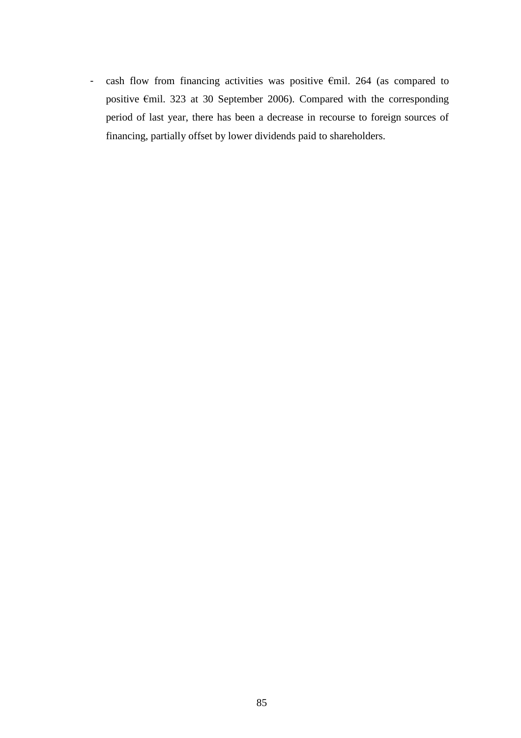- cash flow from financing activities was positive €mil. 264 (as compared to positive €mil. 323 at 30 September 2006). Compared with the corresponding period of last year, there has been a decrease in recourse to foreign sources of financing, partially offset by lower dividends paid to shareholders.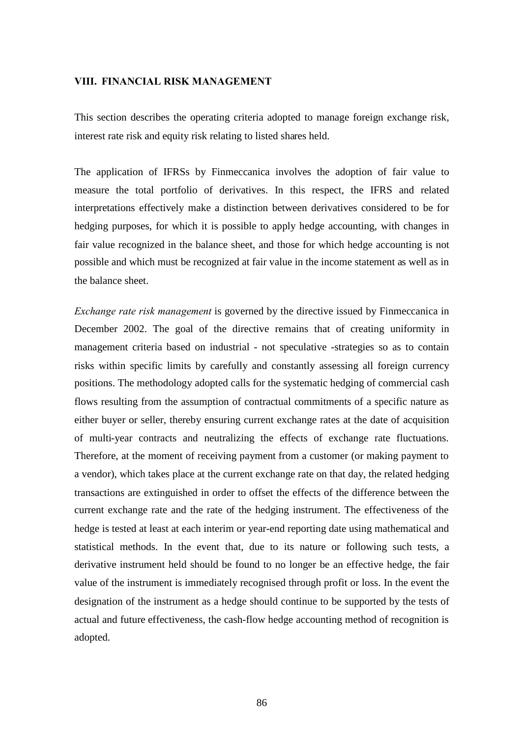#### **VIII. FINANCIAL RISK MANAGEMENT**

This section describes the operating criteria adopted to manage foreign exchange risk, interest rate risk and equity risk relating to listed shares held.

The application of IFRSs by Finmeccanica involves the adoption of fair value to measure the total portfolio of derivatives. In this respect, the IFRS and related interpretations effectively make a distinction between derivatives considered to be for hedging purposes, for which it is possible to apply hedge accounting, with changes in fair value recognized in the balance sheet, and those for which hedge accounting is not possible and which must be recognized at fair value in the income statement as well as in the balance sheet.

*Exchange rate risk management* is governed by the directive issued by Finmeccanica in December 2002. The goal of the directive remains that of creating uniformity in management criteria based on industrial - not speculative -strategies so as to contain risks within specific limits by carefully and constantly assessing all foreign currency positions. The methodology adopted calls for the systematic hedging of commercial cash flows resulting from the assumption of contractual commitments of a specific nature as either buyer or seller, thereby ensuring current exchange rates at the date of acquisition of multi-year contracts and neutralizing the effects of exchange rate fluctuations. Therefore, at the moment of receiving payment from a customer (or making payment to a vendor), which takes place at the current exchange rate on that day, the related hedging transactions are extinguished in order to offset the effects of the difference between the current exchange rate and the rate of the hedging instrument. The effectiveness of the hedge is tested at least at each interim or year-end reporting date using mathematical and statistical methods. In the event that, due to its nature or following such tests, a derivative instrument held should be found to no longer be an effective hedge, the fair value of the instrument is immediately recognised through profit or loss. In the event the designation of the instrument as a hedge should continue to be supported by the tests of actual and future effectiveness, the cash-flow hedge accounting method of recognition is adopted.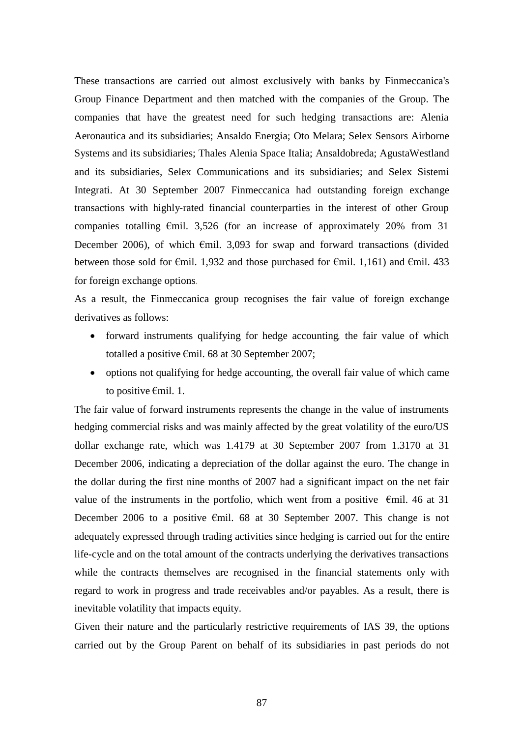These transactions are carried out almost exclusively with banks by Finmeccanica's Group Finance Department and then matched with the companies of the Group. The companies that have the greatest need for such hedging transactions are: Alenia Aeronautica and its subsidiaries; Ansaldo Energia; Oto Melara; Selex Sensors Airborne Systems and its subsidiaries; Thales Alenia Space Italia; Ansaldobreda; AgustaWestland and its subsidiaries, Selex Communications and its subsidiaries; and Selex Sistemi Integrati. At 30 September 2007 Finmeccanica had outstanding foreign exchange transactions with highly-rated financial counterparties in the interest of other Group companies totalling  $\epsilon$ mil. 3,526 (for an increase of approximately 20% from 31 December 2006), of which  $\epsilon$ mil. 3,093 for swap and forward transactions (divided between those sold for  $\epsilon$ mil. 1,932 and those purchased for  $\epsilon$ mil. 1,161) and  $\epsilon$ mil. 433 for foreign exchange options.

As a result, the Finmeccanica group recognises the fair value of foreign exchange derivatives as follows:

- forward instruments qualifying for hedge accounting*,* the fair value of which totalled a positive €mil. 68 at 30 September 2007;
- options not qualifying for hedge accounting, the overall fair value of which came to positive €mil. 1.

The fair value of forward instruments represents the change in the value of instruments hedging commercial risks and was mainly affected by the great volatility of the euro/US dollar exchange rate, which was 1.4179 at 30 September 2007 from 1.3170 at 31 December 2006, indicating a depreciation of the dollar against the euro. The change in the dollar during the first nine months of 2007 had a significant impact on the net fair value of the instruments in the portfolio, which went from a positive  $\epsilon$ mil. 46 at 31 December 2006 to a positive  $\epsilon$ mil. 68 at 30 September 2007. This change is not adequately expressed through trading activities since hedging is carried out for the entire life-cycle and on the total amount of the contracts underlying the derivatives transactions while the contracts themselves are recognised in the financial statements only with regard to work in progress and trade receivables and/or payables. As a result, there is inevitable volatility that impacts equity.

Given their nature and the particularly restrictive requirements of IAS 39, the options carried out by the Group Parent on behalf of its subsidiaries in past periods do not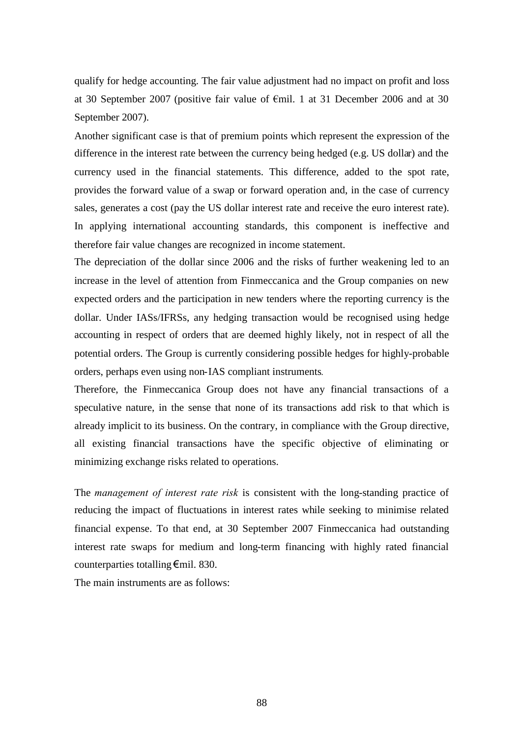qualify for hedge accounting. The fair value adjustment had no impact on profit and loss at 30 September 2007 (positive fair value of €mil. 1 at 31 December 2006 and at 30 September 2007).

Another significant case is that of premium points which represent the expression of the difference in the interest rate between the currency being hedged (e.g. US dollar) and the currency used in the financial statements. This difference, added to the spot rate, provides the forward value of a swap or forward operation and, in the case of currency sales, generates a cost (pay the US dollar interest rate and receive the euro interest rate). In applying international accounting standards, this component is ineffective and therefore fair value changes are recognized in income statement.

The depreciation of the dollar since 2006 and the risks of further weakening led to an increase in the level of attention from Finmeccanica and the Group companies on new expected orders and the participation in new tenders where the reporting currency is the dollar. Under IASs/IFRSs, any hedging transaction would be recognised using hedge accounting in respect of orders that are deemed highly likely, not in respect of all the potential orders. The Group is currently considering possible hedges for highly-probable orders, perhaps even using non-IAS compliant instruments*.*

Therefore, the Finmeccanica Group does not have any financial transactions of a speculative nature, in the sense that none of its transactions add risk to that which is already implicit to its business. On the contrary, in compliance with the Group directive, all existing financial transactions have the specific objective of eliminating or minimizing exchange risks related to operations.

The *management of interest rate risk* is consistent with the long-standing practice of reducing the impact of fluctuations in interest rates while seeking to minimise related financial expense. To that end, at 30 September 2007 Finmeccanica had outstanding interest rate swaps for medium and long-term financing with highly rated financial counterparties totalling€mil. 830.

The main instruments are as follows: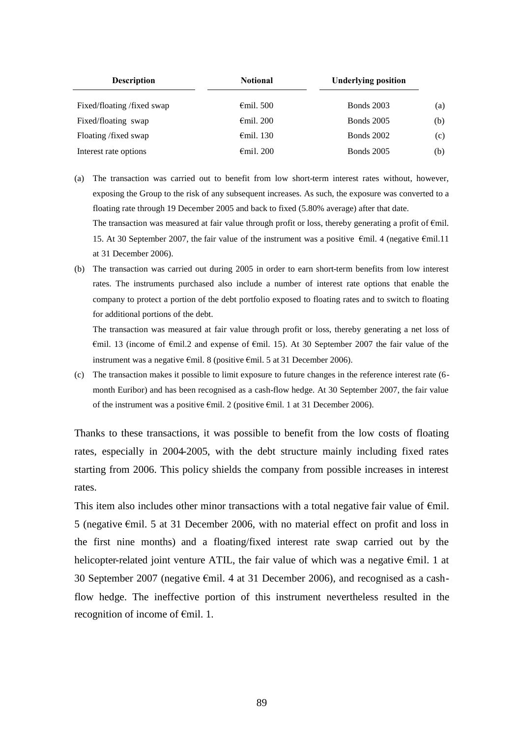| <b>Description</b><br><b>Notional</b> |                     | <b>Underlying position</b> |     |
|---------------------------------------|---------------------|----------------------------|-----|
| Fixed/floating /fixed swap            | $\epsilon$ mil. 500 | <b>Bonds</b> 2003          | (a) |
| Fixed/floating swap                   | $\epsilon$ mil. 200 | <b>Bonds</b> 2005          | (b) |
| Floating /fixed swap                  | $\epsilon$ mil. 130 | <b>Bonds</b> 2002          | (c) |
| Interest rate options                 | $\epsilon$ mil. 200 | <b>Bonds</b> 2005          | (b) |

- (a) The transaction was carried out to benefit from low short-term interest rates without, however, exposing the Group to the risk of any subsequent increases. As such, the exposure was converted to a floating rate through 19 December 2005 and back to fixed (5.80% average) after that date. The transaction was measured at fair value through profit or loss, thereby generating a profit of  $Emil$ . 15. At 30 September 2007, the fair value of the instrument was a positive €mil. 4 (negative €mil.11
	- at 31 December 2006).
- (b) The transaction was carried out during 2005 in order to earn short-term benefits from low interest rates. The instruments purchased also include a number of interest rate options that enable the company to protect a portion of the debt portfolio exposed to floating rates and to switch to floating for additional portions of the debt.

The transaction was measured at fair value through profit or loss, thereby generating a net loss of €mil. 13 (income of €mil.2 and expense of €mil. 15). At 30 September 2007 the fair value of the instrument was a negative €mil. 8 (positive €mil. 5 at 31 December 2006).

(c) The transaction makes it possible to limit exposure to future changes in the reference interest rate (6 month Euribor) and has been recognised as a cash-flow hedge. At 30 September 2007, the fair value of the instrument was a positive €mil. 2 (positive €mil. 1 at 31 December 2006).

Thanks to these transactions, it was possible to benefit from the low costs of floating rates, especially in 2004-2005, with the debt structure mainly including fixed rates starting from 2006. This policy shields the company from possible increases in interest rates.

This item also includes other minor transactions with a total negative fair value of  $\epsilon$ mil. 5 (negative €mil. 5 at 31 December 2006, with no material effect on profit and loss in the first nine months) and a floating/fixed interest rate swap carried out by the helicopter-related joint venture ATIL, the fair value of which was a negative €mil. 1 at 30 September 2007 (negative €mil. 4 at 31 December 2006), and recognised as a cashflow hedge. The ineffective portion of this instrument nevertheless resulted in the recognition of income of €mil. 1.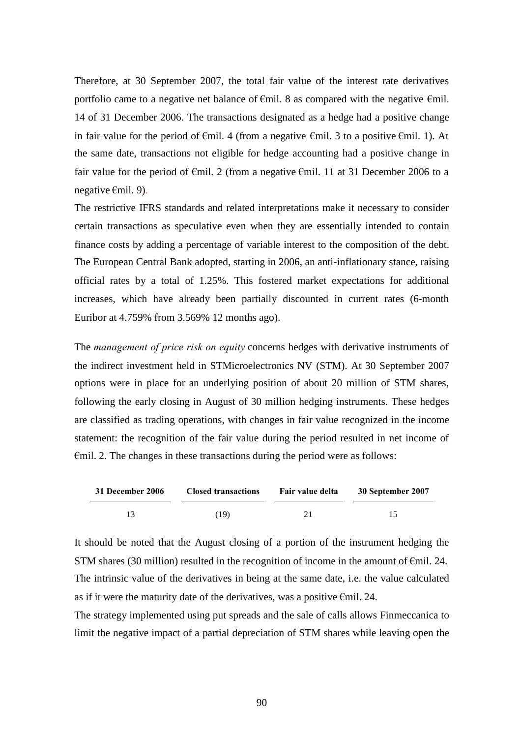Therefore, at 30 September 2007, the total fair value of the interest rate derivatives portfolio came to a negative net balance of  $\epsilon$ mil. 8 as compared with the negative  $\epsilon$ mil. 14 of 31 December 2006. The transactions designated as a hedge had a positive change in fair value for the period of  $\epsilon$ mil. 4 (from a negative  $\epsilon$ mil. 3 to a positive  $\epsilon$ mil. 1). At the same date, transactions not eligible for hedge accounting had a positive change in fair value for the period of  $\epsilon$ mil. 2 (from a negative  $\epsilon$ mil. 11 at 31 December 2006 to a negative €mil. 9).

The restrictive IFRS standards and related interpretations make it necessary to consider certain transactions as speculative even when they are essentially intended to contain finance costs by adding a percentage of variable interest to the composition of the debt. The European Central Bank adopted, starting in 2006, an anti-inflationary stance, raising official rates by a total of 1.25%. This fostered market expectations for additional increases, which have already been partially discounted in current rates (6-month Euribor at 4.759% from 3.569% 12 months ago).

The *management of price risk on equity* concerns hedges with derivative instruments of the indirect investment held in STMicroelectronics NV (STM). At 30 September 2007 options were in place for an underlying position of about 20 million of STM shares, following the early closing in August of 30 million hedging instruments. These hedges are classified as trading operations, with changes in fair value recognized in the income statement: the recognition of the fair value during the period resulted in net income of €mil. 2. The changes in these transactions during the period were as follows:

| 31 December 2006 | <b>Closed transactions</b> | Fair value delta | 30 September 2007 |
|------------------|----------------------------|------------------|-------------------|
|                  | (19)                       |                  |                   |

It should be noted that the August closing of a portion of the instrument hedging the STM shares (30 million) resulted in the recognition of income in the amount of  $\epsilon$ mil. 24. The intrinsic value of the derivatives in being at the same date, i.e. the value calculated as if it were the maturity date of the derivatives, was a positive  $\epsilon$ mil. 24.

The strategy implemented using put spreads and the sale of calls allows Finmeccanica to limit the negative impact of a partial depreciation of STM shares while leaving open the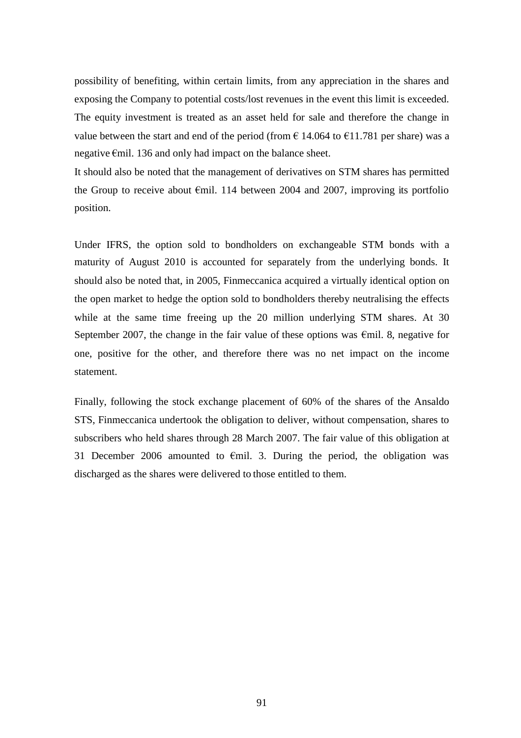possibility of benefiting, within certain limits, from any appreciation in the shares and exposing the Company to potential costs/lost revenues in the event this limit is exceeded. The equity investment is treated as an asset held for sale and therefore the change in value between the start and end of the period (from  $\epsilon$  14.064 to  $\epsilon$ 11.781 per share) was a negative €mil. 136 and only had impact on the balance sheet.

It should also be noted that the management of derivatives on STM shares has permitted the Group to receive about  $\epsilon$ mil. 114 between 2004 and 2007, improving its portfolio position.

Under IFRS, the option sold to bondholders on exchangeable STM bonds with a maturity of August 2010 is accounted for separately from the underlying bonds. It should also be noted that, in 2005, Finmeccanica acquired a virtually identical option on the open market to hedge the option sold to bondholders thereby neutralising the effects while at the same time freeing up the 20 million underlying STM shares. At 30 September 2007, the change in the fair value of these options was  $\epsilon$ mil. 8, negative for one, positive for the other, and therefore there was no net impact on the income statement.

Finally, following the stock exchange placement of 60% of the shares of the Ansaldo STS, Finmeccanica undertook the obligation to deliver, without compensation, shares to subscribers who held shares through 28 March 2007. The fair value of this obligation at 31 December 2006 amounted to  $\epsilon$ mil. 3. During the period, the obligation was discharged as the shares were delivered to those entitled to them.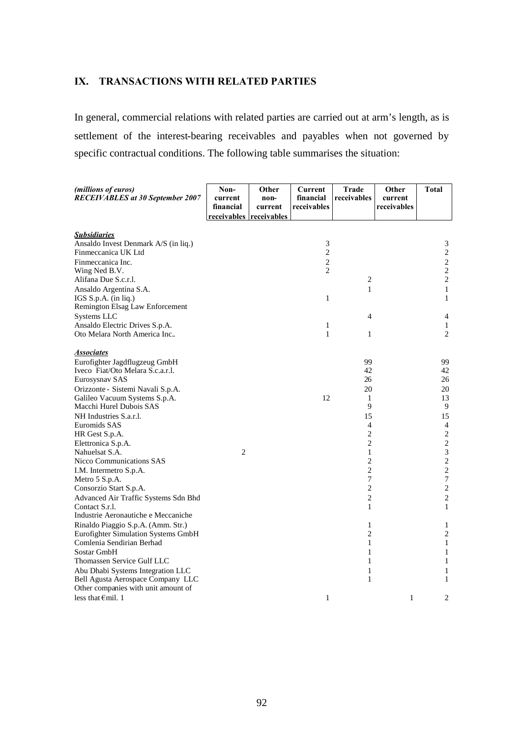## **IX. TRANSACTIONS WITH RELATED PARTIES**

In general, commercial relations with related parties are carried out at arm's length, as is settlement of the interest-bearing receivables and payables when not governed by specific contractual conditions. The following table summarises the situation:

| (millions of euros)<br><b>RECEIVABLES</b> at 30 September 2007                                                                                                                                                                                                                                                                                                                                                                                                                                                   | Non-<br>current<br>financial<br>receivables receivables | Other<br>non-<br>current | Current<br>financial<br>receivables                     | <b>Trade</b><br>receivables                                                                                                                             | Other<br>current<br>receivables | Total                                                                                                                                                                                         |
|------------------------------------------------------------------------------------------------------------------------------------------------------------------------------------------------------------------------------------------------------------------------------------------------------------------------------------------------------------------------------------------------------------------------------------------------------------------------------------------------------------------|---------------------------------------------------------|--------------------------|---------------------------------------------------------|---------------------------------------------------------------------------------------------------------------------------------------------------------|---------------------------------|-----------------------------------------------------------------------------------------------------------------------------------------------------------------------------------------------|
| <b>Subsidiaries</b><br>Ansaldo Invest Denmark A/S (in liq.)<br>Finmeccanica UK Ltd<br>Finmeccanica Inc.<br>Wing Ned B.V.<br>Alifana Due S.c.r.l.                                                                                                                                                                                                                                                                                                                                                                 |                                                         |                          | 3<br>$\overline{c}$<br>$\overline{c}$<br>$\overline{c}$ | 2                                                                                                                                                       |                                 | 3<br>$\sqrt{2}$<br>$\sqrt{2}$<br>$\sqrt{2}$<br>$\sqrt{2}$                                                                                                                                     |
| Ansaldo Argentina S.A.<br>IGS S.p.A. (in liq.)<br>Remington Elsag Law Enforcement                                                                                                                                                                                                                                                                                                                                                                                                                                |                                                         |                          | 1                                                       | 1                                                                                                                                                       |                                 | $\mathbf{1}$<br>$\mathbf{1}$                                                                                                                                                                  |
| Systems LLC<br>Ansaldo Electric Drives S.p.A.<br>Oto Melara North America Inc                                                                                                                                                                                                                                                                                                                                                                                                                                    |                                                         |                          | 1<br>$\mathbf{1}$                                       | 4<br>1                                                                                                                                                  |                                 | 4<br>$\mathbf{1}$<br>$\overline{c}$                                                                                                                                                           |
| <b>Associates</b><br>Eurofighter Jagdflugzeug GmbH<br>Iveco Fiat/Oto Melara S.c.a.r.l.<br>Eurosysnav SAS<br>Orizzonte - Sistemi Navali S.p.A.<br>Galileo Vacuum Systems S.p.A.<br>Macchi Hurel Dubois SAS<br>NH Industries S.a.r.l.<br>Euromids SAS<br>HR Gest S.p.A.<br>Elettronica S.p.A.<br>Nahuelsat S.A.<br>Nicco Communications SAS<br>I.M. Intermetro S.p.A.<br>Metro 5 S.p.A.<br>Consorzio Start S.p.A.<br>Advanced Air Traffic Systems Sdn Bhd<br>Contact S.r.l.<br>Industrie Aeronautiche e Meccaniche | $\overline{2}$                                          |                          | 12                                                      | 99<br>42<br>26<br>20<br>1<br>9<br>15<br>4<br>$\overline{c}$<br>$\overline{c}$<br>1<br>2<br>$\overline{c}$<br>7<br>$\overline{c}$<br>$\overline{c}$<br>1 |                                 | 99<br>42<br>26<br>20<br>13<br>9<br>15<br>$\overline{4}$<br>$\sqrt{2}$<br>$\sqrt{2}$<br>$\sqrt{3}$<br>$\sqrt{2}$<br>$\sqrt{2}$<br>$\boldsymbol{7}$<br>$\sqrt{2}$<br>$\sqrt{2}$<br>$\mathbf{1}$ |
| Rinaldo Piaggio S.p.A. (Amm. Str.)<br>Eurofighter Simulation Systems GmbH<br>Comlenia Sendirian Berhad<br>Sostar GmbH<br>Thomassen Service Gulf LLC<br>Abu Dhabi Systems Integration LLC<br>Bell Agusta Aerospace Company LLC                                                                                                                                                                                                                                                                                    |                                                         |                          |                                                         | 1<br>$\overline{c}$<br>$\mathbf{1}$<br>1<br>1<br>1<br>1                                                                                                 |                                 | 1<br>$\sqrt{2}$<br>$\mathbf{1}$<br>$\mathbf{1}$<br>$\mathbf{1}$<br>$\mathbf{1}$<br>1                                                                                                          |
| Other companies with unit amount of<br>less that $\epsilon$ mil. 1                                                                                                                                                                                                                                                                                                                                                                                                                                               |                                                         |                          | 1                                                       |                                                                                                                                                         | 1                               | 2                                                                                                                                                                                             |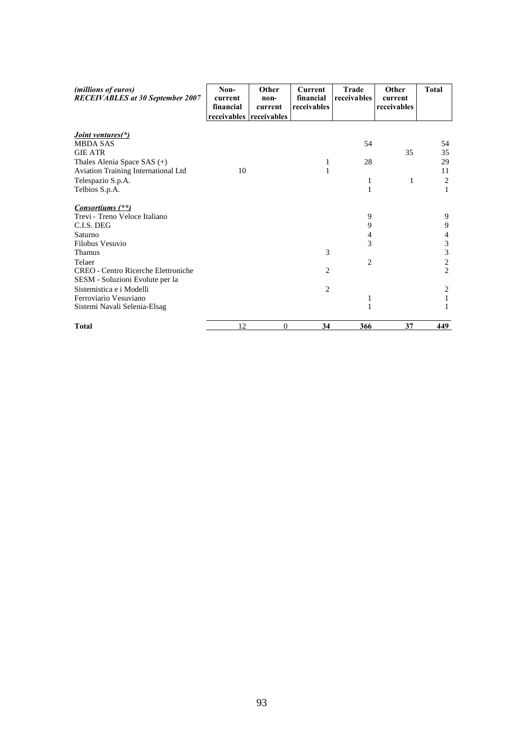| (millions of euros)<br><b>RECEIVABLES</b> at 30 September 2007 | Non-<br>current<br>financial<br>receivables receivables | Other<br>non-<br>current | <b>Current</b><br>financial<br>receivables | <b>Trade</b><br><i>receivables</i> | Other<br>current<br>receivables | <b>Total</b>   |
|----------------------------------------------------------------|---------------------------------------------------------|--------------------------|--------------------------------------------|------------------------------------|---------------------------------|----------------|
| <i>Joint ventures</i> (*)                                      |                                                         |                          |                                            |                                    |                                 |                |
| <b>MBDA SAS</b>                                                |                                                         |                          |                                            | 54                                 |                                 | 54             |
| <b>GIE ATR</b>                                                 |                                                         |                          |                                            |                                    | 35                              | 35             |
| Thales Alenia Space SAS $(+)$                                  |                                                         |                          | 1                                          | 28                                 |                                 | 29             |
| Aviation Training International Ltd                            | 10                                                      |                          | $\mathbf{1}$                               |                                    |                                 | 11             |
| Telespazio S.p.A.                                              |                                                         |                          |                                            | 1                                  | 1                               | 2              |
| Telbios S.p.A.                                                 |                                                         |                          |                                            | 1                                  |                                 | 1              |
| Consortiums (**)                                               |                                                         |                          |                                            |                                    |                                 |                |
| Trevi - Treno Veloce Italiano                                  |                                                         |                          |                                            | 9                                  |                                 | 9              |
| C.I.S. DEG                                                     |                                                         |                          |                                            | 9                                  |                                 | 9              |
| Saturno                                                        |                                                         |                          |                                            | 4                                  |                                 | 4              |
| Filobus Vesuvio                                                |                                                         |                          |                                            | 3                                  |                                 | $\mathfrak{Z}$ |
| Thamus                                                         |                                                         |                          | 3                                          |                                    |                                 | 3              |
| Telaer                                                         |                                                         |                          |                                            | 2                                  |                                 | 2              |
| <b>CREO</b> - Centro Ricerche Elettroniche                     |                                                         |                          | 2                                          |                                    |                                 | $\overline{2}$ |
| SESM - Soluzioni Evolute per la                                |                                                         |                          |                                            |                                    |                                 |                |
| Sistemistica e i Modelli                                       |                                                         |                          | 2                                          |                                    |                                 | 2              |
| Ferroviario Vesuviano                                          |                                                         |                          |                                            | 1                                  |                                 |                |
| Sistemi Navali Selenia-Elsag                                   |                                                         |                          |                                            | $\mathbf{1}$                       |                                 | 1              |
| <b>Total</b>                                                   | 12                                                      | $\theta$                 | 34                                         | 366                                | 37                              | 449            |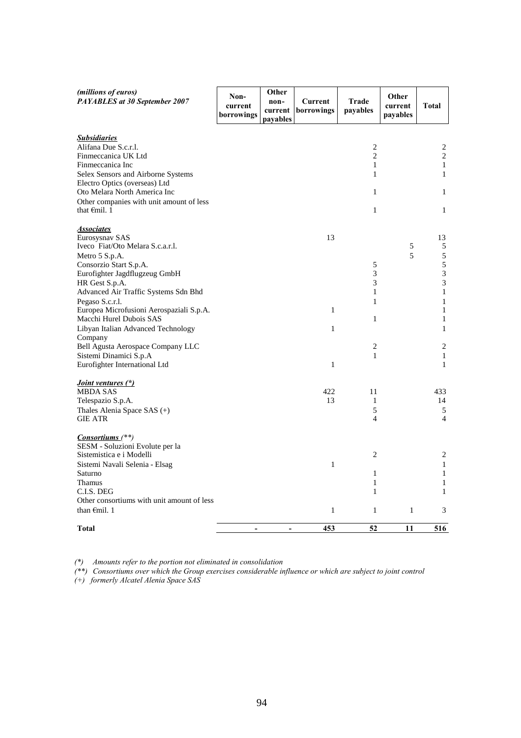| (millions of euros)<br>PAYABLES at 30 September 2007                                                                                                                                                                                                                                                                                           | Non-<br>current<br>borrowings | Other<br>non-<br>current<br>payables | Current<br>borrowings   | Trade<br>payables                                               | Other<br>current<br>payables | <b>Total</b>                                                                                                         |
|------------------------------------------------------------------------------------------------------------------------------------------------------------------------------------------------------------------------------------------------------------------------------------------------------------------------------------------------|-------------------------------|--------------------------------------|-------------------------|-----------------------------------------------------------------|------------------------------|----------------------------------------------------------------------------------------------------------------------|
| <b>Subsidiaries</b><br>Alifana Due S.c.r.l.<br>Finmeccanica UK Ltd<br>Finmeccanica Inc<br>Selex Sensors and Airborne Systems<br>Electro Optics (overseas) Ltd<br>Oto Melara North America Inc<br>Other companies with unit amount of less<br>that $\epsilon$ mil. 1                                                                            |                               |                                      |                         | $\overline{c}$<br>$\overline{2}$<br>$\mathbf{1}$<br>1<br>1<br>1 |                              | 2<br>$\overline{c}$<br>$\mathbf{1}$<br>$\mathbf{1}$<br>1<br>$\mathbf{1}$                                             |
| <b>Associates</b><br>Eurosysnav SAS<br>Iveco Fiat/Oto Melara S.c.a.r.l.<br>Metro 5 S.p.A.<br>Consorzio Start S.p.A.<br>Eurofighter Jagdflugzeug GmbH<br>HR Gest S.p.A.<br>Advanced Air Traffic Systems Sdn Bhd<br>Pegaso S.c.r.l.<br>Europea Microfusioni Aerospaziali S.p.A.<br>Macchi Hurel Dubois SAS<br>Libyan Italian Advanced Technology |                               |                                      | 13<br>$\mathbf{1}$<br>1 | 5<br>3<br>3<br>1<br>1<br>1                                      | 5<br>5                       | 13<br>5<br>$\sqrt{5}$<br>$\sqrt{5}$<br>$\mathfrak{Z}$<br>3<br>$\mathbf{1}$<br>$\mathbf{1}$<br>$\mathbf{1}$<br>1<br>1 |
| Company<br>Bell Agusta Aerospace Company LLC<br>Sistemi Dinamici S.p.A<br>Eurofighter International Ltd                                                                                                                                                                                                                                        |                               |                                      | $\mathbf{1}$            | 2<br>1                                                          |                              | 2<br>$\mathbf{1}$<br>$\mathbf{1}$                                                                                    |
| <i>Joint ventures (*)</i><br><b>MBDA SAS</b><br>Telespazio S.p.A.<br>Thales Alenia Space SAS (+)<br><b>GIE ATR</b>                                                                                                                                                                                                                             |                               |                                      | 422<br>13               | 11<br>1<br>5<br>$\overline{4}$                                  |                              | 433<br>14<br>5<br>$\overline{4}$                                                                                     |
| $Consortiums$ <sup>(**)</sup> )<br>SESM - Soluzioni Evolute per la<br>Sistemistica e i Modelli<br>Sistemi Navali Selenia - Elsag<br>Saturno<br><b>Thamus</b><br>C.I.S. DEG<br>Other consortiums with unit amount of less<br>than $\epsilon$ mil. 1                                                                                             |                               |                                      | 1<br>$\mathbf{1}$       | 2<br>1<br>1<br>$\mathbf{1}$<br>1                                | 1                            | 2<br>$\mathbf{1}$<br>1<br>$\mathbf{1}$<br>1<br>3                                                                     |
| <b>Total</b>                                                                                                                                                                                                                                                                                                                                   | $\blacksquare$                | $\blacksquare$                       | 453                     | 52                                                              | 11                           | 516                                                                                                                  |

*(\*) Amounts refer to the portion not eliminated in consolidation*

*(\*\*) Consortiums over which the Group exercises considerable influence or which are subject to joint control*

*(+) formerly Alcatel Alenia Space SAS*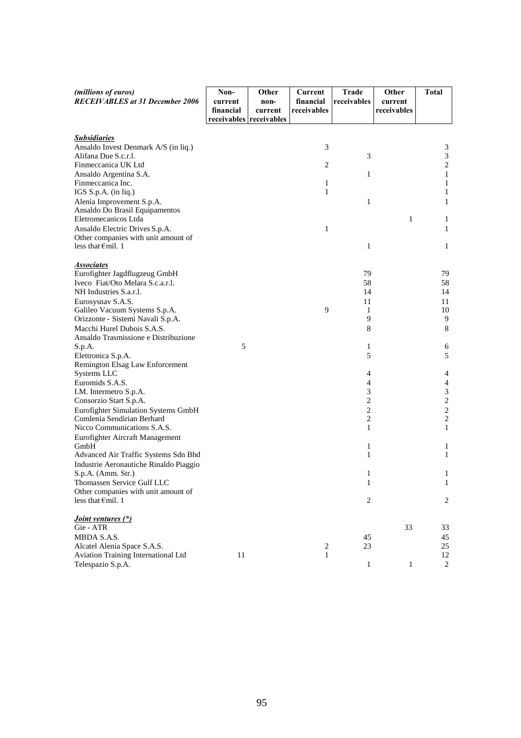| (millions of euros)                                         | Non-      | Other                   | Current        | <b>Trade</b>            | Other        | <b>Total</b>                 |
|-------------------------------------------------------------|-----------|-------------------------|----------------|-------------------------|--------------|------------------------------|
| <b>RECEIVABLES</b> at 31 December 2006                      | current   | non-                    | financial      | receivables             | current      |                              |
|                                                             | financial | current                 | receivables    |                         | receivables  |                              |
|                                                             |           | receivables receivables |                |                         |              |                              |
|                                                             |           |                         |                |                         |              |                              |
| <b>Subsidiaries</b>                                         |           |                         |                |                         |              |                              |
| Ansaldo Invest Denmark A/S (in liq.)                        |           |                         | 3              |                         |              | $\mathfrak{Z}$               |
| Alifana Due S.c.r.l.                                        |           |                         |                | 3                       |              | $\ensuremath{\mathfrak{Z}}$  |
| Finmeccanica UK Ltd                                         |           |                         | $\overline{c}$ |                         |              | $\sqrt{2}$                   |
| Ansaldo Argentina S.A.                                      |           |                         |                | $\mathbf{1}$            |              | $\mathbf{1}$                 |
| Finmeccanica Inc.                                           |           |                         | 1<br>1         |                         |              | $\mathbf{1}$                 |
| IGS S.p.A. (in liq.)                                        |           |                         |                |                         |              | $\mathbf{1}$                 |
| Alenia Improvement S.p.A.<br>Ansaldo Do Brasil Equipamentos |           |                         |                | $\mathbf{1}$            |              | $\mathbf{1}$                 |
| Eletromecanicos Ltda                                        |           |                         |                |                         | $\mathbf{1}$ | 1                            |
| Ansaldo Electric Drives S.p.A.                              |           |                         | 1              |                         |              | 1                            |
| Other companies with unit amount of                         |           |                         |                |                         |              |                              |
| less that $\epsilon$ mil. 1                                 |           |                         |                | 1                       |              | 1                            |
|                                                             |           |                         |                |                         |              |                              |
| <b>Associates</b>                                           |           |                         |                |                         |              |                              |
| Eurofighter Jagdflugzeug GmbH                               |           |                         |                | 79                      |              | 79                           |
| Iveco Fiat/Oto Melara S.c.a.r.l.                            |           |                         |                | 58                      |              | 58                           |
| NH Industries S.a.r.l.                                      |           |                         |                | 14                      |              | 14                           |
| Eurosysnav S.A.S.                                           |           |                         |                | 11                      |              | 11                           |
| Galileo Vacuum Systems S.p.A.                               |           |                         | 9              | 1                       |              | 10                           |
| Orizzonte - Sistemi Navali S.p.A.                           |           |                         |                | 9                       |              | 9                            |
| Macchi Hurel Dubois S.A.S.                                  |           |                         |                | 8                       |              | $\,8\,$                      |
| Ansaldo Trasmissione e Distribuzione                        |           |                         |                |                         |              |                              |
| S.p.A.                                                      | 5         |                         |                | 1                       |              | 6                            |
| Elettronica S.p.A.                                          |           |                         |                | 5                       |              | 5                            |
| Remington Elsag Law Enforcement                             |           |                         |                |                         |              |                              |
| Systems LLC                                                 |           |                         |                | 4                       |              | 4                            |
| Euromids S.A.S.                                             |           |                         |                | 4                       |              | $\overline{4}$               |
| I.M. Intermetro S.p.A.                                      |           |                         |                | 3                       |              | $\ensuremath{\mathfrak{Z}}$  |
| Consorzio Start S.p.A.                                      |           |                         |                | 2                       |              | $\sqrt{2}$                   |
| Eurofighter Simulation Systems GmbH                         |           |                         |                | $\overline{\mathbf{c}}$ |              | $\overline{\mathbf{c}}$      |
| Comlenia Sendirian Berhard                                  |           |                         |                | 2                       |              | $\sqrt{2}$                   |
| Nicco Communications S.A.S.                                 |           |                         |                | 1                       |              | $\mathbf{1}$                 |
| Eurofighter Aircraft Management<br>GmbH                     |           |                         |                | 1                       |              |                              |
| Advanced Air Traffic Systems Sdn Bhd                        |           |                         |                | 1                       |              | $\mathbf{1}$<br>$\mathbf{1}$ |
| Industrie Aeronautiche Rinaldo Piaggio                      |           |                         |                |                         |              |                              |
| S.p.A. (Amm. Str.)                                          |           |                         |                | $\mathbf{1}$            |              | 1                            |
| Thomassen Service Gulf LLC                                  |           |                         |                | 1                       |              | 1                            |
| Other companies with unit amount of                         |           |                         |                |                         |              |                              |
| less that $\epsilon$ mil. 1                                 |           |                         |                | 2                       |              | $\overline{c}$               |
|                                                             |           |                         |                |                         |              |                              |
| <i>Joint ventures (*)</i>                                   |           |                         |                |                         |              |                              |
| Gie - ATR                                                   |           |                         |                |                         | 33           | 33                           |
| MBDA S.A.S.                                                 |           |                         |                | 45                      |              | 45                           |
| Alcatel Alenia Space S.A.S.                                 |           |                         | 2              | 23                      |              | 25                           |
| Aviation Training International Ltd                         | 11        |                         | 1              |                         |              | 12                           |
| Telespazio S.p.A.                                           |           |                         |                | 1                       | 1            | $\overline{c}$               |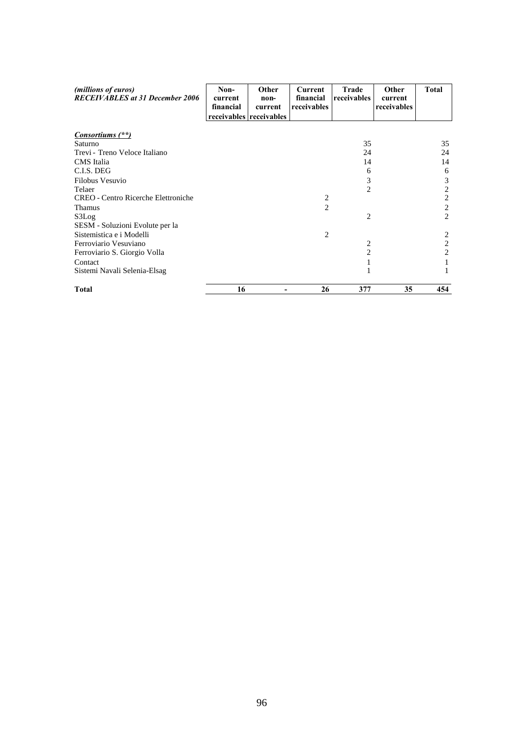| (millions of euros)<br><b>RECEIVABLES</b> at 31 December 2006 | Non-<br>current<br>financial | <b>Other</b><br>non-<br>current<br>receivables receivables | <b>Current</b><br>financial<br>receivables | Trade<br>receivables | Other<br>current<br>receivables | <b>Total</b>   |
|---------------------------------------------------------------|------------------------------|------------------------------------------------------------|--------------------------------------------|----------------------|---------------------------------|----------------|
| Consortiums (**)                                              |                              |                                                            |                                            |                      |                                 |                |
| Saturno                                                       |                              |                                                            |                                            | 35                   |                                 | 35             |
| Trevi - Treno Veloce Italiano                                 |                              |                                                            |                                            | 24                   |                                 | 24             |
| CMS Italia                                                    |                              |                                                            |                                            | 14                   |                                 | 14             |
| C.I.S. DEG                                                    |                              |                                                            |                                            | 6                    |                                 | 6              |
| Filobus Vesuvio                                               |                              |                                                            |                                            | 3                    |                                 | 3              |
| Telaer                                                        |                              |                                                            |                                            | $\overline{2}$       |                                 | 2              |
| <b>CREO</b> - Centro Ricerche Elettroniche                    |                              |                                                            | 2                                          |                      |                                 | $\overline{c}$ |
| <b>Thamus</b>                                                 |                              |                                                            | $\overline{c}$                             |                      |                                 | $\overline{c}$ |
| S3Log                                                         |                              |                                                            |                                            | 2                    |                                 | 2              |
| SESM - Soluzioni Evolute per la                               |                              |                                                            |                                            |                      |                                 |                |
| Sistemistica e i Modelli                                      |                              |                                                            | 2                                          |                      |                                 | 2              |
| Ferroviario Vesuviano                                         |                              |                                                            |                                            | 2                    |                                 | 2              |
| Ferroviario S. Giorgio Volla                                  |                              |                                                            |                                            | $\overline{2}$       |                                 | $\overline{c}$ |
| Contact                                                       |                              |                                                            |                                            | 1                    |                                 |                |
| Sistemi Navali Selenia-Elsag                                  |                              |                                                            |                                            | 1                    |                                 |                |
| <b>Total</b>                                                  | 16                           |                                                            | 26                                         | 377                  | 35                              | 454            |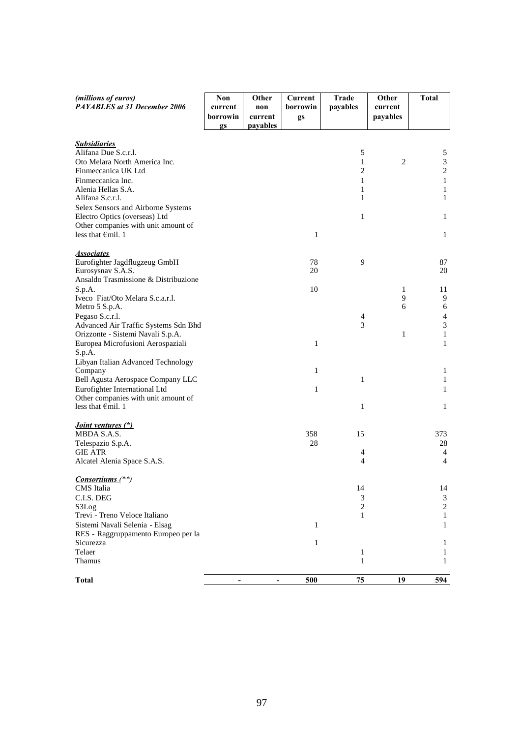| (millions of euros)<br>PAYABLES at 31 December 2006                   | Non<br>current | Other<br>non        | Current<br>borrowin | <b>Trade</b><br>payables       | Other<br>current | <b>Total</b>                |
|-----------------------------------------------------------------------|----------------|---------------------|---------------------|--------------------------------|------------------|-----------------------------|
|                                                                       | borrowin<br>gs | current<br>payables | gs                  |                                | payables         |                             |
| <b>Subsidiaries</b>                                                   |                |                     |                     |                                |                  |                             |
| Alifana Due S.c.r.l.                                                  |                |                     |                     | 5                              |                  | 5                           |
| Oto Melara North America Inc.                                         |                |                     |                     | $\mathbf{1}$                   | $\overline{2}$   | $\ensuremath{\mathfrak{Z}}$ |
| Finmeccanica UK Ltd<br>Finmeccanica Inc.                              |                |                     |                     | $\overline{c}$<br>$\mathbf{1}$ |                  | $\sqrt{2}$<br>$\,1\,$       |
| Alenia Hellas S.A.                                                    |                |                     |                     | 1                              |                  | $\mathbf{1}$                |
| Alifana S.c.r.l.                                                      |                |                     |                     | 1                              |                  | $\mathbf{1}$                |
| Selex Sensors and Airborne Systems                                    |                |                     |                     |                                |                  |                             |
| Electro Optics (overseas) Ltd                                         |                |                     |                     | $\mathbf{1}$                   |                  | $\mathbf{1}$                |
| Other companies with unit amount of                                   |                |                     |                     |                                |                  |                             |
| less that €mil. 1                                                     |                |                     | $\mathbf{1}$        |                                |                  | $\mathbf{1}$                |
| <b>Associates</b>                                                     |                |                     |                     |                                |                  |                             |
| Eurofighter Jagdflugzeug GmbH                                         |                |                     | 78                  | 9                              |                  | 87                          |
| Eurosysnav S.A.S.                                                     |                |                     | 20                  |                                |                  | 20                          |
| Ansaldo Trasmissione & Distribuzione                                  |                |                     |                     |                                |                  |                             |
| S.p.A.<br>Iveco Fiat/Oto Melara S.c.a.r.l.                            |                |                     | 10                  |                                | 1<br>9           | 11<br>9                     |
| Metro 5 S.p.A.                                                        |                |                     |                     |                                | 6                | 6                           |
| Pegaso S.c.r.l.                                                       |                |                     |                     | $\overline{4}$                 |                  | $\overline{4}$              |
| Advanced Air Traffic Systems Sdn Bhd                                  |                |                     |                     | 3                              |                  | $\mathfrak{Z}$              |
| Orizzonte - Sistemi Navali S.p.A.                                     |                |                     |                     |                                | 1                | $\mathbf{1}$                |
| Europea Microfusioni Aerospaziali<br>S.p.A.                           |                |                     | $\mathbf{1}$        |                                |                  | $\mathbf{1}$                |
| Libyan Italian Advanced Technology                                    |                |                     |                     |                                |                  |                             |
| Company                                                               |                |                     | 1                   |                                |                  | $\mathbf{1}$                |
| Bell Agusta Aerospace Company LLC                                     |                |                     |                     | $\mathbf{1}$                   |                  | $\mathbf{1}$                |
| Eurofighter International Ltd<br>Other companies with unit amount of  |                |                     | 1                   |                                |                  | $\mathbf{1}$                |
| less that $\epsilon$ mil. 1                                           |                |                     |                     | $\mathbf{1}$                   |                  | $\mathbf{1}$                |
|                                                                       |                |                     |                     |                                |                  |                             |
| <i>Joint ventures (*)</i><br>MBDA S.A.S.                              |                |                     | 358                 | 15                             |                  | 373                         |
| Telespazio S.p.A.                                                     |                |                     | 28                  |                                |                  | 28                          |
| <b>GIE ATR</b>                                                        |                |                     |                     | $\overline{4}$                 |                  | $\overline{4}$              |
| Alcatel Alenia Space S.A.S.                                           |                |                     |                     | 4                              |                  | $\overline{4}$              |
| Consortiums <sup>(**)</sup>                                           |                |                     |                     |                                |                  |                             |
| CMS Italia                                                            |                |                     |                     | 14                             |                  | 14                          |
| C.I.S. DEG                                                            |                |                     |                     | 3                              |                  | 3                           |
| S3Log                                                                 |                |                     |                     | 2                              |                  | $\sqrt{2}$                  |
| Trevi - Treno Veloce Italiano                                         |                |                     |                     | 1                              |                  | 1                           |
| Sistemi Navali Selenia - Elsag<br>RES - Raggruppamento Europeo per la |                |                     | 1                   |                                |                  | 1                           |
| Sicurezza                                                             |                |                     | 1                   |                                |                  | 1                           |
| Telaer                                                                |                |                     |                     | 1                              |                  | 1                           |
| Thamus                                                                |                |                     |                     | 1                              |                  | 1                           |
| <b>Total</b>                                                          |                |                     | 500                 | 75                             | <u>19</u>        | 594                         |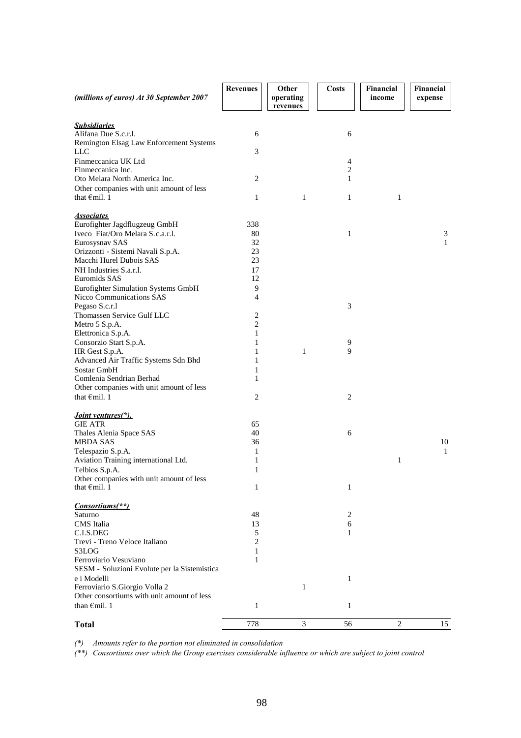| (millions of euros) At 30 September 2007                        | <b>Revenues</b> | Other<br>operating<br>revenues | <b>Costs</b>   | Financial<br>income | Financial<br>expense |
|-----------------------------------------------------------------|-----------------|--------------------------------|----------------|---------------------|----------------------|
|                                                                 |                 |                                |                |                     |                      |
| <b>Subsidiaries</b>                                             |                 |                                |                |                     |                      |
| Alifana Due S.c.r.l.                                            | 6               |                                | 6              |                     |                      |
| Remington Elsag Law Enforcement Systems<br>LLC                  | 3               |                                |                |                     |                      |
| Finmeccanica UK Ltd                                             |                 |                                | $\overline{4}$ |                     |                      |
| Finmeccanica Inc.                                               |                 |                                | $\overline{2}$ |                     |                      |
| Oto Melara North America Inc.                                   | $\overline{c}$  |                                | 1              |                     |                      |
| Other companies with unit amount of less                        |                 |                                |                |                     |                      |
| that $\epsilon$ mil. 1                                          | $\mathbf{1}$    | 1                              | $\mathbf{1}$   | $\mathbf{1}$        |                      |
| <b>Associates</b>                                               |                 |                                |                |                     |                      |
| Eurofighter Jagdflugzeug GmbH                                   | 338             |                                |                |                     |                      |
| Iveco Fiat/Oro Melara S.c.a.r.l.                                | 80              |                                | $\mathbf{1}$   |                     | 3                    |
| Eurosysnav SAS                                                  | 32              |                                |                |                     | 1                    |
| Orizzonti - Sistemi Navali S.p.A.                               | 23              |                                |                |                     |                      |
| Macchi Hurel Dubois SAS                                         | 23              |                                |                |                     |                      |
| NH Industries S.a.r.l.                                          | 17              |                                |                |                     |                      |
| Euromids SAS                                                    | 12              |                                |                |                     |                      |
| Eurofighter Simulation Systems GmbH<br>Nicco Communications SAS | 9<br>4          |                                |                |                     |                      |
| Pegaso S.c.r.l                                                  |                 |                                | 3              |                     |                      |
| Thomassen Service Gulf LLC                                      | 2               |                                |                |                     |                      |
| Metro 5 S.p.A.                                                  | $\overline{2}$  |                                |                |                     |                      |
| Elettronica S.p.A.                                              | 1               |                                |                |                     |                      |
| Consorzio Start S.p.A.                                          | 1               |                                | 9              |                     |                      |
| HR Gest S.p.A.                                                  | 1               | 1                              | 9              |                     |                      |
| Advanced Air Traffic Systems Sdn Bhd<br>Sostar GmbH             | 1<br>1          |                                |                |                     |                      |
| Comlenia Sendrian Berhad                                        | $\mathbf{1}$    |                                |                |                     |                      |
| Other companies with unit amount of less                        |                 |                                |                |                     |                      |
| that $\epsilon$ mil. 1                                          | 2               |                                | 2              |                     |                      |
|                                                                 |                 |                                |                |                     |                      |
| <i>Joint ventures</i> (*).                                      |                 |                                |                |                     |                      |
| <b>GIE ATR</b>                                                  | 65<br>40        |                                |                |                     |                      |
| Thales Alenia Space SAS<br><b>MBDA SAS</b>                      | 36              |                                | 6              |                     | 10                   |
| Telespazio S.p.A.                                               | 1               |                                |                |                     | 1                    |
| Aviation Training international Ltd.                            | $\mathbf{1}$    |                                |                | 1                   |                      |
| Telbios S.p.A.                                                  | 1               |                                |                |                     |                      |
| Other companies with unit amount of less                        |                 |                                |                |                     |                      |
| that $\epsilon$ mil. 1                                          | $\mathbf{1}$    |                                | $\mathbf{1}$   |                     |                      |
| Consortiums(**)                                                 |                 |                                |                |                     |                      |
| Saturno                                                         | 48              |                                | $\overline{c}$ |                     |                      |
| CMS Italia                                                      | 13              |                                | 6              |                     |                      |
| C.I.S.DEG                                                       | 5               |                                | 1              |                     |                      |
| Trevi - Treno Veloce Italiano                                   | $\overline{c}$  |                                |                |                     |                      |
| S3LOG                                                           | 1               |                                |                |                     |                      |
| Ferroviario Vesuviano                                           | 1               |                                |                |                     |                      |
| SESM - Soluzioni Evolute per la Sistemistica                    |                 |                                |                |                     |                      |
| e i Modelli<br>Ferroviario S. Giorgio Volla 2                   |                 | 1                              | $\mathbf{1}$   |                     |                      |
| Other consortiums with unit amount of less                      |                 |                                |                |                     |                      |
| than $\epsilon$ mil. 1                                          | $\mathbf{1}$    |                                | $\mathbf{1}$   |                     |                      |
|                                                                 |                 |                                |                |                     |                      |
| <b>Total</b>                                                    | 778             | 3                              | 56             | $\overline{2}$      | 15                   |

*(\*) Amounts refer to the portion not eliminated in consolidation*

*(\*\*) Consortiums over which the Group exercises considerable influence or which are subject to joint control*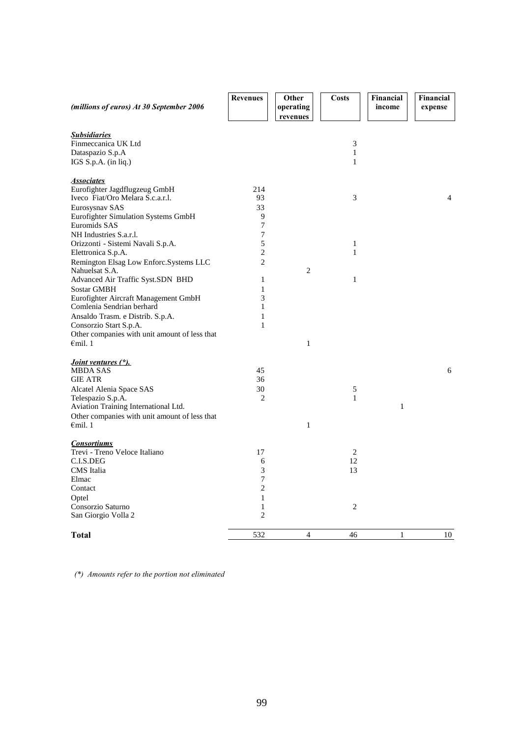| (millions of euros) At 30 September 2006                     | <b>Revenues</b>     | Other<br>operating | <b>Costs</b>                 | Financial<br>income | Financial<br>expense |
|--------------------------------------------------------------|---------------------|--------------------|------------------------------|---------------------|----------------------|
|                                                              |                     | revenues           |                              |                     |                      |
| <u>Subsidiaries</u>                                          |                     |                    |                              |                     |                      |
| Finmeccanica UK Ltd                                          |                     |                    | $\ensuremath{\mathfrak{Z}}$  |                     |                      |
| Dataspazio S.p.A                                             |                     |                    | $\mathbf{1}$                 |                     |                      |
| IGS S.p.A. (in liq.)                                         |                     |                    | $\mathbf{1}$                 |                     |                      |
| <b>Associates</b>                                            |                     |                    |                              |                     |                      |
| Eurofighter Jagdflugzeug GmbH                                | 214                 |                    |                              |                     |                      |
| Iveco Fiat/Oro Melara S.c.a.r.l.                             | 93                  |                    | 3                            |                     | $\overline{4}$       |
| Eurosysnav SAS                                               | 33                  |                    |                              |                     |                      |
| Eurofighter Simulation Systems GmbH                          | $\boldsymbol{9}$    |                    |                              |                     |                      |
| Euromids SAS                                                 | 7                   |                    |                              |                     |                      |
| NH Industries S.a.r.l.                                       | 7                   |                    |                              |                     |                      |
| Orizzonti - Sistemi Navali S.p.A.                            | 5<br>$\overline{c}$ |                    | $\mathbf{1}$<br>$\mathbf{1}$ |                     |                      |
| Elettronica S.p.A.<br>Remington Elsag Low Enforc.Systems LLC | $\overline{c}$      |                    |                              |                     |                      |
| Nahuelsat S.A.                                               |                     | $\overline{2}$     |                              |                     |                      |
| Advanced Air Traffic Syst.SDN BHD                            | $\mathbf{1}$        |                    | $\mathbf{1}$                 |                     |                      |
| <b>Sostar GMBH</b>                                           | $\mathbf{1}$        |                    |                              |                     |                      |
| Eurofighter Aircraft Management GmbH                         | 3                   |                    |                              |                     |                      |
| Comlenia Sendrian berhard                                    | $\mathbf{1}$        |                    |                              |                     |                      |
| Ansaldo Trasm. e Distrib. S.p.A.                             | 1                   |                    |                              |                     |                      |
| Consorzio Start S.p.A.                                       | $\mathbf{1}$        |                    |                              |                     |                      |
| Other companies with unit amount of less that                |                     |                    |                              |                     |                      |
| $\epsilon$ mil. 1                                            |                     | $\mathbf{1}$       |                              |                     |                      |
|                                                              |                     |                    |                              |                     |                      |
| <i>Joint ventures (*).</i><br><b>MBDA SAS</b>                | 45                  |                    |                              |                     | 6                    |
| <b>GIE ATR</b>                                               | 36                  |                    |                              |                     |                      |
| Alcatel Alenia Space SAS                                     | 30                  |                    | 5                            |                     |                      |
| Telespazio S.p.A.                                            | 2                   |                    | $\mathbf{1}$                 |                     |                      |
| Aviation Training International Ltd.                         |                     |                    |                              | $\mathbf{1}$        |                      |
| Other companies with unit amount of less that                |                     |                    |                              |                     |                      |
| $\epsilon$ mil. 1                                            |                     | $\,1$              |                              |                     |                      |
| <b>Consortiums</b>                                           |                     |                    |                              |                     |                      |
| Trevi - Treno Veloce Italiano                                | 17                  |                    | $\overline{2}$               |                     |                      |
| C.I.S.DEG                                                    | 6                   |                    | 12                           |                     |                      |
| CMS Italia                                                   | 3                   |                    | 13                           |                     |                      |
| Elmac                                                        | 7                   |                    |                              |                     |                      |
| Contact                                                      | $\overline{c}$      |                    |                              |                     |                      |
| Optel                                                        | $\mathbf{1}$        |                    |                              |                     |                      |
| Consorzio Saturno                                            | $\mathbf{1}$        |                    | 2                            |                     |                      |
| San Giorgio Volla 2                                          | $\overline{c}$      |                    |                              |                     |                      |
| Total                                                        | 532                 | $\overline{4}$     | 46                           | 1                   | 10                   |

*(\*) Amounts refer to the portion not eliminated*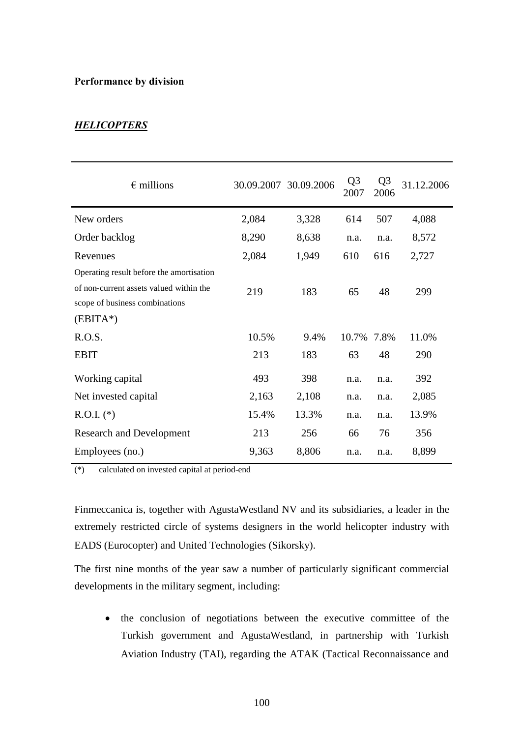#### **Performance by division**

# *HELICOPTERS*

| $\epsilon$ millions                                                       |       | 30.09.2007 30.09.2006 | Q <sub>3</sub><br>2007 | Q <sub>3</sub><br>2006 | 31.12.2006 |
|---------------------------------------------------------------------------|-------|-----------------------|------------------------|------------------------|------------|
| New orders                                                                | 2,084 | 3,328                 | 614                    | 507                    | 4,088      |
| Order backlog                                                             | 8,290 | 8,638                 | n.a.                   | n.a.                   | 8,572      |
| Revenues                                                                  | 2,084 | 1,949                 | 610                    | 616                    | 2,727      |
| Operating result before the amortisation                                  |       |                       |                        |                        |            |
| of non-current assets valued within the<br>scope of business combinations | 219   | 183                   | 65                     | 48                     | 299        |
| $(EBITA*)$                                                                |       |                       |                        |                        |            |
| R.O.S.                                                                    | 10.5% | 9.4%                  | 10.7%                  | 7.8%                   | 11.0%      |
| <b>EBIT</b>                                                               | 213   | 183                   | 63                     | 48                     | 290        |
| Working capital                                                           | 493   | 398                   | n.a.                   | n.a.                   | 392        |
| Net invested capital                                                      | 2,163 | 2,108                 | n.a.                   | n.a.                   | 2,085      |
| $R.O.I.$ (*)                                                              | 15.4% | 13.3%                 | n.a.                   | n.a.                   | 13.9%      |
| <b>Research and Development</b>                                           | 213   | 256                   | 66                     | 76                     | 356        |
| Employees (no.)                                                           | 9,363 | 8,806                 | n.a.                   | n.a.                   | 8,899      |

(\*) calculated on invested capital at period-end

Finmeccanica is, together with AgustaWestland NV and its subsidiaries, a leader in the extremely restricted circle of systems designers in the world helicopter industry with EADS (Eurocopter) and United Technologies (Sikorsky).

The first nine months of the year saw a number of particularly significant commercial developments in the military segment, including:

 the conclusion of negotiations between the executive committee of the Turkish government and AgustaWestland, in partnership with Turkish Aviation Industry (TAI), regarding the ATAK (Tactical Reconnaissance and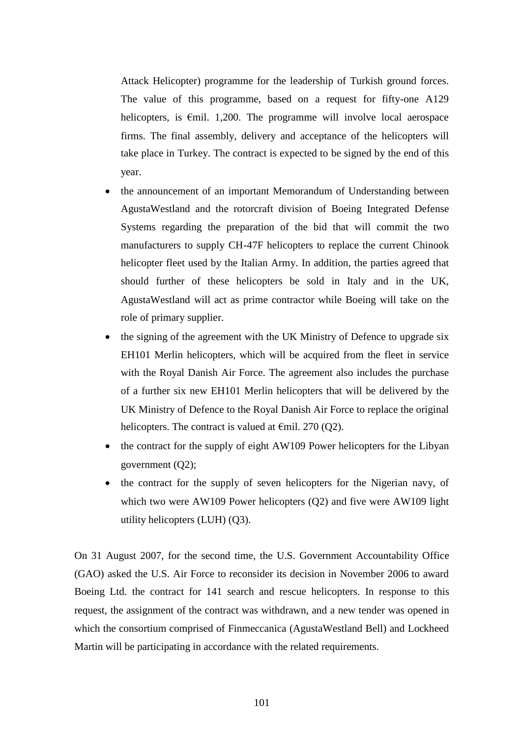Attack Helicopter) programme for the leadership of Turkish ground forces. The value of this programme, based on a request for fifty-one A129 helicopters, is  $\epsilon$ mil. 1,200. The programme will involve local aerospace firms. The final assembly, delivery and acceptance of the helicopters will take place in Turkey. The contract is expected to be signed by the end of this year.

- the announcement of an important Memorandum of Understanding between AgustaWestland and the rotorcraft division of Boeing Integrated Defense Systems regarding the preparation of the bid that will commit the two manufacturers to supply CH-47F helicopters to replace the current Chinook helicopter fleet used by the Italian Army. In addition, the parties agreed that should further of these helicopters be sold in Italy and in the UK, AgustaWestland will act as prime contractor while Boeing will take on the role of primary supplier.
- the signing of the agreement with the UK Ministry of Defence to upgrade six EH101 Merlin helicopters, which will be acquired from the fleet in service with the Royal Danish Air Force. The agreement also includes the purchase of a further six new EH101 Merlin helicopters that will be delivered by the UK Ministry of Defence to the Royal Danish Air Force to replace the original helicopters. The contract is valued at  $\epsilon$ mil. 270 (Q2).
- the contract for the supply of eight AW109 Power helicopters for the Libyan government (Q2);
- the contract for the supply of seven helicopters for the Nigerian navy, of which two were AW109 Power helicopters (Q2) and five were AW109 light utility helicopters (LUH) (Q3).

On 31 August 2007, for the second time, the U.S. Government Accountability Office (GAO) asked the U.S. Air Force to reconsider its decision in November 2006 to award Boeing Ltd. the contract for 141 search and rescue helicopters. In response to this request, the assignment of the contract was withdrawn, and a new tender was opened in which the consortium comprised of Finmeccanica (AgustaWestland Bell) and Lockheed Martin will be participating in accordance with the related requirements.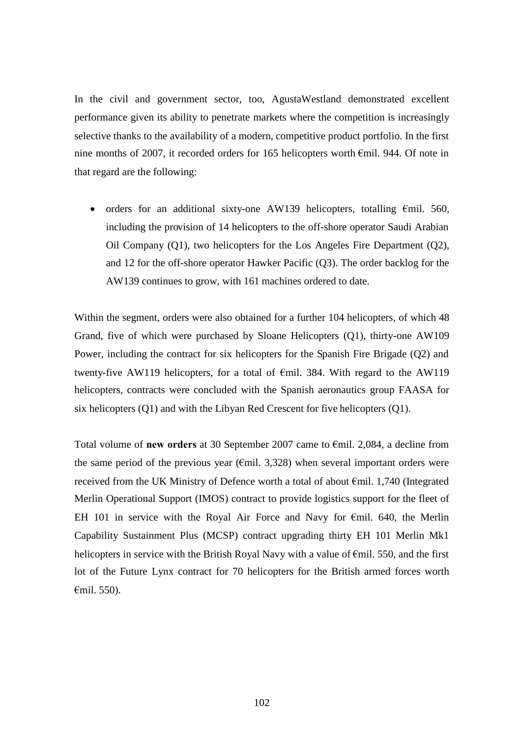In the civil and government sector, too, AgustaWestland demonstrated excellent performance given its ability to penetrate markets where the competition is increasingly selective thanks to the availability of a modern, competitive product portfolio. In the first nine months of 2007, it recorded orders for 165 helicopters worth €mil. 944. Of note in that regard are the following:

orders for an additional sixty-one AW139 helicopters, totalling  $\epsilon$ mil. 560, including the provision of 14 helicopters to the off-shore operator Saudi Arabian Oil Company (Q1), two helicopters for the Los Angeles Fire Department (Q2), and 12 for the off-shore operator Hawker Pacific (Q3). The order backlog for the AW139 continues to grow, with 161 machines ordered to date.

Within the segment, orders were also obtained for a further 104 helicopters, of which 48 Grand, five of which were purchased by Sloane Helicopters (Q1), thirty-one AW109 Power, including the contract for six helicopters for the Spanish Fire Brigade (Q2) and twenty-five AW119 helicopters, for a total of  $\epsilon$ mil. 384. With regard to the AW119 helicopters, contracts were concluded with the Spanish aeronautics group FAASA for six helicopters (Q1) and with the Libyan Red Crescent for five helicopters (Q1).

Total volume of **new orders** at 30 September 2007 came to €mil. 2,084, a decline from the same period of the previous year ( $\epsilon$ mil. 3,328) when several important orders were received from the UK Ministry of Defence worth a total of about €mil. 1,740 (Integrated Merlin Operational Support (IMOS) contract to provide logistics support for the fleet of EH 101 in service with the Royal Air Force and Navy for  $\epsilon$ mil. 640, the Merlin Capability Sustainment Plus (MCSP) contract upgrading thirty EH 101 Merlin Mk1 helicopters in service with the British Royal Navy with a value of  $\epsilon$ mil. 550, and the first lot of the Future Lynx contract for 70 helicopters for the British armed forces worth €mil. 550).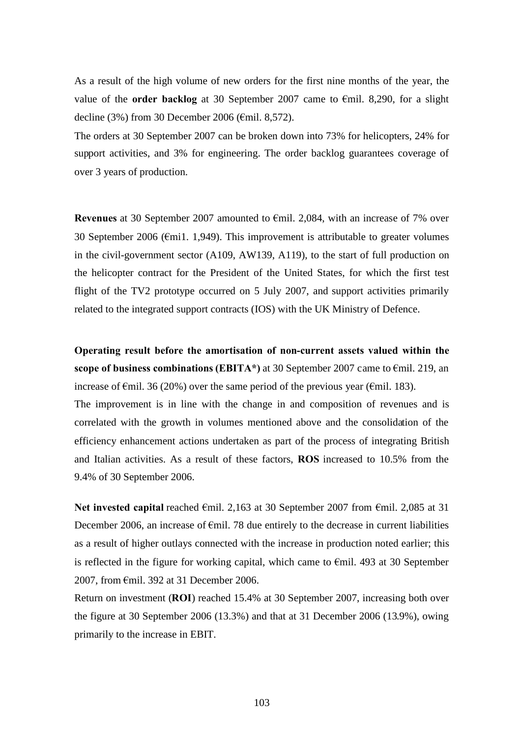As a result of the high volume of new orders for the first nine months of the year, the value of the **order backlog** at 30 September 2007 came to €mil. 8,290, for a slight decline (3%) from 30 December 2006 (€mil. 8,572).

The orders at 30 September 2007 can be broken down into 73% for helicopters, 24% for support activities, and 3% for engineering. The order backlog guarantees coverage of over 3 years of production.

**Revenues** at 30 September 2007 amounted to €mil. 2,084, with an increase of 7% over 30 September 2006 (€mi1. 1,949). This improvement is attributable to greater volumes in the civil-government sector (A109, AW139, A119), to the start of full production on the helicopter contract for the President of the United States, for which the first test flight of the TV2 prototype occurred on 5 July 2007, and support activities primarily related to the integrated support contracts (IOS) with the UK Ministry of Defence.

**Operating result before the amortisation of non-current assets valued within the scope of business combinations (EBITA\*)** at 30 September 2007 came to €mil. 219, an increase of  $\epsilon$ mil. 36 (20%) over the same period of the previous year ( $\epsilon$ mil. 183).

The improvement is in line with the change in and composition of revenues and is correlated with the growth in volumes mentioned above and the consolidation of the efficiency enhancement actions undertaken as part of the process of integrating British and Italian activities. As a result of these factors, **ROS** increased to 10.5% from the 9.4% of 30 September 2006.

**Net invested capital** reached €mil. 2,163 at 30 September 2007 from €mil. 2,085 at 31 December 2006, an increase of  $\epsilon$ mil. 78 due entirely to the decrease in current liabilities as a result of higher outlays connected with the increase in production noted earlier; this is reflected in the figure for working capital, which came to  $\epsilon$ mil. 493 at 30 September 2007, from €mil. 392 at 31 December 2006.

Return on investment (**ROI**) reached 15.4% at 30 September 2007, increasing both over the figure at 30 September 2006 (13.3%) and that at 31 December 2006 (13.9%), owing primarily to the increase in EBIT.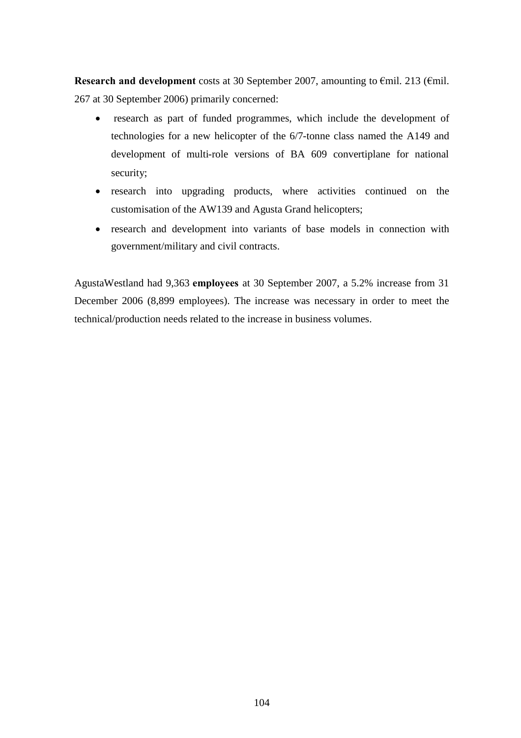**Research and development** costs at 30 September 2007, amounting to €mil. 213 (€mil. 267 at 30 September 2006) primarily concerned:

- research as part of funded programmes, which include the development of technologies for a new helicopter of the 6/7-tonne class named the A149 and development of multi-role versions of BA 609 convertiplane for national security;
- research into upgrading products, where activities continued on the customisation of the AW139 and Agusta Grand helicopters;
- research and development into variants of base models in connection with government/military and civil contracts.

AgustaWestland had 9,363 **employees** at 30 September 2007, a 5.2% increase from 31 December 2006 (8,899 employees). The increase was necessary in order to meet the technical/production needs related to the increase in business volumes.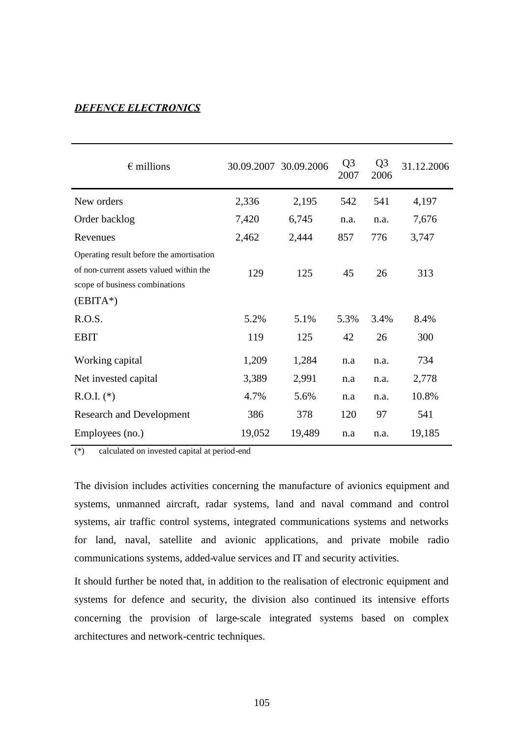### *DEFENCE ELECTRONICS*

| $\epsilon$ millions                                                                                                                 |        | 30.09.2007 30.09.2006 | Q <sub>3</sub><br>2007 | Q <sub>3</sub><br>2006 | 31.12.2006 |
|-------------------------------------------------------------------------------------------------------------------------------------|--------|-----------------------|------------------------|------------------------|------------|
| New orders                                                                                                                          | 2,336  | 2,195                 | 542                    | 541                    | 4,197      |
| Order backlog                                                                                                                       | 7,420  | 6,745                 | n.a.                   | n.a.                   | 7,676      |
| Revenues                                                                                                                            | 2,462  | 2,444                 | 857                    | 776                    | 3,747      |
| Operating result before the amortisation<br>of non-current assets valued within the<br>scope of business combinations<br>$(EBITA*)$ | 129    | 125                   | 45                     | 26                     | 313        |
| R.O.S.                                                                                                                              | 5.2%   | 5.1%                  | 5.3%                   | 3.4%                   | 8.4%       |
| <b>EBIT</b>                                                                                                                         | 119    | 125                   | 42                     | 26                     | 300        |
| Working capital                                                                                                                     | 1,209  | 1,284                 | n.a                    | n.a.                   | 734        |
| Net invested capital                                                                                                                | 3,389  | 2,991                 | n.a                    | n.a.                   | 2,778      |
| $R.O.I.$ (*)                                                                                                                        | 4.7%   | 5.6%                  | n.a                    | n.a.                   | 10.8%      |
| <b>Research and Development</b>                                                                                                     | 386    | 378                   | 120                    | 97                     | 541        |
| Employees (no.)                                                                                                                     | 19,052 | 19,489                | n.a                    | n.a.                   | 19,185     |

(\*) calculated on invested capital at period-end

The division includes activities concerning the manufacture of avionics equipment and systems, unmanned aircraft, radar systems, land and naval command and control systems, air traffic control systems, integrated communications systems and networks for land, naval, satellite and avionic applications, and private mobile radio communications systems, added-value services and IT and security activities.

It should further be noted that, in addition to the realisation of electronic equipment and systems for defence and security, the division also continued its intensive efforts concerning the provision of large-scale integrated systems based on complex architectures and network-centric techniques.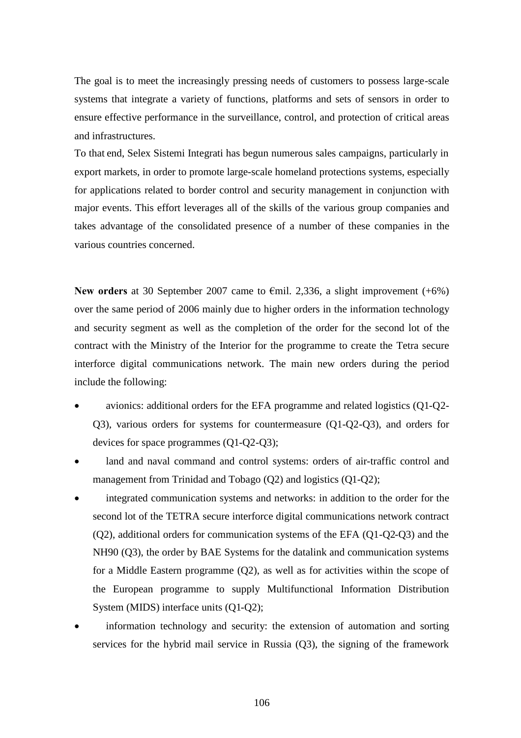The goal is to meet the increasingly pressing needs of customers to possess large-scale systems that integrate a variety of functions, platforms and sets of sensors in order to ensure effective performance in the surveillance, control, and protection of critical areas and infrastructures.

To that end, Selex Sistemi Integrati has begun numerous sales campaigns, particularly in export markets, in order to promote large-scale homeland protections systems, especially for applications related to border control and security management in conjunction with major events. This effort leverages all of the skills of the various group companies and takes advantage of the consolidated presence of a number of these companies in the various countries concerned.

**New orders** at 30 September 2007 came to €mil. 2,336, a slight improvement (+6%) over the same period of 2006 mainly due to higher orders in the information technology and security segment as well as the completion of the order for the second lot of the contract with the Ministry of the Interior for the programme to create the Tetra secure interforce digital communications network. The main new orders during the period include the following:

- avionics: additional orders for the EFA programme and related logistics (Q1-Q2- Q3), various orders for systems for countermeasure (Q1-Q2-Q3), and orders for devices for space programmes (Q1-Q2-Q3);
- land and naval command and control systems: orders of air-traffic control and management from Trinidad and Tobago (Q2) and logistics (Q1-Q2);
- integrated communication systems and networks: in addition to the order for the second lot of the TETRA secure interforce digital communications network contract (Q2), additional orders for communication systems of the EFA (Q1-Q2-Q3) and the NH90 (Q3), the order by BAE Systems for the datalink and communication systems for a Middle Eastern programme (Q2), as well as for activities within the scope of the European programme to supply Multifunctional Information Distribution System (MIDS) interface units (Q1-Q2);
- information technology and security: the extension of automation and sorting services for the hybrid mail service in Russia (Q3), the signing of the framework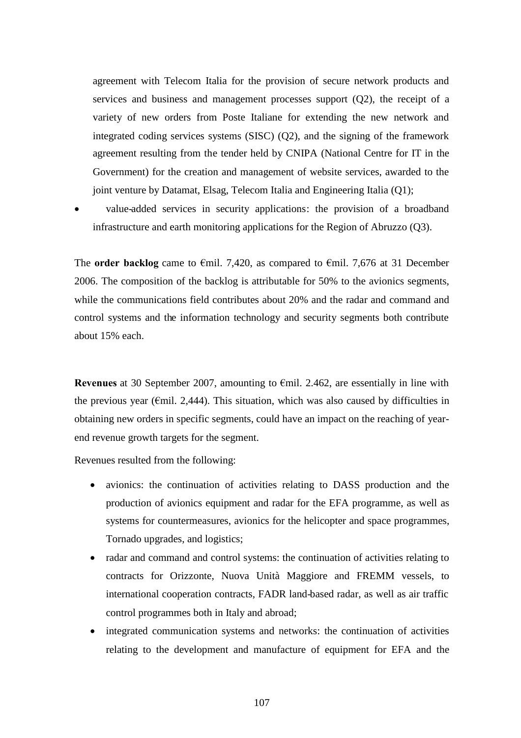agreement with Telecom Italia for the provision of secure network products and services and business and management processes support (Q2), the receipt of a variety of new orders from Poste Italiane for extending the new network and integrated coding services systems (SISC) (Q2), and the signing of the framework agreement resulting from the tender held by CNIPA (National Centre for IT in the Government) for the creation and management of website services, awarded to the joint venture by Datamat, Elsag, Telecom Italia and Engineering Italia (Q1);

 value-added services in security applications: the provision of a broadband infrastructure and earth monitoring applications for the Region of Abruzzo (Q3).

The **order backlog** came to €mil. 7,420, as compared to €mil. 7,676 at 31 December 2006. The composition of the backlog is attributable for 50% to the avionics segments, while the communications field contributes about 20% and the radar and command and control systems and the information technology and security segments both contribute about 15% each.

**Revenues** at 30 September 2007, amounting to €mil. 2.462, are essentially in line with the previous year ( $\epsilon$ mil. 2,444). This situation, which was also caused by difficulties in obtaining new orders in specific segments, could have an impact on the reaching of yearend revenue growth targets for the segment.

Revenues resulted from the following:

- avionics: the continuation of activities relating to DASS production and the production of avionics equipment and radar for the EFA programme, as well as systems for countermeasures, avionics for the helicopter and space programmes, Tornado upgrades, and logistics;
- radar and command and control systems: the continuation of activities relating to contracts for Orizzonte, Nuova Unità Maggiore and FREMM vessels, to international cooperation contracts, FADR land-based radar, as well as air traffic control programmes both in Italy and abroad;
- integrated communication systems and networks: the continuation of activities relating to the development and manufacture of equipment for EFA and the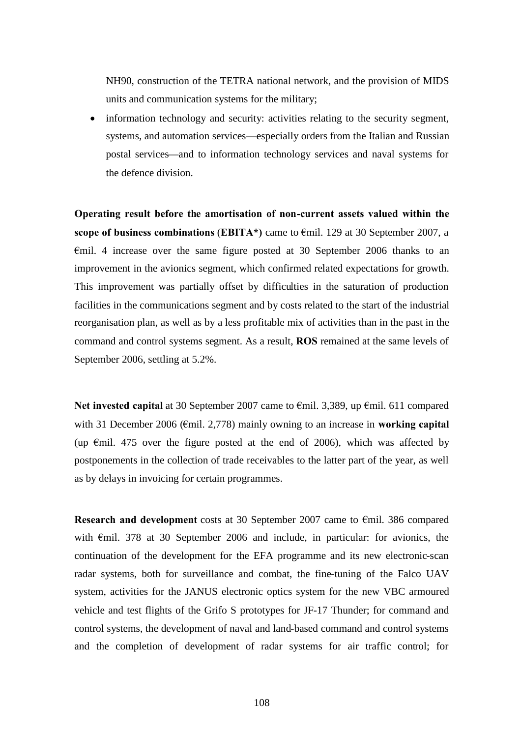NH90, construction of the TETRA national network, and the provision of MIDS units and communication systems for the military;

 information technology and security: activities relating to the security segment, systems, and automation services—especially orders from the Italian and Russian postal services—and to information technology services and naval systems for the defence division.

**Operating result before the amortisation of non-current assets valued within the scope of business combinations** (**EBITA\*)** came to €mil. 129 at 30 September 2007, a €mil. 4 increase over the same figure posted at 30 September 2006 thanks to an improvement in the avionics segment, which confirmed related expectations for growth. This improvement was partially offset by difficulties in the saturation of production facilities in the communications segment and by costs related to the start of the industrial reorganisation plan, as well as by a less profitable mix of activities than in the past in the command and control systems segment. As a result, **ROS** remained at the same levels of September 2006, settling at 5.2%.

**Net invested capital** at 30 September 2007 came to €mil. 3,389, up €mil. 611 compared with 31 December 2006 (€mil. 2,778) mainly owning to an increase in **working capital** (up  $\epsilon$ mil. 475 over the figure posted at the end of 2006), which was affected by postponements in the collection of trade receivables to the latter part of the year, as well as by delays in invoicing for certain programmes.

**Research and development** costs at 30 September 2007 came to €mil. 386 compared with €mil. 378 at 30 September 2006 and include, in particular: for avionics, the continuation of the development for the EFA programme and its new electronic-scan radar systems, both for surveillance and combat, the fine-tuning of the Falco UAV system, activities for the JANUS electronic optics system for the new VBC armoured vehicle and test flights of the Grifo S prototypes for JF-17 Thunder; for command and control systems, the development of naval and land-based command and control systems and the completion of development of radar systems for air traffic control; for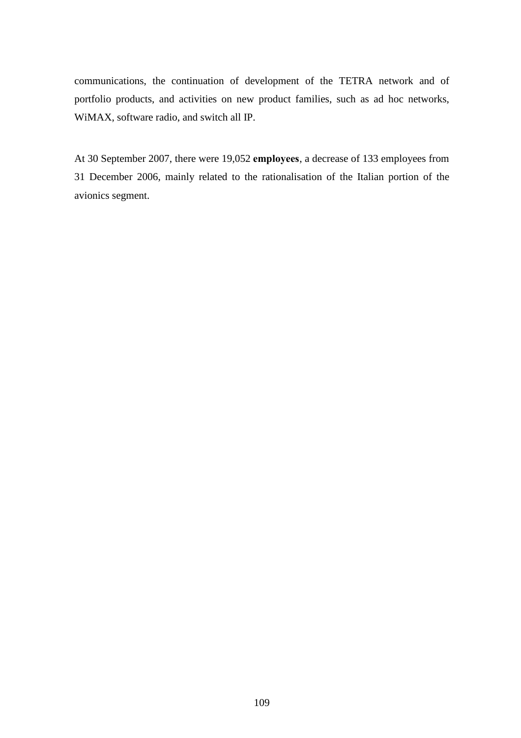communications, the continuation of development of the TETRA network and of portfolio products, and activities on new product families, such as ad hoc networks, WiMAX, software radio, and switch all IP.

At 30 September 2007, there were 19,052 **employees**, a decrease of 133 employees from 31 December 2006, mainly related to the rationalisation of the Italian portion of the avionics segment.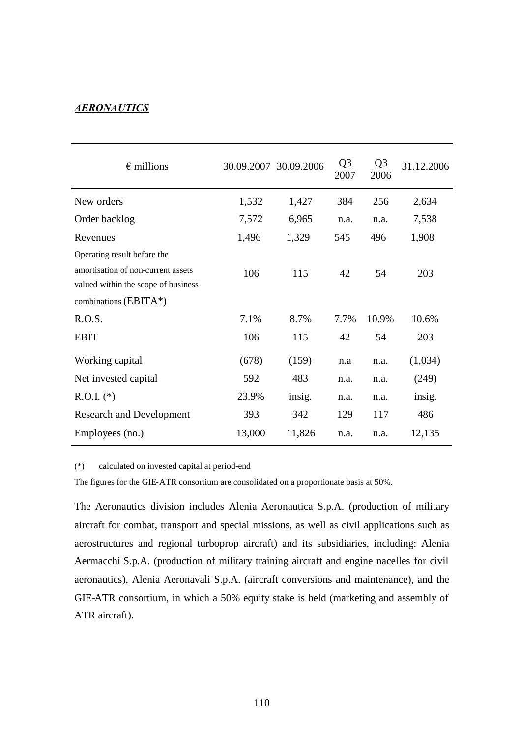## *AERONAUTICS*

| $\epsilon$ millions                                                                                                                 |        | 30.09.2007 30.09.2006 | Q <sub>3</sub><br>2007 | Q <sub>3</sub><br>2006 | 31.12.2006 |
|-------------------------------------------------------------------------------------------------------------------------------------|--------|-----------------------|------------------------|------------------------|------------|
| New orders                                                                                                                          | 1,532  | 1,427                 | 384                    | 256                    | 2,634      |
| Order backlog                                                                                                                       | 7,572  | 6,965                 | n.a.                   | n.a.                   | 7,538      |
| Revenues                                                                                                                            | 1,496  | 1,329                 | 545                    | 496                    | 1,908      |
| Operating result before the<br>amortisation of non-current assets<br>valued within the scope of business<br>combinations $(BBITA*)$ | 106    | 115                   | 42                     | 54                     | 203        |
| R.O.S.                                                                                                                              | 7.1%   | 8.7%                  | 7.7%                   | 10.9%                  | 10.6%      |
| <b>EBIT</b>                                                                                                                         | 106    | 115                   | 42                     | 54                     | 203        |
| Working capital                                                                                                                     | (678)  | (159)                 | n.a                    | n.a.                   | (1,034)    |
| Net invested capital                                                                                                                | 592    | 483                   | n.a.                   | n.a.                   | (249)      |
| $R.O.I.$ (*)                                                                                                                        | 23.9%  | insig.                | n.a.                   | n.a.                   | insig.     |
| <b>Research and Development</b>                                                                                                     | 393    | 342                   | 129                    | 117                    | 486        |
| Employees (no.)                                                                                                                     | 13,000 | 11,826                | n.a.                   | n.a.                   | 12,135     |

(\*) calculated on invested capital at period-end

The figures for the GIE-ATR consortium are consolidated on a proportionate basis at 50%.

The Aeronautics division includes Alenia Aeronautica S.p.A. (production of military aircraft for combat, transport and special missions, as well as civil applications such as aerostructures and regional turboprop aircraft) and its subsidiaries, including: Alenia Aermacchi S.p.A. (production of military training aircraft and engine nacelles for civil aeronautics), Alenia Aeronavali S.p.A. (aircraft conversions and maintenance), and the GIE-ATR consortium, in which a 50% equity stake is held (marketing and assembly of ATR aircraft).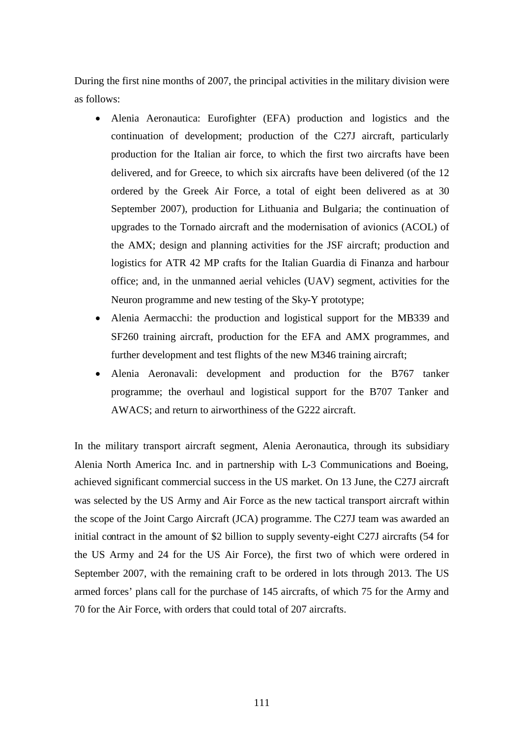During the first nine months of 2007, the principal activities in the military division were as follows:

- Alenia Aeronautica: Eurofighter (EFA) production and logistics and the continuation of development; production of the C27J aircraft, particularly production for the Italian air force, to which the first two aircrafts have been delivered, and for Greece, to which six aircrafts have been delivered (of the 12 ordered by the Greek Air Force, a total of eight been delivered as at 30 September 2007), production for Lithuania and Bulgaria; the continuation of upgrades to the Tornado aircraft and the modernisation of avionics (ACOL) of the AMX; design and planning activities for the JSF aircraft; production and logistics for ATR 42 MP crafts for the Italian Guardia di Finanza and harbour office; and, in the unmanned aerial vehicles (UAV) segment, activities for the Neuron programme and new testing of the Sky-Y prototype;
- Alenia Aermacchi: the production and logistical support for the MB339 and SF260 training aircraft, production for the EFA and AMX programmes, and further development and test flights of the new M346 training aircraft;
- Alenia Aeronavali: development and production for the B767 tanker programme; the overhaul and logistical support for the B707 Tanker and AWACS; and return to airworthiness of the G222 aircraft.

In the military transport aircraft segment, Alenia Aeronautica, through its subsidiary Alenia North America Inc. and in partnership with L-3 Communications and Boeing, achieved significant commercial success in the US market. On 13 June, the C27J aircraft was selected by the US Army and Air Force as the new tactical transport aircraft within the scope of the Joint Cargo Aircraft (JCA) programme. The C27J team was awarded an initial contract in the amount of \$2 billion to supply seventy-eight C27J aircrafts (54 for the US Army and 24 for the US Air Force), the first two of which were ordered in September 2007, with the remaining craft to be ordered in lots through 2013. The US armed forces' plans call for the purchase of 145 aircrafts, of which 75 for the Army and 70 for the Air Force, with orders that could total of 207 aircrafts.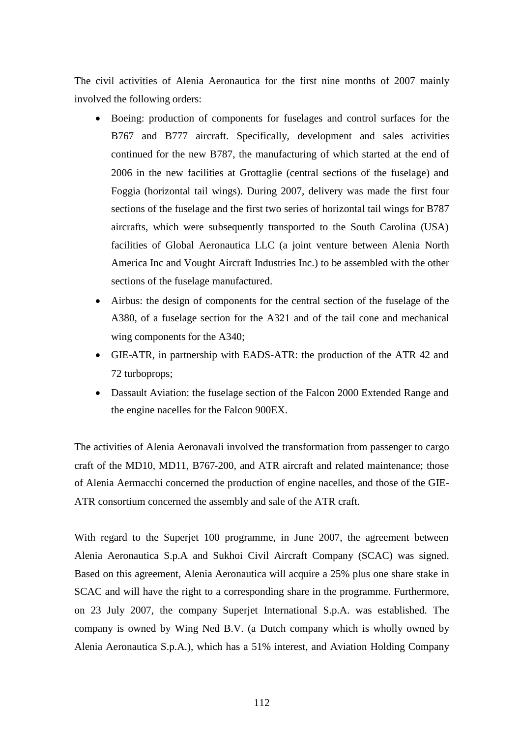The civil activities of Alenia Aeronautica for the first nine months of 2007 mainly involved the following orders:

- Boeing: production of components for fuselages and control surfaces for the B767 and B777 aircraft. Specifically, development and sales activities continued for the new B787, the manufacturing of which started at the end of 2006 in the new facilities at Grottaglie (central sections of the fuselage) and Foggia (horizontal tail wings). During 2007, delivery was made the first four sections of the fuselage and the first two series of horizontal tail wings for B787 aircrafts, which were subsequently transported to the South Carolina (USA) facilities of Global Aeronautica LLC (a joint venture between Alenia North America Inc and Vought Aircraft Industries Inc.) to be assembled with the other sections of the fuselage manufactured.
- Airbus: the design of components for the central section of the fuselage of the A380, of a fuselage section for the A321 and of the tail cone and mechanical wing components for the A340;
- GIE-ATR, in partnership with EADS-ATR: the production of the ATR 42 and 72 turboprops;
- Dassault Aviation: the fuselage section of the Falcon 2000 Extended Range and the engine nacelles for the Falcon 900EX.

The activities of Alenia Aeronavali involved the transformation from passenger to cargo craft of the MD10, MD11, B767-200, and ATR aircraft and related maintenance; those of Alenia Aermacchi concerned the production of engine nacelles, and those of the GIE-ATR consortium concerned the assembly and sale of the ATR craft.

With regard to the Superjet 100 programme, in June 2007, the agreement between Alenia Aeronautica S.p.A and Sukhoi Civil Aircraft Company (SCAC) was signed. Based on this agreement, Alenia Aeronautica will acquire a 25% plus one share stake in SCAC and will have the right to a corresponding share in the programme. Furthermore, on 23 July 2007, the company Superjet International S.p.A. was established. The company is owned by Wing Ned B.V. (a Dutch company which is wholly owned by Alenia Aeronautica S.p.A.), which has a 51% interest, and Aviation Holding Company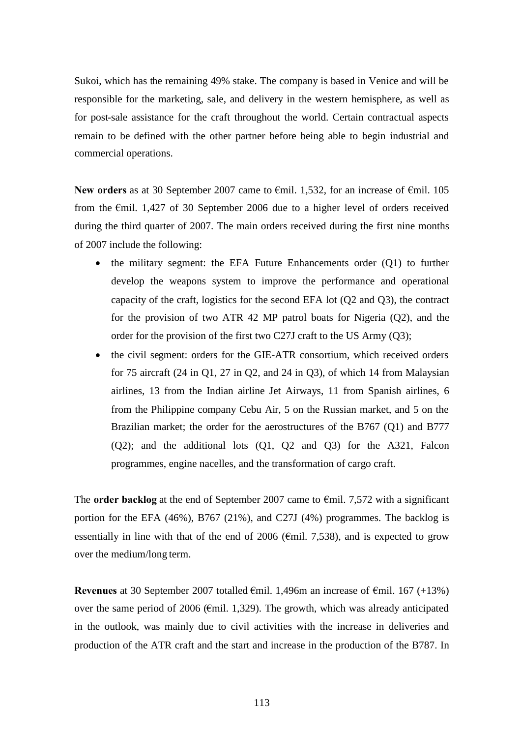Sukoi, which has the remaining 49% stake. The company is based in Venice and will be responsible for the marketing, sale, and delivery in the western hemisphere, as well as for post-sale assistance for the craft throughout the world. Certain contractual aspects remain to be defined with the other partner before being able to begin industrial and commercial operations.

**New orders** as at 30 September 2007 came to €mil. 1,532, for an increase of €mil. 105 from the €mil. 1,427 of 30 September 2006 due to a higher level of orders received during the third quarter of 2007. The main orders received during the first nine months of 2007 include the following:

- the military segment: the EFA Future Enhancements order (Q1) to further develop the weapons system to improve the performance and operational capacity of the craft, logistics for the second EFA lot (Q2 and Q3), the contract for the provision of two ATR 42 MP patrol boats for Nigeria (Q2), and the order for the provision of the first two C27J craft to the US Army (Q3);
- the civil segment: orders for the GIE-ATR consortium, which received orders for 75 aircraft (24 in Q1, 27 in Q2, and 24 in Q3), of which 14 from Malaysian airlines, 13 from the Indian airline Jet Airways, 11 from Spanish airlines, 6 from the Philippine company Cebu Air, 5 on the Russian market, and 5 on the Brazilian market; the order for the aerostructures of the B767 (Q1) and B777 (Q2); and the additional lots (Q1, Q2 and Q3) for the A321, Falcon programmes, engine nacelles, and the transformation of cargo craft.

The **order backlog** at the end of September 2007 came to €mil. 7,572 with a significant portion for the EFA (46%), B767 (21%), and C27J (4%) programmes. The backlog is essentially in line with that of the end of 2006 ( $\epsilon$ mil. 7,538), and is expected to grow over the medium/long term.

**Revenues** at 30 September 2007 totalled  $\epsilon$ mil. 1,496m an increase of  $\epsilon$ mil. 167 (+13%) over the same period of 2006 ( $\epsilon$ mil. 1,329). The growth, which was already anticipated in the outlook, was mainly due to civil activities with the increase in deliveries and production of the ATR craft and the start and increase in the production of the B787. In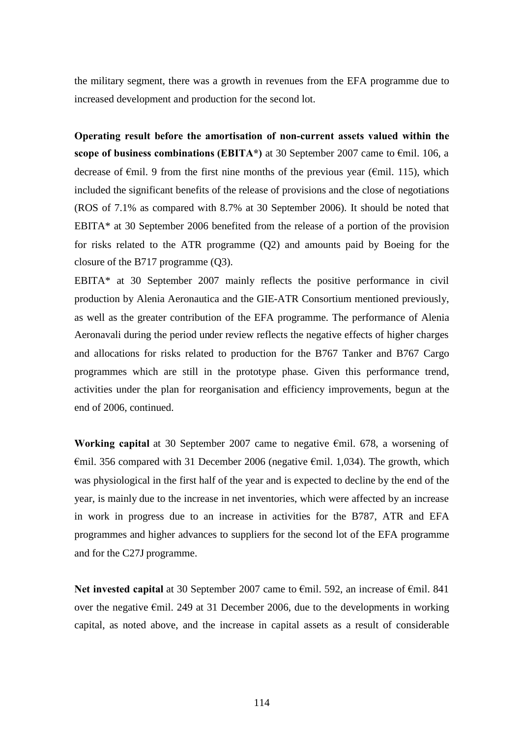the military segment, there was a growth in revenues from the EFA programme due to increased development and production for the second lot.

**Operating result before the amortisation of non-current assets valued within the scope of business combinations (EBITA\*)** at 30 September 2007 came to €mil. 106, a decrease of  $\epsilon$ mil. 9 from the first nine months of the previous year ( $\epsilon$ mil. 115), which included the significant benefits of the release of provisions and the close of negotiations (ROS of 7.1% as compared with 8.7% at 30 September 2006). It should be noted that EBITA\* at 30 September 2006 benefited from the release of a portion of the provision for risks related to the ATR programme (Q2) and amounts paid by Boeing for the closure of the B717 programme (Q3).

EBITA\* at 30 September 2007 mainly reflects the positive performance in civil production by Alenia Aeronautica and the GIE-ATR Consortium mentioned previously, as well as the greater contribution of the EFA programme. The performance of Alenia Aeronavali during the period under review reflects the negative effects of higher charges and allocations for risks related to production for the B767 Tanker and B767 Cargo programmes which are still in the prototype phase. Given this performance trend, activities under the plan for reorganisation and efficiency improvements, begun at the end of 2006, continued.

**Working capital** at 30 September 2007 came to negative €mil. 678, a worsening of  $\epsilon$ mil. 356 compared with 31 December 2006 (negative  $\epsilon$ mil. 1,034). The growth, which was physiological in the first half of the year and is expected to decline by the end of the year, is mainly due to the increase in net inventories, which were affected by an increase in work in progress due to an increase in activities for the B787, ATR and EFA programmes and higher advances to suppliers for the second lot of the EFA programme and for the C27J programme.

Net invested capital at 30 September 2007 came to €mil. 592, an increase of €mil. 841 over the negative €mil. 249 at 31 December 2006, due to the developments in working capital, as noted above, and the increase in capital assets as a result of considerable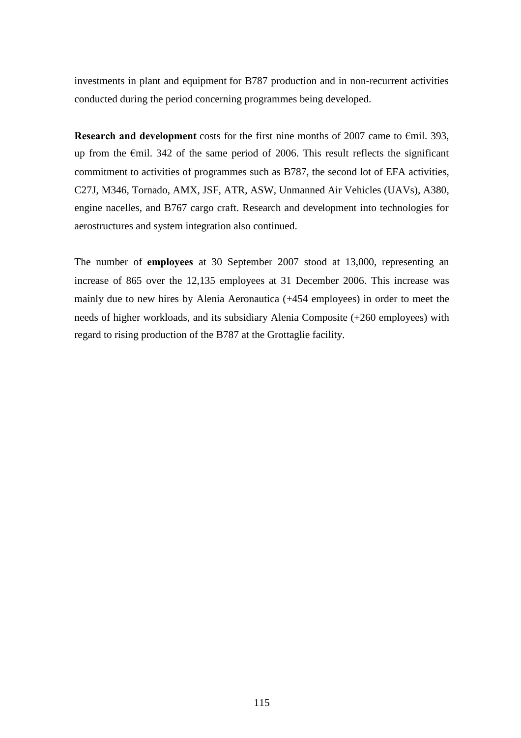investments in plant and equipment for B787 production and in non-recurrent activities conducted during the period concerning programmes being developed.

**Research and development** costs for the first nine months of 2007 came to €mil. 393, up from the €mil. 342 of the same period of 2006. This result reflects the significant commitment to activities of programmes such as B787, the second lot of EFA activities, C27J, M346, Tornado, AMX, JSF, ATR, ASW, Unmanned Air Vehicles (UAVs), A380, engine nacelles, and B767 cargo craft. Research and development into technologies for aerostructures and system integration also continued.

The number of **employees** at 30 September 2007 stood at 13,000, representing an increase of 865 over the 12,135 employees at 31 December 2006. This increase was mainly due to new hires by Alenia Aeronautica (+454 employees) in order to meet the needs of higher workloads, and its subsidiary Alenia Composite (+260 employees) with regard to rising production of the B787 at the Grottaglie facility.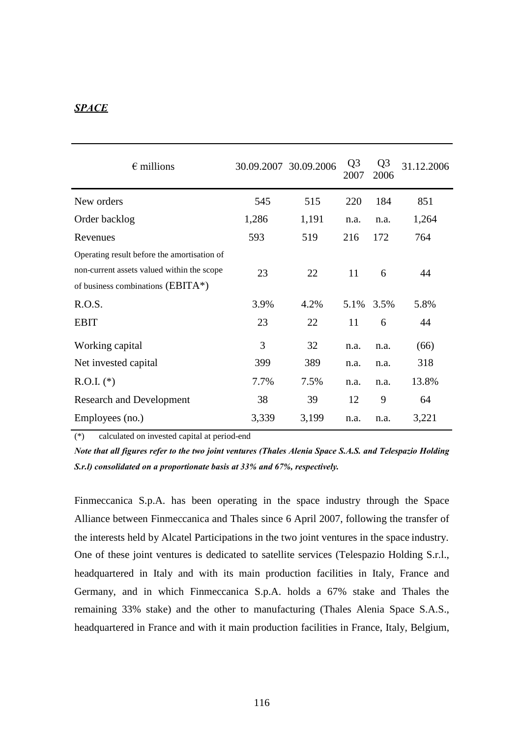### *SPACE*

| $\epsilon$ millions                         |       | 30.09.2007 30.09.2006 | Q <sub>3</sub><br>2007 | Q <sub>3</sub><br>2006 | 31.12.2006 |
|---------------------------------------------|-------|-----------------------|------------------------|------------------------|------------|
| New orders                                  | 545   | 515                   | 220                    | 184                    | 851        |
| Order backlog                               | 1,286 | 1,191                 | n.a.                   | n.a.                   | 1,264      |
| Revenues                                    | 593   | 519                   | 216                    | 172                    | 764        |
| Operating result before the amortisation of |       |                       |                        |                        |            |
| non-current assets valued within the scope  | 23    | 22                    | 11                     | 6                      | 44         |
| of business combinations (EBITA*)           |       |                       |                        |                        |            |
| R.O.S.                                      | 3.9%  | 4.2%                  | 5.1%                   | 3.5%                   | 5.8%       |
| <b>EBIT</b>                                 | 23    | 22                    | 11                     | 6                      | 44         |
| Working capital                             | 3     | 32                    | n.a.                   | n.a.                   | (66)       |
| Net invested capital                        | 399   | 389                   | n.a.                   | n.a.                   | 318        |
| $R.O.I.$ (*)                                | 7.7%  | 7.5%                  | n.a.                   | n.a.                   | 13.8%      |
| <b>Research and Development</b>             | 38    | 39                    | 12                     | 9                      | 64         |
| Employees (no.)                             | 3,339 | 3,199                 | n.a.                   | n.a.                   | 3,221      |

(\*) calculated on invested capital at period-end

*Note that all figures refer to the two joint ventures (Thales Alenia Space S.A.S. and Telespazio Holding S.r.l) consolidated on a proportionate basis at 33% and 67%, respectively.*

Finmeccanica S.p.A. has been operating in the space industry through the Space Alliance between Finmeccanica and Thales since 6 April 2007, following the transfer of the interests held by Alcatel Participations in the two joint ventures in the space industry. One of these joint ventures is dedicated to satellite services (Telespazio Holding S.r.l., headquartered in Italy and with its main production facilities in Italy, France and Germany, and in which Finmeccanica S.p.A. holds a 67% stake and Thales the remaining 33% stake) and the other to manufacturing (Thales Alenia Space S.A.S., headquartered in France and with it main production facilities in France, Italy, Belgium,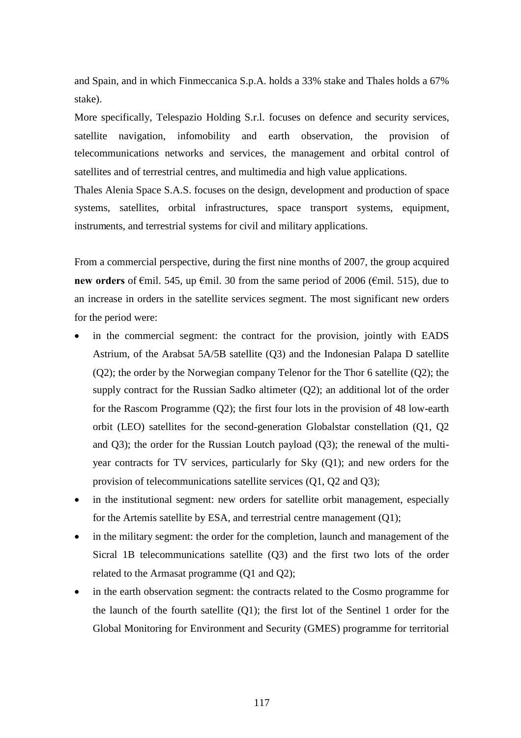and Spain, and in which Finmeccanica S.p.A. holds a 33% stake and Thales holds a 67% stake).

More specifically, Telespazio Holding S.r.l. focuses on defence and security services, satellite navigation, infomobility and earth observation, the provision of telecommunications networks and services, the management and orbital control of satellites and of terrestrial centres, and multimedia and high value applications.

Thales Alenia Space S.A.S. focuses on the design, development and production of space systems, satellites, orbital infrastructures, space transport systems, equipment, instruments, and terrestrial systems for civil and military applications.

From a commercial perspective, during the first nine months of 2007, the group acquired **new orders** of €mil. 545, up €mil. 30 from the same period of 2006 (€mil. 515), due to an increase in orders in the satellite services segment. The most significant new orders for the period were:

- in the commercial segment: the contract for the provision, jointly with EADS Astrium, of the Arabsat 5A/5B satellite (Q3) and the Indonesian Palapa D satellite (Q2); the order by the Norwegian company Telenor for the Thor 6 satellite (Q2); the supply contract for the Russian Sadko altimeter (Q2); an additional lot of the order for the Rascom Programme (Q2); the first four lots in the provision of 48 low-earth orbit (LEO) satellites for the second-generation Globalstar constellation (Q1, Q2 and Q3); the order for the Russian Loutch payload (Q3); the renewal of the multiyear contracts for TV services, particularly for Sky (Q1); and new orders for the provision of telecommunications satellite services (Q1, Q2 and Q3);
- in the institutional segment: new orders for satellite orbit management, especially for the Artemis satellite by ESA, and terrestrial centre management (Q1);
- in the military segment: the order for the completion, launch and management of the Sicral 1B telecommunications satellite (Q3) and the first two lots of the order related to the Armasat programme (Q1 and Q2);
- in the earth observation segment: the contracts related to the Cosmo programme for the launch of the fourth satellite (Q1); the first lot of the Sentinel 1 order for the Global Monitoring for Environment and Security (GMES) programme for territorial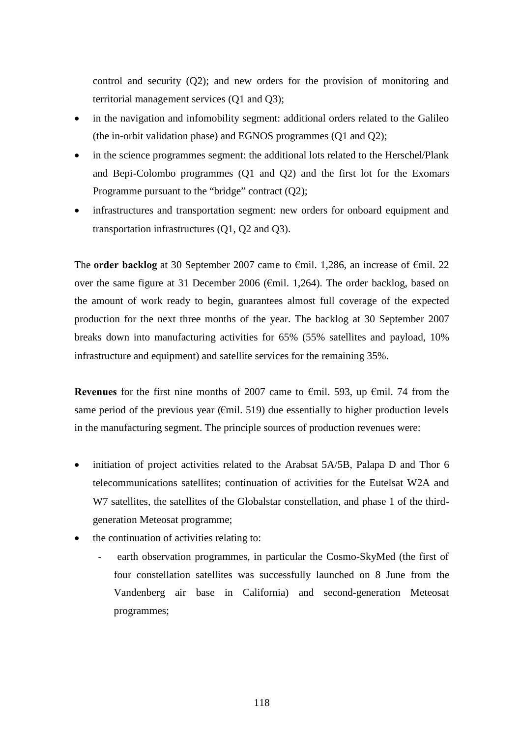control and security (Q2); and new orders for the provision of monitoring and territorial management services (Q1 and Q3);

- in the navigation and infomobility segment: additional orders related to the Galileo (the in-orbit validation phase) and EGNOS programmes (Q1 and Q2);
- in the science programmes segment: the additional lots related to the Herschel/Plank and Bepi-Colombo programmes (Q1 and Q2) and the first lot for the Exomars Programme pursuant to the "bridge" contract (Q2);
- infrastructures and transportation segment: new orders for onboard equipment and transportation infrastructures (Q1, Q2 and Q3).

The **order backlog** at 30 September 2007 came to €mil. 1,286, an increase of €mil. 22 over the same figure at 31 December 2006 ( $\epsilon$ mil. 1,264). The order backlog, based on the amount of work ready to begin, guarantees almost full coverage of the expected production for the next three months of the year. The backlog at 30 September 2007 breaks down into manufacturing activities for 65% (55% satellites and payload, 10% infrastructure and equipment) and satellite services for the remaining 35%.

**Revenues** for the first nine months of 2007 came to €mil. 593, up €mil. 74 from the same period of the previous year ( $\epsilon$ mil. 519) due essentially to higher production levels in the manufacturing segment. The principle sources of production revenues were:

- initiation of project activities related to the Arabsat 5A/5B, Palapa D and Thor 6 telecommunications satellites; continuation of activities for the Eutelsat W2A and W7 satellites, the satellites of the Globalstar constellation, and phase 1 of the thirdgeneration Meteosat programme;
- the continuation of activities relating to:
	- earth observation programmes, in particular the Cosmo-SkyMed (the first of four constellation satellites was successfully launched on 8 June from the Vandenberg air base in California) and second-generation Meteosat programmes;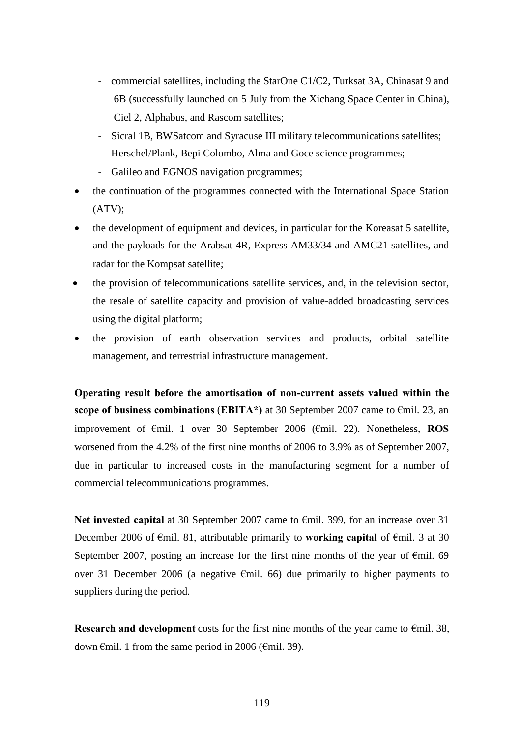- commercial satellites, including the StarOne C1/C2, Turksat 3A, Chinasat 9 and 6B (successfully launched on 5 July from the Xichang Space Center in China), Ciel 2, Alphabus, and Rascom satellites;
- Sicral 1B, BWSatcom and Syracuse III military telecommunications satellites;
- Herschel/Plank, Bepi Colombo, Alma and Goce science programmes;
- Galileo and EGNOS navigation programmes;
- the continuation of the programmes connected with the International Space Station (ATV);
- the development of equipment and devices, in particular for the Koreasat 5 satellite, and the payloads for the Arabsat 4R, Express AM33/34 and AMC21 satellites, and radar for the Kompsat satellite;
- the provision of telecommunications satellite services, and, in the television sector, the resale of satellite capacity and provision of value-added broadcasting services using the digital platform;
- the provision of earth observation services and products, orbital satellite management, and terrestrial infrastructure management.

**Operating result before the amortisation of non-current assets valued within the scope of business combinations** (**EBITA\*)** at 30 September 2007 came to €mil. 23, an improvement of €mil. 1 over 30 September 2006 (€mil. 22). Nonetheless, **ROS** worsened from the 4.2% of the first nine months of 2006 to 3.9% as of September 2007, due in particular to increased costs in the manufacturing segment for a number of commercial telecommunications programmes.

**Net invested capital** at 30 September 2007 came to €mil. 399, for an increase over 31 December 2006 of €mil. 81, attributable primarily to **working capital** of €mil. 3 at 30 September 2007, posting an increase for the first nine months of the year of  $\epsilon$ mil. 69 over 31 December 2006 (a negative  $\epsilon$ mil. 66) due primarily to higher payments to suppliers during the period.

**Research and development** costs for the first nine months of the year came to  $\epsilon$ mil. 38, down  $\epsilon$ mil. 1 from the same period in 2006 ( $\epsilon$ mil. 39).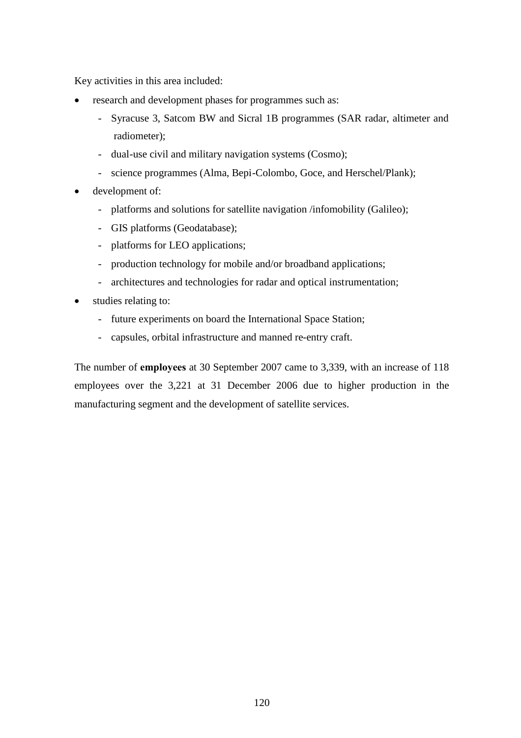Key activities in this area included:

- research and development phases for programmes such as:
	- Syracuse 3, Satcom BW and Sicral 1B programmes (SAR radar, altimeter and radiometer);
	- dual-use civil and military navigation systems (Cosmo);
	- science programmes (Alma, Bepi-Colombo, Goce, and Herschel/Plank);
- development of:
	- platforms and solutions for satellite navigation /infomobility (Galileo);
	- GIS platforms (Geodatabase);
	- platforms for LEO applications;
	- production technology for mobile and/or broadband applications;
	- architectures and technologies for radar and optical instrumentation;
- studies relating to:
	- future experiments on board the International Space Station;
	- capsules, orbital infrastructure and manned re-entry craft.

The number of **employees** at 30 September 2007 came to 3,339, with an increase of 118 employees over the 3,221 at 31 December 2006 due to higher production in the manufacturing segment and the development of satellite services.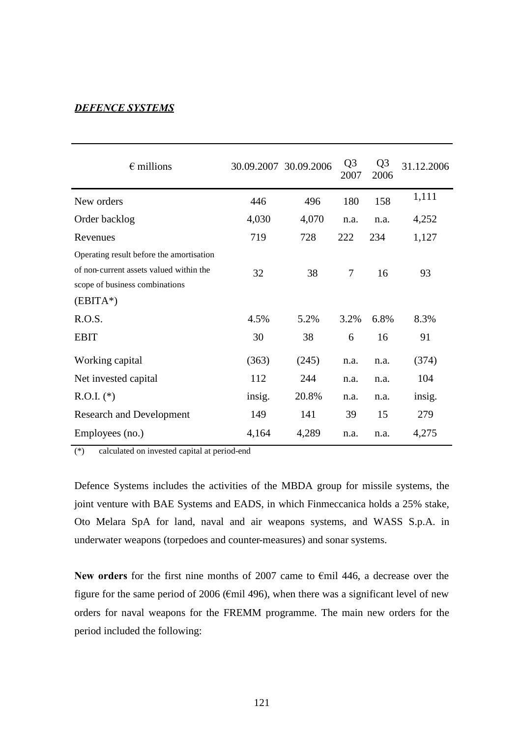#### *DEFENCE SYSTEMS*

| $\epsilon$ millions                      |        | 30.09.2007 30.09.2006 | Q <sub>3</sub><br>2007 | Q <sub>3</sub><br>2006 | 31.12.2006 |
|------------------------------------------|--------|-----------------------|------------------------|------------------------|------------|
| New orders                               | 446    | 496                   | 180                    | 158                    | 1,111      |
| Order backlog                            | 4,030  | 4,070                 | n.a.                   | n.a.                   | 4,252      |
| Revenues                                 | 719    | 728                   | 222                    | 234                    | 1,127      |
| Operating result before the amortisation |        |                       |                        |                        |            |
| of non-current assets valued within the  | 32     | 38                    | $\overline{7}$         | 16                     | 93         |
| scope of business combinations           |        |                       |                        |                        |            |
| $(EBITA*)$                               |        |                       |                        |                        |            |
| R.O.S.                                   | 4.5%   | 5.2%                  | 3.2%                   | 6.8%                   | 8.3%       |
| <b>EBIT</b>                              | 30     | 38                    | 6                      | 16                     | 91         |
| Working capital                          | (363)  | (245)                 | n.a.                   | n.a.                   | (374)      |
| Net invested capital                     | 112    | 244                   | n.a.                   | n.a.                   | 104        |
| $R.O.I.$ (*)                             | insig. | 20.8%                 | n.a.                   | n.a.                   | insig.     |
| <b>Research and Development</b>          | 149    | 141                   | 39                     | 15                     | 279        |
| Employees (no.)                          | 4,164  | 4,289                 | n.a.                   | n.a.                   | 4,275      |

(\*) calculated on invested capital at period-end

Defence Systems includes the activities of the MBDA group for missile systems, the joint venture with BAE Systems and EADS, in which Finmeccanica holds a 25% stake, Oto Melara SpA for land, naval and air weapons systems, and WASS S.p.A. in underwater weapons (torpedoes and counter-measures) and sonar systems.

**New orders** for the first nine months of 2007 came to €mil 446, a decrease over the figure for the same period of 2006 ( $\epsilon$ mil 496), when there was a significant level of new orders for naval weapons for the FREMM programme. The main new orders for the period included the following: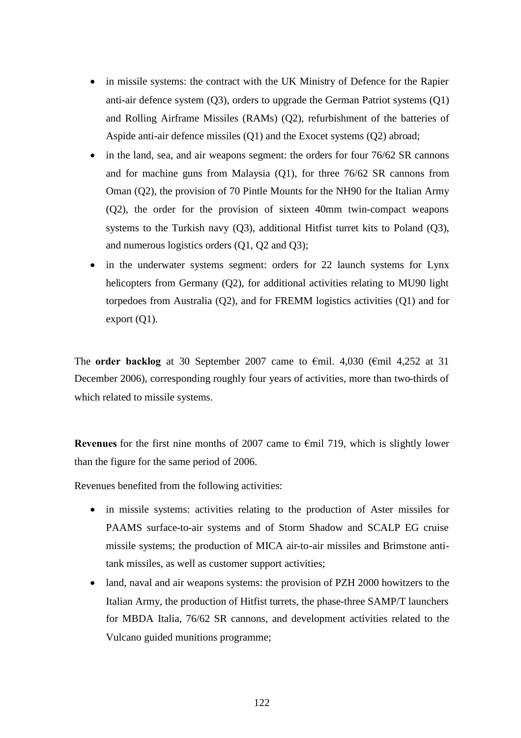- in missile systems: the contract with the UK Ministry of Defence for the Rapier anti-air defence system (Q3), orders to upgrade the German Patriot systems (Q1) and Rolling Airframe Missiles (RAMs) (Q2), refurbishment of the batteries of Aspide anti-air defence missiles (Q1) and the Exocet systems (Q2) abroad;
- in the land, sea, and air weapons segment: the orders for four 76/62 SR cannons and for machine guns from Malaysia (Q1), for three 76/62 SR cannons from Oman (Q2), the provision of 70 Pintle Mounts for the NH90 for the Italian Army (Q2), the order for the provision of sixteen 40mm twin-compact weapons systems to the Turkish navy (Q3), additional Hitfist turret kits to Poland (Q3), and numerous logistics orders (Q1, Q2 and Q3);
- in the underwater systems segment: orders for 22 launch systems for Lynx helicopters from Germany (Q2), for additional activities relating to MU90 light torpedoes from Australia (Q2), and for FREMM logistics activities (Q1) and for export  $(Q1)$ .

The **order backlog** at 30 September 2007 came to  $\epsilon$ mil. 4,030 ( $\epsilon$ mil 4,252 at 31 December 2006), corresponding roughly four years of activities, more than two-thirds of which related to missile systems.

**Revenues** for the first nine months of 2007 came to €mil 719, which is slightly lower than the figure for the same period of 2006.

Revenues benefited from the following activities:

- in missile systems: activities relating to the production of Aster missiles for PAAMS surface-to-air systems and of Storm Shadow and SCALP EG cruise missile systems; the production of MICA air-to-air missiles and Brimstone antitank missiles, as well as customer support activities;
- land, naval and air weapons systems: the provision of PZH 2000 howitzers to the Italian Army, the production of Hitfist turrets, the phase-three SAMP/T launchers for MBDA Italia, 76/62 SR cannons, and development activities related to the Vulcano guided munitions programme;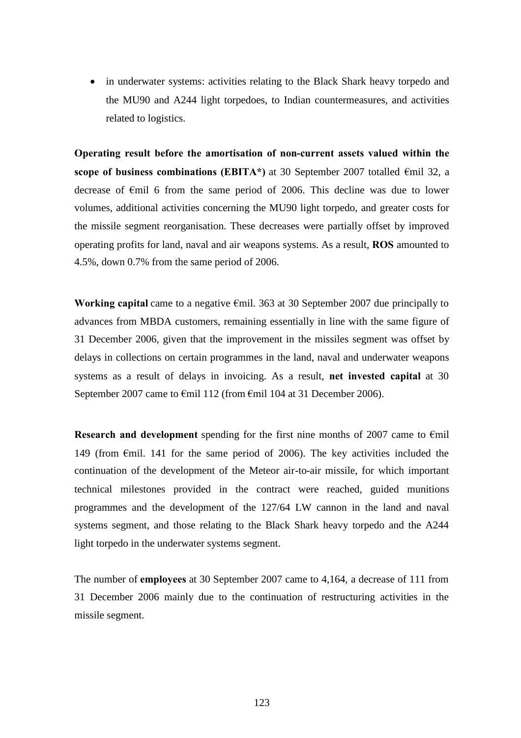• in underwater systems: activities relating to the Black Shark heavy torpedo and the MU90 and A244 light torpedoes, to Indian countermeasures, and activities related to logistics.

**Operating result before the amortisation of non-current assets valued within the scope of business combinations (EBITA\*)** at 30 September 2007 totalled €mil 32, a decrease of €mil 6 from the same period of 2006. This decline was due to lower volumes, additional activities concerning the MU90 light torpedo, and greater costs for the missile segment reorganisation. These decreases were partially offset by improved operating profits for land, naval and air weapons systems. As a result, **ROS** amounted to 4.5%, down 0.7% from the same period of 2006.

**Working capital** came to a negative €mil. 363 at 30 September 2007 due principally to advances from MBDA customers, remaining essentially in line with the same figure of 31 December 2006, given that the improvement in the missiles segment was offset by delays in collections on certain programmes in the land, naval and underwater weapons systems as a result of delays in invoicing. As a result, **net invested capital** at 30 September 2007 came to €mil 112 (from €mil 104 at 31 December 2006).

**Research and development** spending for the first nine months of 2007 came to  $\epsilon$ mil 149 (from  $\epsilon$ mil. 141 for the same period of 2006). The key activities included the continuation of the development of the Meteor air-to-air missile, for which important technical milestones provided in the contract were reached, guided munitions programmes and the development of the 127/64 LW cannon in the land and naval systems segment, and those relating to the Black Shark heavy torpedo and the A244 light torpedo in the underwater systems segment.

The number of **employees** at 30 September 2007 came to 4,164, a decrease of 111 from 31 December 2006 mainly due to the continuation of restructuring activities in the missile segment.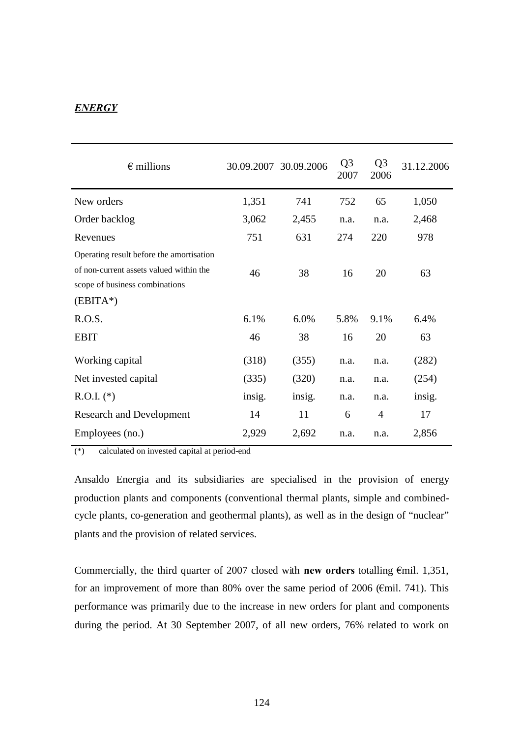# *ENERGY*

| $\epsilon$ millions                                                                                                                 |        | 30.09.2007 30.09.2006 | Q <sub>3</sub><br>2007 | Q <sub>3</sub><br>2006 | 31.12.2006 |
|-------------------------------------------------------------------------------------------------------------------------------------|--------|-----------------------|------------------------|------------------------|------------|
| New orders                                                                                                                          | 1,351  | 741                   | 752                    | 65                     | 1,050      |
| Order backlog                                                                                                                       | 3,062  | 2,455                 | n.a.                   | n.a.                   | 2,468      |
| Revenues                                                                                                                            | 751    | 631                   | 274                    | 220                    | 978        |
| Operating result before the amortisation<br>of non-current assets valued within the<br>scope of business combinations<br>$(EBITA*)$ | 46     | 38                    | 16                     | 20                     | 63         |
| R.O.S.                                                                                                                              | 6.1%   | 6.0%                  | 5.8%                   | 9.1%                   | 6.4%       |
| <b>EBIT</b>                                                                                                                         | 46     | 38                    | 16                     | 20                     | 63         |
| Working capital                                                                                                                     | (318)  | (355)                 | n.a.                   | n.a.                   | (282)      |
| Net invested capital                                                                                                                | (335)  | (320)                 | n.a.                   | n.a.                   | (254)      |
| $R.O.I.$ (*)                                                                                                                        | insig. | insig.                | n.a.                   | n.a.                   | insig.     |
| <b>Research and Development</b>                                                                                                     | 14     | 11                    | 6                      | 4                      | 17         |
| Employees (no.)                                                                                                                     | 2,929  | 2,692                 | n.a.                   | n.a.                   | 2,856      |

(\*) calculated on invested capital at period-end

Ansaldo Energia and its subsidiaries are specialised in the provision of energy production plants and components (conventional thermal plants, simple and combinedcycle plants, co-generation and geothermal plants), as well as in the design of "nuclear" plants and the provision of related services.

Commercially, the third quarter of 2007 closed with **new orders** totalling €mil. 1,351, for an improvement of more than 80% over the same period of 2006 ( $\epsilon$ mil. 741). This performance was primarily due to the increase in new orders for plant and components during the period. At 30 September 2007, of all new orders, 76% related to work on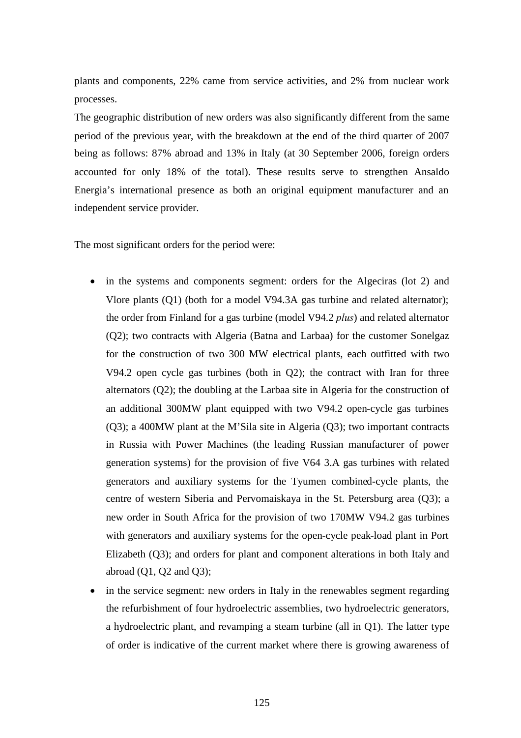plants and components, 22% came from service activities, and 2% from nuclear work processes.

The geographic distribution of new orders was also significantly different from the same period of the previous year, with the breakdown at the end of the third quarter of 2007 being as follows: 87% abroad and 13% in Italy (at 30 September 2006, foreign orders accounted for only 18% of the total). These results serve to strengthen Ansaldo Energia's international presence as both an original equipment manufacturer and an independent service provider.

The most significant orders for the period were:

- in the systems and components segment: orders for the Algeciras (lot 2) and Vlore plants (Q1) (both for a model V94.3A gas turbine and related alternator); the order from Finland for a gas turbine (model V94.2 *plus*) and related alternator (Q2); two contracts with Algeria (Batna and Larbaa) for the customer Sonelgaz for the construction of two 300 MW electrical plants, each outfitted with two V94.2 open cycle gas turbines (both in Q2); the contract with Iran for three alternators (Q2); the doubling at the Larbaa site in Algeria for the construction of an additional 300MW plant equipped with two V94.2 open-cycle gas turbines (Q3); a 400MW plant at the M'Sila site in Algeria (Q3); two important contracts in Russia with Power Machines (the leading Russian manufacturer of power generation systems) for the provision of five V64 3.A gas turbines with related generators and auxiliary systems for the Tyumen combined-cycle plants, the centre of western Siberia and Pervomaiskaya in the St. Petersburg area (Q3); a new order in South Africa for the provision of two 170MW V94.2 gas turbines with generators and auxiliary systems for the open-cycle peak-load plant in Port Elizabeth (Q3); and orders for plant and component alterations in both Italy and abroad  $(Q1, Q2$  and  $Q3)$ ;
- in the service segment: new orders in Italy in the renewables segment regarding the refurbishment of four hydroelectric assemblies, two hydroelectric generators, a hydroelectric plant, and revamping a steam turbine (all in Q1). The latter type of order is indicative of the current market where there is growing awareness of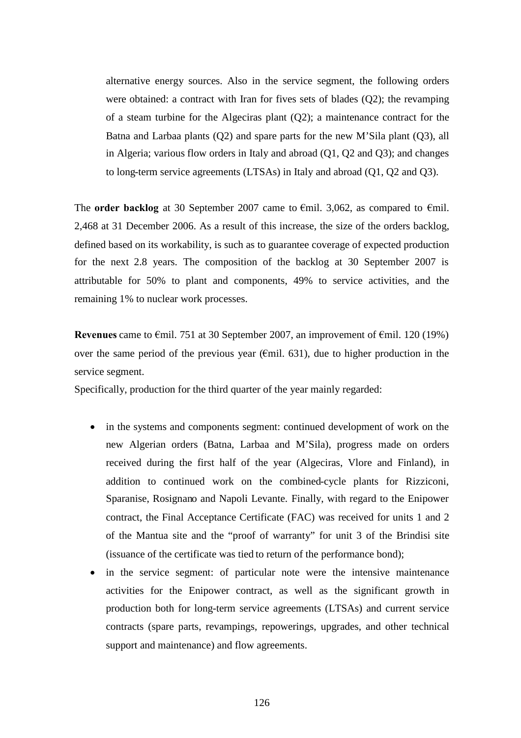alternative energy sources. Also in the service segment, the following orders were obtained: a contract with Iran for fives sets of blades (Q2); the revamping of a steam turbine for the Algeciras plant  $(Q2)$ ; a maintenance contract for the Batna and Larbaa plants (Q2) and spare parts for the new M'Sila plant (Q3), all in Algeria; various flow orders in Italy and abroad (Q1, Q2 and Q3); and changes to long-term service agreements (LTSAs) in Italy and abroad (Q1, Q2 and Q3).

The **order backlog** at 30 September 2007 came to €mil. 3,062, as compared to €mil. 2,468 at 31 December 2006. As a result of this increase, the size of the orders backlog, defined based on its workability, is such as to guarantee coverage of expected production for the next 2.8 years. The composition of the backlog at 30 September 2007 is attributable for 50% to plant and components, 49% to service activities, and the remaining 1% to nuclear work processes.

**Revenues** came to €mil. 751 at 30 September 2007, an improvement of €mil. 120 (19%) over the same period of the previous year ( $\epsilon$ mil. 631), due to higher production in the service segment.

Specifically, production for the third quarter of the year mainly regarded:

- in the systems and components segment: continued development of work on the new Algerian orders (Batna, Larbaa and M'Sila), progress made on orders received during the first half of the year (Algeciras, Vlore and Finland), in addition to continued work on the combined-cycle plants for Rizziconi, Sparanise, Rosignano and Napoli Levante. Finally, with regard to the Enipower contract, the Final Acceptance Certificate (FAC) was received for units 1 and 2 of the Mantua site and the "proof of warranty" for unit 3 of the Brindisi site (issuance of the certificate was tied to return of the performance bond);
- in the service segment: of particular note were the intensive maintenance activities for the Enipower contract, as well as the significant growth in production both for long-term service agreements (LTSAs) and current service contracts (spare parts, revampings, repowerings, upgrades, and other technical support and maintenance) and flow agreements.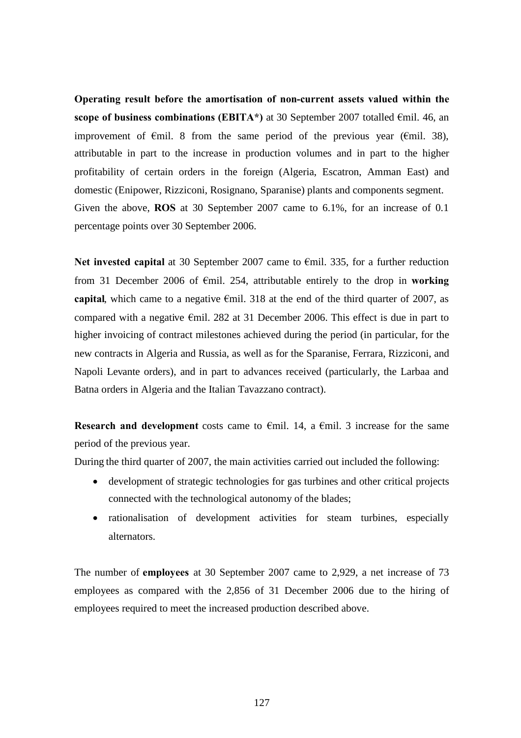**Operating result before the amortisation of non-current assets valued within the scope of business combinations (EBITA<sup>\*</sup>)** at 30 September 2007 totalled €mil. 46, an improvement of  $\epsilon$ mil. 8 from the same period of the previous year ( $\epsilon$ mil. 38), attributable in part to the increase in production volumes and in part to the higher profitability of certain orders in the foreign (Algeria, Escatron, Amman East) and domestic (Enipower, Rizziconi, Rosignano, Sparanise) plants and components segment. Given the above, **ROS** at 30 September 2007 came to 6.1%, for an increase of 0.1 percentage points over 30 September 2006.

**Net invested capital** at 30 September 2007 came to €mil. 335, for a further reduction from 31 December 2006 of €mil. 254, attributable entirely to the drop in **working capital**, which came to a negative  $\epsilon$ mil. 318 at the end of the third quarter of 2007, as compared with a negative €mil. 282 at 31 December 2006. This effect is due in part to higher invoicing of contract milestones achieved during the period (in particular, for the new contracts in Algeria and Russia, as well as for the Sparanise, Ferrara, Rizziconi, and Napoli Levante orders), and in part to advances received (particularly, the Larbaa and Batna orders in Algeria and the Italian Tavazzano contract).

**Research and development** costs came to  $\epsilon$ mil. 14, a  $\epsilon$ mil. 3 increase for the same period of the previous year.

During the third quarter of 2007, the main activities carried out included the following:

- development of strategic technologies for gas turbines and other critical projects connected with the technological autonomy of the blades;
- rationalisation of development activities for steam turbines, especially alternators.

The number of **employees** at 30 September 2007 came to 2,929, a net increase of 73 employees as compared with the 2,856 of 31 December 2006 due to the hiring of employees required to meet the increased production described above.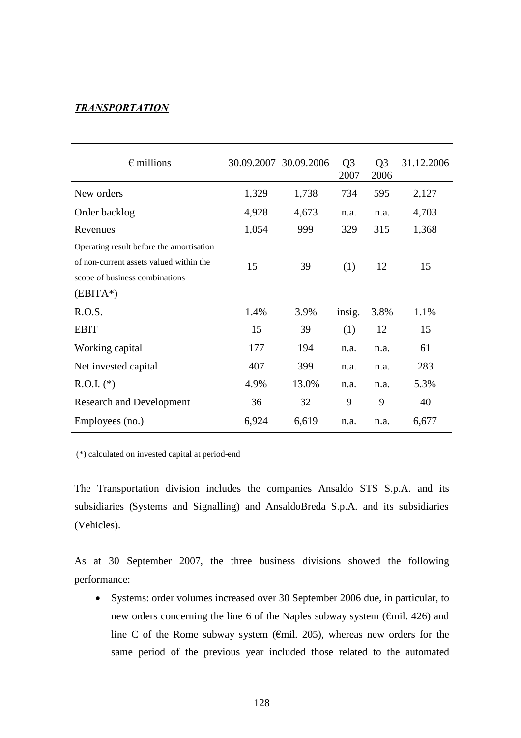### *TRANSPORTATION*

| $\epsilon$ millions                      |       | 30.09.2007 30.09.2006 | Q <sub>3</sub><br>2007 | Q <sub>3</sub><br>2006 | 31.12.2006 |
|------------------------------------------|-------|-----------------------|------------------------|------------------------|------------|
| New orders                               | 1,329 | 1,738                 | 734                    | 595                    | 2,127      |
| Order backlog                            | 4,928 | 4,673                 | n.a.                   | n.a.                   | 4,703      |
| Revenues                                 | 1,054 | 999                   | 329                    | 315                    | 1,368      |
| Operating result before the amortisation |       |                       |                        |                        |            |
| of non-current assets valued within the  | 15    | 39                    | (1)                    | 12                     | 15         |
| scope of business combinations           |       |                       |                        |                        |            |
| $(EBITA*)$                               |       |                       |                        |                        |            |
| R.O.S.                                   | 1.4%  | 3.9%                  | insig.                 | 3.8%                   | 1.1%       |
| <b>EBIT</b>                              | 15    | 39                    | (1)                    | 12                     | 15         |
| Working capital                          | 177   | 194                   | n.a.                   | n.a.                   | 61         |
| Net invested capital                     | 407   | 399                   | n.a.                   | n.a.                   | 283        |
| $R.O.I.$ (*)                             | 4.9%  | 13.0%                 | n.a.                   | n.a.                   | 5.3%       |
| <b>Research and Development</b>          | 36    | 32                    | 9                      | 9                      | 40         |
| Employees (no.)                          | 6,924 | 6,619                 | n.a.                   | n.a.                   | 6,677      |

(\*) calculated on invested capital at period-end

The Transportation division includes the companies Ansaldo STS S.p.A. and its subsidiaries (Systems and Signalling) and AnsaldoBreda S.p.A. and its subsidiaries (Vehicles).

As at 30 September 2007, the three business divisions showed the following performance:

 Systems: order volumes increased over 30 September 2006 due, in particular, to new orders concerning the line 6 of the Naples subway system (€mil. 426) and line C of the Rome subway system ( $\epsilon$ mil. 205), whereas new orders for the same period of the previous year included those related to the automated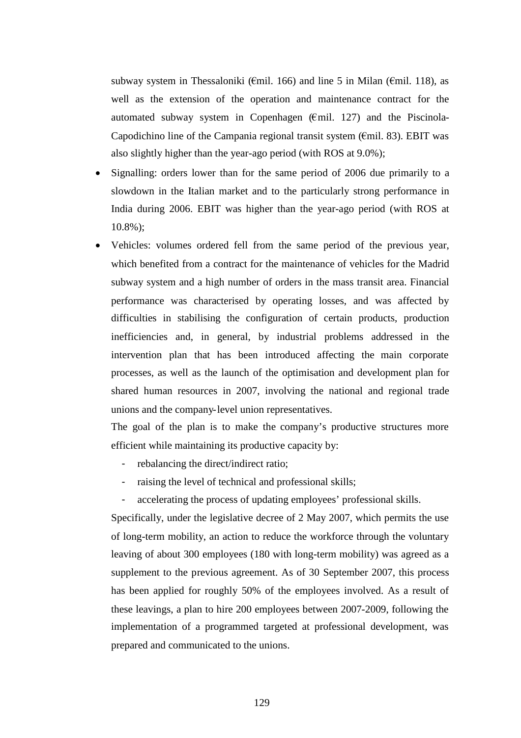subway system in Thessaloniki ( $\epsilon$ mil. 166) and line 5 in Milan ( $\epsilon$ mil. 118), as well as the extension of the operation and maintenance contract for the automated subway system in Copenhagen ( $\epsilon$ mil. 127) and the Piscinola-Capodichino line of the Campania regional transit system ( $\epsilon$ mil. 83). EBIT was also slightly higher than the year-ago period (with ROS at 9.0%);

- Signalling: orders lower than for the same period of 2006 due primarily to a slowdown in the Italian market and to the particularly strong performance in India during 2006. EBIT was higher than the year-ago period (with ROS at 10.8%);
- Vehicles: volumes ordered fell from the same period of the previous year, which benefited from a contract for the maintenance of vehicles for the Madrid subway system and a high number of orders in the mass transit area. Financial performance was characterised by operating losses, and was affected by difficulties in stabilising the configuration of certain products, production inefficiencies and, in general, by industrial problems addressed in the intervention plan that has been introduced affecting the main corporate processes, as well as the launch of the optimisation and development plan for shared human resources in 2007, involving the national and regional trade unions and the company-level union representatives.

The goal of the plan is to make the company's productive structures more efficient while maintaining its productive capacity by:

- rebalancing the direct/indirect ratio;
- raising the level of technical and professional skills;
- accelerating the process of updating employees' professional skills.

Specifically, under the legislative decree of 2 May 2007, which permits the use of long-term mobility, an action to reduce the workforce through the voluntary leaving of about 300 employees (180 with long-term mobility) was agreed as a supplement to the previous agreement. As of 30 September 2007, this process has been applied for roughly 50% of the employees involved. As a result of these leavings, a plan to hire 200 employees between 2007-2009, following the implementation of a programmed targeted at professional development, was prepared and communicated to the unions.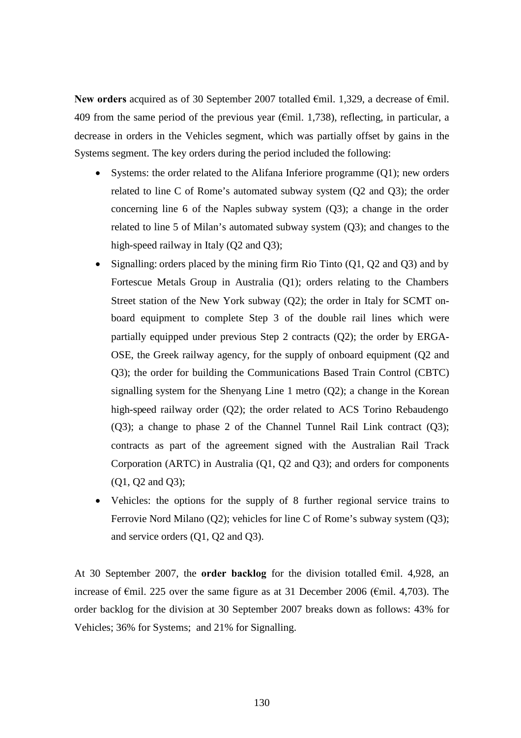**New orders** acquired as of 30 September 2007 totalled €mil. 1,329, a decrease of €mil. 409 from the same period of the previous year ( $\epsilon$ mil. 1,738), reflecting, in particular, a decrease in orders in the Vehicles segment, which was partially offset by gains in the Systems segment. The key orders during the period included the following:

- Systems: the order related to the Alifana Inferiore programme (Q1); new orders related to line C of Rome's automated subway system (Q2 and Q3); the order concerning line 6 of the Naples subway system (Q3); a change in the order related to line 5 of Milan's automated subway system (Q3); and changes to the high-speed railway in Italy (O2 and O3);
- Signalling: orders placed by the mining firm Rio Tinto (Q1, Q2 and Q3) and by Fortescue Metals Group in Australia (Q1); orders relating to the Chambers Street station of the New York subway (Q2); the order in Italy for SCMT onboard equipment to complete Step 3 of the double rail lines which were partially equipped under previous Step 2 contracts (Q2); the order by ERGA-OSE, the Greek railway agency, for the supply of onboard equipment (Q2 and Q3); the order for building the Communications Based Train Control (CBTC) signalling system for the Shenyang Line 1 metro (Q2); a change in the Korean high-speed railway order (Q2); the order related to ACS Torino Rebaudengo (Q3); a change to phase 2 of the Channel Tunnel Rail Link contract (Q3); contracts as part of the agreement signed with the Australian Rail Track Corporation (ARTC) in Australia (Q1, Q2 and Q3); and orders for components (Q1, Q2 and Q3);
- Vehicles: the options for the supply of 8 further regional service trains to Ferrovie Nord Milano (Q2); vehicles for line C of Rome's subway system (Q3); and service orders (Q1, Q2 and Q3).

At 30 September 2007, the **order backlog** for the division totalled €mil. 4,928, an increase of €mil. 225 over the same figure as at 31 December 2006 (€mil. 4,703). The order backlog for the division at 30 September 2007 breaks down as follows: 43% for Vehicles; 36% for Systems; and 21% for Signalling.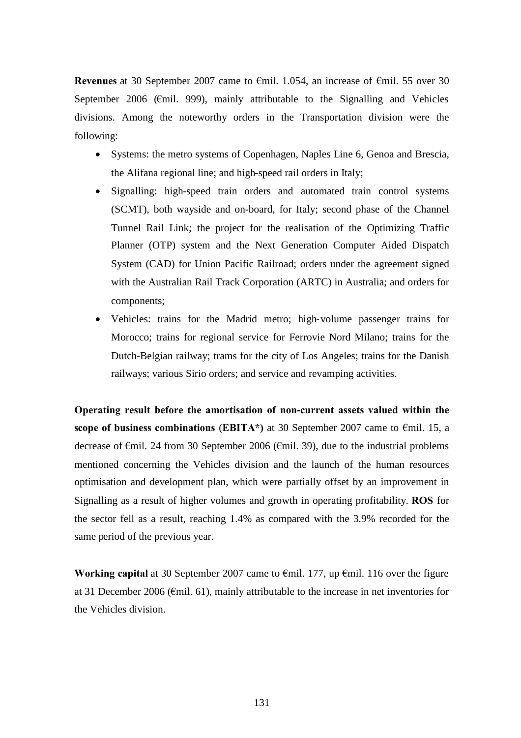**Revenues** at 30 September 2007 came to €mil. 1.054, an increase of €mil. 55 over 30 September 2006 ( $\epsilon$ mil. 999), mainly attributable to the Signalling and Vehicles divisions. Among the noteworthy orders in the Transportation division were the following:

- Systems: the metro systems of Copenhagen, Naples Line 6, Genoa and Brescia, the Alifana regional line; and high-speed rail orders in Italy;
- Signalling: high-speed train orders and automated train control systems (SCMT), both wayside and on-board, for Italy; second phase of the Channel Tunnel Rail Link; the project for the realisation of the Optimizing Traffic Planner (OTP) system and the Next Generation Computer Aided Dispatch System (CAD) for Union Pacific Railroad; orders under the agreement signed with the Australian Rail Track Corporation (ARTC) in Australia; and orders for components;
- Vehicles: trains for the Madrid metro; high-volume passenger trains for Morocco; trains for regional service for Ferrovie Nord Milano; trains for the Dutch-Belgian railway; trams for the city of Los Angeles; trains for the Danish railways; various Sirio orders; and service and revamping activities.

**Operating result before the amortisation of non-current assets valued within the scope of business combinations** (**EBITA\*)** at 30 September 2007 came to €mil. 15, a decrease of €mil. 24 from 30 September 2006 (€mil. 39), due to the industrial problems mentioned concerning the Vehicles division and the launch of the human resources optimisation and development plan, which were partially offset by an improvement in Signalling as a result of higher volumes and growth in operating profitability. **ROS** for the sector fell as a result, reaching 1.4% as compared with the 3.9% recorded for the same period of the previous year.

**Working capital** at 30 September 2007 came to €mil. 177, up €mil. 116 over the figure at 31 December 2006 (€mil. 61), mainly attributable to the increase in net inventories for the Vehicles division.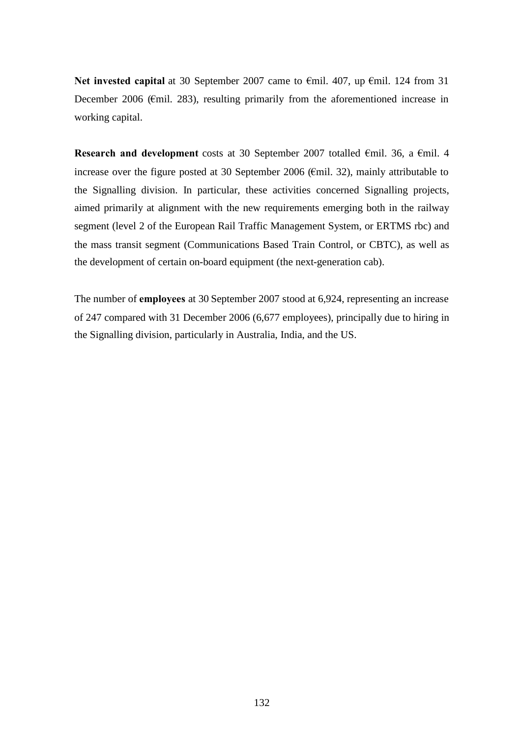**Net invested capital** at 30 September 2007 came to €mil. 407, up €mil. 124 from 31 December 2006 (€mil. 283), resulting primarily from the aforementioned increase in working capital.

**Research and development** costs at 30 September 2007 totalled €mil. 36, a €mil. 4 increase over the figure posted at 30 September 2006 (€mil. 32), mainly attributable to the Signalling division. In particular, these activities concerned Signalling projects, aimed primarily at alignment with the new requirements emerging both in the railway segment (level 2 of the European Rail Traffic Management System, or ERTMS rbc) and the mass transit segment (Communications Based Train Control, or CBTC), as well as the development of certain on-board equipment (the next-generation cab).

The number of **employees** at 30 September 2007 stood at 6,924, representing an increase of 247 compared with 31 December 2006 (6,677 employees), principally due to hiring in the Signalling division, particularly in Australia, India, and the US.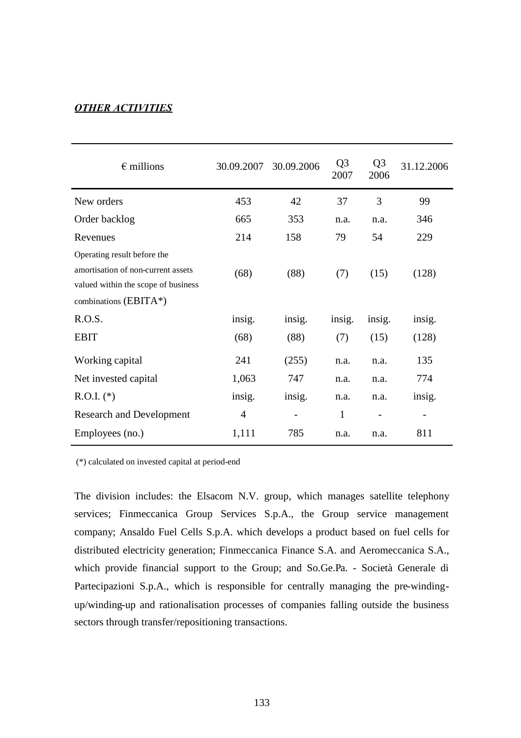## *OTHER ACTIVITIES*

| $\epsilon$ millions                                                                                                               | 30.09.2007     | 30.09.2006 | Q <sub>3</sub><br>2007 | Q <sub>3</sub><br>2006 | 31.12.2006 |
|-----------------------------------------------------------------------------------------------------------------------------------|----------------|------------|------------------------|------------------------|------------|
| New orders                                                                                                                        | 453            | 42         | 37                     | 3                      | 99         |
| Order backlog                                                                                                                     | 665            | 353        | n.a.                   | n.a.                   | 346        |
| Revenues                                                                                                                          | 214            | 158        | 79                     | 54                     | 229        |
| Operating result before the<br>amortisation of non-current assets<br>valued within the scope of business<br>combinations (EBITA*) | (68)           | (88)       | (7)                    | (15)                   | (128)      |
| R.O.S.                                                                                                                            | insig.         | insig.     | insig.                 | insig.                 | insig.     |
| <b>EBIT</b>                                                                                                                       | (68)           | (88)       | (7)                    | (15)                   | (128)      |
| Working capital                                                                                                                   | 241            | (255)      | n.a.                   | n.a.                   | 135        |
| Net invested capital                                                                                                              | 1,063          | 747        | n.a.                   | n.a.                   | 774        |
| $R.O.I.$ (*)                                                                                                                      | insig.         | insig.     | n.a.                   | n.a.                   | insig.     |
| <b>Research and Development</b>                                                                                                   | $\overline{4}$ |            | $\mathbf{1}$           |                        |            |
| Employees (no.)                                                                                                                   | 1,111          | 785        | n.a.                   | n.a.                   | 811        |

(\*) calculated on invested capital at period-end

The division includes: the Elsacom N.V. group, which manages satellite telephony services; Finmeccanica Group Services S.p.A., the Group service management company; Ansaldo Fuel Cells S.p.A. which develops a product based on fuel cells for distributed electricity generation; Finmeccanica Finance S.A. and Aeromeccanica S.A., which provide financial support to the Group; and So.Ge.Pa. - Società Generale di Partecipazioni S.p.A., which is responsible for centrally managing the pre-windingup/winding-up and rationalisation processes of companies falling outside the business sectors through transfer/repositioning transactions.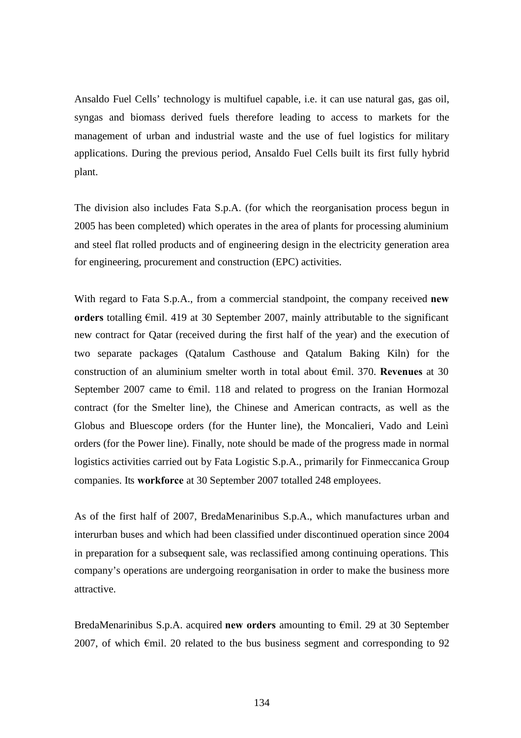Ansaldo Fuel Cells' technology is multifuel capable, i.e. it can use natural gas, gas oil, syngas and biomass derived fuels therefore leading to access to markets for the management of urban and industrial waste and the use of fuel logistics for military applications. During the previous period, Ansaldo Fuel Cells built its first fully hybrid plant.

The division also includes Fata S.p.A. (for which the reorganisation process begun in 2005 has been completed) which operates in the area of plants for processing aluminium and steel flat rolled products and of engineering design in the electricity generation area for engineering, procurement and construction (EPC) activities.

With regard to Fata S.p.A., from a commercial standpoint, the company received **new orders** totalling €mil. 419 at 30 September 2007, mainly attributable to the significant new contract for Qatar (received during the first half of the year) and the execution of two separate packages (Qatalum Casthouse and Qatalum Baking Kiln) for the construction of an aluminium smelter worth in total about €mil. 370. **Revenues** at 30 September 2007 came to €mil. 118 and related to progress on the Iranian Hormozal contract (for the Smelter line), the Chinese and American contracts, as well as the Globus and Bluescope orders (for the Hunter line), the Moncalieri, Vado and Leinì orders (for the Power line). Finally, note should be made of the progress made in normal logistics activities carried out by Fata Logistic S.p.A., primarily for Finmeccanica Group companies. Its **workforce** at 30 September 2007 totalled 248 employees.

As of the first half of 2007, BredaMenarinibus S.p.A., which manufactures urban and interurban buses and which had been classified under discontinued operation since 2004 in preparation for a subsequent sale, was reclassified among continuing operations. This company's operations are undergoing reorganisation in order to make the business more attractive.

BredaMenarinibus S.p.A. acquired **new orders** amounting to €mil. 29 at 30 September 2007, of which  $\epsilon$ mil. 20 related to the bus business segment and corresponding to 92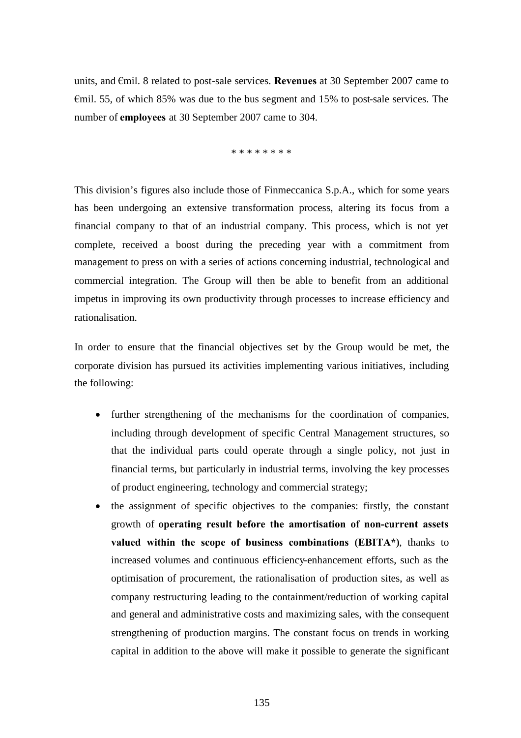units, and €mil. 8 related to post-sale services. **Revenues** at 30 September 2007 came to €mil. 55, of which 85% was due to the bus segment and 15% to post-sale services. The number of **employees** at 30 September 2007 came to 304.

\* \* \* \* \* \* \* \*

This division's figures also include those of Finmeccanica S.p.A., which for some years has been undergoing an extensive transformation process, altering its focus from a financial company to that of an industrial company. This process, which is not yet complete, received a boost during the preceding year with a commitment from management to press on with a series of actions concerning industrial, technological and commercial integration. The Group will then be able to benefit from an additional impetus in improving its own productivity through processes to increase efficiency and rationalisation.

In order to ensure that the financial objectives set by the Group would be met, the corporate division has pursued its activities implementing various initiatives, including the following:

- further strengthening of the mechanisms for the coordination of companies, including through development of specific Central Management structures, so that the individual parts could operate through a single policy, not just in financial terms, but particularly in industrial terms, involving the key processes of product engineering, technology and commercial strategy;
- the assignment of specific objectives to the companies: firstly, the constant growth of **operating result before the amortisation of non-current assets valued within the scope of business combinations (EBITA\*)**, thanks to increased volumes and continuous efficiency-enhancement efforts, such as the optimisation of procurement, the rationalisation of production sites, as well as company restructuring leading to the containment/reduction of working capital and general and administrative costs and maximizing sales, with the consequent strengthening of production margins. The constant focus on trends in working capital in addition to the above will make it possible to generate the significant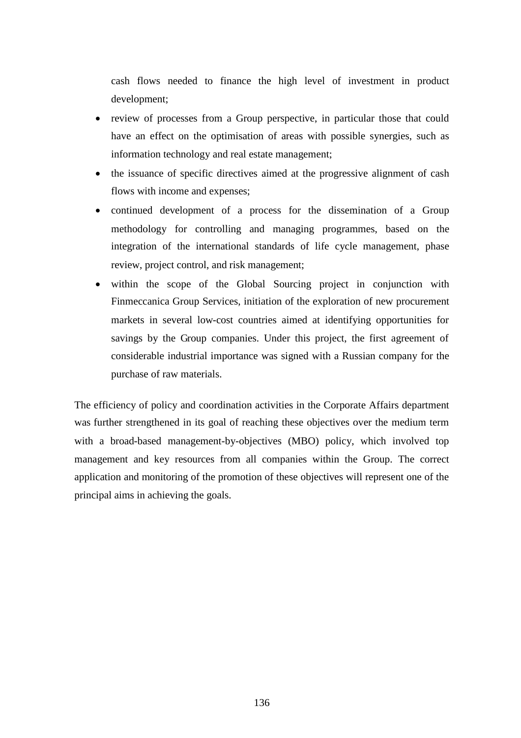cash flows needed to finance the high level of investment in product development;

- review of processes from a Group perspective, in particular those that could have an effect on the optimisation of areas with possible synergies, such as information technology and real estate management;
- the issuance of specific directives aimed at the progressive alignment of cash flows with income and expenses;
- continued development of a process for the dissemination of a Group methodology for controlling and managing programmes, based on the integration of the international standards of life cycle management, phase review, project control, and risk management;
- within the scope of the Global Sourcing project in conjunction with Finmeccanica Group Services, initiation of the exploration of new procurement markets in several low-cost countries aimed at identifying opportunities for savings by the Group companies. Under this project, the first agreement of considerable industrial importance was signed with a Russian company for the purchase of raw materials.

The efficiency of policy and coordination activities in the Corporate Affairs department was further strengthened in its goal of reaching these objectives over the medium term with a broad-based management-by-objectives (MBO) policy, which involved top management and key resources from all companies within the Group. The correct application and monitoring of the promotion of these objectives will represent one of the principal aims in achieving the goals.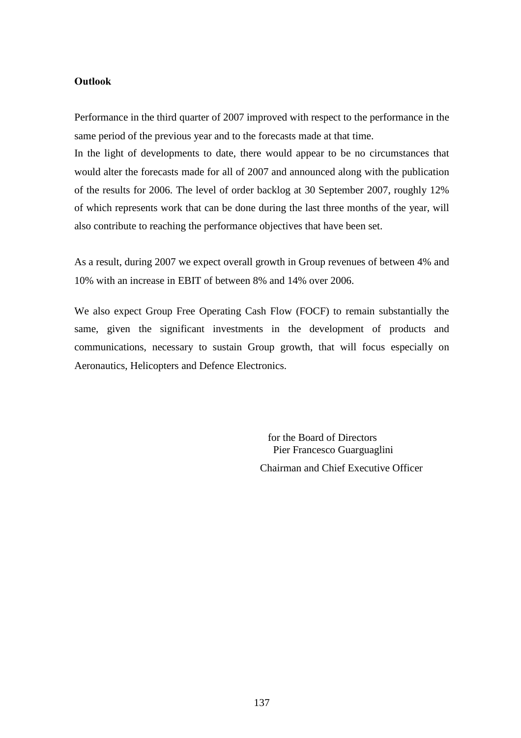#### **Outlook**

Performance in the third quarter of 2007 improved with respect to the performance in the same period of the previous year and to the forecasts made at that time.

In the light of developments to date, there would appear to be no circumstances that would alter the forecasts made for all of 2007 and announced along with the publication of the results for 2006. The level of order backlog at 30 September 2007, roughly 12% of which represents work that can be done during the last three months of the year, will also contribute to reaching the performance objectives that have been set.

As a result, during 2007 we expect overall growth in Group revenues of between 4% and 10% with an increase in EBIT of between 8% and 14% over 2006.

We also expect Group Free Operating Cash Flow (FOCF) to remain substantially the same, given the significant investments in the development of products and communications, necessary to sustain Group growth, that will focus especially on Aeronautics, Helicopters and Defence Electronics.

> for the Board of Directors Pier Francesco Guarguaglini Chairman and Chief Executive Officer